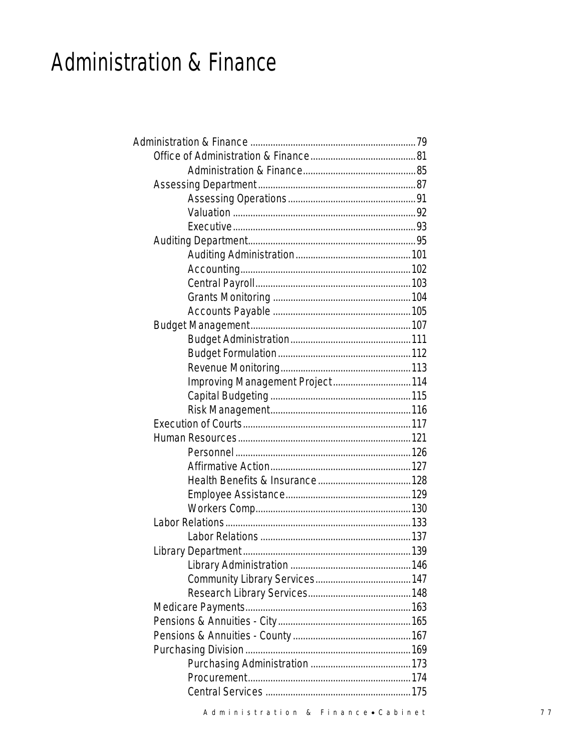### **Administration & Finance**

| Improving Management Project 114 |  |
|----------------------------------|--|
|                                  |  |
|                                  |  |
|                                  |  |
|                                  |  |
|                                  |  |
|                                  |  |
|                                  |  |
|                                  |  |
|                                  |  |
|                                  |  |
|                                  |  |
|                                  |  |
|                                  |  |
|                                  |  |
|                                  |  |
|                                  |  |
|                                  |  |
|                                  |  |
|                                  |  |
|                                  |  |
|                                  |  |
|                                  |  |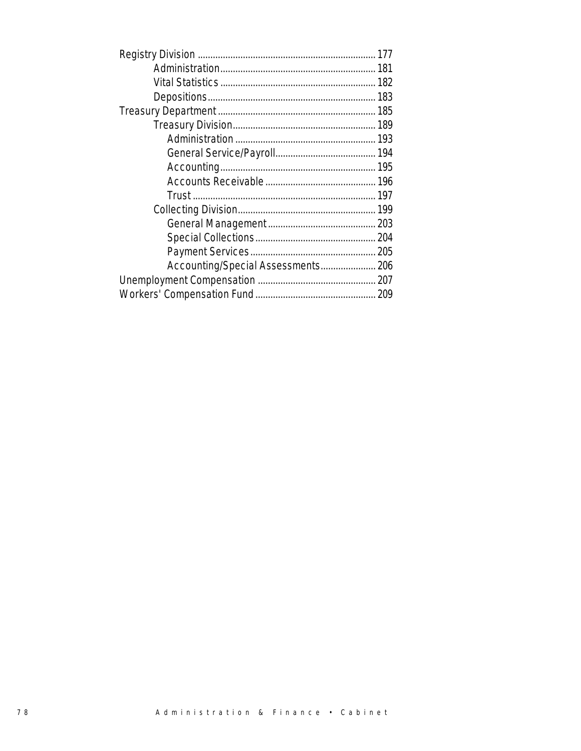| Accounting/Special Assessments 206 |
|------------------------------------|
|                                    |
|                                    |
|                                    |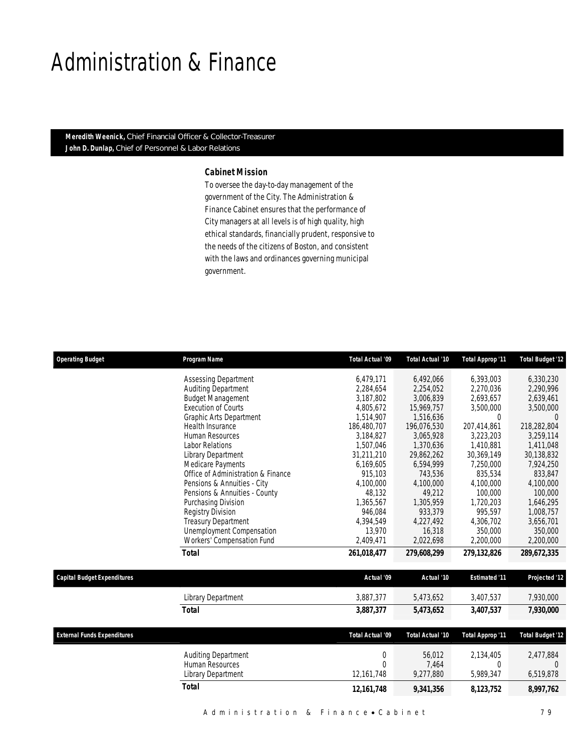### Administration & Finance

*Meredith Weenick, Chief Financial Officer & Collector-Treasurer John D. Dunlap, Chief of Personnel & Labor Relations* 

#### *Cabinet Mission*

To oversee the day-to-day management of the government of the City. The Administration & Finance Cabinet ensures that the performance of City managers at all levels is of high quality, high ethical standards, financially prudent, responsive to the needs of the citizens of Boston, and consistent with the laws and ordinances governing municipal government.

| <b>Assessing Department</b><br>6,479,171<br>6,492,066<br>Auditing Department<br>2,284,654<br>2,254,052<br><b>Budget Management</b><br>3,187,802<br>3,006,839 | 6,393,003<br>2,270,036<br>2,693,657<br>3,500,000<br>$\overline{0}$ | 6,330,230<br>2,290,996<br>2,639,461<br>3,500,000 |
|--------------------------------------------------------------------------------------------------------------------------------------------------------------|--------------------------------------------------------------------|--------------------------------------------------|
|                                                                                                                                                              |                                                                    |                                                  |
|                                                                                                                                                              |                                                                    |                                                  |
|                                                                                                                                                              |                                                                    |                                                  |
| <b>Execution of Courts</b><br>4,805,672<br>15,969,757                                                                                                        |                                                                    |                                                  |
| Graphic Arts Department<br>1,514,907<br>1,516,636                                                                                                            |                                                                    | $\Omega$                                         |
| 186,480,707<br>Health Insurance<br>196,076,530                                                                                                               | 207.414.861                                                        | 218,282,804                                      |
| Human Resources<br>3.184.827<br>3,065,928                                                                                                                    | 3,223,203                                                          | 3,259,114                                        |
| 1,507,046<br><b>Labor Relations</b><br>1,370,636                                                                                                             | 1,410,881                                                          | 1,411,048                                        |
| 31,211,210<br>Library Department<br>29,862,262                                                                                                               | 30,369,149                                                         | 30,138,832                                       |
| Medicare Payments<br>6,169,605<br>6,594,999                                                                                                                  | 7,250,000                                                          | 7,924,250                                        |
| Office of Administration & Finance<br>915,103<br>743,536                                                                                                     | 835,534                                                            | 833,847                                          |
| Pensions & Annuities - City<br>4.100.000<br>4,100,000                                                                                                        | 4.100.000                                                          | 4,100,000                                        |
| Pensions & Annuities - County<br>48,132<br>49,212                                                                                                            | 100,000                                                            | 100,000                                          |
| 1,365,567<br>1,305,959<br>Purchasing Division<br>946,084<br>933,379                                                                                          | 1,720,203<br>995,597                                               | 1,646,295<br>1,008,757                           |
| Registry Division<br><b>Treasury Department</b><br>4,394,549<br>4,227,492                                                                                    | 4,306,702                                                          | 3,656,701                                        |
| <b>Unemployment Compensation</b><br>13,970<br>16,318                                                                                                         | 350,000                                                            | 350,000                                          |
| Workers' Compensation Fund<br>2,409,471<br>2,022,698                                                                                                         | 2,200,000                                                          | 2,200,000                                        |
|                                                                                                                                                              |                                                                    |                                                  |
| 261,018,477<br>Total<br>279,608,299                                                                                                                          | 279,132,826                                                        | 289,672,335                                      |
| <b>Capital Budget Expenditures</b><br>Actual '09<br>Actual '10                                                                                               | <b>Estimated '11</b>                                               | Projected '12                                    |
| 3,887,377<br>Library Department<br>5,473,652                                                                                                                 | 3,407,537                                                          | 7,930,000                                        |
| <b>Total</b><br>3,887,377<br>5,473,652                                                                                                                       | 3,407,537                                                          | 7,930,000                                        |
| Total Actual '09<br><b>External Funds Expenditures</b><br>Total Actual '10                                                                                   | <b>Total Approp '11</b>                                            | <b>Total Budget '12</b>                          |
| Auditing Department<br>$\mathbf 0$<br>56,012                                                                                                                 | 2,134,405                                                          | 2,477,884                                        |
| Human Resources<br>$\Omega$<br>7,464                                                                                                                         | $\theta$                                                           | $\Omega$                                         |
| 9,277,880<br>Library Department<br>12,161,748                                                                                                                | 5,989,347                                                          | 6,519,878                                        |
| <b>Total</b><br>12, 161, 748<br>9,341,356                                                                                                                    | 8, 123, 752                                                        | 8,997,762                                        |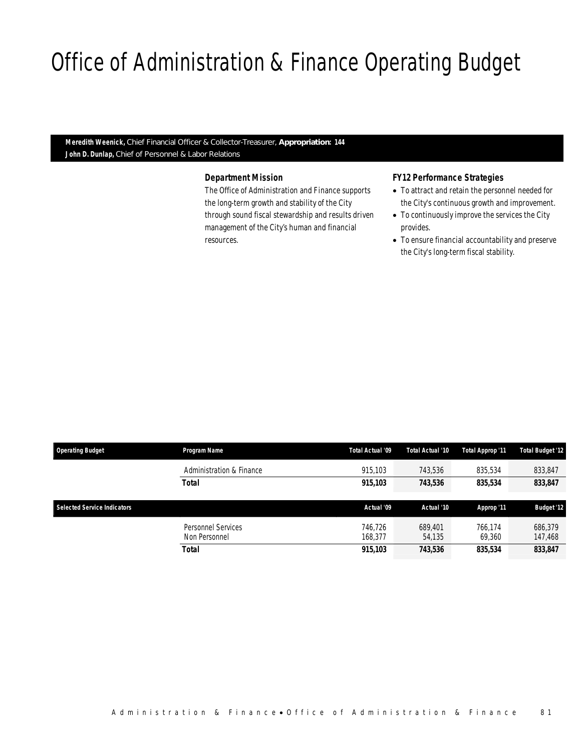# Office of Administration & Finance Operating Budget

*Meredith Weenick, Chief Financial Officer & Collector-Treasurer, Appropriation: 144 John D. Dunlap, Chief of Personnel & Labor Relations*

Office of Administration & Finance

#### *Department Mission*

The Office of Administration and Finance supports the long-term growth and stability of the City through sound fiscal stewardship and results driven management of the City's human and financial resources.

#### *FY12 Performance Strategies*

- To attract and retain the personnel needed for the City's continuous growth and improvement.
- To continuously improve the services the City provides.
- To ensure financial accountability and preserve the City's long-term fiscal stability.

| <b>Operating Budget</b>            | Program Name                  | Total Actual '09   | Total Actual '10  | Total Approp '11  | <b>Total Budget '12</b> |
|------------------------------------|-------------------------------|--------------------|-------------------|-------------------|-------------------------|
|                                    | Administration & Finance      | 915.103            | 743.536           | 835,534           | 833,847                 |
|                                    | <b>Total</b>                  | 915,103            | 743,536           | 835,534           | 833,847                 |
| <b>Selected Service Indicators</b> |                               | Actual '09         | Actual '10        | Approp '11        | <b>Budget '12</b>       |
|                                    | Personnel Services            | 746.726            | 689.401           | 766.174           | 686.379                 |
|                                    | Non Personnel<br><b>Total</b> | 168.377<br>915,103 | 54,135<br>743,536 | 69,360<br>835,534 | 147,468<br>833,847      |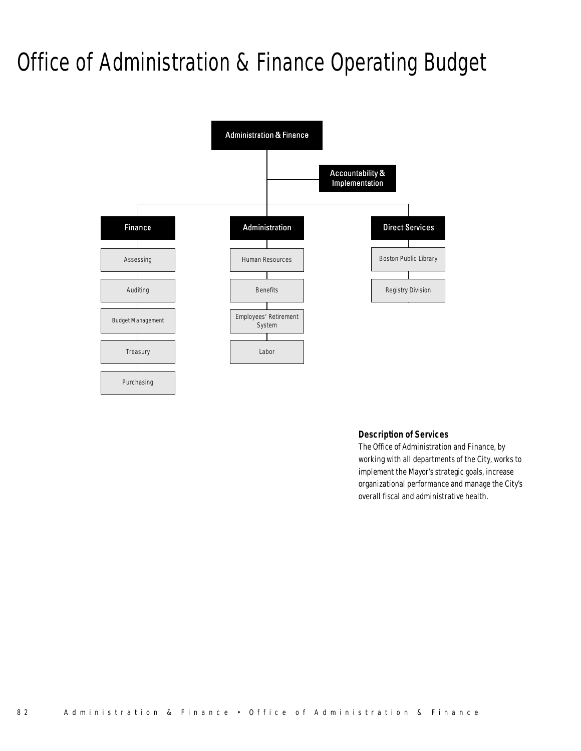# Office of Administration & Finance Operating Budget



#### *Description of Services*

The Office of Administration and Finance, by working with all departments of the City, works to implement the Mayor's strategic goals, increase organizational performance and manage the City's overall fiscal and administrative health.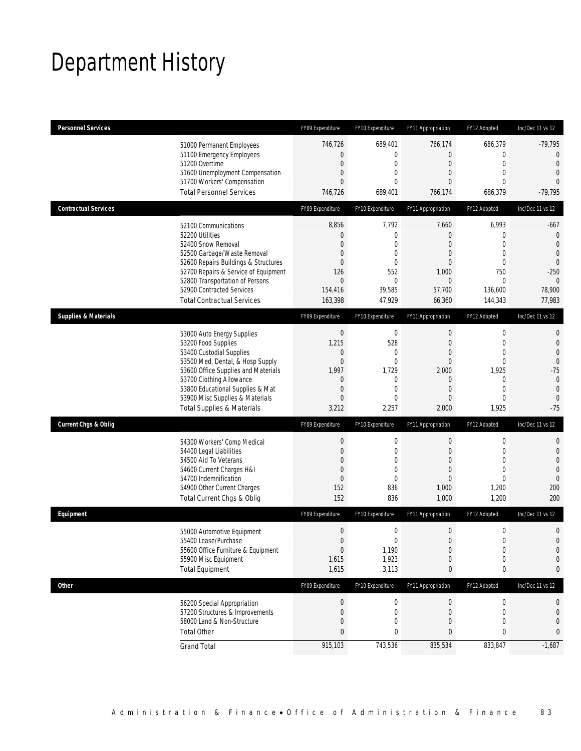## Department History

| <b>Personnel Services</b>       |                                                                                                                                                                                                                                                                                                      | FY09 Expenditure                                                                                | FY10 Expenditure                                                                        | FY11 Appropriation                                                                                               | FY12 Adopted                                                                                                                     | Inc/Dec 11 vs 12                                                                                                  |
|---------------------------------|------------------------------------------------------------------------------------------------------------------------------------------------------------------------------------------------------------------------------------------------------------------------------------------------------|-------------------------------------------------------------------------------------------------|-----------------------------------------------------------------------------------------|------------------------------------------------------------------------------------------------------------------|----------------------------------------------------------------------------------------------------------------------------------|-------------------------------------------------------------------------------------------------------------------|
|                                 | 51000 Permanent Employees<br>51100 Emergency Employees<br>51200 Overtime<br>51600 Unemployment Compensation<br>51700 Workers' Compensation<br><b>Total Personnel Services</b>                                                                                                                        | 746,726<br>0<br>$\mathbf 0$<br>0<br>0<br>746,726                                                | 689,401<br>0<br>0<br>0<br>$\Omega$<br>689,401                                           | 766,174<br>0<br>$\boldsymbol{0}$<br>0<br>0<br>766,174                                                            | 686,379<br>$\mathbf 0$<br>$\mathbf 0$<br>$\overline{0}$<br>$\Omega$<br>686,379                                                   | $-79,795$<br>0<br>$\theta$<br>$\overline{0}$<br>$\Omega$<br>$-79,795$                                             |
| <b>Contractual Services</b>     |                                                                                                                                                                                                                                                                                                      | FY09 Expenditure                                                                                | FY10 Expenditure                                                                        | FY11 Appropriation                                                                                               | FY12 Adopted                                                                                                                     | Inc/Dec 11 vs 12                                                                                                  |
|                                 | 52100 Communications<br>52200 Utilities<br>52400 Snow Removal<br>52500 Garbage/Waste Removal<br>52600 Repairs Buildings & Structures<br>52700 Repairs & Service of Equipment<br>52800 Transportation of Persons<br>52900 Contracted Services<br><b>Total Contractual Services</b>                    | 8,856<br>0<br>0<br>0<br>0<br>126<br>$\theta$<br>154,416<br>163,398                              | 7,792<br>0<br>$\mathbf{0}$<br>$\mathbf{0}$<br>0<br>552<br>0<br>39,585<br>47,929         | 7,660<br>0<br>$\overline{0}$<br>0<br>0<br>1,000<br>$\mathbf 0$<br>57,700<br>66,360                               | 6,993<br>$\mathbf{0}$<br>$\overline{0}$<br>$\overline{0}$<br>$\mathbf{0}$<br>750<br>$\mathbf 0$<br>136,600<br>144,343            | $-667$<br>$\mathbf 0$<br>$\theta$<br>$\overline{0}$<br>$\theta$<br>$-250$<br>$\theta$<br>78,900<br>77,983         |
| <b>Supplies &amp; Materials</b> |                                                                                                                                                                                                                                                                                                      | FY09 Expenditure                                                                                | FY10 Expenditure                                                                        | FY11 Appropriation                                                                                               | FY12 Adopted                                                                                                                     | Inc/Dec 11 vs 12                                                                                                  |
|                                 | 53000 Auto Energy Supplies<br>53200 Food Supplies<br>53400 Custodial Supplies<br>53500 Med, Dental, & Hosp Supply<br>53600 Office Supplies and Materials<br>53700 Clothing Allowance<br>53800 Educational Supplies & Mat<br>53900 Misc Supplies & Materials<br><b>Total Supplies &amp; Materials</b> | $\boldsymbol{0}$<br>1,215<br>0<br>$\mathbf 0$<br>1,997<br>$\theta$<br>$\mathbf 0$<br>0<br>3,212 | $\boldsymbol{0}$<br>528<br>0<br>0<br>1,729<br>0<br>$\mathbf{0}$<br>$\Omega$<br>2,257    | $\boldsymbol{0}$<br>$\boldsymbol{0}$<br>0<br>$\mathbf 0$<br>2,000<br>$\mathbf 0$<br>$\overline{0}$<br>0<br>2,000 | $\boldsymbol{0}$<br>$\mathbf 0$<br>$\mathbf 0$<br>$\mathbf{0}$<br>1,925<br>$\mathbf 0$<br>$\overline{0}$<br>$\mathbf 0$<br>1,925 | 0<br>$\mathbf 0$<br>$\overline{0}$<br>$\overline{0}$<br>$-75$<br>$\mathbf 0$<br>$\mathbf{0}$<br>$\theta$<br>$-75$ |
| <b>Current Chgs &amp; Oblig</b> |                                                                                                                                                                                                                                                                                                      | FY09 Expenditure                                                                                | FY10 Expenditure                                                                        | FY11 Appropriation                                                                                               | FY12 Adopted                                                                                                                     | Inc/Dec 11 vs 12                                                                                                  |
|                                 | 54300 Workers' Comp Medical<br>54400 Legal Liabilities<br>54500 Aid To Veterans<br>54600 Current Charges H&I<br>54700 Indemnification<br>54900 Other Current Charges<br>Total Current Chgs & Oblig                                                                                                   | $\boldsymbol{0}$<br>$\mathbf 0$<br>0<br>0<br>$\mathbf 0$<br>152<br>152                          | $\boldsymbol{0}$<br>0<br>$\mathbf{0}$<br>$\overline{0}$<br>$\overline{0}$<br>836<br>836 | $\boldsymbol{0}$<br>$\mathbf 0$<br>0<br>$\mathbf 0$<br>$\overline{0}$<br>1,000<br>1,000                          | $\boldsymbol{0}$<br>$\mathbf{0}$<br>$\overline{0}$<br>$\overline{0}$<br>$\overline{0}$<br>1,200<br>1,200                         | 0<br>$\mathbf 0$<br>$\overline{0}$<br>$\overline{0}$<br>$\mathbf 0$<br>200<br>200                                 |
| Equipment                       |                                                                                                                                                                                                                                                                                                      | FY09 Expenditure                                                                                | FY10 Expenditure                                                                        | FY11 Appropriation                                                                                               | FY12 Adopted                                                                                                                     | Inc/Dec 11 vs 12                                                                                                  |
|                                 | 55000 Automotive Equipment<br>55400 Lease/Purchase<br>55600 Office Furniture & Equipment<br>55900 Misc Equipment<br><b>Total Equipment</b>                                                                                                                                                           | $\boldsymbol{0}$<br>$\boldsymbol{0}$<br>$\boldsymbol{0}$<br>1,615<br>1,615                      | 0<br>$\Omega$<br>1,190<br>1,923<br>3,113                                                | $\mathbf 0$<br>$\overline{0}$<br>$\boldsymbol{0}$<br>$\mathbf 0$<br>0                                            | $\boldsymbol{0}$<br>$\mathbf 0$<br>$\boldsymbol{0}$<br>$\mathbf 0$<br>0                                                          | 0<br>$\overline{0}$<br>$\mathbf 0$<br>0<br>0                                                                      |
| <b>Other</b>                    |                                                                                                                                                                                                                                                                                                      | FY09 Expenditure                                                                                | FY10 Expenditure                                                                        | FY11 Appropriation                                                                                               | FY12 Adopted                                                                                                                     | Inc/Dec 11 vs 12                                                                                                  |
|                                 | 56200 Special Appropriation<br>57200 Structures & Improvements<br>58000 Land & Non-Structure<br><b>Total Other</b>                                                                                                                                                                                   | $\boldsymbol{0}$<br>$\boldsymbol{0}$<br>$\mathbf 0$<br>0                                        | 0<br>0<br>0<br>0                                                                        | $\overline{0}$<br>$\mathbf 0$<br>$\mathbf 0$<br>0                                                                | 0<br>$\mathbf 0$<br>$\mathbf 0$<br>0                                                                                             | 0<br>0<br>0<br>0                                                                                                  |
|                                 | <b>Grand Total</b>                                                                                                                                                                                                                                                                                   | 915,103                                                                                         | 743,536                                                                                 | 835,534                                                                                                          | 833,847                                                                                                                          | $-1,687$                                                                                                          |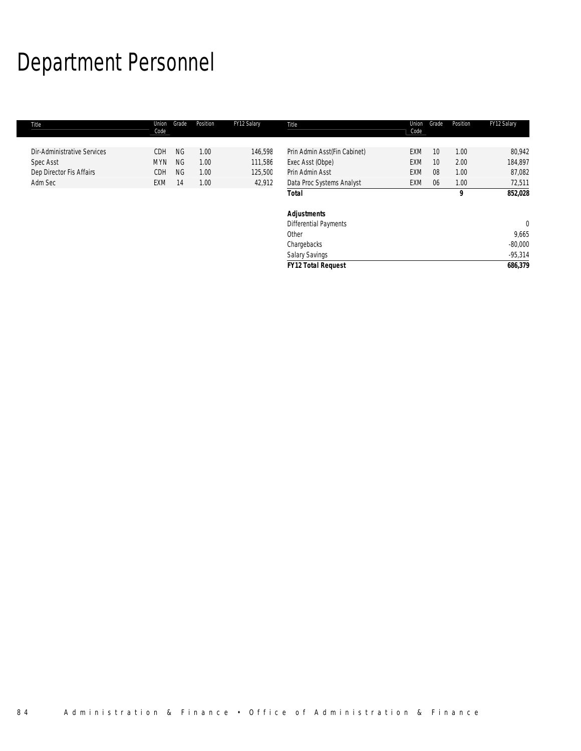# Department Personnel

| Title                       | Union<br>Code | Grade     | Position | FY12 Salary | Title                        | Union<br>Code | Grade | Position | FY12 Salary |
|-----------------------------|---------------|-----------|----------|-------------|------------------------------|---------------|-------|----------|-------------|
| Dir-Administrative Services | <b>CDH</b>    | <b>NG</b> | 1.00     | 146,598     | Prin Admin Asst(Fin Cabinet) | EXM           | 10    | 1.00     | 80,942      |
| <b>Spec Asst</b>            | <b>MYN</b>    | NG.       | 1.00     | 111,586     | Exec Asst (Obpe)             | <b>EXM</b>    | 10    | 2.00     | 184,897     |
| Dep Director Fis Affairs    | <b>CDH</b>    | NG.       | 1.00     | 125,500     | Prin Admin Asst              | <b>EXM</b>    | 08    | 1.00     | 87,082      |
| Adm Sec                     | <b>EXM</b>    | 14        | 1.00     | 42,912      | Data Proc Systems Analyst    | EXM           | 06    | 1.00     | 72,511      |
|                             |               |           |          |             | <b>Total</b>                 |               |       | 9        | 852,028     |
|                             |               |           |          |             | <b>Adjustments</b>           |               |       |          |             |
|                             |               |           |          |             | <b>Differential Payments</b> |               |       |          | $\mathbf 0$ |
|                             |               |           |          |             | Other                        |               |       |          | 9,665       |
|                             |               |           |          |             | Chargebacks                  |               |       |          | $-80,000$   |
|                             |               |           |          |             | <b>Salary Savings</b>        |               |       |          | $-95,314$   |
|                             |               |           |          |             | <b>FY12 Total Request</b>    |               |       |          | 686,379     |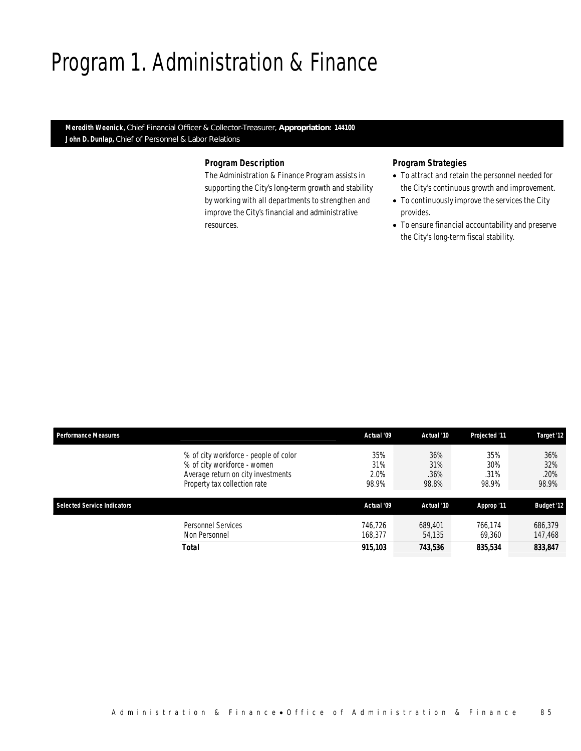### Program 1. Administration & Finance

*Meredith Weenick, Chief Financial Officer & Collector-Treasurer, Appropriation: 144100 John D. Dunlap, Chief of Personnel & Labor Relations* 

#### *Program Description*

The Administration & Finance Program assists in supporting the City's long-term growth and stability by working with all departments to strengthen and improve the City's financial and administrative resources.

- To attract and retain the personnel needed for the City's continuous growth and improvement.
- To continuously improve the services the City provides.
- To ensure financial accountability and preserve the City's long-term fiscal stability.

| <b>Performance Measures</b> |                                                                                                                                            | Actual '09                  | Actual '10                  | Projected '11               | Target '12                  |
|-----------------------------|--------------------------------------------------------------------------------------------------------------------------------------------|-----------------------------|-----------------------------|-----------------------------|-----------------------------|
|                             | % of city workforce - people of color<br>% of city workforce - women<br>Average return on city investments<br>Property tax collection rate | 35%<br>31%<br>2.0%<br>98.9% | 36%<br>31%<br>.36%<br>98.8% | 35%<br>30%<br>.31%<br>98.9% | 36%<br>32%<br>.20%<br>98.9% |
| Selected Service Indicators |                                                                                                                                            | Actual '09                  | Actual '10                  | Approp '11                  | <b>Budget '12</b>           |
|                             | <b>Personnel Services</b><br>Non Personnel                                                                                                 | 746.726<br>168.377          | 689.401<br>54,135           | 766.174<br>69,360           | 686,379<br>147,468          |
|                             | Total                                                                                                                                      | 915,103                     | 743,536                     | 835,534                     | 833,847                     |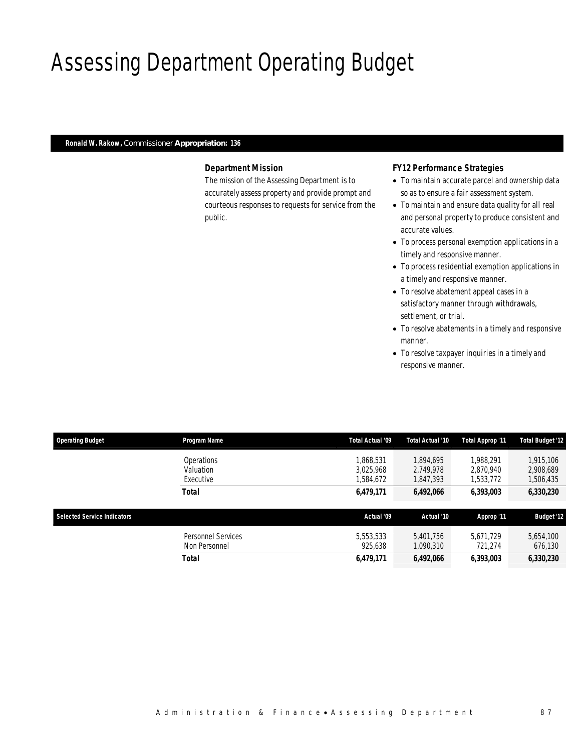## Assessing Department Operating Budget

#### *Ronald W. Rakow, Commissioner Appropriation: 136*

#### *Department Mission*

The mission of the Assessing Department is to accurately assess property and provide prompt and courteous responses to requests for service from the public.

#### *FY12 Performance Strategies*

- To maintain accurate parcel and ownership data so as to ensure a fair assessment system.
- To maintain and ensure data quality for all real and personal property to produce consistent and accurate values.
- To process personal exemption applications in a timely and responsive manner.
- To process residential exemption applications in a timely and responsive manner.
- To resolve abatement appeal cases in a satisfactory manner through withdrawals, settlement, or trial.
- To resolve abatements in a timely and responsive manner.
- To resolve taxpayer inquiries in a timely and responsive manner.

| <b>Operating Budget</b>            | Program Name                         | Total Actual '09                 | Total Actual '10                    | Total Approp '11                    | <b>Total Budget '12</b>             |
|------------------------------------|--------------------------------------|----------------------------------|-------------------------------------|-------------------------------------|-------------------------------------|
|                                    | Operations<br>Valuation<br>Executive | ,868,531<br>3.025.968<br>584,672 | 1,894,695<br>2.749.978<br>1,847,393 | 1.988.291<br>2.870.940<br>1,533,772 | 1,915,106<br>2,908,689<br>1,506,435 |
|                                    | <b>Total</b>                         | 6,479,171                        | 6,492,066                           | 6,393,003                           | 6,330,230                           |
| <b>Selected Service Indicators</b> |                                      | Actual '09                       | Actual '10                          | Approp '11                          | <b>Budget '12</b>                   |
|                                    | Personnel Services<br>Non Personnel  | 5,553,533<br>925,638             | 5.401.756<br>1,090,310              | 5.671.729<br>721.274                | 5,654,100<br>676,130                |
|                                    | <b>Total</b>                         | 6,479,171                        | 6,492,066                           | 6,393,003                           | 6,330,230                           |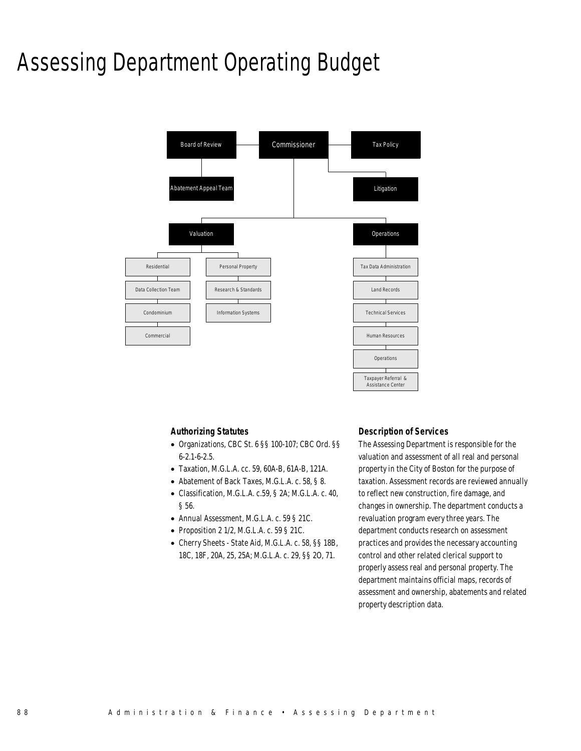### Assessing Department Operating Budget



#### *Authorizing Statutes*

- Organizations, CBC St. 6 §§ 100-107; CBC Ord. §§ 6-2.1-6-2.5.
- Taxation, M.G.L.A. cc. 59, 60A-B, 61A-B, 121A.
- Abatement of Back Taxes, M.G.L.A. c. 58, § 8.
- Classification, M.G.L.A. c.59, § 2A; M.G.L.A. c. 40, § 56.
- Annual Assessment, M.G.L.A. c. 59 § 21C.
- Proposition 2 1/2, M.G.L.A. c. 59  $\S$  21C.
- Cherry Sheets State Aid, M.G.L.A. c. 58, §§ 18B, 18C, 18F, 20A, 25, 25A; M.G.L.A. c. 29, §§ 2O, 71.

#### *Description of Services*

The Assessing Department is responsible for the valuation and assessment of all real and personal property in the City of Boston for the purpose of taxation. Assessment records are reviewed annually to reflect new construction, fire damage, and changes in ownership. The department conducts a revaluation program every three years. The department conducts research on assessment practices and provides the necessary accounting control and other related clerical support to properly assess real and personal property. The department maintains official maps, records of assessment and ownership, abatements and related property description data.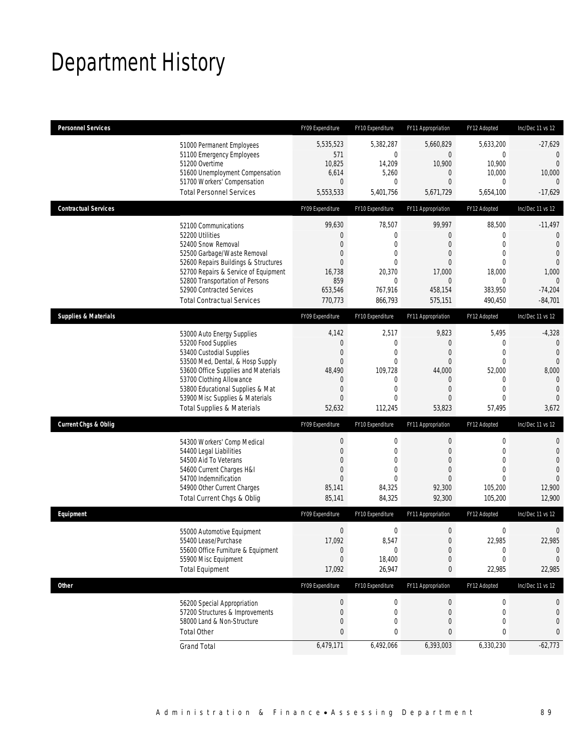## Department History

| <b>Personnel Services</b>       |                                                                                                                                                                                                                                                                                                      | FY09 Expenditure                                                                                                                | FY10 Expenditure                                                                                                           | FY11 Appropriation                                                                                                          | FY12 Adopted                                                                                                | Inc/Dec 11 vs 12                                                                                                                |
|---------------------------------|------------------------------------------------------------------------------------------------------------------------------------------------------------------------------------------------------------------------------------------------------------------------------------------------------|---------------------------------------------------------------------------------------------------------------------------------|----------------------------------------------------------------------------------------------------------------------------|-----------------------------------------------------------------------------------------------------------------------------|-------------------------------------------------------------------------------------------------------------|---------------------------------------------------------------------------------------------------------------------------------|
|                                 | 51000 Permanent Employees<br>51100 Emergency Employees<br>51200 Overtime<br>51600 Unemployment Compensation<br>51700 Workers' Compensation<br><b>Total Personnel Services</b>                                                                                                                        | 5,535,523<br>571<br>10,825<br>6,614<br>$\mathbf{0}$<br>5,553,533                                                                | 5,382,287<br>$\overline{0}$<br>14,209<br>5,260<br>$\mathbf{0}$<br>5,401,756                                                | 5,660,829<br>0<br>10,900<br>$\mathbf 0$<br>$\theta$<br>5,671,729                                                            | 5,633,200<br>$\boldsymbol{0}$<br>10,900<br>10,000<br>0<br>5,654,100                                         | $-27,629$<br>0<br>$\Omega$<br>10,000<br>0<br>$-17,629$                                                                          |
|                                 |                                                                                                                                                                                                                                                                                                      |                                                                                                                                 |                                                                                                                            |                                                                                                                             |                                                                                                             |                                                                                                                                 |
| <b>Contractual Services</b>     | 52100 Communications<br>52200 Utilities<br>52400 Snow Removal<br>52500 Garbage/Waste Removal<br>52600 Repairs Buildings & Structures<br>52700 Repairs & Service of Equipment<br>52800 Transportation of Persons<br>52900 Contracted Services<br><b>Total Contractual Services</b>                    | FY09 Expenditure<br>99,630<br>$\boldsymbol{0}$<br>$\mathbf{0}$<br>0<br>$\mathbf{0}$<br>16,738<br>859<br>653,546<br>770,773      | FY10 Expenditure<br>78,507<br>$\boldsymbol{0}$<br>$\mathbf{0}$<br>0<br>$\overline{0}$<br>20,370<br>0<br>767,916<br>866,793 | FY11 Appropriation<br>99,997<br>$\overline{0}$<br>$\theta$<br>$\theta$<br>0<br>17,000<br>$\mathbf{0}$<br>458,154<br>575,151 | FY12 Adopted<br>88,500<br>0<br>$\mathbf{0}$<br>$\mathbf 0$<br>$\theta$<br>18,000<br>0<br>383,950<br>490,450 | Inc/Dec 11 vs 12<br>$-11,497$<br>$\mathbf 0$<br>$\theta$<br>$\theta$<br>$\Omega$<br>1,000<br>$\Omega$<br>$-74,204$<br>$-84,701$ |
| <b>Supplies &amp; Materials</b> |                                                                                                                                                                                                                                                                                                      | FY09 Expenditure                                                                                                                | FY10 Expenditure                                                                                                           | FY11 Appropriation                                                                                                          | FY12 Adopted                                                                                                | Inc/Dec 11 vs 12                                                                                                                |
|                                 | 53000 Auto Energy Supplies<br>53200 Food Supplies<br>53400 Custodial Supplies<br>53500 Med, Dental, & Hosp Supply<br>53600 Office Supplies and Materials<br>53700 Clothing Allowance<br>53800 Educational Supplies & Mat<br>53900 Misc Supplies & Materials<br><b>Total Supplies &amp; Materials</b> | 4,142<br>$\boldsymbol{0}$<br>$\mathbf 0$<br>$\mathbf{0}$<br>48,490<br>$\mathbf 0$<br>$\boldsymbol{0}$<br>$\mathbf{0}$<br>52,632 | 2,517<br>$\boldsymbol{0}$<br>$\mathbf 0$<br>0<br>109,728<br>0<br>$\mathbf{0}$<br>0<br>112,245                              | 9,823<br>$\mathbf{0}$<br>$\mathbf{0}$<br>$\theta$<br>44,000<br>$\mathbf{0}$<br>$\mathbf{0}$<br>0<br>53,823                  | 5,495<br>0<br>$\mathbf 0$<br>$\mathbf{0}$<br>52,000<br>0<br>$\mathbf 0$<br>$\mathbf{0}$<br>57,495           | $-4,328$<br>$\theta$<br>$\theta$<br>$\theta$<br>8,000<br>$\mathbf{0}$<br>$\theta$<br>$\Omega$<br>3,672                          |
| <b>Current Chgs &amp; Oblig</b> |                                                                                                                                                                                                                                                                                                      | FY09 Expenditure                                                                                                                | FY10 Expenditure                                                                                                           | FY11 Appropriation                                                                                                          | FY12 Adopted                                                                                                | Inc/Dec 11 vs 12                                                                                                                |
|                                 | 54300 Workers' Comp Medical<br>54400 Legal Liabilities<br>54500 Aid To Veterans<br>54600 Current Charges H&I<br>54700 Indemnification<br>54900 Other Current Charges<br>Total Current Chgs & Oblig                                                                                                   | $\boldsymbol{0}$<br>$\boldsymbol{0}$<br>$\boldsymbol{0}$<br>0<br>$\mathbf{0}$<br>85,141<br>85,141                               | 0<br>$\mathbf 0$<br>0<br>0<br>$\Omega$<br>84,325<br>84,325                                                                 | $\boldsymbol{0}$<br>$\theta$<br>$\mathbf{0}$<br>$\theta$<br>0<br>92,300<br>92,300                                           | $\boldsymbol{0}$<br>$\mathbf 0$<br>$\mathbf{0}$<br>$\overline{0}$<br>$\Omega$<br>105,200<br>105,200         | 0<br>$\mathbf 0$<br>$\overline{0}$<br>$\overline{0}$<br>$\Omega$<br>12,900<br>12,900                                            |
| Equipment                       |                                                                                                                                                                                                                                                                                                      | FY09 Expenditure                                                                                                                | FY10 Expenditure                                                                                                           | FY11 Appropriation                                                                                                          | FY12 Adopted                                                                                                | Inc/Dec 11 vs 12                                                                                                                |
|                                 | 55000 Automotive Equipment<br>55400 Lease/Purchase<br>55600 Office Furniture & Equipment<br>55900 Misc Equipment<br><b>Total Equipment</b>                                                                                                                                                           | $\boldsymbol{0}$<br>17,092<br>$\boldsymbol{0}$<br>$\overline{0}$<br>17,092                                                      | $\boldsymbol{0}$<br>8,547<br>0<br>18,400<br>26,947                                                                         | $\boldsymbol{0}$<br>$\mathbf 0$<br>$\theta$<br>$\mathbf 0$<br>0                                                             | 0<br>22,985<br>$\boldsymbol{0}$<br>0<br>22,985                                                              | 0<br>22,985<br>$\mathbf{0}$<br>$\mathbf 0$<br>22,985                                                                            |
| <b>Other</b>                    |                                                                                                                                                                                                                                                                                                      | FY09 Expenditure                                                                                                                | FY10 Expenditure                                                                                                           | FY11 Appropriation                                                                                                          | FY12 Adopted                                                                                                | Inc/Dec 11 vs 12                                                                                                                |
|                                 | 56200 Special Appropriation<br>57200 Structures & Improvements<br>58000 Land & Non-Structure<br><b>Total Other</b>                                                                                                                                                                                   | $\boldsymbol{0}$<br>$\boldsymbol{0}$<br>$\mathbf 0$<br>$\pmb{0}$                                                                | 0<br>0<br>0<br>0                                                                                                           | $\boldsymbol{0}$<br>$\mathbf 0$<br>$\mathbf 0$<br>0                                                                         | 0<br>0<br>$\mathbf{0}$<br>0                                                                                 | 0<br>0<br>0<br>0                                                                                                                |
|                                 | <b>Grand Total</b>                                                                                                                                                                                                                                                                                   | 6,479,171                                                                                                                       | 6,492,066                                                                                                                  | 6,393,003                                                                                                                   | 6,330,230                                                                                                   | $-62,773$                                                                                                                       |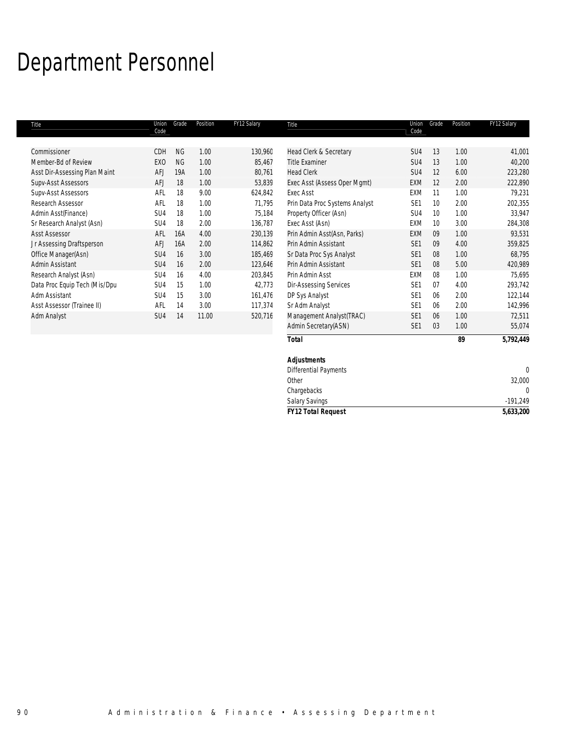# Department Personnel

| Title                         | Union<br>Code   | Grade     | Position | FY12 Salary | Title                          | Union<br>Code   | Grade | Position | FY12 Salary |
|-------------------------------|-----------------|-----------|----------|-------------|--------------------------------|-----------------|-------|----------|-------------|
| Commissioner                  | CDH             | <b>NG</b> | 1.00     | 130,960     | Head Clerk & Secretary         | SU4             | 13    | 1.00     | 41,001      |
| Member-Bd of Review           | EX <sub>0</sub> | <b>NG</b> | 1.00     | 85,467      | <b>Title Examiner</b>          | SU4             | 13    | 1.00     | 40,200      |
| Asst Dir-Assessing Plan Maint | AFJ             | 19A       | 1.00     | 80,761      | <b>Head Clerk</b>              | SU4             | 12    | 6.00     | 223,280     |
| Supv-Asst Assessors           | AFJ             | 18        | 1.00     | 53,839      | Exec Asst (Assess Oper Mgmt)   | EXM             | 12    | 2.00     | 222,890     |
| Supv-Asst Assessors           | AFL             | 18        | 9.00     | 624,842     | <b>Exec Asst</b>               | EXM             | 11    | 1.00     | 79,231      |
| Research Assessor             | AFL             | 18        | 1.00     | 71,795      | Prin Data Proc Systems Analyst | SE <sub>1</sub> | 10    | 2.00     | 202,355     |
| Admin Asst(Finance)           | SU4             | 18        | 1.00     | 75,184      | Property Officer (Asn)         | SU <sub>4</sub> | 10    | 1.00     | 33,947      |
| Sr Research Analyst (Asn)     | SU4             | 18        | 2.00     | 136,787     | Exec Asst (Asn)                | <b>EXM</b>      | 10    | 3.00     | 284,308     |
| <b>Asst Assessor</b>          | AFL             | 16A       | 4.00     | 230,139     | Prin Admin Asst(Asn, Parks)    | EXM             | 09    | 1.00     | 93,531      |
| Jr Assessing Draftsperson     | AFJ             | 16A       | 2.00     | 114,862     | Prin Admin Assistant           | SE <sub>1</sub> | 09    | 4.00     | 359,825     |
| Office Manager(Asn)           | SU4             | 16        | 3.00     | 185,469     | Sr Data Proc Sys Analyst       | SE <sub>1</sub> | 08    | 1.00     | 68,795      |
| Admin Assistant               | SU4             | 16        | 2.00     | 123,646     | Prin Admin Assistant           | SE <sub>1</sub> | 08    | 5.00     | 420,989     |
| Research Analyst (Asn)        | SU4             | 16        | 4.00     | 203,845     | Prin Admin Asst                | EXM             | 08    | 1.00     | 75,695      |
| Data Proc Equip Tech (Mis/Dpu | SU4             | 15        | 1.00     | 42,773      | <b>Dir-Assessing Services</b>  | SE <sub>1</sub> | 07    | 4.00     | 293,742     |
| Adm Assistant                 | SU4             | 15        | 3.00     | 161,476     | DP Sys Analyst                 | SE <sub>1</sub> | 06    | 2.00     | 122,144     |
| Asst Assessor (Trainee II)    | AFL             | 14        | 3.00     | 117,374     | Sr Adm Analyst                 | SE <sub>1</sub> | 06    | 2.00     | 142,996     |
| Adm Analyst                   | SU4             | 14        | 11.00    | 520,716     | Management Analyst(TRAC)       | SE <sub>1</sub> | 06    | 1.00     | 72,511      |
|                               |                 |           |          |             | Admin Secretary(ASN)           | SE <sub>1</sub> | 03    | 1.00     | 55,074      |
|                               |                 |           |          |             | <b>Total</b>                   |                 |       | 89       | 5,792,449   |

| <b>FY12 Total Request</b>    | 5,633,200    |
|------------------------------|--------------|
| <b>Salary Savings</b>        | $-191,249$   |
| Chargebacks                  | $\mathbf{0}$ |
| Other                        | 32,000       |
| <b>Differential Payments</b> | 0            |
| <b>Adjustments</b>           |              |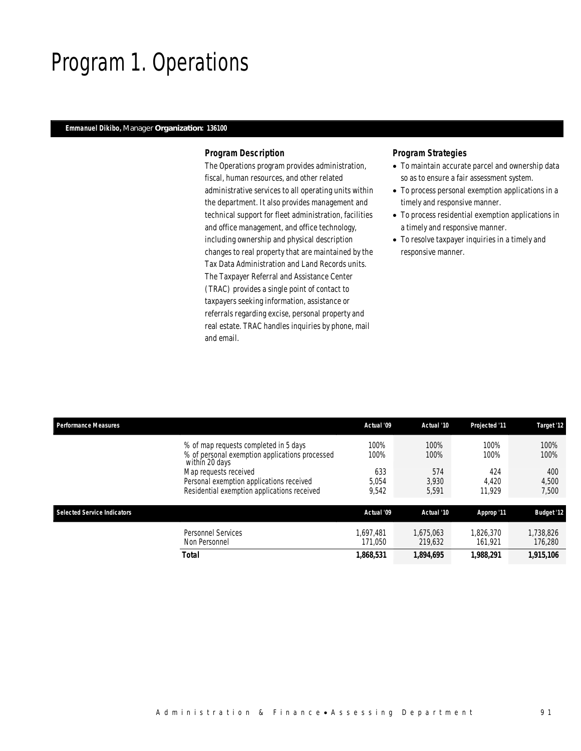### Program 1. Operations

#### *Emmanuel Dikibo, Manager Organization: 136100*

#### *Program Description*

The Operations program provides administration, fiscal, human resources, and other related administrative services to all operating units within the department. It also provides management and technical support for fleet administration, facilities and office management, and office technology, including ownership and physical description changes to real property that are maintained by the Tax Data Administration and Land Records units. The Taxpayer Referral and Assistance Center (TRAC) provides a single point of contact to taxpayers seeking information, assistance or referrals regarding excise, personal property and real estate. TRAC handles inquiries by phone, mail and email.

- To maintain accurate parcel and ownership data so as to ensure a fair assessment system.
- To process personal exemption applications in a timely and responsive manner.
- To process residential exemption applications in a timely and responsive manner.
- To resolve taxpayer inquiries in a timely and responsive manner.

| <b>Performance Measures</b>        |                                                                  | Actual '09 | Actual '10 | Projected '11 | Target '12        |
|------------------------------------|------------------------------------------------------------------|------------|------------|---------------|-------------------|
|                                    | % of map requests completed in 5 days                            | 100%       | 100%       | 100%          | 100%              |
|                                    | % of personal exemption applications processed<br>within 20 days | 100%       | 100%       | 100%          | 100%              |
|                                    | Map requests received                                            | 633        | 574        | 424<br>4.420  | 400               |
|                                    | Personal exemption applications received                         | 5.054      | 3,930      |               | 4,500             |
|                                    | Residential exemption applications received                      | 9.542      | 5,591      | 11.929        | 7,500             |
| <b>Selected Service Indicators</b> |                                                                  | Actual '09 | Actual '10 | Approp '11    | <b>Budget '12</b> |
|                                    | Personnel Services                                               | 1.697.481  | 1.675.063  | 1.826.370     | 1,738,826         |
|                                    | Non Personnel                                                    | 171.050    | 219.632    | 161.921       | 176,280           |
|                                    | <b>Total</b>                                                     | 1,868,531  | 1,894,695  | 1,988,291     | 1,915,106         |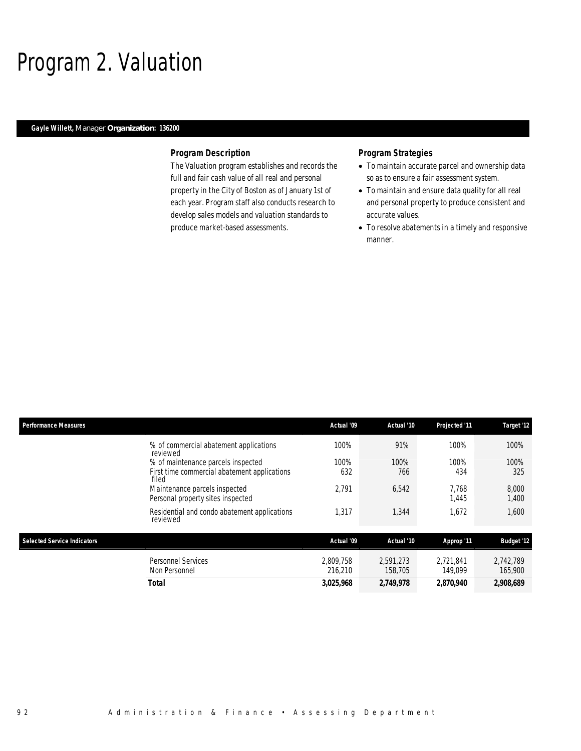### Program 2. Valuation

#### *Gayle Willett, Manager Organization: 136200*

#### *Program Description*

The Valuation program establishes and records the full and fair cash value of all real and personal property in the City of Boston as of January 1st of each year. Program staff also conducts research to develop sales models and valuation standards to produce market-based assessments.

- To maintain accurate parcel and ownership data so as to ensure a fair assessment system.
- To maintain and ensure data quality for all real and personal property to produce consistent and accurate values.
- To resolve abatements in a timely and responsive manner.

| <b>Performance Measures</b>                                                        | Actual '09           | Actual '10           | Projected '11        | Target '12           |
|------------------------------------------------------------------------------------|----------------------|----------------------|----------------------|----------------------|
| % of commercial abatement applications<br>reviewed                                 | 100%                 | 91%                  | 100%                 | 100%                 |
| % of maintenance parcels inspected<br>First time commercial abatement applications | 100%<br>632          | 100%<br>766          | 100%<br>434          | 100%<br>325          |
| filed<br>Maintenance parcels inspected<br>Personal property sites inspected        | 2,791                | 6,542                | 7.768<br>1,445       | 8,000<br>1,400       |
| Residential and condo abatement applications<br>reviewed                           | 1,317                | 1,344                | 1,672                | 1,600                |
| <b>Selected Service Indicators</b>                                                 | Actual '09           | Actual '10           | Approp '11           | <b>Budget '12</b>    |
| <b>Personnel Services</b><br>Non Personnel                                         | 2.809.758<br>216,210 | 2.591.273<br>158,705 | 2.721.841<br>149.099 | 2,742,789<br>165,900 |
| Total                                                                              | 3,025,968            | 2,749,978            | 2,870,940            | 2,908,689            |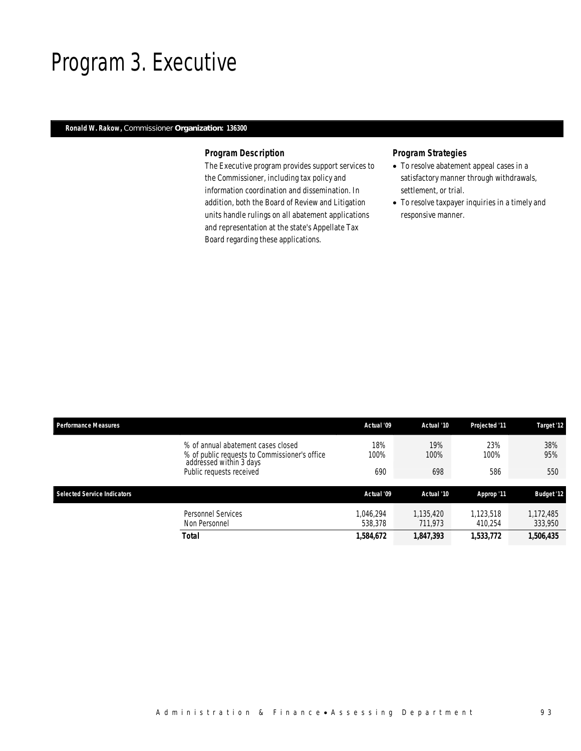### Program 3. Executive

#### *Ronald W. Rakow, Commissioner Organization: 136300*

#### *Program Description*

The Executive program provides support services to the Commissioner, including tax policy and information coordination and dissemination. In addition, both the Board of Review and Litigation units handle rulings on all abatement applications and representation at the state's Appellate Tax Board regarding these applications.

- To resolve abatement appeal cases in a satisfactory manner through withdrawals, settlement, or trial.
- To resolve taxpayer inquiries in a timely and responsive manner.

| <b>Performance Measures</b>        |                                                                                                                                            | Actual '09           | Actual '10           | Projected '11        | Target '12           |
|------------------------------------|--------------------------------------------------------------------------------------------------------------------------------------------|----------------------|----------------------|----------------------|----------------------|
|                                    | % of annual abatement cases closed<br>% of public requests to Commissioner's office<br>addressed within 3 days<br>Public requests received | 18%<br>100%<br>690   | 19%<br>100%<br>698   | 23%<br>100%<br>586   | 38%<br>95%<br>550    |
| <b>Selected Service Indicators</b> |                                                                                                                                            | Actual '09           | Actual '10           | Approp '11           | <b>Budget '12</b>    |
|                                    | Personnel Services<br>Non Personnel                                                                                                        | 1.046.294<br>538,378 | 1.135.420<br>711.973 | 1,123,518<br>410.254 | 1,172,485<br>333,950 |
|                                    | Total                                                                                                                                      | 1,584,672            | 1,847,393            | 1,533,772            | 1,506,435            |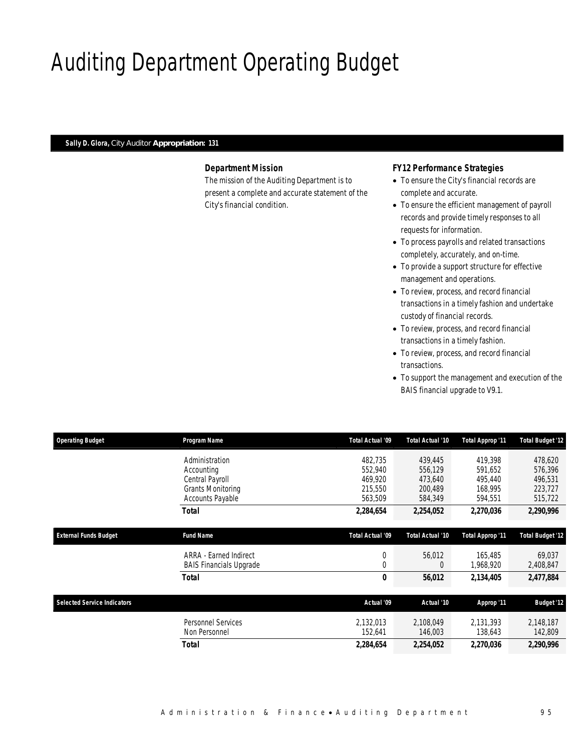# Auditing Department Operating Budget

#### *Sally D. Glora, City Auditor Appropriation: 131*

#### *Department Mission*

The mission of the Auditing Department is to present a complete and accurate statement of the City's financial condition.

#### *FY12 Performance Strategies*

- To ensure the City's financial records are complete and accurate.
- To ensure the efficient management of payroll records and provide timely responses to all requests for information.
- To process payrolls and related transactions completely, accurately, and on-time.
- To provide a support structure for effective management and operations.
- To review, process, and record financial transactions in a timely fashion and undertake custody of financial records.
- To review, process, and record financial transactions in a timely fashion.
- To review, process, and record financial transactions.
- To support the management and execution of the BAIS financial upgrade to V9.1.

| <b>Operating Budget</b>            | Program Name                   | Total Actual '09 | Total Actual '10 | <b>Total Approp '11</b> | <b>Total Budget '12</b> |
|------------------------------------|--------------------------------|------------------|------------------|-------------------------|-------------------------|
|                                    | Administration                 | 482,735          | 439,445          | 419.398                 | 478,620                 |
|                                    | Accounting                     | 552,940          | 556,129          | 591,652                 | 576,396                 |
|                                    | Central Payroll                | 469,920          | 473,640          | 495,440                 | 496,531                 |
|                                    | <b>Grants Monitoring</b>       | 215,550          | 200,489          | 168,995                 | 223,727                 |
|                                    | Accounts Payable               | 563,509          | 584,349          | 594,551                 | 515,722                 |
|                                    | <b>Total</b>                   | 2,284,654        | 2,254,052        | 2,270,036               | 2,290,996               |
| <b>External Funds Budget</b>       | <b>Fund Name</b>               | Total Actual '09 | Total Actual '10 | Total Approp '11        | <b>Total Budget '12</b> |
|                                    | ARRA - Earned Indirect         | $\boldsymbol{0}$ | 56,012           | 165.485                 | 69,037                  |
|                                    | <b>BAIS Financials Upgrade</b> | $\overline{0}$   | $\overline{0}$   | 1,968,920               | 2,408,847               |
|                                    | Total                          | 0                | 56,012           | 2,134,405               | 2,477,884               |
|                                    |                                |                  |                  |                         |                         |
| <b>Selected Service Indicators</b> |                                | Actual '09       | Actual '10       | Approp '11              | <b>Budget '12</b>       |
|                                    | <b>Personnel Services</b>      | 2,132,013        | 2,108,049        | 2,131,393               | 2,148,187               |
|                                    | Non Personnel                  | 152,641          | 146,003          | 138,643                 | 142,809                 |
|                                    | Total                          | 2,284,654        | 2,254,052        | 2,270,036               | 2,290,996               |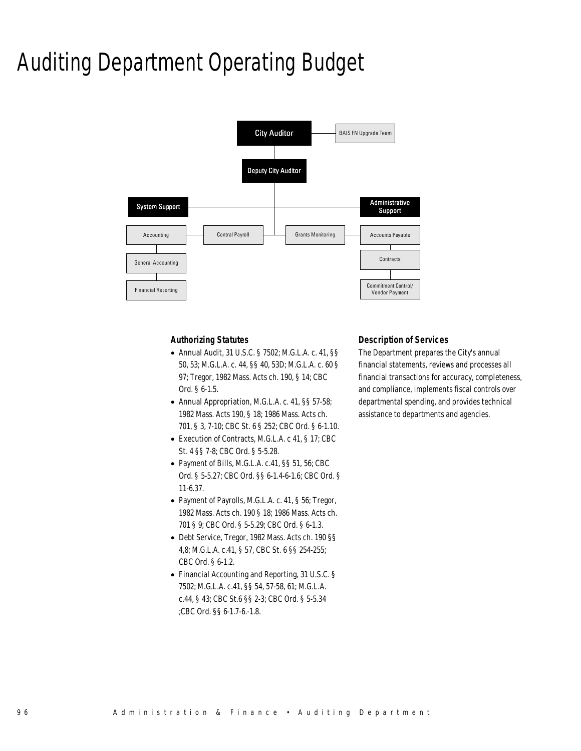### Auditing Department Operating Budget



#### *Authorizing Statutes*

- Annual Audit, 31 U.S.C. § 7502; M.G.L.A. c. 41, §§ 50, 53; M.G.L.A. c. 44, §§ 40, 53D; M.G.L.A. c. 60 § 97; Tregor, 1982 Mass. Acts ch. 190, § 14; CBC Ord. § 6-1.5.
- Annual Appropriation, M.G.L.A. c. 41, §§ 57-58; 1982 Mass. Acts 190, § 18; 1986 Mass. Acts ch. 701, § 3, 7-10; CBC St. 6 § 252; CBC Ord. § 6-1.10.
- Execution of Contracts, M.G.L.A. c 41, § 17; CBC St. 4 §§ 7-8; CBC Ord. § 5-5.28.
- Payment of Bills, M.G.L.A. c.41, §§ 51, 56; CBC Ord. § 5-5.27; CBC Ord. §§ 6-1.4-6-1.6; CBC Ord. § 11-6.37.
- Payment of Payrolls, M.G.L.A. c. 41, § 56; Tregor, 1982 Mass. Acts ch. 190 § 18; 1986 Mass. Acts ch. 701 § 9; CBC Ord. § 5-5.29; CBC Ord. § 6-1.3.
- Debt Service, Tregor, 1982 Mass. Acts ch. 190 §§ 4,8; M.G.L.A. c.41, § 57, CBC St. 6 §§ 254-255; CBC Ord. § 6-1.2.
- Financial Accounting and Reporting, 31 U.S.C. § 7502; M.G.L.A. c.41, §§ 54, 57-58, 61; M.G.L.A. c.44, § 43; CBC St.6 §§ 2-3; CBC Ord. § 5-5.34 ;CBC Ord. §§ 6-1.7-6.-1.8.

#### *Description of Services*

The Department prepares the City's annual financial statements, reviews and processes all financial transactions for accuracy, completeness, and compliance, implements fiscal controls over departmental spending, and provides technical assistance to departments and agencies.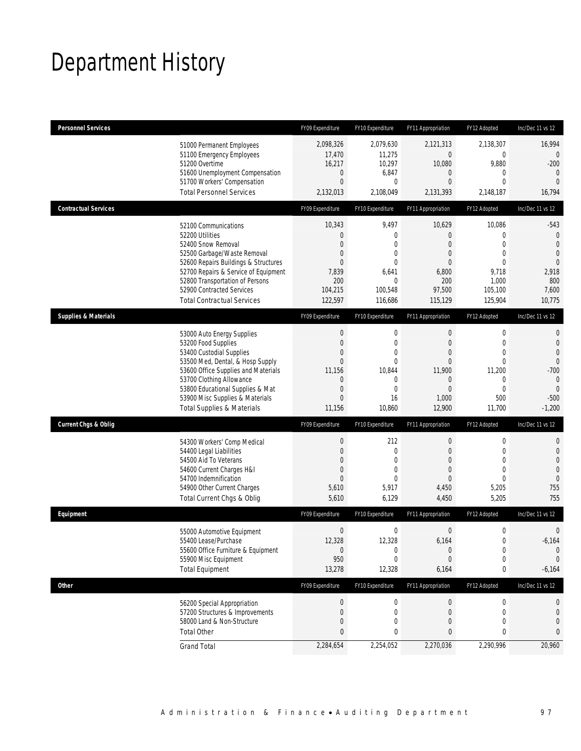## Department History

| <b>Personnel Services</b>       |                                                                                                                                                                                                                                                                                                      | FY09 Expenditure                                                                                                                           | FY10 Expenditure                                                                                              | FY11 Appropriation                                                                                                            | FY12 Adopted                                                                                                    | Inc/Dec 11 vs 12                                                                                                       |
|---------------------------------|------------------------------------------------------------------------------------------------------------------------------------------------------------------------------------------------------------------------------------------------------------------------------------------------------|--------------------------------------------------------------------------------------------------------------------------------------------|---------------------------------------------------------------------------------------------------------------|-------------------------------------------------------------------------------------------------------------------------------|-----------------------------------------------------------------------------------------------------------------|------------------------------------------------------------------------------------------------------------------------|
|                                 | 51000 Permanent Employees<br>51100 Emergency Employees<br>51200 Overtime<br>51600 Unemployment Compensation<br>51700 Workers' Compensation<br><b>Total Personnel Services</b>                                                                                                                        | 2,098,326<br>17,470<br>16,217<br>$\mathbf 0$<br>$\mathbf{0}$<br>2,132,013                                                                  | 2,079,630<br>11,275<br>10,297<br>6,847<br>$\mathbf 0$<br>2,108,049                                            | 2,121,313<br>0<br>10,080<br>$\mathbf 0$<br>0<br>2,131,393                                                                     | 2,138,307<br>$\boldsymbol{0}$<br>9,880<br>0<br>$\mathbf{0}$<br>2,148,187                                        | 16,994<br>0<br>$-200$<br>$\theta$<br>$\overline{0}$<br>16,794                                                          |
| <b>Contractual Services</b>     |                                                                                                                                                                                                                                                                                                      | FY09 Expenditure                                                                                                                           | FY10 Expenditure                                                                                              | FY11 Appropriation                                                                                                            | FY12 Adopted                                                                                                    | Inc/Dec 11 vs 12                                                                                                       |
|                                 | 52100 Communications<br>52200 Utilities<br>52400 Snow Removal<br>52500 Garbage/Waste Removal<br>52600 Repairs Buildings & Structures<br>52700 Repairs & Service of Equipment<br>52800 Transportation of Persons<br>52900 Contracted Services<br><b>Total Contractual Services</b>                    | 10,343<br>$\boldsymbol{0}$<br>$\mathbf{0}$<br>0<br>$\mathbf{0}$<br>7,839<br>200<br>104,215<br>122,597                                      | 9,497<br>$\boldsymbol{0}$<br>$\mathbf{0}$<br>0<br>$\mathbf{0}$<br>6,641<br>$\mathbf{0}$<br>100,548<br>116,686 | 10,629<br>$\overline{0}$<br>$\theta$<br>$\theta$<br>$\mathbf{0}$<br>6,800<br>200<br>97,500<br>115,129                         | 10,086<br>0<br>$\overline{0}$<br>$\mathbf 0$<br>$\mathbf{0}$<br>9,718<br>1,000<br>105,100<br>125,904            | $-543$<br>$\mathbf 0$<br>$\theta$<br>$\theta$<br>$\mathbf{0}$<br>2,918<br>800<br>7,600<br>10,775                       |
| <b>Supplies &amp; Materials</b> |                                                                                                                                                                                                                                                                                                      | FY09 Expenditure                                                                                                                           | FY10 Expenditure                                                                                              | FY11 Appropriation                                                                                                            | FY12 Adopted                                                                                                    | Inc/Dec 11 vs 12                                                                                                       |
|                                 | 53000 Auto Energy Supplies<br>53200 Food Supplies<br>53400 Custodial Supplies<br>53500 Med, Dental, & Hosp Supply<br>53600 Office Supplies and Materials<br>53700 Clothing Allowance<br>53800 Educational Supplies & Mat<br>53900 Misc Supplies & Materials<br><b>Total Supplies &amp; Materials</b> | $\boldsymbol{0}$<br>$\boldsymbol{0}$<br>$\mathbf 0$<br>$\mathbf{0}$<br>11,156<br>$\mathbf 0$<br>$\boldsymbol{0}$<br>$\mathbf{0}$<br>11,156 | $\mathbf 0$<br>$\mathbf 0$<br>$\mathbf 0$<br>$\mathbf{0}$<br>10,844<br>0<br>$\mathbf{0}$<br>16<br>10,860      | $\boldsymbol{0}$<br>$\mathbf{0}$<br>$\mathbf{0}$<br>$\mathbf{0}$<br>11,900<br>$\mathbf{0}$<br>$\mathbf{0}$<br>1,000<br>12,900 | $\boldsymbol{0}$<br>$\mathbf 0$<br>$\mathbf{0}$<br>$\mathbf{0}$<br>11,200<br>0<br>$\mathbf{0}$<br>500<br>11,700 | 0<br>$\mathbf 0$<br>$\overline{0}$<br>$\overline{0}$<br>$-700$<br>$\mathbf{0}$<br>$\overline{0}$<br>$-500$<br>$-1,200$ |
| <b>Current Chgs &amp; Oblig</b> |                                                                                                                                                                                                                                                                                                      | FY09 Expenditure                                                                                                                           | FY10 Expenditure                                                                                              | FY11 Appropriation                                                                                                            | FY12 Adopted                                                                                                    | Inc/Dec 11 vs 12                                                                                                       |
|                                 | 54300 Workers' Comp Medical<br>54400 Legal Liabilities<br>54500 Aid To Veterans<br>54600 Current Charges H&I<br>54700 Indemnification<br>54900 Other Current Charges<br>Total Current Chgs & Oblig                                                                                                   | $\boldsymbol{0}$<br>$\boldsymbol{0}$<br>$\boldsymbol{0}$<br>0<br>$\mathbf{0}$<br>5,610<br>5,610                                            | 212<br>$\mathbf 0$<br>$\mathbf{0}$<br>0<br>$\Omega$<br>5,917<br>6,129                                         | $\boldsymbol{0}$<br>$\theta$<br>$\mathbf{0}$<br>$\theta$<br>$\overline{0}$<br>4,450<br>4,450                                  | $\boldsymbol{0}$<br>$\mathbf 0$<br>$\mathbf{0}$<br>$\overline{0}$<br>$\overline{0}$<br>5,205<br>5,205           | 0<br>$\mathbf 0$<br>$\overline{0}$<br>$\overline{0}$<br>$\theta$<br>755<br>755                                         |
| Equipment                       |                                                                                                                                                                                                                                                                                                      | FY09 Expenditure                                                                                                                           | FY10 Expenditure                                                                                              | FY11 Appropriation                                                                                                            | FY12 Adopted                                                                                                    | Inc/Dec 11 vs 12                                                                                                       |
|                                 | 55000 Automotive Equipment<br>55400 Lease/Purchase<br>55600 Office Furniture & Equipment<br>55900 Misc Equipment<br><b>Total Equipment</b>                                                                                                                                                           | $\boldsymbol{0}$<br>12,328<br>$\bf{0}$<br>950<br>13,278                                                                                    | $\mathbf 0$<br>12,328<br>0<br>0<br>12,328                                                                     | $\boldsymbol{0}$<br>6,164<br>$\theta$<br>$\theta$<br>6,164                                                                    | $\boldsymbol{0}$<br>0<br>$\pmb{0}$<br>0<br>$\pmb{0}$                                                            | 0<br>$-6,164$<br>$\mathbf 0$<br>$\mathbf 0$<br>$-6,164$                                                                |
| <b>Other</b>                    |                                                                                                                                                                                                                                                                                                      | FY09 Expenditure                                                                                                                           | FY10 Expenditure                                                                                              | FY11 Appropriation                                                                                                            | FY12 Adopted                                                                                                    | Inc/Dec 11 vs 12                                                                                                       |
|                                 | 56200 Special Appropriation<br>57200 Structures & Improvements<br>58000 Land & Non-Structure<br><b>Total Other</b>                                                                                                                                                                                   | $\boldsymbol{0}$<br>$\boldsymbol{0}$<br>$\mathbf 0$<br>$\pmb{0}$                                                                           | 0<br>0<br>0<br>0                                                                                              | $\theta$<br>$\mathbf 0$<br>$\mathbf 0$<br>0                                                                                   | 0<br>0<br>$\mathbf{0}$<br>0                                                                                     | 0<br>0<br>0<br>0                                                                                                       |
|                                 | <b>Grand Total</b>                                                                                                                                                                                                                                                                                   | 2,284,654                                                                                                                                  | 2,254,052                                                                                                     | 2,270,036                                                                                                                     | 2,290,996                                                                                                       | 20,960                                                                                                                 |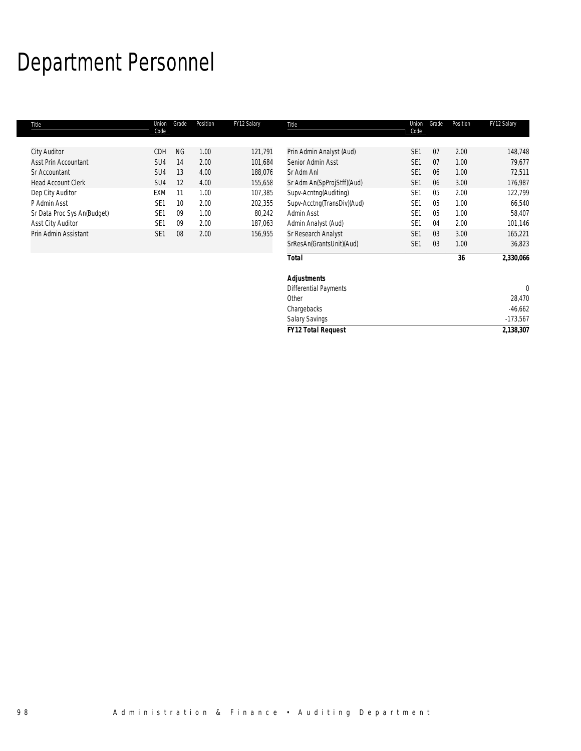### Department Personnel

| Title                       | Union<br>Code   | Grade     | Position | FY12 Salary | Title                        | Union<br>Code   | Grade | Position | FY12 Salary |
|-----------------------------|-----------------|-----------|----------|-------------|------------------------------|-----------------|-------|----------|-------------|
| <b>City Auditor</b>         | CDH             | <b>NG</b> | 1.00     | 121,791     | Prin Admin Analyst (Aud)     | SE <sub>1</sub> | 07    | 2.00     | 148,748     |
| Asst Prin Accountant        | SU <sub>4</sub> | 14        | 2.00     | 101,684     | Senior Admin Asst            | SE <sub>1</sub> | 07    | 1.00     | 79,677      |
| Sr Accountant               | SU <sub>4</sub> | 13        | 4.00     | 188,076     | Sr Adm Anl                   | SE <sub>1</sub> | 06    | 1.00     | 72,511      |
| <b>Head Account Clerk</b>   | SU4             | 12        | 4.00     | 155,658     | Sr Adm An(SpProjStff)(Aud)   | SE <sub>1</sub> | 06    | 3.00     | 176,987     |
| Dep City Auditor            | EXM             | 11        | 1.00     | 107,385     | Supv-Acntng(Auditing)        | SE <sub>1</sub> | 05    | 2.00     | 122,799     |
| P Admin Asst                | SE <sub>1</sub> | 10        | 2.00     | 202,355     | Supv-Acctnq(TransDiv)(Aud)   | SE <sub>1</sub> | 05    | 1.00     | 66,540      |
| Sr Data Proc Sys An(Budget) | SE <sub>1</sub> | 09        | 1.00     | 80,242      | Admin Asst                   | SE <sub>1</sub> | 05    | 1.00     | 58,407      |
| <b>Asst City Auditor</b>    | SE <sub>1</sub> | 09        | 2.00     | 187,063     | Admin Analyst (Aud)          | SE <sub>1</sub> | 04    | 2.00     | 101,146     |
| Prin Admin Assistant        | SE <sub>1</sub> | 08        | 2.00     | 156,955     | Sr Research Analyst          | SE <sub>1</sub> | 03    | 3.00     | 165,221     |
|                             |                 |           |          |             | SrResAn(GrantsUnit)(Aud)     | SE <sub>1</sub> | 03    | 1.00     | 36,823      |
|                             |                 |           |          |             | <b>Total</b>                 |                 |       | 36       | 2,330,066   |
|                             |                 |           |          |             | <b>Adjustments</b>           |                 |       |          |             |
|                             |                 |           |          |             | <b>Differential Payments</b> |                 |       |          | $\theta$    |
|                             |                 |           |          |             | Other                        |                 |       |          | 28,470      |
|                             |                 |           |          |             | Chargebacks                  |                 |       |          | $-46,662$   |
|                             |                 |           |          |             | <b>Salary Savings</b>        |                 |       |          | $-173,567$  |
|                             |                 |           |          |             | <b>FY12 Total Request</b>    |                 |       |          | 2,138,307   |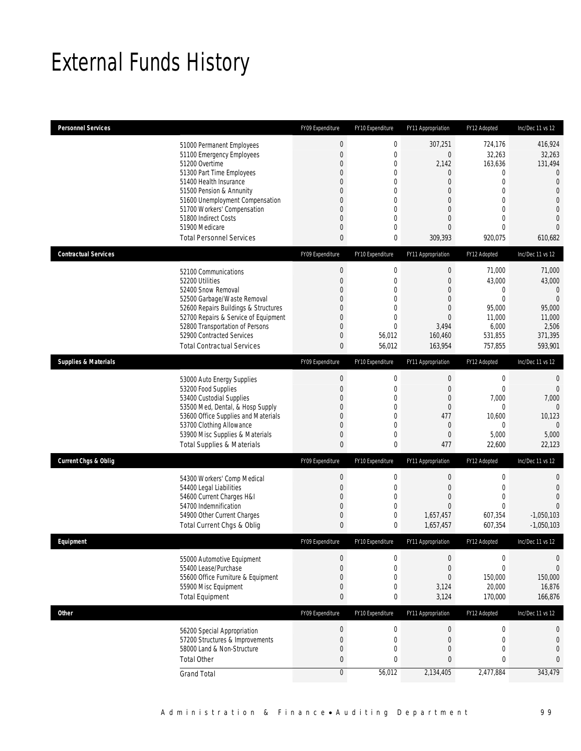### External Funds History

| <b>Personnel Services</b>       |                                                                     | FY09 Expenditure | FY10 Expenditure                 | FY11 Appropriation      | FY12 Adopted                | Inc/Dec 11 vs 12                 |
|---------------------------------|---------------------------------------------------------------------|------------------|----------------------------------|-------------------------|-----------------------------|----------------------------------|
|                                 | 51000 Permanent Employees                                           | $\bf 0$          | $\boldsymbol{0}$                 | 307,251                 | 724,176                     | 416,924                          |
|                                 | 51100 Emergency Employees                                           | $\mathbf{0}$     | $\mathbf 0$                      | $\mathbf 0$             | 32,263                      | 32,263                           |
|                                 | 51200 Overtime                                                      | 0                | 0                                | 2,142                   | 163,636                     | 131,494                          |
|                                 | 51300 Part Time Employees                                           | 0                | 0                                | 0                       | $\mathbf{0}$                | $\mathbf{0}$                     |
|                                 | 51400 Health Insurance<br>51500 Pension & Annunity                  | 0<br>0           | 0<br>0                           | 0<br>0                  | $\mathbf{0}$<br>$\mathbf 0$ | $\overline{0}$<br>$\overline{0}$ |
|                                 | 51600 Unemployment Compensation                                     | 0                | 0                                | $\Omega$                | $\mathbf{0}$                | $\overline{0}$                   |
|                                 | 51700 Workers' Compensation                                         | 0                | $\overline{0}$                   | $\overline{0}$          | $\mathbf{0}$                | $\overline{0}$                   |
|                                 | 51800 Indirect Costs                                                | 0                | 0                                | 0                       | $\mathbf{0}$                | $\overline{0}$                   |
|                                 | 51900 Medicare                                                      | 0                | $\overline{0}$                   | 0                       | $\mathbf{0}$                | $\Omega$                         |
|                                 | <b>Total Personnel Services</b>                                     | $\mathbf{0}$     | 0                                | 309,393                 | 920,075                     | 610,682                          |
| <b>Contractual Services</b>     |                                                                     | FY09 Expenditure | FY10 Expenditure                 | FY11 Appropriation      | FY12 Adopted                | Inc/Dec 11 vs 12                 |
|                                 | 52100 Communications                                                | $\boldsymbol{0}$ | $\boldsymbol{0}$                 | $\boldsymbol{0}$        | 71,000                      | 71,000                           |
|                                 | 52200 Utilities                                                     | $\mathbf 0$      | 0                                | $\boldsymbol{0}$        | 43,000                      | 43,000                           |
|                                 | 52400 Snow Removal                                                  | 0                | 0                                | 0                       | 0<br>$\overline{0}$         | $\Omega$                         |
|                                 | 52500 Garbage/Waste Removal<br>52600 Repairs Buildings & Structures | 0<br>0           | $\overline{0}$<br>0              | 0<br>0                  | 95,000                      | $\overline{0}$<br>95,000         |
|                                 | 52700 Repairs & Service of Equipment                                | 0                | $\mathbf 0$                      | $\mathbf{0}$            | 11,000                      | 11,000                           |
|                                 | 52800 Transportation of Persons                                     | 0                | $\overline{0}$                   | 3,494                   | 6,000                       | 2,506                            |
|                                 | 52900 Contracted Services                                           | 0                | 56,012                           | 160,460                 | 531,855                     | 371,395                          |
|                                 | <b>Total Contractual Services</b>                                   | $\pmb{0}$        | 56,012                           | 163,954                 | 757,855                     | 593,901                          |
| <b>Supplies &amp; Materials</b> |                                                                     | FY09 Expenditure | FY10 Expenditure                 | FY11 Appropriation      | FY12 Adopted                | Inc/Dec 11 vs 12                 |
|                                 | 53000 Auto Energy Supplies                                          | $\boldsymbol{0}$ | $\boldsymbol{0}$                 | $\boldsymbol{0}$        | $\boldsymbol{0}$            | $\mathbf{0}$                     |
|                                 | 53200 Food Supplies                                                 | $\mathbf 0$      | 0                                | $\boldsymbol{0}$        | $\mathbf{0}$                | $\mathbf{0}$                     |
|                                 | 53400 Custodial Supplies                                            | 0                | 0                                | 0                       | 7,000                       | 7,000                            |
|                                 | 53500 Med, Dental, & Hosp Supply                                    | 0                | $\mathbf 0$                      | $\boldsymbol{0}$        | $\mathbf{0}$                | $\Omega$                         |
|                                 | 53600 Office Supplies and Materials<br>53700 Clothing Allowance     | 0<br>0           | $\overline{0}$<br>$\overline{0}$ | 477<br>$\boldsymbol{0}$ | 10,600<br>$\mathbf{0}$      | 10,123<br>$\Omega$               |
|                                 | 53900 Misc Supplies & Materials                                     | 0                | 0                                | 0                       | 5,000                       | 5,000                            |
|                                 | <b>Total Supplies &amp; Materials</b>                               | 0                | 0                                | 477                     | 22,600                      | 22,123                           |
| <b>Current Chgs &amp; Oblig</b> |                                                                     | FY09 Expenditure | FY10 Expenditure                 | FY11 Appropriation      | FY12 Adopted                | Inc/Dec 11 vs 12                 |
|                                 | 54300 Workers' Comp Medical                                         | $\boldsymbol{0}$ | 0                                | 0                       | $\mathbf 0$                 | 0                                |
|                                 | 54400 Legal Liabilities                                             | $\mathbf 0$      | 0                                | 0                       | $\mathbf 0$                 | $\mathbf{0}$                     |
|                                 | 54600 Current Charges H&I                                           | 0                | $\mathbf 0$                      | $\overline{0}$          | $\mathbf{0}$                | $\mathbf{0}$                     |
|                                 | 54700 Indemnification                                               | 0                | 0                                | 0                       | $\mathbf{0}$                | $\Omega$                         |
|                                 | 54900 Other Current Charges                                         | 0                | 0                                | 1,657,457               | 607,354                     | $-1,050,103$                     |
|                                 | Total Current Chgs & Oblig                                          | $\mathbf{0}$     | 0                                | 1,657,457               | 607,354                     | $-1,050,103$                     |
| <b>Fauinment</b>                |                                                                     | FY09 Expenditure | FY10 Expenditure                 | FY11 Appropriation      | FY12 Adopted                | Inc/Dec 11 vs 12                 |
|                                 | 55000 Automotive Equipment                                          | $\mathbf 0$      | 0                                | $\mathbf 0$             | $\mathbf 0$                 | $\mathbf 0$                      |
|                                 | 55400 Lease/Purchase                                                | $\mathbf 0$      | $\boldsymbol{0}$                 | $\boldsymbol{0}$        | $\mathbf{0}$                | $\overline{0}$                   |
|                                 | 55600 Office Furniture & Equipment                                  | 0                | $\mathbf 0$                      | $\mathbf 0$             | 150,000                     | 150,000                          |
|                                 | 55900 Misc Equipment                                                | $\boldsymbol{0}$ | $\mathbf 0$                      | 3,124                   | 20,000                      | 16,876                           |
|                                 | <b>Total Equipment</b>                                              | $\mathbf{0}$     | 0                                | 3,124                   | 170,000                     | 166,876                          |
| <b>Other</b>                    |                                                                     | FY09 Expenditure | FY10 Expenditure                 | FY11 Appropriation      | FY12 Adopted                | Inc/Dec 11 vs 12                 |
|                                 | 56200 Special Appropriation                                         | $\boldsymbol{0}$ | $\boldsymbol{0}$                 | $\boldsymbol{0}$        | $\boldsymbol{0}$            | $\mathbf 0$                      |
|                                 | 57200 Structures & Improvements                                     | $\boldsymbol{0}$ | $\mathbf 0$                      | $\boldsymbol{0}$        | $\mathbf 0$                 | $\mathbf 0$                      |
|                                 | 58000 Land & Non-Structure                                          | 0                | $\mathbf 0$                      | $\boldsymbol{0}$        | $\mathbf 0$                 | $\mathbf{0}$                     |
|                                 | <b>Total Other</b>                                                  | 0                | 0                                | 0                       | $\bf{0}$                    | $\mathbf{0}$                     |
|                                 | <b>Grand Total</b>                                                  | $\bf 0$          | 56,012                           | 2,134,405               | 2,477,884                   | 343,479                          |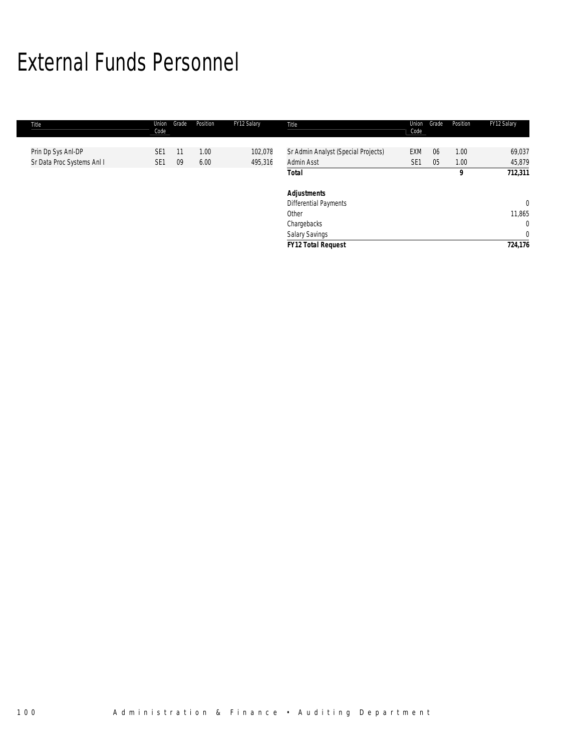### External Funds Personnel

| Title              |                            | Union<br>Code   | Grade | Position | FY12 Salary | Title                               | Union<br>Code   | Grade | Position | FY12 Salary    |
|--------------------|----------------------------|-----------------|-------|----------|-------------|-------------------------------------|-----------------|-------|----------|----------------|
|                    |                            |                 |       |          |             |                                     |                 |       |          |                |
| Prin Dp Sys Anl-DP |                            | SE <sub>1</sub> | 11    | 1.00     | 102,078     | Sr Admin Analyst (Special Projects) | <b>EXM</b>      | 06    | 1.00     | 69,037         |
|                    | Sr Data Proc Systems Anl I | SE <sub>1</sub> | 09    | 6.00     | 495,316     | Admin Asst                          | SE <sub>1</sub> | 05    | 1.00     | 45,879         |
|                    |                            |                 |       |          |             | Total                               |                 |       | 9        | 712,311        |
|                    |                            |                 |       |          |             | <b>Adjustments</b>                  |                 |       |          |                |
|                    |                            |                 |       |          |             | <b>Differential Payments</b>        |                 |       |          | $\overline{0}$ |
|                    |                            |                 |       |          |             | Other                               |                 |       |          | 11,865         |
|                    |                            |                 |       |          |             | Chargebacks                         |                 |       |          | $\mathbf{0}$   |
|                    |                            |                 |       |          |             | Salary Savings                      |                 |       |          | $\mathbf{0}$   |
|                    |                            |                 |       |          |             | <b>FY12 Total Request</b>           |                 |       |          | 724,176        |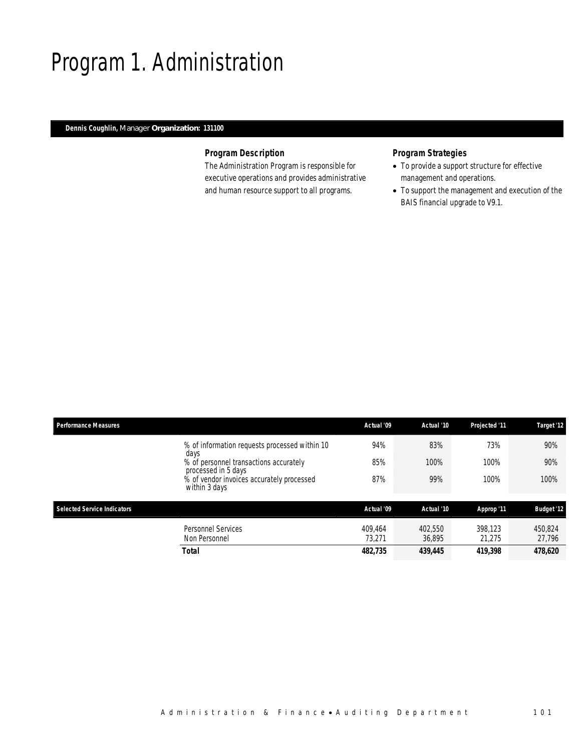### Program 1. Administration

#### *Dennis Coughlin, Manager Organization: 131100*

### *Program Description*

The Administration Program is responsible for executive operations and provides administrative and human resource support to all programs.

- To provide a support structure for effective management and operations.
- To support the management and execution of the BAIS financial upgrade to V9.1.

| <b>Performance Measures</b>        |                                                                                                                                                                                      | Actual '09                   | Actual '10                   | Projected '11                | Target '12                   |
|------------------------------------|--------------------------------------------------------------------------------------------------------------------------------------------------------------------------------------|------------------------------|------------------------------|------------------------------|------------------------------|
|                                    | % of information requests processed within 10<br>days<br>% of personnel transactions accurately<br>processed in 5 days<br>% of vendor invoices accurately processed<br>within 3 days | 94%<br>85%<br>87%            | 83%<br>100%<br>99%           | 73%<br>100%<br>100%          | 90%<br>90%<br>100%           |
| <b>Selected Service Indicators</b> |                                                                                                                                                                                      | Actual '09                   | Actual '10                   | Approp '11                   | <b>Budget '12</b>            |
|                                    | <b>Personnel Services</b><br>Non Personnel<br>Total                                                                                                                                  | 409.464<br>73.271<br>482,735 | 402.550<br>36.895<br>439,445 | 398.123<br>21.275<br>419,398 | 450.824<br>27,796<br>478,620 |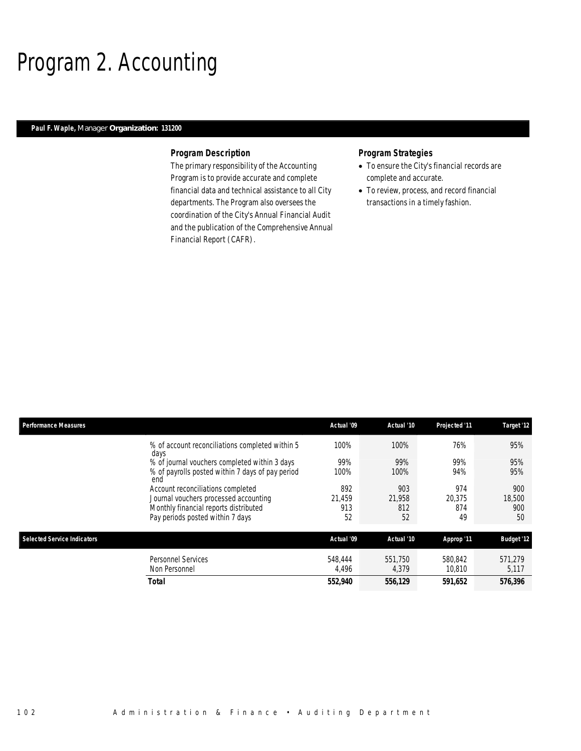### Program 2. Accounting

#### *Paul F. Waple, Manager Organization: 131200*

#### *Program Description*

The primary responsibility of the Accounting Program is to provide accurate and complete financial data and technical assistance to all City departments. The Program also oversees the coordination of the City's Annual Financial Audit and the publication of the Comprehensive Annual Financial Report (CAFR).

- To ensure the City's financial records are complete and accurate.
- To review, process, and record financial transactions in a timely fashion.

| <b>Performance Measures</b>        |                                                         | Actual '09       | Actual '10       | Projected '11     | Target '12        |
|------------------------------------|---------------------------------------------------------|------------------|------------------|-------------------|-------------------|
|                                    | % of account reconciliations completed within 5<br>days | 100%             | 100%             | 76%               | 95%               |
|                                    | % of journal vouchers completed within 3 days           | 99%              | 99%              | 99%               | 95%               |
|                                    | % of payrolls posted within 7 days of pay period<br>end | 100%             | 100%             | 94%               | 95%               |
|                                    | Account reconciliations completed                       | 892              | 903              | 974               | 900               |
|                                    | Journal vouchers processed accounting                   | 21.459           | 21.958           | 20.375            | 18,500            |
|                                    | Monthly financial reports distributed                   | 913              | 812              | 874               | 900               |
|                                    | Pay periods posted within 7 days                        | 52               | 52               | 49                | 50                |
| <b>Selected Service Indicators</b> |                                                         | Actual '09       | Actual '10       | Approp '11        | <b>Budget '12</b> |
|                                    | <b>Personnel Services</b><br>Non Personnel              | 548.444<br>4,496 | 551,750<br>4,379 | 580,842<br>10.810 | 571.279<br>5,117  |
|                                    | <b>Total</b>                                            | 552,940          | 556,129          | 591,652           | 576,396           |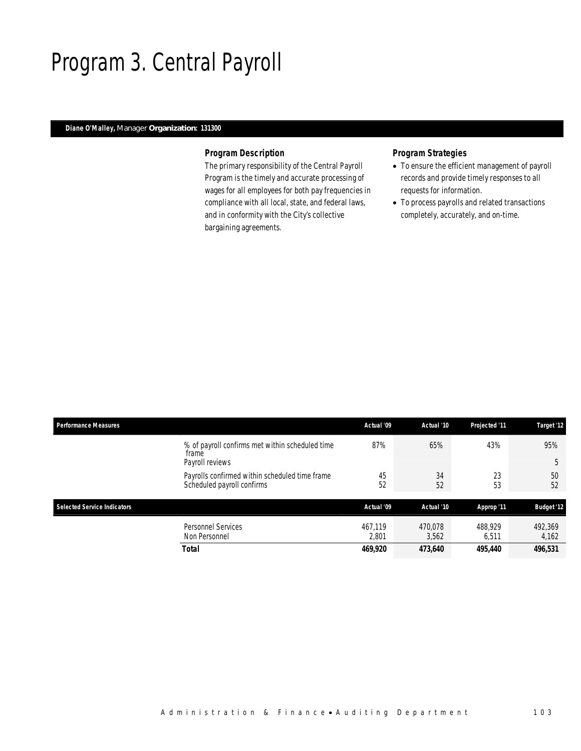### Program 3. Central Payroll

#### *Diane O'Malley, Manager Organization: 131300*

#### *Program Description*

The primary responsibility of the Central Payroll Program is the timely and accurate processing of wages for all employees for both pay frequencies in compliance with all local, state, and federal laws, and in conformity with the City's collective bargaining agreements.

- To ensure the efficient management of payroll records and provide timely responses to all requests for information.
- To process payrolls and related transactions completely, accurately, and on-time.

| <b>Performance Measures</b>                                                  | Actual '09       | Actual '10       | Projected '11    | Target '12        |
|------------------------------------------------------------------------------|------------------|------------------|------------------|-------------------|
| % of payroll confirms met within scheduled time<br>frame<br>Payroll reviews  | 87%              | 65%              | 43%              | 95%<br>5          |
| Payrolls confirmed within scheduled time frame<br>Scheduled payroll confirms | 45<br>52         | 34<br>52         | 23<br>53         | 50<br>52          |
| <b>Selected Service Indicators</b>                                           | Actual '09       | Actual '10       | Approp '11       | <b>Budget '12</b> |
| <b>Personnel Services</b><br>Non Personnel                                   | 467.119<br>2,801 | 470.078<br>3,562 | 488,929<br>6.511 | 492,369<br>4,162  |
| <b>Total</b>                                                                 | 469,920          | 473,640          | 495,440          | 496,531           |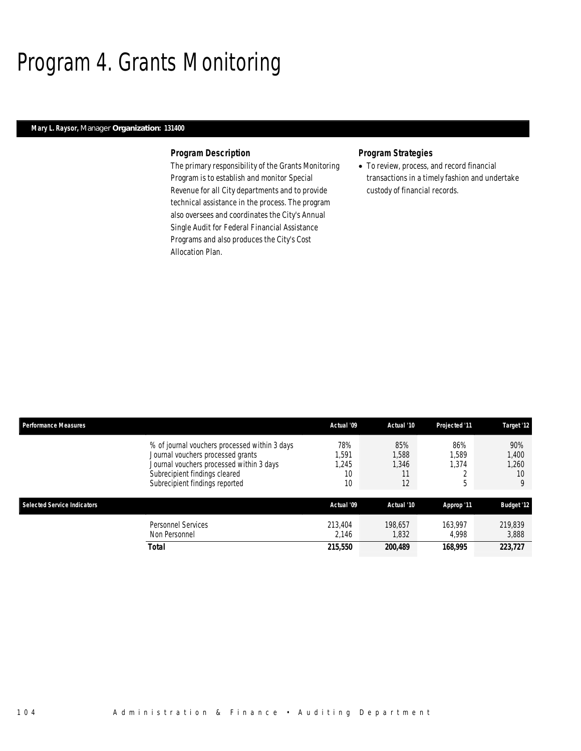## Program 4. Grants Monitoring

#### *Mary L. Raysor, Manager Organization: 131400*

#### *Program Description*

The primary responsibility of the Grants Monitoring Program is to establish and monitor Special Revenue for all City departments and to provide technical assistance in the process. The program also oversees and coordinates the City's Annual Single Audit for Federal Financial Assistance Programs and also produces the City's Cost Allocation Plan.

#### *Program Strategies*

• To review, process, and record financial transactions in a timely fashion and undertake custody of financial records.

| <b>Performance Measures</b>        |                                                                                                                                                                                                   | Actual '09                      | Actual '10                        | Projected '11              | Target '12                       |
|------------------------------------|---------------------------------------------------------------------------------------------------------------------------------------------------------------------------------------------------|---------------------------------|-----------------------------------|----------------------------|----------------------------------|
|                                    | % of journal vouchers processed within 3 days<br>Journal vouchers processed grants<br>Journal vouchers processed within 3 days<br>Subrecipient findings cleared<br>Subrecipient findings reported | 78%<br>.591<br>.245<br>10<br>10 | 85%<br>1,588<br>1.346<br>11<br>12 | 86%<br>1,589<br>1.374<br>h | 90%<br>1,400<br>1.260<br>10<br>9 |
| <b>Selected Service Indicators</b> |                                                                                                                                                                                                   | Actual '09                      | Actual '10                        | Approp '11                 | <b>Budget '12</b>                |
|                                    | <b>Personnel Services</b><br>Non Personnel                                                                                                                                                        | 213,404<br>2.146                | 198.657<br>1,832                  | 163.997<br>4.998           | 219,839<br>3,888                 |
|                                    | <b>Total</b>                                                                                                                                                                                      | 215,550                         | 200,489                           | 168,995                    | 223,727                          |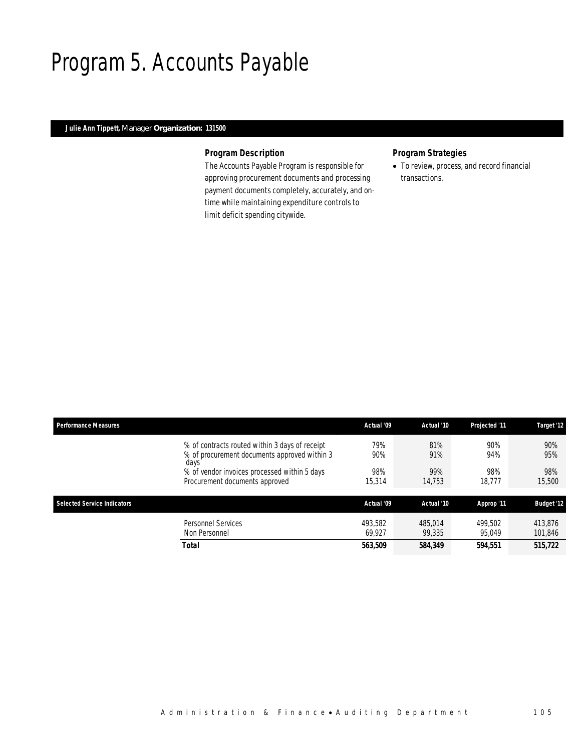### Program 5. Accounts Payable

#### *Julie Ann Tippett, Manager Organization: 131500*

#### *Program Description*

The Accounts Payable Program is responsible for approving procurement documents and processing payment documents completely, accurately, and ontime while maintaining expenditure controls to limit deficit spending citywide.

#### *Program Strategies*

• To review, process, and record financial transactions.

| <b>Performance Measures</b>        |                                                                                                        | Actual '09        | Actual '10        | <b>Projected '11</b> | Target '12         |
|------------------------------------|--------------------------------------------------------------------------------------------------------|-------------------|-------------------|----------------------|--------------------|
|                                    | % of contracts routed within 3 days of receipt<br>% of procurement documents approved within 3<br>days | 79%<br>90%        | 81%<br>91%        | 90%<br>94%           | 90%<br>95%         |
|                                    | % of vendor invoices processed within 5 days<br>Procurement documents approved                         | 98%<br>15,314     | 99%<br>14.753     | 98%<br>18.777        | 98%<br>15,500      |
| <b>Selected Service Indicators</b> |                                                                                                        | Actual '09        | Actual '10        | Approp '11           | <b>Budget '12</b>  |
|                                    | Personnel Services<br>Non Personnel                                                                    | 493.582<br>69.927 | 485.014<br>99,335 | 499.502<br>95.049    | 413.876<br>101,846 |
|                                    | <b>Total</b>                                                                                           | 563,509           | 584,349           | 594,551              | 515,722            |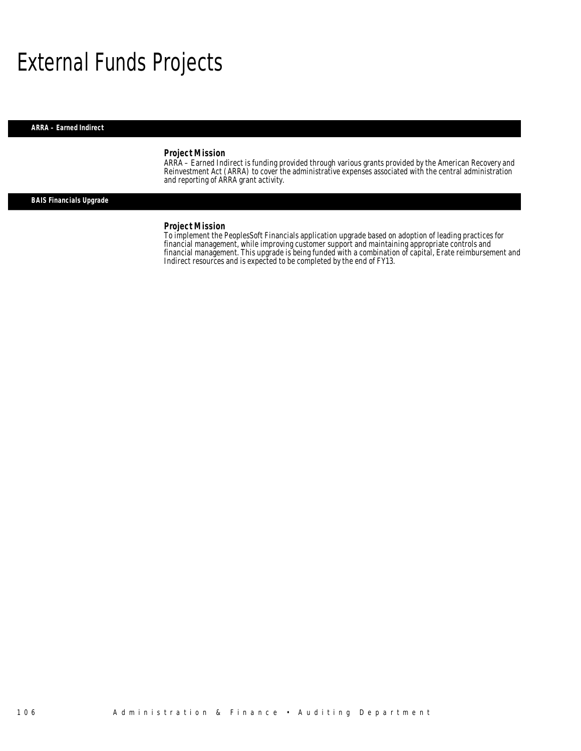### External Funds Projects

*ARRA – Earned Indirect* 

#### *Project Mission*

ARRA – Earned Indirect is funding provided through various grants provided by the American Recovery and Reinvestment Act (ARRA) to cover the administrative expenses associated with the central administration and reporting of ARRA grant activity.

#### *BAIS Financials Upgrade*

#### *Project Mission*

To implement the PeoplesSoft Financials application upgrade based on adoption of leading practices for financial management, while improving customer support and maintaining appropriate controls and financial management. This upgrade is being funded with a combination of capital, Erate reimbursement and Indirect resources and is expected to be completed by the end of FY13.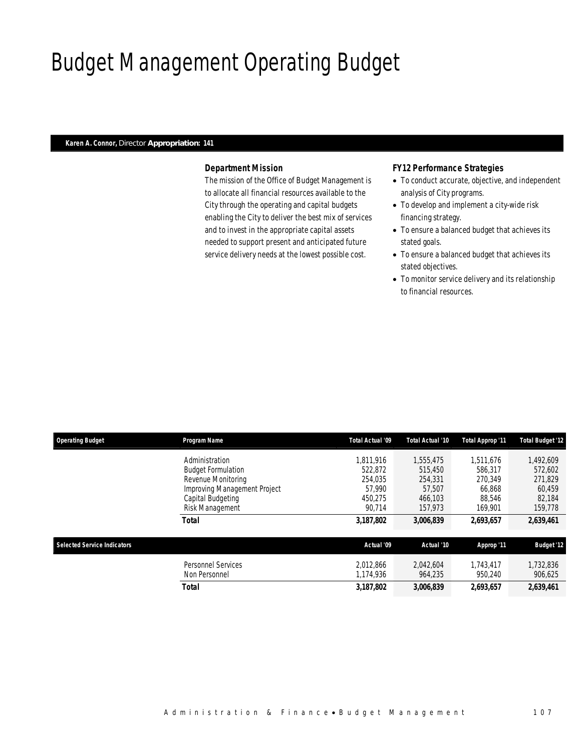## Budget Management Operating Budget

#### *Karen A. Connor, Director Appropriation: 141*

#### *Department Mission*

The mission of the Office of Budget Management is to allocate all financial resources available to the City through the operating and capital budgets enabling the City to deliver the best mix of services and to invest in the appropriate capital assets needed to support present and anticipated future service delivery needs at the lowest possible cost.

#### *FY12 Performance Strategies*

- To conduct accurate, objective, and independent analysis of City programs.
- To develop and implement a city-wide risk financing strategy.
- To ensure a balanced budget that achieves its stated goals.
- To ensure a balanced budget that achieves its stated objectives.
- To monitor service delivery and its relationship to financial resources.

| <b>Operating Budget</b>            | Program Name                               | Total Actual '09       | Total Actual '10     | <b>Total Approp '11</b> | <b>Total Budget '12</b> |
|------------------------------------|--------------------------------------------|------------------------|----------------------|-------------------------|-------------------------|
|                                    | Administration                             | 1.811.916              | 1.555.475            | 1.511.676               | ,492,609                |
|                                    | <b>Budget Formulation</b>                  | 522.872                | 515,450              | 586,317                 | 572,602                 |
|                                    | Revenue Monitoring                         | 254.035                | 254,331              | 270.349                 | 271,829                 |
|                                    | Improving Management Project               | 57,990                 | 57.507               | 66.868                  | 60.459                  |
|                                    | Capital Budgeting                          | 450.275                | 466.103              | 88.546                  | 82,184                  |
|                                    | Risk Management                            | 90.714                 | 157.973              | 169.901                 | 159,778                 |
|                                    | Total                                      | 3,187,802              | 3,006,839            | 2,693,657               | 2,639,461               |
| <b>Selected Service Indicators</b> |                                            | Actual '09             | Actual '10           | Approp '11              | <b>Budget '12</b>       |
|                                    | <b>Personnel Services</b><br>Non Personnel | 2.012.866<br>1,174,936 | 2.042.604<br>964.235 | 1.743.417<br>950,240    | 1,732,836<br>906,625    |
|                                    | Total                                      | 3,187,802              | 3,006,839            | 2,693,657               | 2,639,461               |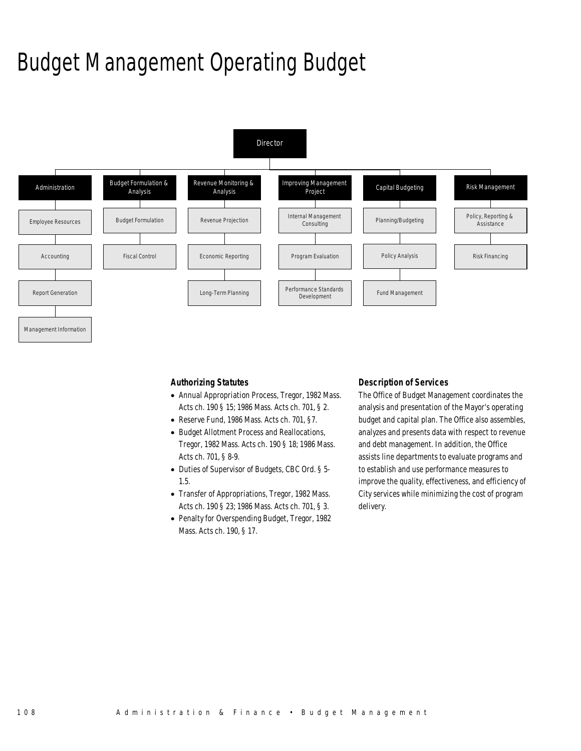## Budget Management Operating Budget



*Authorizing Statutes* 

- Annual Appropriation Process, Tregor, 1982 Mass. Acts ch. 190 § 15; 1986 Mass. Acts ch. 701, § 2.
- Reserve Fund, 1986 Mass. Acts ch. 701, §7.
- Budget Allotment Process and Reallocations, Tregor, 1982 Mass. Acts ch. 190 § 18; 1986 Mass. Acts ch. 701, § 8-9.
- Duties of Supervisor of Budgets, CBC Ord. § 5- 1.5.
- Transfer of Appropriations, Tregor, 1982 Mass. Acts ch. 190 § 23; 1986 Mass. Acts ch. 701, § 3.
- Penalty for Overspending Budget, Tregor, 1982 Mass. Acts ch. 190, § 17.

#### *Description of Services*

The Office of Budget Management coordinates the analysis and presentation of the Mayor's operating budget and capital plan. The Office also assembles, analyzes and presents data with respect to revenue and debt management. In addition, the Office assists line departments to evaluate programs and to establish and use performance measures to improve the quality, effectiveness, and efficiency of City services while minimizing the cost of program delivery.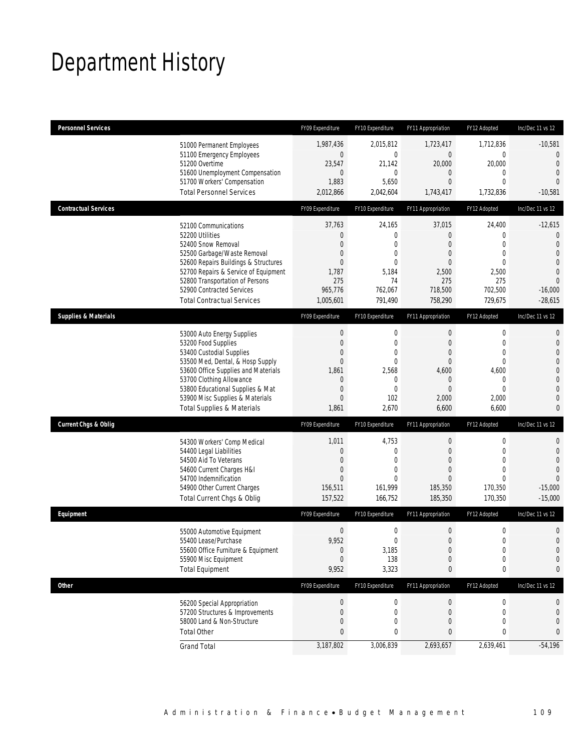## Department History

| <b>Personnel Services</b>       |                                                                                                                                                                                                                                                                                                      | FY09 Expenditure                                                                               | FY10 Expenditure                                                                                                    | FY11 Appropriation                                                                                            | FY12 Adopted                                                                                                | Inc/Dec 11 vs 12                                                                                                                                    |
|---------------------------------|------------------------------------------------------------------------------------------------------------------------------------------------------------------------------------------------------------------------------------------------------------------------------------------------------|------------------------------------------------------------------------------------------------|---------------------------------------------------------------------------------------------------------------------|---------------------------------------------------------------------------------------------------------------|-------------------------------------------------------------------------------------------------------------|-----------------------------------------------------------------------------------------------------------------------------------------------------|
|                                 | 51000 Permanent Employees<br>51100 Emergency Employees<br>51200 Overtime<br>51600 Unemployment Compensation<br>51700 Workers' Compensation<br><b>Total Personnel Services</b>                                                                                                                        | 1.987.436<br>$\mathbf 0$<br>23,547<br>$\overline{0}$<br>1,883<br>2,012,866                     | 2,015,812<br>$\mathbf 0$<br>21,142<br>$\mathbf 0$<br>5,650<br>2,042,604                                             | 1,723,417<br>$\mathbf 0$<br>20,000<br>0<br>$\overline{0}$<br>1,743,417                                        | 1,712,836<br>$\mathbf 0$<br>20,000<br>$\mathbf{0}$<br>$\mathbf{0}$<br>1,732,836                             | $-10,581$<br>$\overline{0}$<br>$\overline{0}$<br>$\overline{0}$<br>$\Omega$<br>$-10,581$                                                            |
| <b>Contractual Services</b>     |                                                                                                                                                                                                                                                                                                      | FY09 Expenditure                                                                               | FY10 Expenditure                                                                                                    | FY11 Appropriation                                                                                            | FY12 Adopted                                                                                                | Inc/Dec 11 vs 12                                                                                                                                    |
|                                 | 52100 Communications<br>52200 Utilities<br>52400 Snow Removal<br>52500 Garbage/Waste Removal<br>52600 Repairs Buildings & Structures<br>52700 Repairs & Service of Equipment<br>52800 Transportation of Persons<br>52900 Contracted Services<br><b>Total Contractual Services</b>                    | 37,763<br>$\mathbf 0$<br>$\overline{0}$<br>0<br>0<br>1,787<br>275<br>965,776<br>1,005,601      | 24,165<br>$\boldsymbol{0}$<br>$\mathbf 0$<br>$\mathbf 0$<br>$\overline{0}$<br>5,184<br>74<br>762,067<br>791,490     | 37,015<br>$\mathbf 0$<br>0<br>0<br>0<br>2,500<br>275<br>718,500<br>758,290                                    | 24,400<br>$\mathbf{0}$<br>$\mathbf{0}$<br>$\mathbf{0}$<br>$\theta$<br>2,500<br>275<br>702,500<br>729,675    | $-12,615$<br>$\theta$<br>$\overline{0}$<br>$\overline{0}$<br>$\overline{0}$<br>$\overline{0}$<br>$\overline{0}$<br>$-16,000$<br>$-28,615$           |
| <b>Supplies &amp; Materials</b> |                                                                                                                                                                                                                                                                                                      | FY09 Expenditure                                                                               | FY10 Expenditure                                                                                                    | FY11 Appropriation                                                                                            | FY12 Adopted                                                                                                | Inc/Dec 11 vs 12                                                                                                                                    |
|                                 | 53000 Auto Energy Supplies<br>53200 Food Supplies<br>53400 Custodial Supplies<br>53500 Med, Dental, & Hosp Supply<br>53600 Office Supplies and Materials<br>53700 Clothing Allowance<br>53800 Educational Supplies & Mat<br>53900 Misc Supplies & Materials<br><b>Total Supplies &amp; Materials</b> | $\boldsymbol{0}$<br>$\mathbf 0$<br>0<br>$\mathbf 0$<br>1,861<br>$\mathbf 0$<br>0<br>0<br>1,861 | $\mathbf 0$<br>$\mathbf 0$<br>$\mathbf 0$<br>$\overline{0}$<br>2,568<br>$\mathbf 0$<br>$\mathbf{0}$<br>102<br>2,670 | $\mathbf 0$<br>$\overline{0}$<br>0<br>$\mathbf 0$<br>4,600<br>$\mathbf 0$<br>$\overline{0}$<br>2,000<br>6,600 | $\mathbf 0$<br>$\mathbf{0}$<br>$\mathbf{0}$<br>$\mathbf{0}$<br>4,600<br>0<br>$\mathbf{0}$<br>2,000<br>6,600 | $\mathbf{0}$<br>$\mathbf{0}$<br>$\overline{0}$<br>$\overline{0}$<br>$\mathbf 0$<br>$\overline{0}$<br>$\mathbf{0}$<br>$\overline{0}$<br>$\mathbf{0}$ |
| <b>Current Chgs &amp; Oblig</b> |                                                                                                                                                                                                                                                                                                      | FY09 Expenditure                                                                               | FY10 Expenditure                                                                                                    | FY11 Appropriation                                                                                            | FY12 Adopted                                                                                                | Inc/Dec 11 vs 12                                                                                                                                    |
|                                 | 54300 Workers' Comp Medical<br>54400 Legal Liabilities<br>54500 Aid To Veterans<br>54600 Current Charges H&I<br>54700 Indemnification<br>54900 Other Current Charges<br>Total Current Chgs & Oblig                                                                                                   | 1,011<br>$\mathbf 0$<br>0<br>$\mathbf 0$<br>$\overline{0}$<br>156,511<br>157,522               | 4,753<br>$\boldsymbol{0}$<br>$\mathbf{0}$<br>$\mathbf 0$<br>$\theta$<br>161,999<br>166,752                          | $\mathbf 0$<br>$\mathbf 0$<br>0<br>$\overline{0}$<br>0<br>185,350<br>185,350                                  | $\mathbf 0$<br>$\mathbf 0$<br>$\mathbf{0}$<br>$\mathbf{0}$<br>$\theta$<br>170,350<br>170,350                | $\mathbf{0}$<br>$\mathbf{0}$<br>$\overline{0}$<br>$\overline{0}$<br>$\Omega$<br>$-15,000$<br>$-15,000$                                              |
| Equipment                       |                                                                                                                                                                                                                                                                                                      | FY09 Expenditure                                                                               | FY10 Expenditure                                                                                                    | FY11 Appropriation                                                                                            | FY12 Adopted                                                                                                | Inc/Dec 11 vs 12                                                                                                                                    |
|                                 | 55000 Automotive Equipment<br>55400 Lease/Purchase<br>55600 Office Furniture & Equipment<br>55900 Misc Equipment<br><b>Total Equipment</b>                                                                                                                                                           | $\boldsymbol{0}$<br>9.952<br>$\boldsymbol{0}$<br>$\overline{0}$<br>9,952                       | $\boldsymbol{0}$<br>$\mathbf 0$<br>3,185<br>138<br>3,323                                                            | 0<br>$\overline{0}$<br>$\boldsymbol{0}$<br>0<br>0                                                             | $\mathbf 0$<br>$\mathbf{0}$<br>$\boldsymbol{0}$<br>$\mathbf 0$<br>0                                         | $\mathbf 0$<br>$\overline{0}$<br>$\mathbf 0$<br>$\mathbf 0$<br>0                                                                                    |
| <b>Other</b>                    |                                                                                                                                                                                                                                                                                                      | FY09 Expenditure                                                                               | FY10 Expenditure                                                                                                    | FY11 Appropriation                                                                                            | FY12 Adopted                                                                                                | Inc/Dec 11 vs 12                                                                                                                                    |
|                                 | 56200 Special Appropriation<br>57200 Structures & Improvements<br>58000 Land & Non-Structure<br><b>Total Other</b>                                                                                                                                                                                   | $\boldsymbol{0}$<br>0<br>0<br>0                                                                | 0<br>0<br>0<br>0                                                                                                    | $\pmb{0}$<br>$\mathbf 0$<br>0<br>0                                                                            | $\boldsymbol{0}$<br>0<br>$\mathbf{0}$<br>0                                                                  | 0<br>0<br>0<br>0                                                                                                                                    |
|                                 | <b>Grand Total</b>                                                                                                                                                                                                                                                                                   | 3,187,802                                                                                      | 3,006,839                                                                                                           | 2,693,657                                                                                                     | 2,639,461                                                                                                   | $-54,196$                                                                                                                                           |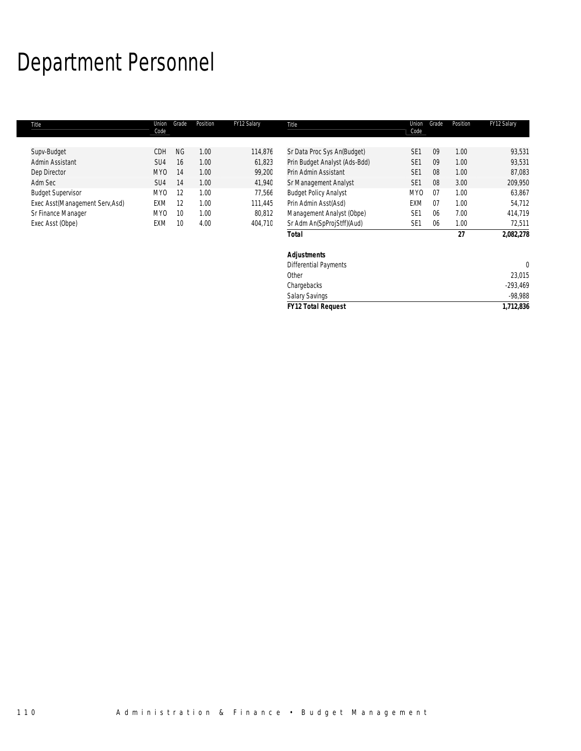## Department Personnel

| Title                           | Union<br>Code   | Grade     | Position | FY12 Salary | Title                         | Union<br>Code   | Grade | Position | FY12 Salary  |
|---------------------------------|-----------------|-----------|----------|-------------|-------------------------------|-----------------|-------|----------|--------------|
| Supv-Budget                     | CDH             | <b>NG</b> | 1.00     | 114,876     | Sr Data Proc Sys An(Budget)   | SE <sub>1</sub> | 09    | 1.00     | 93,531       |
| Admin Assistant                 | SU4             | 16        | 1.00     | 61,823      | Prin Budget Analyst (Ads-Bdd) | SE <sub>1</sub> | 09    | 1.00     | 93,531       |
|                                 |                 |           |          |             |                               |                 |       |          |              |
| Dep Director                    | MY <sub>0</sub> | 14        | 1.00     | 99,200      | Prin Admin Assistant          | SE <sub>1</sub> | 08    | 1.00     | 87,083       |
| Adm Sec                         | SU <sub>4</sub> | 14        | 1.00     | 41,940      | Sr Management Analyst         | SE <sub>1</sub> | 08    | 3.00     | 209,950      |
| <b>Budget Supervisor</b>        | MY <sub>0</sub> | 12        | 1.00     | 77,566      | <b>Budget Policy Analyst</b>  | MY <sub>0</sub> | 07    | 1.00     | 63,867       |
| Exec Asst(Management Serv, Asd) | EXM             | 12        | 1.00     | 111,445     | Prin Admin Asst(Asd)          | <b>EXM</b>      | 07    | 1.00     | 54,712       |
| Sr Finance Manager              | MY <sub>0</sub> | 10        | 1.00     | 80,812      | Management Analyst (Obpe)     | SE <sub>1</sub> | 06    | 7.00     | 414,719      |
| Exec Asst (Obpe)                | EXM             | 10        | 4.00     | 404,710     | Sr Adm An(SpProjStff)(Aud)    | SE <sub>1</sub> | 06    | 1.00     | 72,511       |
|                                 |                 |           |          |             | Total                         |                 |       | 27       | 2,082,278    |
|                                 |                 |           |          |             | <b>Adjustments</b>            |                 |       |          |              |
|                                 |                 |           |          |             | <b>Differential Payments</b>  |                 |       |          | $\mathbf{0}$ |
|                                 |                 |           |          |             | Other                         |                 |       |          | 23,015       |
|                                 |                 |           |          |             | Chargebacks                   |                 |       |          | $-293.469$   |

Salary Savings -98,988 *FY12 Total Request 1,712,836*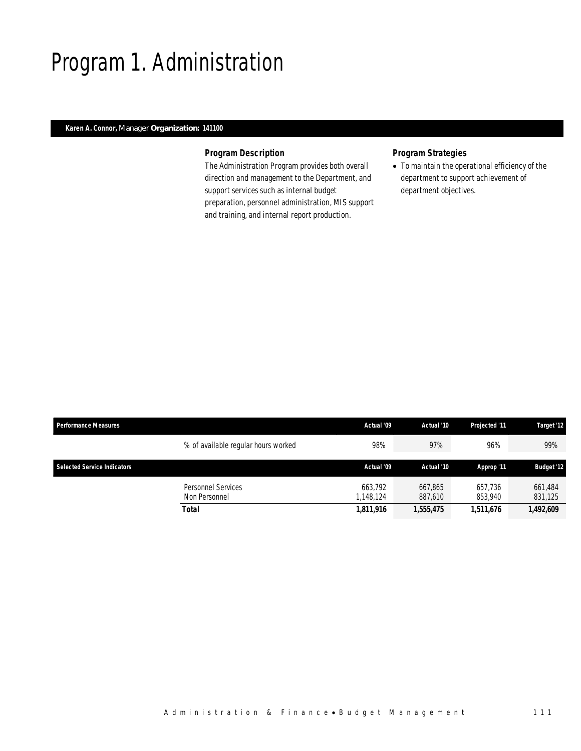### Program 1. Administration

#### *Karen A. Connor, Manager Organization: 141100*

#### *Program Description*

The Administration Program provides both overall direction and management to the Department, and support services such as internal budget preparation, personnel administration, MIS support and training, and internal report production.

### *Program Strategies*

• To maintain the operational efficiency of the department to support achievement of department objectives.

| <b>Performance Measures</b>        |                                     | Actual '09               | Actual '10         | <b>Projected '11</b> | Target '12         |  |
|------------------------------------|-------------------------------------|--------------------------|--------------------|----------------------|--------------------|--|
|                                    | % of available regular hours worked | 98%                      | 97%                | 96%                  | 99%                |  |
| <b>Selected Service Indicators</b> |                                     | Actual '09<br>Actual '10 |                    | Approp '11           | <b>Budget '12</b>  |  |
|                                    | Personnel Services<br>Non Personnel | 663.792<br>1.148.124     | 667.865<br>887.610 | 657.736<br>853,940   | 661,484<br>831,125 |  |
|                                    | <b>Total</b>                        | 1,811,916                | 1,555,475          | 1,511,676            | 1,492,609          |  |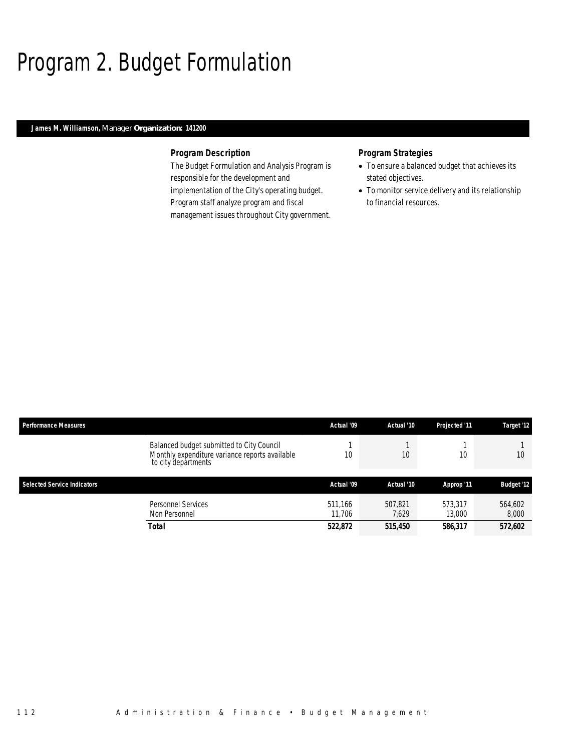### Program 2. Budget Formulation

#### *James M. Williamson, Manager Organization: 141200*

#### *Program Description*

The Budget Formulation and Analysis Program is responsible for the development and implementation of the City's operating budget. Program staff analyze program and fiscal management issues throughout City government.

- To ensure a balanced budget that achieves its stated objectives.
- To monitor service delivery and its relationship to financial resources.

| <b>Performance Measures</b>        |                                                                                                                    | Actual '09        | Actual '10       | Projected '11     | Target '12        |
|------------------------------------|--------------------------------------------------------------------------------------------------------------------|-------------------|------------------|-------------------|-------------------|
|                                    | Balanced budget submitted to City Council<br>Monthly expenditure variance reports available<br>to city departments | 10                | 10               | 10                | 10                |
| <b>Selected Service Indicators</b> |                                                                                                                    | Actual '09        | Actual '10       | Approp '11        | <b>Budget '12</b> |
|                                    | Personnel Services<br>Non Personnel                                                                                | 511.166<br>11.706 | 507.821<br>7.629 | 573.317<br>13.000 | 564.602<br>8,000  |
|                                    | Total                                                                                                              | 522,872           | 515,450          | 586,317           | 572,602           |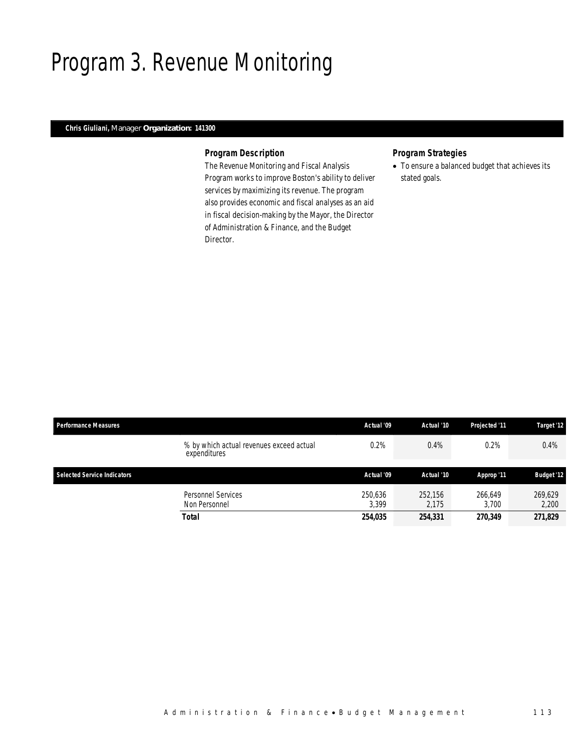### Program 3. Revenue Monitoring

### *Chris Giuliani, Manager Organization: 141300*

### *Program Description*

The Revenue Monitoring and Fiscal Analysis Program works to improve Boston's ability to deliver services by maximizing its revenue. The program also provides economic and fiscal analyses as an aid in fiscal decision-making by the Mayor, the Director of Administration & Finance, and the Budget Director.

### *Program Strategies*

• To ensure a balanced budget that achieves its stated goals.

| <b>Performance Measures</b>                              | Actual '09 | Actual '10 | Projected '11 | Target '12        |
|----------------------------------------------------------|------------|------------|---------------|-------------------|
| % by which actual revenues exceed actual<br>expenditures | 0.2%       | 0.4%       | 0.2%          | 0.4%              |
|                                                          |            |            |               |                   |
| <b>Selected Service Indicators</b>                       | Actual '09 | Actual '10 | Approp '11    | <b>Budget '12</b> |
| <b>Personnel Services</b>                                | 250,636    | 252,156    | 266.649       | 269.629           |
| Non Personnel                                            | 3.399      | 2.175      | 3.700         | 2,200             |
| Total                                                    | 254,035    | 254,331    | 270,349       | 271,829           |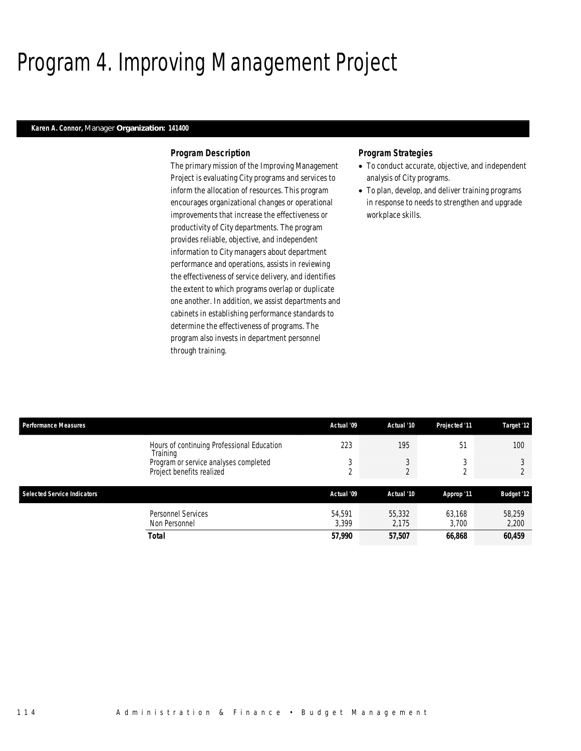# Program 4. Improving Management Project

### *Karen A. Connor, Manager Organization: 141400*

#### *Program Description*

The primary mission of the Improving Management Project is evaluating City programs and services to inform the allocation of resources. This program encourages organizational changes or operational improvements that increase the effectiveness or productivity of City departments. The program provides reliable, objective, and independent information to City managers about department performance and operations, assists in reviewing the effectiveness of service delivery, and identifies the extent to which programs overlap or duplicate one another. In addition, we assist departments and cabinets in establishing performance standards to determine the effectiveness of programs. The program also invests in department personnel through training.

- To conduct accurate, objective, and independent analysis of City programs.
- To plan, develop, and deliver training programs in response to needs to strengthen and upgrade workplace skills.

| <b>Performance Measures</b>        |                                                                    | Actual '09              | Actual '10      | Projected '11   | Target '12        |
|------------------------------------|--------------------------------------------------------------------|-------------------------|-----------------|-----------------|-------------------|
|                                    | Hours of continuing Professional Education<br>Training             | 223                     | 195             | 51              | 100               |
|                                    | Program or service analyses completed<br>Project benefits realized | 3<br>$\mathcal{D}$<br>∠ | 3<br>$\Omega$   | C.<br>$\Omega$  |                   |
|                                    |                                                                    |                         |                 |                 |                   |
| <b>Selected Service Indicators</b> |                                                                    | Actual '09              | Actual '10      | Approp '11      | <b>Budget '12</b> |
|                                    | Personnel Services<br>Non Personnel                                | 54.591<br>3.399         | 55,332<br>2.175 | 63.168<br>3.700 | 58,259<br>2,200   |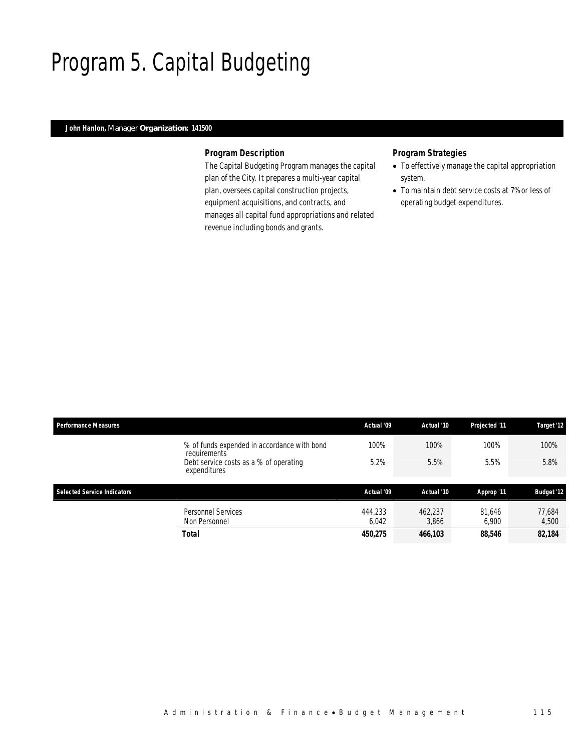# Program 5. Capital Budgeting

### *John Hanlon, Manager Organization: 141500*

### *Program Description*

The Capital Budgeting Program manages the capital plan of the City. It prepares a multi-year capital plan, oversees capital construction projects, equipment acquisitions, and contracts, and manages all capital fund appropriations and related revenue including bonds and grants.

- To effectively manage the capital appropriation system.
- To maintain debt service costs at 7% or less of operating budget expenditures.

| <b>Performance Measures</b> |                                                             | Actual '09       | Actual '10       | Projected '11   | Target '12        |
|-----------------------------|-------------------------------------------------------------|------------------|------------------|-----------------|-------------------|
|                             | % of funds expended in accordance with bond<br>requirements | 100%             | 100%             | 100%            | 100%              |
|                             | Debt service costs as a % of operating<br>expenditures      | 5.2%             | 5.5%             | 5.5%            | 5.8%              |
| Selected Service Indicators |                                                             | Actual '09       | Actual '10       | Approp '11      | <b>Budget '12</b> |
|                             |                                                             |                  |                  |                 |                   |
|                             | <b>Personnel Services</b><br>Non Personnel                  | 444,233<br>6.042 | 462,237<br>3.866 | 81,646<br>6.900 | 77.684<br>4,500   |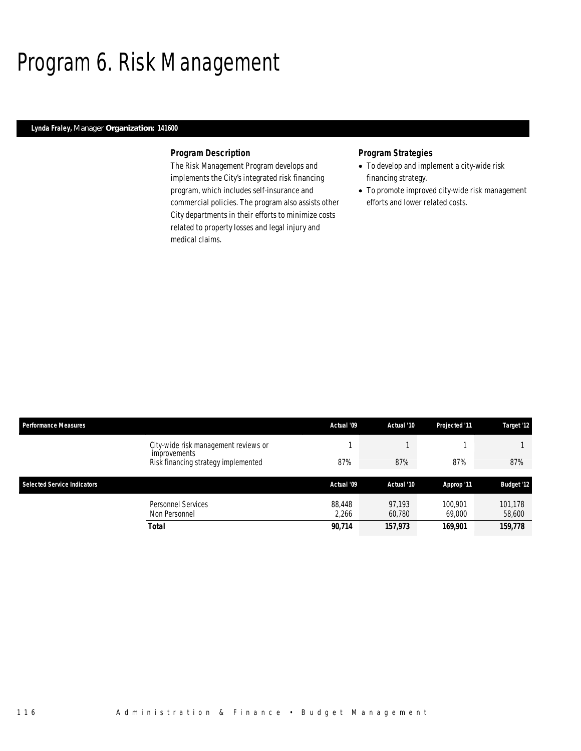# Program 6. Risk Management

### *Lynda Fraley, Manager Organization: 141600*

### *Program Description*

The Risk Management Program develops and implements the City's integrated risk financing program, which includes self-insurance and commercial policies. The program also assists other City departments in their efforts to minimize costs related to property losses and legal injury and medical claims.

- To develop and implement a city-wide risk financing strategy.
- To promote improved city-wide risk management efforts and lower related costs.

| <b>Performance Measures</b>        |                                                      | Actual '09      | Actual '10       | Projected '11     | Target '12        |
|------------------------------------|------------------------------------------------------|-----------------|------------------|-------------------|-------------------|
|                                    | City-wide risk management reviews or<br>improvements |                 |                  |                   |                   |
|                                    | Risk financing strategy implemented                  | 87%             | 87%              | 87%               | 87%               |
| <b>Selected Service Indicators</b> |                                                      | Actual '09      | Actual '10       | Approp '11        | <b>Budget '12</b> |
|                                    | Personnel Services<br>Non Personnel                  | 88.448<br>2,266 | 97.193<br>60.780 | 100.901<br>69,000 | 101.178<br>58,600 |
|                                    | Total                                                | 90,714          | 157,973          | 169,901           | 159,778           |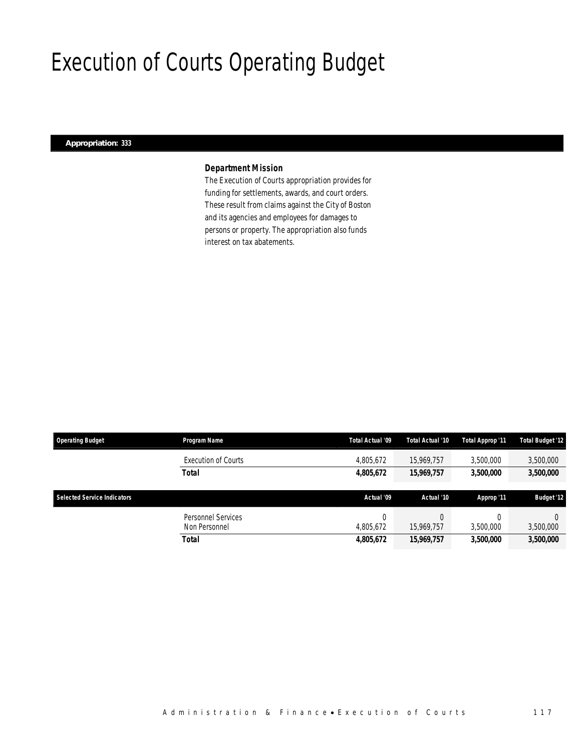# Execution of Courts Operating Budget

### *Appropriation: 333*

### *Department Mission*

The Execution of Courts appropriation provides for funding for settlements, awards, and court orders. These result from claims against the City of Boston and its agencies and employees for damages to persons or property. The appropriation also funds interest on tax abatements.

| <b>Operating Budget</b>            | Program Name                        | Total Actual '09      | Total Actual '10 | Total Approp '11 | <b>Total Budget '12</b> |
|------------------------------------|-------------------------------------|-----------------------|------------------|------------------|-------------------------|
|                                    | <b>Execution of Courts</b>          | 4,805,672             | 15,969,757       | 3,500,000        | 3,500,000               |
|                                    | <b>Total</b>                        | 4,805,672             | 15,969,757       | 3,500,000        | 3,500,000               |
|                                    |                                     |                       |                  |                  |                         |
| <b>Selected Service Indicators</b> |                                     | Actual '09            | Actual '10       | Approp '11       | <b>Budget '12</b>       |
|                                    | Personnel Services<br>Non Personnel | $\Omega$<br>4.805.672 | 15,969,757       | 3.500.000        | 3,500,000               |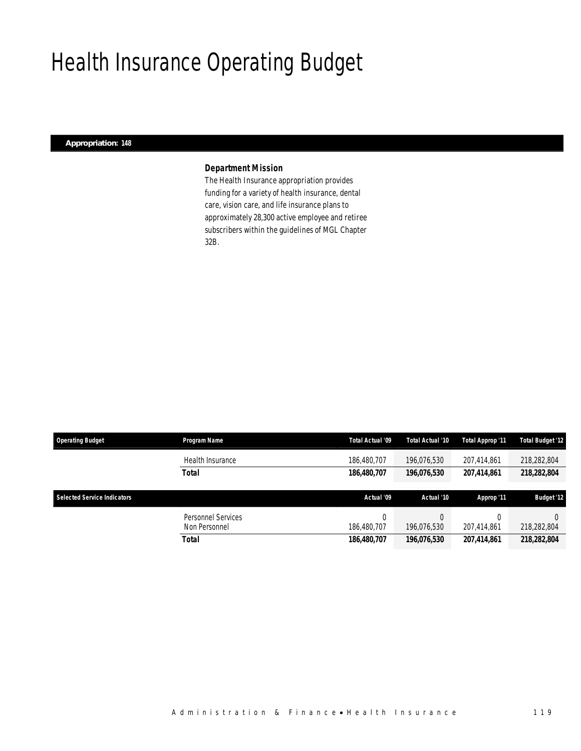# Health Insurance Operating Budget

### *Appropriation: 148*

### *Department Mission*

The Health Insurance appropriation provides funding for a variety of health insurance, dental care, vision care, and life insurance plans to approximately 28,300 active employee and retiree subscribers within the guidelines of MGL Chapter 32B.

| <b>Operating Budget</b>     | Program Name                               | Total Actual '09 | Total Actual '10 | Total Approp '11 | <b>Total Budget '12</b> |
|-----------------------------|--------------------------------------------|------------------|------------------|------------------|-------------------------|
|                             | Health Insurance                           | 186,480,707      | 196,076,530      | 207.414.861      | 218,282,804             |
|                             | Total                                      | 186,480,707      | 196,076,530      | 207,414,861      | 218,282,804             |
|                             |                                            |                  |                  |                  |                         |
| Selected Service Indicators |                                            | Actual '09       | Actual '10       | Approp '11       | <b>Budget '12</b>       |
|                             | <b>Personnel Services</b><br>Non Personnel | 0<br>186,480,707 | 196,076,530      | 207.414.861      | 218,282,804             |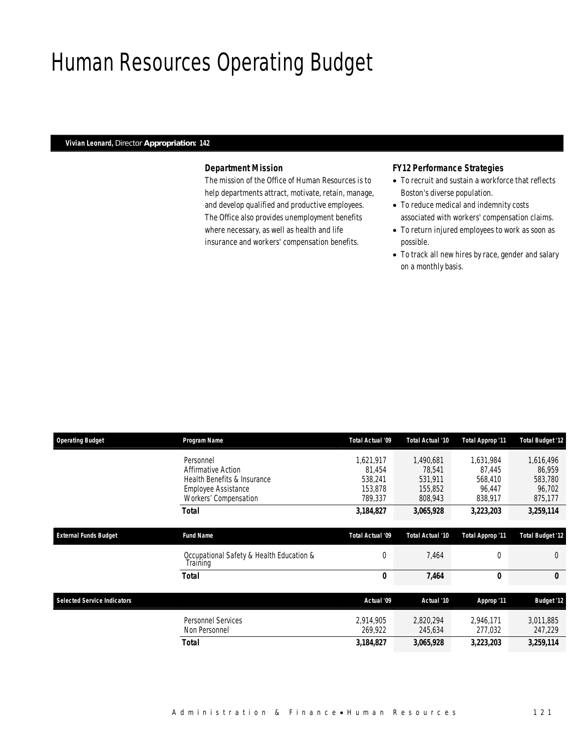### Human Resources Operating Budget

#### *Vivian Leonard, Director Appropriation: 142*

### *Department Mission*

The mission of the Office of Human Resources is to help departments attract, motivate, retain, manage, and develop qualified and productive employees. The Office also provides unemployment benefits where necessary, as well as health and life insurance and workers' compensation benefits.

### *FY12 Performance Strategies*

- To recruit and sustain a workforce that reflects Boston's diverse population.
- To reduce medical and indemnity costs associated with workers' compensation claims.
- To return injured employees to work as soon as possible.
- To track all new hires by race, gender and salary on a monthly basis.

| <b>Operating Budget</b>            | Program Name                                         | Total Actual '09 | Total Actual '10 | Total Approp '11 | <b>Total Budget '12</b> |
|------------------------------------|------------------------------------------------------|------------------|------------------|------------------|-------------------------|
|                                    | Personnel                                            | 1,621,917        | 1.490.681        | 1,631,984        | 1,616,496               |
|                                    | Affirmative Action                                   | 81,454           | 78,541           | 87.445           | 86.959                  |
|                                    | Health Benefits & Insurance                          | 538,241          | 531,911          | 568,410          | 583,780                 |
|                                    | <b>Employee Assistance</b>                           | 153,878          | 155,852          | 96.447           | 96,702                  |
|                                    | Workers' Compensation                                | 789,337          | 808,943          | 838,917          | 875,177                 |
|                                    | Total                                                | 3,184,827        | 3,065,928        | 3,223,203        | 3,259,114               |
| <b>External Funds Budget</b>       | <b>Fund Name</b>                                     | Total Actual '09 | Total Actual '10 | Total Approp '11 | <b>Total Budget '12</b> |
|                                    | Occupational Safety & Health Education &<br>Training | $\overline{0}$   | 7,464            | 0                | $\Omega$                |
|                                    | Total                                                | 0                | 7,464            | 0                | 0                       |
|                                    |                                                      |                  |                  |                  |                         |
| <b>Selected Service Indicators</b> |                                                      | Actual '09       | Actual '10       | Approp '11       | <b>Budget '12</b>       |
|                                    | <b>Personnel Services</b>                            | 2,914,905        | 2,820,294        | 2,946,171        | 3,011,885               |
|                                    | Non Personnel                                        | 269,922          | 245,634          | 277,032          | 247,229                 |
|                                    | <b>Total</b>                                         | 3,184,827        | 3,065,928        | 3,223,203        | 3,259,114               |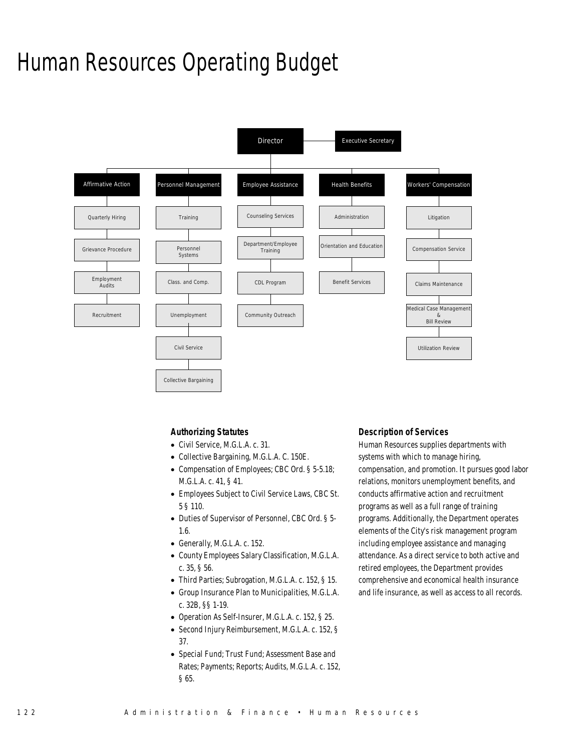### Human Resources Operating Budget



### *Authorizing Statutes*

- Civil Service, M.G.L.A. c. 31.
- Collective Bargaining, M.G.L.A. C. 150E.
- Compensation of Employees; CBC Ord. § 5-5.18; M.G.L.A. c. 41, § 41.
- Employees Subject to Civil Service Laws, CBC St. 5 § 110.
- Duties of Supervisor of Personnel, CBC Ord. § 5- 1.6.
- Generally, M.G.L.A. c. 152.
- County Employees Salary Classification, M.G.L.A. c. 35, § 56.
- Third Parties; Subrogation, M.G.L.A. c. 152, § 15.
- Group Insurance Plan to Municipalities, M.G.L.A. c. 32B, §§ 1-19.
- Operation As Self-Insurer, M.G.L.A. c. 152, § 25.
- Second Injury Reimbursement, M.G.L.A. c. 152, § 37.
- Special Fund; Trust Fund; Assessment Base and Rates; Payments; Reports; Audits, M.G.L.A. c. 152, § 65.

### *Description of Services*

Human Resources supplies departments with systems with which to manage hiring, compensation, and promotion. It pursues good labor relations, monitors unemployment benefits, and conducts affirmative action and recruitment programs as well as a full range of training programs. Additionally, the Department operates elements of the City's risk management program including employee assistance and managing attendance. As a direct service to both active and retired employees, the Department provides comprehensive and economical health insurance and life insurance, as well as access to all records.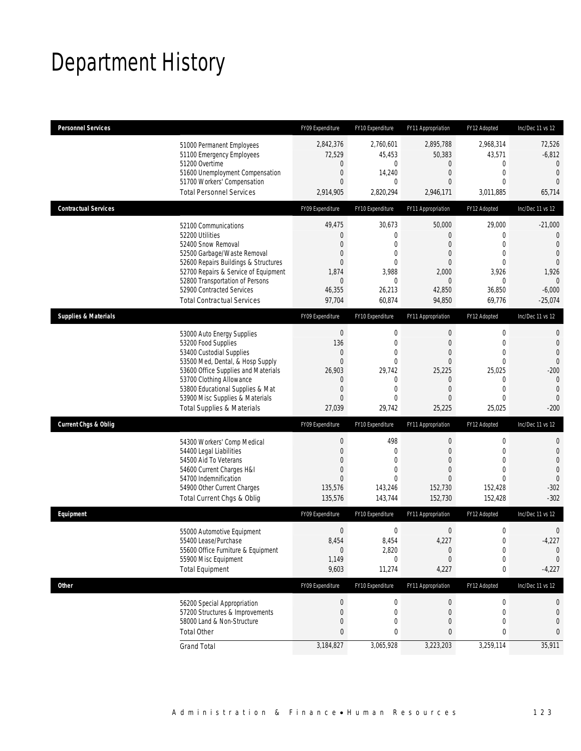# Department History

| <b>Personnel Services</b>       |                                                                                                                                                                                                                                                                                                      | FY09 Expenditure                                                                                                    | FY10 Expenditure                                                                                       | FY11 Appropriation                                                                                                        | FY12 Adopted                                                                                                       | Inc/Dec 11 vs 12                                                                                                    |
|---------------------------------|------------------------------------------------------------------------------------------------------------------------------------------------------------------------------------------------------------------------------------------------------------------------------------------------------|---------------------------------------------------------------------------------------------------------------------|--------------------------------------------------------------------------------------------------------|---------------------------------------------------------------------------------------------------------------------------|--------------------------------------------------------------------------------------------------------------------|---------------------------------------------------------------------------------------------------------------------|
|                                 | 51000 Permanent Employees<br>51100 Emergency Employees<br>51200 Overtime<br>51600 Unemployment Compensation<br>51700 Workers' Compensation<br><b>Total Personnel Services</b>                                                                                                                        | 2,842,376<br>72,529<br>$\boldsymbol{0}$<br>$\boldsymbol{0}$<br>$\mathbf{0}$<br>2,914,905                            | 2,760,601<br>45,453<br>0<br>14,240<br>$\mathbf{0}$<br>2,820,294                                        | 2,895,788<br>50,383<br>$\mathbf 0$<br>$\mathbf{0}$<br>$\theta$<br>2,946,171                                               | 2,968,314<br>43,571<br>0<br>$\mathbf 0$<br>$\mathbf{0}$<br>3,011,885                                               | 72,526<br>$-6,812$<br>$\theta$<br>$\mathbf 0$<br>$\Omega$<br>65,714                                                 |
|                                 |                                                                                                                                                                                                                                                                                                      |                                                                                                                     |                                                                                                        |                                                                                                                           |                                                                                                                    |                                                                                                                     |
| <b>Contractual Services</b>     |                                                                                                                                                                                                                                                                                                      | FY09 Expenditure                                                                                                    | FY10 Expenditure                                                                                       | FY11 Appropriation                                                                                                        | FY12 Adopted                                                                                                       | Inc/Dec 11 vs 12                                                                                                    |
|                                 | 52100 Communications<br>52200 Utilities<br>52400 Snow Removal<br>52500 Garbage/Waste Removal<br>52600 Repairs Buildings & Structures<br>52700 Repairs & Service of Equipment<br>52800 Transportation of Persons<br>52900 Contracted Services<br><b>Total Contractual Services</b>                    | 49,475<br>$\boldsymbol{0}$<br>$\mathbf{0}$<br>0<br>$\mathbf{0}$<br>1,874<br>$\mathbf 0$<br>46,355<br>97,704         | 30,673<br>$\boldsymbol{0}$<br>$\mathbf{0}$<br>0<br>$\mathbf{0}$<br>3,988<br>0<br>26,213<br>60,874      | 50,000<br>$\theta$<br>$\theta$<br>$\theta$<br>$\theta$<br>2,000<br>$\overline{0}$<br>42,850<br>94,850                     | 29,000<br>0<br>$\mathbf 0$<br>$\mathbf 0$<br>$\mathbf{0}$<br>3,926<br>$\mathbf{0}$<br>36,850<br>69,776             | $-21,000$<br>0<br>$\theta$<br>$\theta$<br>$\overline{0}$<br>1,926<br>$\mathbf{0}$<br>$-6,000$<br>$-25,074$          |
| <b>Supplies &amp; Materials</b> |                                                                                                                                                                                                                                                                                                      | FY09 Expenditure                                                                                                    | FY10 Expenditure                                                                                       | FY11 Appropriation                                                                                                        | FY12 Adopted                                                                                                       | Inc/Dec 11 vs 12                                                                                                    |
|                                 | 53000 Auto Energy Supplies<br>53200 Food Supplies<br>53400 Custodial Supplies<br>53500 Med, Dental, & Hosp Supply<br>53600 Office Supplies and Materials<br>53700 Clothing Allowance<br>53800 Educational Supplies & Mat<br>53900 Misc Supplies & Materials<br><b>Total Supplies &amp; Materials</b> | $\boldsymbol{0}$<br>136<br>$\mathbf 0$<br>$\mathbf{0}$<br>26,903<br>0<br>$\boldsymbol{0}$<br>$\mathbf{0}$<br>27,039 | $\mathbf 0$<br>$\mathbf 0$<br>$\mathbf 0$<br>$\mathbf{0}$<br>29,742<br>0<br>$\mathbf 0$<br>0<br>29,742 | $\boldsymbol{0}$<br>$\mathbf{0}$<br>$\mathbf{0}$<br>$\mathbf{0}$<br>25,225<br>$\mathbf{0}$<br>$\mathbf{0}$<br>0<br>25,225 | $\boldsymbol{0}$<br>$\mathbf 0$<br>$\mathbf{0}$<br>$\theta$<br>25,025<br>0<br>$\mathbf 0$<br>$\mathbf 0$<br>25,025 | 0<br>$\mathbf 0$<br>$\overline{0}$<br>$\overline{0}$<br>$-200$<br>$\mathbf{0}$<br>$\mathbf 0$<br>$\theta$<br>$-200$ |
| <b>Current Chgs &amp; Oblig</b> |                                                                                                                                                                                                                                                                                                      | FY09 Expenditure                                                                                                    | FY10 Expenditure                                                                                       | FY11 Appropriation                                                                                                        | FY12 Adopted                                                                                                       | Inc/Dec 11 vs 12                                                                                                    |
|                                 | 54300 Workers' Comp Medical<br>54400 Legal Liabilities<br>54500 Aid To Veterans<br>54600 Current Charges H&I<br>54700 Indemnification<br>54900 Other Current Charges<br>Total Current Chgs & Oblig                                                                                                   | $\boldsymbol{0}$<br>$\boldsymbol{0}$<br>$\boldsymbol{0}$<br>0<br>$\mathbf{0}$<br>135,576<br>135,576                 | 498<br>$\mathbf 0$<br>0<br>0<br>$\Omega$<br>143,246<br>143,744                                         | $\boldsymbol{0}$<br>$\theta$<br>$\overline{0}$<br>$\theta$<br>$\Omega$<br>152,730<br>152,730                              | $\boldsymbol{0}$<br>$\mathbf 0$<br>$\mathbf{0}$<br>$\overline{0}$<br>$\Omega$<br>152,428<br>152,428                | 0<br>$\mathbf 0$<br>$\overline{0}$<br>$\mathbf{0}$<br>$\theta$<br>$-302$<br>$-302$                                  |
| Equipment                       |                                                                                                                                                                                                                                                                                                      | FY09 Expenditure                                                                                                    | FY10 Expenditure                                                                                       | FY11 Appropriation                                                                                                        | FY12 Adopted                                                                                                       | Inc/Dec 11 vs 12                                                                                                    |
|                                 | 55000 Automotive Equipment<br>55400 Lease/Purchase<br>55600 Office Furniture & Equipment<br>55900 Misc Equipment<br><b>Total Equipment</b>                                                                                                                                                           | $\boldsymbol{0}$<br>8,454<br>$\bf{0}$<br>1,149<br>9,603                                                             | $\boldsymbol{0}$<br>8,454<br>2,820<br>0<br>11,274                                                      | $\boldsymbol{0}$<br>4,227<br>$\theta$<br>$\theta$<br>4,227                                                                | $\boldsymbol{0}$<br>0<br>$\pmb{0}$<br>0<br>$\pmb{0}$                                                               | 0<br>$-4,227$<br>$\mathbf 0$<br>$\mathbf 0$<br>$-4,227$                                                             |
| <b>Other</b>                    |                                                                                                                                                                                                                                                                                                      | FY09 Expenditure                                                                                                    | FY10 Expenditure                                                                                       | FY11 Appropriation                                                                                                        | FY12 Adopted                                                                                                       | Inc/Dec 11 vs 12                                                                                                    |
|                                 | 56200 Special Appropriation<br>57200 Structures & Improvements<br>58000 Land & Non-Structure<br><b>Total Other</b>                                                                                                                                                                                   | $\boldsymbol{0}$<br>$\boldsymbol{0}$<br>$\mathbf 0$<br>$\pmb{0}$                                                    | 0<br>0<br>0<br>0                                                                                       | $\theta$<br>$\mathbf 0$<br>$\mathbf 0$<br>0                                                                               | 0<br>0<br>$\mathbf{0}$<br>0                                                                                        | 0<br>0<br>0<br>0                                                                                                    |
|                                 | <b>Grand Total</b>                                                                                                                                                                                                                                                                                   | 3,184,827                                                                                                           | 3,065,928                                                                                              | 3,223,203                                                                                                                 | 3,259,114                                                                                                          | 35,911                                                                                                              |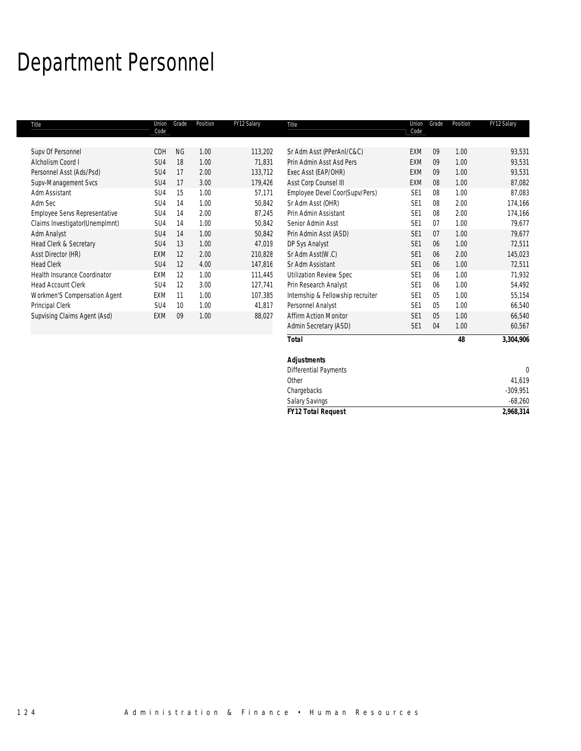# Department Personnel

| Title                                | Union<br>Code   | Grade     | Position | FY12 Salary | Title                             | Union<br>Code   | Grade | Position | FY12 Salary |
|--------------------------------------|-----------------|-----------|----------|-------------|-----------------------------------|-----------------|-------|----------|-------------|
|                                      |                 |           |          |             |                                   |                 |       |          |             |
| Supv Of Personnel                    | CDH             | <b>NG</b> | 1.00     | 113,202     | Sr Adm Asst (PPerAnI/C&C)         | EXM             | 09    | 1.00     | 93,531      |
| Alcholism Coord I                    | SU <sub>4</sub> | 18        | 1.00     | 71,831      | Prin Admin Asst Asd Pers          | <b>EXM</b>      | 09    | 1.00     | 93,531      |
| Personnel Asst (Ads/Psd)             | SU4             | 17        | 2.00     | 133,712     | Exec Asst (EAP/OHR)               | EXM             | 09    | 1.00     | 93,531      |
| Supv-Management Svcs                 | SU4             | 17        | 3.00     | 179,426     | Asst Corp Counsel III             | EXM             | 08    | 1.00     | 87,082      |
| Adm Assistant                        | SU <sub>4</sub> | 15        | 1.00     | 57,171      | Employee Devel Coor(Supv/Pers)    | SE <sub>1</sub> | 08    | 1.00     | 87,083      |
| Adm Sec                              | SU <sub>4</sub> | 14        | 1.00     | 50,842      | Sr Adm Asst (OHR)                 | SE <sub>1</sub> | 08    | 2.00     | 174,166     |
| <b>Employee Servs Representative</b> | SU4             | 14        | 2.00     | 87,245      | Prin Admin Assistant              | SE <sub>1</sub> | 08    | 2.00     | 174,166     |
| Claims Investigator (Unemplmnt)      | SU <sub>4</sub> | 14        | 1.00     | 50,842      | Senior Admin Asst                 | SE <sub>1</sub> | 07    | 1.00     | 79,677      |
| Adm Analyst                          | SU4             | 14        | 1.00     | 50,842      | Prin Admin Asst (ASD)             | SE <sub>1</sub> | 07    | 1.00     | 79,677      |
| Head Clerk & Secretary               | SU4             | 13        | 1.00     | 47,019      | DP Sys Analyst                    | SE <sub>1</sub> | 06    | 1.00     | 72,511      |
| Asst Director (HR)                   | <b>EXM</b>      | 12        | 2.00     | 210,828     | Sr Adm Asst(W.C)                  | SE <sub>1</sub> | 06    | 2.00     | 145,023     |
| <b>Head Clerk</b>                    | SU <sub>4</sub> | 12        | 4.00     | 147,816     | Sr Adm Assistant                  | SE <sub>1</sub> | 06    | 1.00     | 72,511      |
| <b>Health Insurance Coordinator</b>  | EXM             | 12        | 1.00     | 111,445     | <b>Utilization Review Spec</b>    | SE <sub>1</sub> | 06    | 1.00     | 71,932      |
| <b>Head Account Clerk</b>            | SU <sub>4</sub> | 12        | 3.00     | 127,741     | Prin Research Analyst             | SE <sub>1</sub> | 06    | 1.00     | 54,492      |
| Workmen'S Compensation Agent         | EXM             | 11        | 1.00     | 107,385     | Internship & Fellowship recruiter | SE <sub>1</sub> | 05    | 1.00     | 55,154      |
| Principal Clerk                      | SU4             | 10        | 1.00     | 41,817      | Personnel Analyst                 | SE <sub>1</sub> | 05    | 1.00     | 66,540      |
| Supvising Claims Agent (Asd)         | <b>EXM</b>      | 09        | 1.00     | 88,027      | <b>Affirm Action Monitor</b>      | SE <sub>1</sub> | 05    | 1.00     | 66,540      |
|                                      |                 |           |          |             | Admin Secretary (ASD)             | SE <sub>1</sub> | 04    | 1.00     | 60,567      |
|                                      |                 |           |          |             | <b>Total</b>                      |                 |       | 48       | 3,304,906   |

| <b>Adjustments</b>           |            |
|------------------------------|------------|
| <b>Differential Payments</b> | 0          |
| Other                        | 41,619     |
| Chargebacks                  | $-309,951$ |
| Salary Savings               | $-68,260$  |
| <b>FY12 Total Request</b>    | 2,968,314  |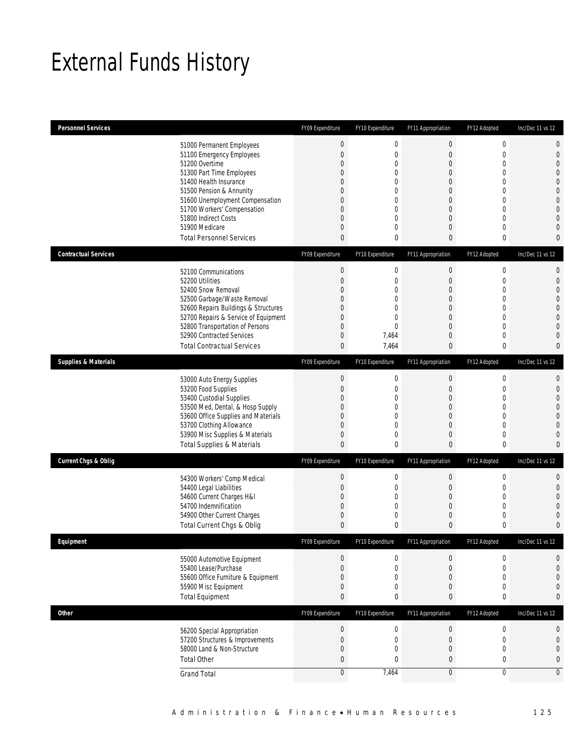# External Funds History

| <b>Personnel Services</b>                                      |                                                                                                                                                                                                                                                                                                            | FY09 Expenditure                                                                                                                      | FY10 Expenditure                                                                                         | FY11 Appropriation                                                                                                           | FY12 Adopted                                                                                                              | Inc/Dec 11 vs 12                                                                                                                                                                               |
|----------------------------------------------------------------|------------------------------------------------------------------------------------------------------------------------------------------------------------------------------------------------------------------------------------------------------------------------------------------------------------|---------------------------------------------------------------------------------------------------------------------------------------|----------------------------------------------------------------------------------------------------------|------------------------------------------------------------------------------------------------------------------------------|---------------------------------------------------------------------------------------------------------------------------|------------------------------------------------------------------------------------------------------------------------------------------------------------------------------------------------|
|                                                                | 51000 Permanent Employees<br>51100 Emergency Employees<br>51200 Overtime<br>51300 Part Time Employees<br>51400 Health Insurance<br>51500 Pension & Annunity<br>51600 Unemployment Compensation<br>51700 Workers' Compensation<br>51800 Indirect Costs<br>51900 Medicare<br><b>Total Personnel Services</b> | $\mathbf 0$<br>$\overline{0}$<br>0<br>0<br>$\Omega$<br>0<br>0<br>0<br>0<br>$\overline{0}$<br>$\mathbf{0}$                             | $\mathbf 0$<br>$\mathbf 0$<br>0<br>0<br>0<br>0<br>0<br>0<br>0<br>0<br>0                                  | $\boldsymbol{0}$<br>$\mathbf{0}$<br>$\mathbf 0$<br>0<br>$\Omega$<br>0<br>0<br>0<br>0<br>$\overline{0}$<br>$\mathbf{0}$       | $\mathbf 0$<br>0<br>$\overline{0}$<br>0<br>$\Omega$<br>0<br>$\Omega$<br>0<br>0<br>0<br>0                                  | $\mathbf 0$<br>$\mathbf{0}$<br>$\overline{0}$<br>$\overline{0}$<br>$\overline{0}$<br>$\mathbf{0}$<br>$\mathbf{0}$<br>$\overline{0}$<br>$\overline{0}$<br>$\Omega$<br>$\mathbf 0$               |
| <b>Contractual Services</b><br><b>Supplies &amp; Materials</b> | 52100 Communications<br>52200 Utilities<br>52400 Snow Removal<br>52500 Garbage/Waste Removal<br>52600 Repairs Buildings & Structures<br>52700 Repairs & Service of Equipment<br>52800 Transportation of Persons<br>52900 Contracted Services<br><b>Total Contractual Services</b>                          | FY09 Expenditure<br>$\boldsymbol{0}$<br>$\overline{0}$<br>$\Omega$<br>0<br>0<br>0<br>0<br>$\mathbf 0$<br>$\bf{0}$<br>FY09 Expenditure | FY10 Expenditure<br>$\boldsymbol{0}$<br>0<br>0<br>0<br>0<br>0<br>0<br>7,464<br>7,464<br>FY10 Expenditure | FY11 Appropriation<br>$\boldsymbol{0}$<br>$\mathbf 0$<br>0<br>0<br>0<br>0<br>0<br>$\theta$<br>$\bf{0}$<br>FY11 Appropriation | FY12 Adopted<br>$\mathbf 0$<br>$\mathbf{0}$<br>$\Omega$<br>0<br>$\Omega$<br>$\overline{0}$<br>0<br>0<br>0<br>FY12 Adopted | Inc/Dec 11 vs 12<br>$\mathbf{0}$<br>$\mathbf{0}$<br>$\overline{0}$<br>$\overline{0}$<br>$\mathbf{0}$<br>$\overline{0}$<br>$\overline{0}$<br>$\overline{0}$<br>$\mathbf{0}$<br>Inc/Dec 11 vs 12 |
|                                                                | 53000 Auto Energy Supplies<br>53200 Food Supplies<br>53400 Custodial Supplies<br>53500 Med, Dental, & Hosp Supply<br>53600 Office Supplies and Materials<br>53700 Clothing Allowance<br>53900 Misc Supplies & Materials<br><b>Total Supplies &amp; Materials</b>                                           | 0<br>$\mathbf 0$<br>$\Omega$<br>0<br>0<br>$\overline{0}$<br>$\mathbf 0$<br>0                                                          | $\boldsymbol{0}$<br>0<br>0<br>0<br>0<br>0<br>0<br>0                                                      | $\boldsymbol{0}$<br>$\mathbf 0$<br>0<br>0<br>0<br>$\theta$<br>$\mathbf 0$<br>$\mathbf{0}$                                    | $\mathbf 0$<br>$\mathbf{0}$<br>0<br>0<br>0<br>$\overline{0}$<br>$\mathbf{0}$<br>0                                         | $\mathbf{0}$<br>$\mathbf{0}$<br>$\overline{0}$<br>$\overline{0}$<br>$\overline{0}$<br>$\overline{0}$<br>$\overline{0}$<br>$\mathbf 0$                                                          |
| <b>Current Chgs &amp; Oblig</b>                                | 54300 Workers' Comp Medical<br>54400 Legal Liabilities<br>54600 Current Charges H&I<br>54700 Indemnification<br>54900 Other Current Charges<br>Total Current Chgs & Oblig                                                                                                                                  | FY09 Expenditure<br>$\mathbf 0$<br>$\mathbf 0$<br>0<br>$\overline{0}$<br>$\mathbf 0$<br>$\mathbf{0}$                                  | FY10 Expenditure<br>0<br>0<br>0<br>0<br>0<br>0                                                           | FY11 Appropriation<br>$\mathbf 0$<br>$\mathbf 0$<br>$\mathbf 0$<br>$\theta$<br>0<br>$\mathbf{0}$                             | FY12 Adopted<br>0<br>0<br>$\mathbf{0}$<br>$\mathbf 0$<br>0<br>0                                                           | Inc/Dec 11 vs 12<br>$\mathbf{0}$<br>$\overline{0}$<br>$\overline{0}$<br>$\Omega$<br>$\Omega$<br>$\mathbf{0}$                                                                                   |
| <b>Fauinment</b>                                               | 55000 Automotive Equipment<br>55400 Lease/Purchase<br>55600 Office Furniture & Equipment<br>55900 Misc Equipment<br><b>Total Equipment</b>                                                                                                                                                                 | FY09 Expenditure<br>$\mathbf 0$<br>$\overline{0}$<br>$\mathbf 0$<br>$\mathbf 0$<br>$\mathbf{0}$                                       | FY10 Expenditure<br>0<br>0<br>0<br>0<br>0                                                                | FY11 Appropriation<br>$\mathbf 0$<br>$\mathbf{0}$<br>$\boldsymbol{0}$<br>$\boldsymbol{0}$<br>$\mathbf{0}$                    | FY12 Adopted<br>$\overline{0}$<br>$\overline{0}$<br>$\mathbf 0$<br>0<br>0                                                 | Inc/Dec 11 vs 12<br>0<br>$\overline{0}$<br>$\overline{0}$<br>$\mathbf 0$<br>$\mathbf{0}$                                                                                                       |
| Other                                                          | 56200 Special Appropriation<br>57200 Structures & Improvements<br>58000 Land & Non-Structure<br><b>Total Other</b><br><b>Grand Total</b>                                                                                                                                                                   | FY09 Expenditure<br>$\boldsymbol{0}$<br>$\mathbf 0$<br>$\mathbf 0$<br>$\mathbf{0}$<br>$\mathbf 0$                                     | FY10 Expenditure<br>$\boldsymbol{0}$<br>$\boldsymbol{0}$<br>0<br>0<br>7,464                              | FY11 Appropriation<br>$\boldsymbol{0}$<br>$\boldsymbol{0}$<br>$\boldsymbol{0}$<br>$\boldsymbol{0}$<br>$\overline{0}$         | FY12 Adopted<br>$\boldsymbol{0}$<br>$\mathbf 0$<br>$\mathbf 0$<br>0<br>$\overline{0}$                                     | Inc/Dec 11 vs 12<br>$\mathbf 0$<br>$\mathbf{0}$<br>$\boldsymbol{0}$<br>$\mathbf 0$<br>$\mathbf 0$                                                                                              |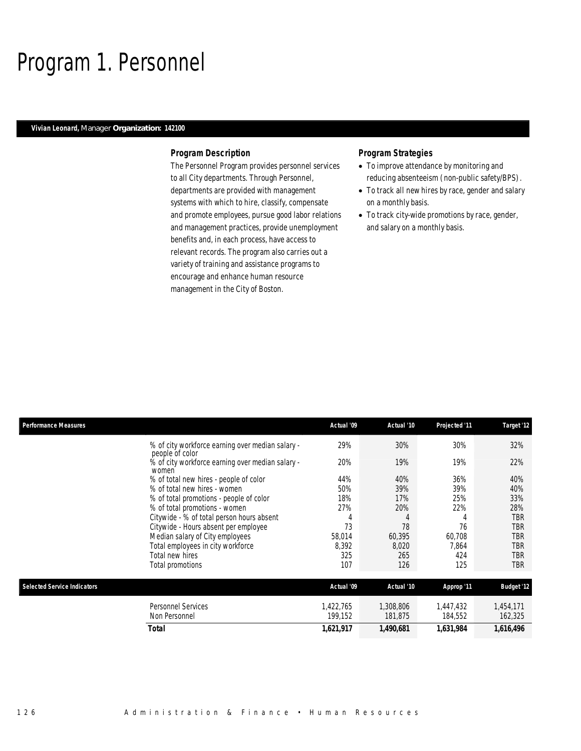### Program 1. Personnel

### *Vivian Leonard, Manager Organization: 142100*

#### *Program Description*

The Personnel Program provides personnel services to all City departments. Through Personnel, departments are provided with management systems with which to hire, classify, compensate and promote employees, pursue good labor relations and management practices, provide unemployment benefits and, in each process, have access to relevant records. The program also carries out a variety of training and assistance programs to encourage and enhance human resource management in the City of Boston.

- To improve attendance by monitoring and reducing absenteeism (non-public safety/BPS).
- To track all new hires by race, gender and salary on a monthly basis.
- To track city-wide promotions by race, gender, and salary on a monthly basis.

| <b>Performance Measures</b>        |                                                                     | Actual '09           | Actual '10           | Projected '11        | Target '12           |
|------------------------------------|---------------------------------------------------------------------|----------------------|----------------------|----------------------|----------------------|
|                                    | % of city workforce earning over median salary -<br>people of color | 29%                  | 30%                  | 30%                  | 32%                  |
|                                    | % of city workforce earning over median salary -<br>women           | 20%                  | 19%                  | 19%                  | 22%                  |
|                                    | % of total new hires - people of color                              | 44%                  | 40%                  | 36%                  | 40%                  |
|                                    | % of total new hires - women                                        | 50%                  | 39%                  | 39%                  | 40%                  |
|                                    | % of total promotions - people of color                             | 18%                  | 17%                  | 25%                  | 33%                  |
|                                    | % of total promotions - women                                       | 27%                  | 20%                  | 22%                  | 28%                  |
|                                    | Citywide - % of total person hours absent                           | 4                    |                      | 4                    | TBR                  |
|                                    | Citywide - Hours absent per employee                                | 73                   | 78                   | 76                   | TBR                  |
|                                    | Median salary of City employees                                     | 58,014               | 60,395               | 60,708               | TBR                  |
|                                    | Total employees in city workforce                                   | 8,392                | 8,020                | 7,864                | TBR                  |
|                                    | Total new hires                                                     | 325                  | 265                  | 424                  | TBR                  |
|                                    | Total promotions                                                    | 107                  | 126                  | 125                  | TBR                  |
| <b>Selected Service Indicators</b> |                                                                     | Actual '09           | Actual '10           | Approp '11           | <b>Budget '12</b>    |
|                                    | <b>Personnel Services</b><br>Non Personnel                          | 1,422,765<br>199,152 | 1,308,806<br>181,875 | 1,447,432<br>184,552 | 1,454,171<br>162,325 |
|                                    | Total                                                               | 1,621,917            | 1,490,681            | 1,631,984            | 1,616,496            |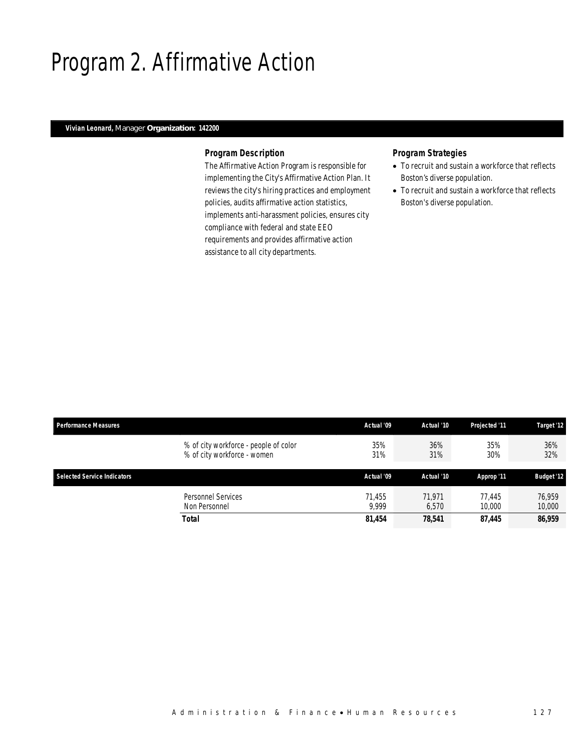# Program 2. Affirmative Action

### *Vivian Leonard, Manager Organization: 142200*

### *Program Description*

The Affirmative Action Program is responsible for implementing the City's Affirmative Action Plan. It reviews the city's hiring practices and employment policies, audits affirmative action statistics, implements anti-harassment policies, ensures city compliance with federal and state EEO requirements and provides affirmative action assistance to all city departments.

- To recruit and sustain a workforce that reflects Boston's diverse population.
- To recruit and sustain a workforce that reflects Boston's diverse population.

| <b>Performance Measures</b>                                          | Actual '09      | Actual '10      | Projected '11    | Target '12        |
|----------------------------------------------------------------------|-----------------|-----------------|------------------|-------------------|
| % of city workforce - people of color<br>% of city workforce - women | 35%<br>31%      | 36%<br>31%      | 35%<br>30%       | 36%<br>32%        |
| Selected Service Indicators                                          | Actual '09      | Actual '10      | Approp '11       | <b>Budget '12</b> |
| Personnel Services<br>Non Personnel                                  | 71.455<br>9.999 | 71.971<br>6.570 | 77.445<br>10,000 | 76.959<br>10,000  |
| Total                                                                | 81,454          | 78,541          | 87,445           | 86,959            |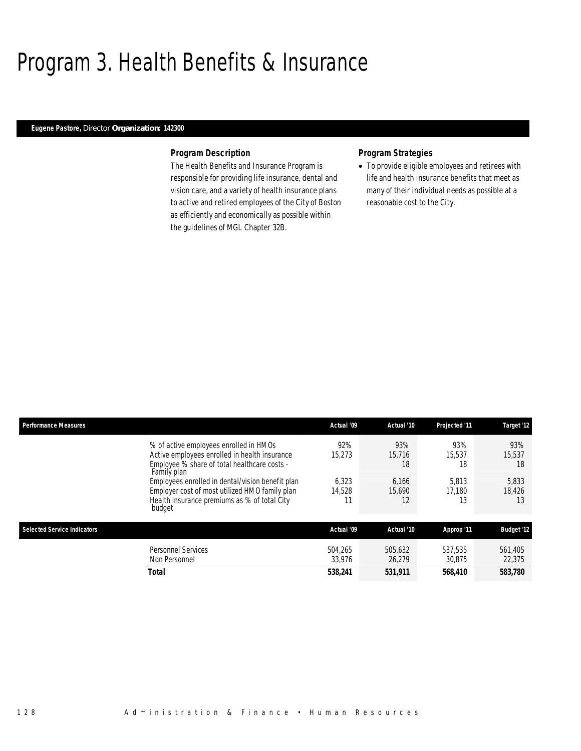### Program 3. Health Benefits & Insurance

### *Eugene Pastore, Director Organization: 142300*

#### *Program Description*

The Health Benefits and Insurance Program is responsible for providing life insurance, dental and vision care, and a variety of health insurance plans to active and retired employees of the City of Boston as efficiently and economically as possible within the guidelines of MGL Chapter 32B.

### *Program Strategies*

• To provide eligible employees and retirees with life and health insurance benefits that meet as many of their individual needs as possible at a reasonable cost to the City.

| <b>Performance Measures</b>        |                                                                                                                                                              | Actual '09        | Actual '10            | Projected '11         | Target '12            |
|------------------------------------|--------------------------------------------------------------------------------------------------------------------------------------------------------------|-------------------|-----------------------|-----------------------|-----------------------|
|                                    | % of active employees enrolled in HMOs<br>Active employees enrolled in health insurance<br>Employee % share of total healthcare costs -<br>Family plan       | 92%<br>15.273     | 93%<br>15.716<br>18   | 93%<br>15.537<br>18   | 93%<br>15.537<br>18   |
|                                    | Employees enrolled in dental/vision benefit plan<br>Employer cost of most utilized HMO family plan<br>Health insurance premiums as % of total City<br>budget | 6.323<br>14,528   | 6.166<br>15.690<br>12 | 5.813<br>17.180<br>13 | 5.833<br>18.426<br>13 |
| <b>Selected Service Indicators</b> |                                                                                                                                                              | Actual '09        | Actual '10            | Approp '11            | <b>Budget '12</b>     |
|                                    | <b>Personnel Services</b><br>Non Personnel                                                                                                                   | 504.265<br>33,976 | 505.632<br>26.279     | 537.535<br>30.875     | 561.405<br>22,375     |
|                                    | Total                                                                                                                                                        | 538,241           | 531,911               | 568.410               | 583,780               |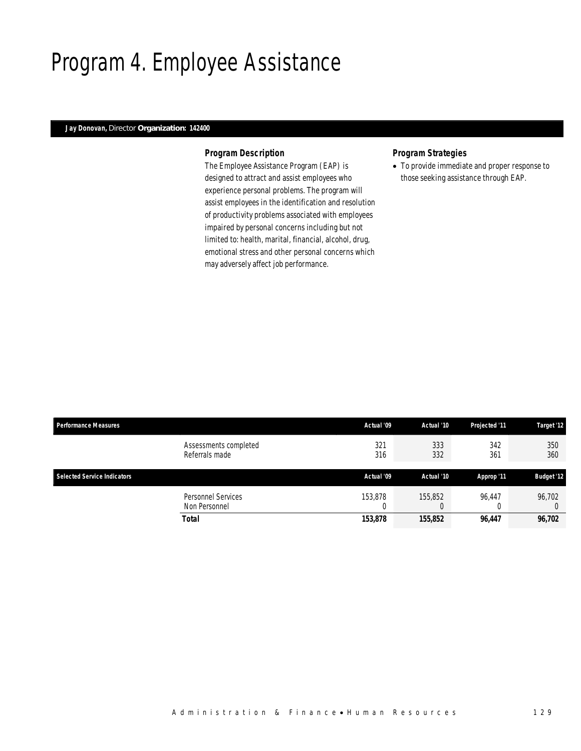# Program 4. Employee Assistance

### *Jay Donovan, Director Organization: 142400*

#### *Program Description*

The Employee Assistance Program (EAP) is designed to attract and assist employees who experience personal problems. The program will assist employees in the identification and resolution of productivity problems associated with employees impaired by personal concerns including but not limited to: health, marital, financial, alcohol, drug, emotional stress and other personal concerns which may adversely affect job performance.

### *Program Strategies*

• To provide immediate and proper response to those seeking assistance through EAP.

| <b>Performance Measures</b>             | Actual '09   | Actual '10 | Projected '11 | Target '12        |
|-----------------------------------------|--------------|------------|---------------|-------------------|
| Assessments completed<br>Referrals made | 321<br>316   | 333<br>332 | 342<br>361    | 350<br>360        |
| <b>Selected Service Indicators</b>      | Actual '09   | Actual '10 | Approp '11    | <b>Budget '12</b> |
| Personnel Services<br>Non Personnel     | 153,878<br>U | 155,852    | 96.447        | 96,702            |
| Total                                   | 153,878      | 155,852    | 96,447        | 96,702            |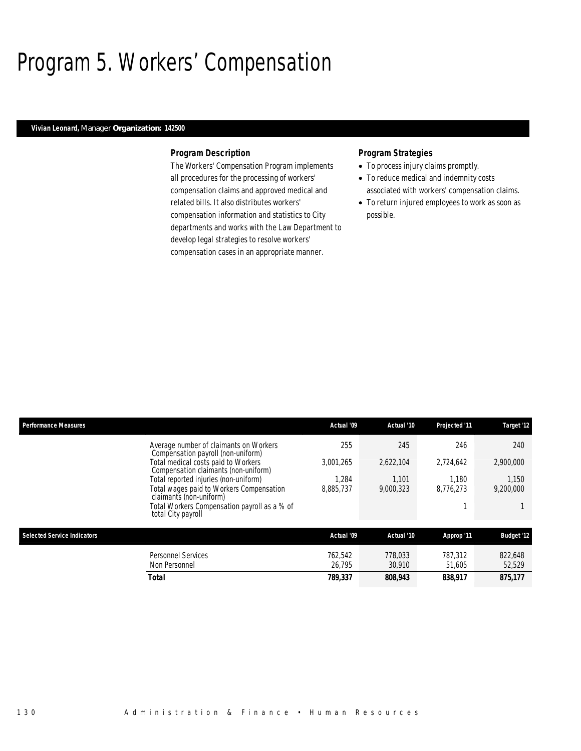# Program 5. Workers' Compensation

### *Vivian Leonard, Manager Organization: 142500*

#### *Program Description*

The Workers' Compensation Program implements all procedures for the processing of workers' compensation claims and approved medical and related bills. It also distributes workers' compensation information and statistics to City departments and works with the Law Department to develop legal strategies to resolve workers' compensation cases in an appropriate manner.

- To process injury claims promptly.
- To reduce medical and indemnity costs associated with workers' compensation claims.
- To return injured employees to work as soon as possible.

| <b>Performance Measures</b>                                                  | Actual '09 | Actual '10 | Projected '11 | Target '12        |
|------------------------------------------------------------------------------|------------|------------|---------------|-------------------|
| Average number of claimants on Workers<br>Compensation payroll (non-uniform) | 255        | 245        | 246           | 240               |
| Total medical costs paid to Workers<br>Compensation claimants (non-uniform)  | 3.001.265  | 2.622.104  | 2.724.642     | 2,900,000         |
| Total reported injuries (non-uniform)                                        | 1.284      | 1.101      | 1.180         | 1,150             |
| Total wages paid to Workers Compensation<br>claimants (non-uniform)          | 8.885.737  | 9.000.323  | 8.776.273     | 9,200,000         |
| Total Workers Compensation payroll as a % of<br>total City payroll           |            |            |               |                   |
| <b>Selected Service Indicators</b>                                           | Actual '09 | Actual '10 | Approp '11    | <b>Budget '12</b> |
| Personnel Services                                                           | 762.542    | 778.033    | 787.312       | 822,648           |
| Non Personnel                                                                | 26.795     | 30.910     | 51.605        | 52,529            |
| Total                                                                        | 789,337    | 808,943    | 838.917       | 875,177           |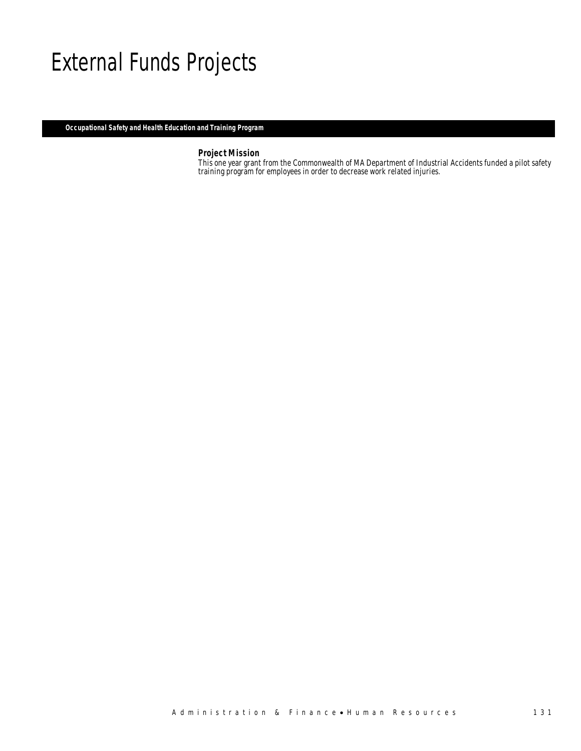### External Funds Projects

*Occupational Safety and Health Education and Training Program* 

*Project Mission*<br>This one year grant from the Commonwealth of MA Department of Industrial Accidents funded a pilot safety training program for employees in order to decrease work related injuries.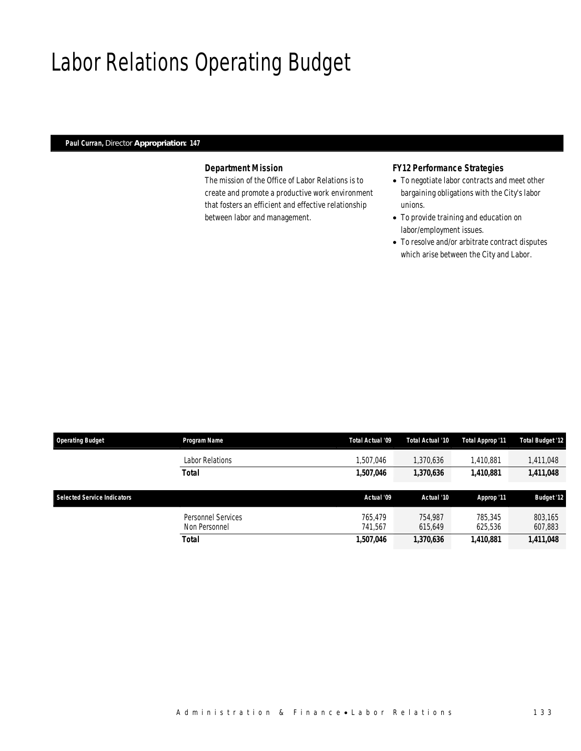# Labor Relations Operating Budget

### *Paul Curran, Director Appropriation: 147*

### *Department Mission*

The mission of the Office of Labor Relations is to create and promote a productive work environment that fosters an efficient and effective relationship between labor and management.

### *FY12 Performance Strategies*

- To negotiate labor contracts and meet other bargaining obligations with the City's labor unions.
- To provide training and education on labor/employment issues.
- To resolve and/or arbitrate contract disputes which arise between the City and Labor.

| <b>Operating Budget</b>            | Program Name       | Total Actual '09 | Total Actual '10       | Total Approp '11 | <b>Total Budget '12</b> |  |
|------------------------------------|--------------------|------------------|------------------------|------------------|-------------------------|--|
|                                    | Labor Relations    | .507.046         | 1,370,636              | 1,410,881        | 1,411,048               |  |
|                                    | <b>Total</b>       | 1,507,046        | 1,370,636<br>1,410,881 |                  | 1,411,048               |  |
|                                    |                    |                  |                        |                  |                         |  |
| <b>Selected Service Indicators</b> |                    | Actual '09       | Actual '10             | Approp '11       | <b>Budget '12</b>       |  |
|                                    |                    |                  |                        |                  |                         |  |
|                                    | Personnel Services | 765.479          | 754.987                | 785,345          | 803,165                 |  |
|                                    | Non Personnel      | 741.567          | 615.649                | 625,536          | 607,883                 |  |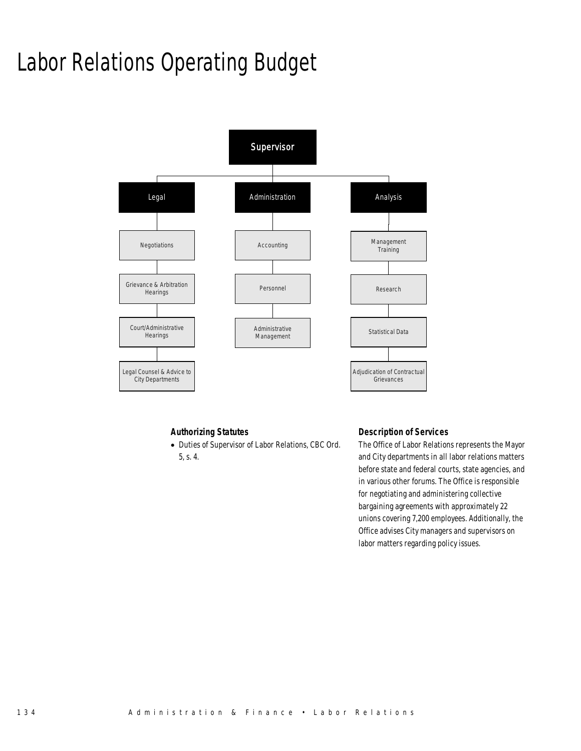# Labor Relations Operating Budget



### *Authorizing Statutes*

• Duties of Supervisor of Labor Relations, CBC Ord. 5, s. 4.

### *Description of Services*

The Office of Labor Relations represents the Mayor and City departments in all labor relations matters before state and federal courts, state agencies, and in various other forums. The Office is responsible for negotiating and administering collective bargaining agreements with approximately 22 unions covering 7,200 employees. Additionally, the Office advises City managers and supervisors on labor matters regarding policy issues.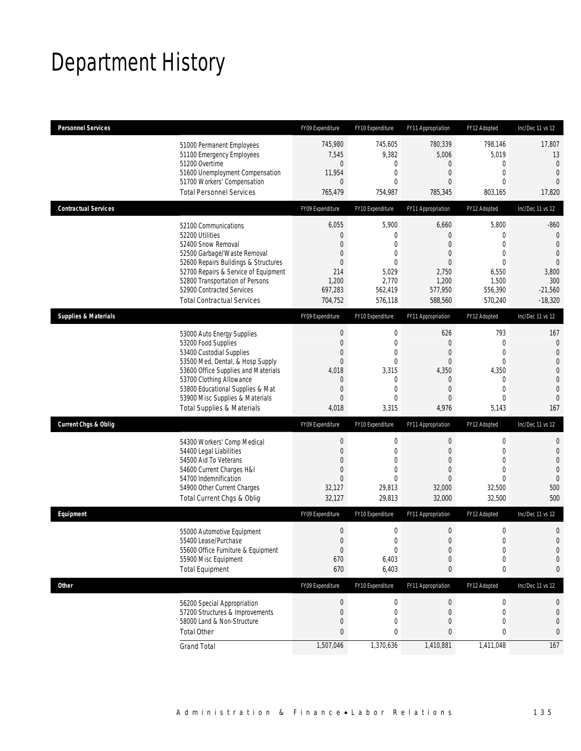# Department History

| <b>Personnel Services</b>       |                                                                              | FY09 Expenditure                | FY10 Expenditure            | FY11 Appropriation          | FY12 Adopted                | Inc/Dec 11 vs 12           |
|---------------------------------|------------------------------------------------------------------------------|---------------------------------|-----------------------------|-----------------------------|-----------------------------|----------------------------|
|                                 | 51000 Permanent Employees                                                    | 745,980                         | 745,605                     | 780,339                     | 798,146                     | 17,807                     |
|                                 | 51100 Emergency Employees                                                    | 7,545                           | 9,382                       | 5,006                       | 5,019                       | 13                         |
|                                 | 51200 Overtime<br>51600 Unemployment Compensation                            | $\mathbf 0$<br>11,954           | 0<br>$\mathbf{0}$           | $\mathbf 0$<br>$\mathbf{0}$ | $\mathbf 0$<br>$\mathbf{0}$ | $\mathbf 0$<br>$\mathbf 0$ |
|                                 | 51700 Workers' Compensation                                                  | $\mathbf{0}$                    | 0                           | $\theta$                    | $\Omega$                    | $\Omega$                   |
|                                 | <b>Total Personnel Services</b>                                              | 765,479                         | 754,987                     | 785,345                     | 803,165                     | 17,820                     |
| <b>Contractual Services</b>     |                                                                              | FY09 Expenditure                | FY10 Expenditure            | FY11 Appropriation          | FY12 Adopted                | Inc/Dec 11 vs 12           |
|                                 | 52100 Communications                                                         | 6,055                           | 5,900                       | 6,660                       | 5,800                       | $-860$                     |
|                                 | 52200 Utilities                                                              | $\mathbf 0$                     | $\mathbf 0$                 | $\theta$                    | 0                           | $\theta$                   |
|                                 | 52400 Snow Removal                                                           | $\mathbf{0}$                    | 0                           | $\theta$                    | $\overline{0}$              | $\theta$                   |
|                                 | 52500 Garbage/Waste Removal                                                  | 0                               | 0                           | 0                           | $\overline{0}$              | $\mathbf{0}$               |
|                                 | 52600 Repairs Buildings & Structures<br>52700 Repairs & Service of Equipment | $\mathbf{0}$<br>214             | $\mathbf{0}$<br>5,029       | $\theta$<br>2,750           | $\theta$<br>6,550           | $\overline{0}$<br>3,800    |
|                                 | 52800 Transportation of Persons                                              | 1,200                           | 2,770                       | 1,200                       | 1,500                       | 300                        |
|                                 | 52900 Contracted Services                                                    | 697,283                         | 562,419                     | 577,950                     | 556,390                     | $-21,560$                  |
|                                 | <b>Total Contractual Services</b>                                            | 704,752                         | 576,118                     | 588,560                     | 570,240                     | $-18,320$                  |
| <b>Supplies &amp; Materials</b> |                                                                              | FY09 Expenditure                | FY10 Expenditure            | FY11 Appropriation          | FY12 Adopted                | Inc/Dec 11 vs 12           |
|                                 | 53000 Auto Energy Supplies                                                   | $\boldsymbol{0}$                | $\mathbf 0$                 | 626                         | 793                         | 167                        |
|                                 | 53200 Food Supplies                                                          | $\boldsymbol{0}$                | $\mathbf 0$                 | $\mathbf{0}$                | $\mathbf 0$                 | $\mathbf 0$                |
|                                 | 53400 Custodial Supplies                                                     | 0                               | $\mathbf{0}$                | $\theta$                    | $\overline{0}$              | $\overline{0}$             |
|                                 | 53500 Med, Dental, & Hosp Supply                                             | $\boldsymbol{0}$                | $\mathbf 0$                 | $\mathbf{0}$                | $\mathbf{0}$                | 0                          |
|                                 | 53600 Office Supplies and Materials                                          | 4,018                           | 3,315                       | 4,350                       | 4,350                       | 0                          |
|                                 | 53700 Clothing Allowance                                                     | $\mathbf 0$<br>$\boldsymbol{0}$ | $\mathbf 0$<br>$\mathbf{0}$ | $\mathbf 0$<br>$\mathbf{0}$ | $\mathbf 0$<br>$\mathbf{0}$ | $\mathbf 0$<br>$\mathbf 0$ |
|                                 | 53800 Educational Supplies & Mat<br>53900 Misc Supplies & Materials          | $\mathbf{0}$                    | 0                           | $\theta$                    | $\mathbf 0$                 | $\theta$                   |
|                                 | <b>Total Supplies &amp; Materials</b>                                        | 4,018                           | 3,315                       | 4,976                       | 5,143                       | 167                        |
| <b>Current Chgs &amp; Oblig</b> |                                                                              | FY09 Expenditure                | FY10 Expenditure            | FY11 Appropriation          | FY12 Adopted                | Inc/Dec 11 vs 12           |
|                                 |                                                                              | $\boldsymbol{0}$                | $\boldsymbol{0}$            | $\boldsymbol{0}$            | $\boldsymbol{0}$            | 0                          |
|                                 | 54300 Workers' Comp Medical<br>54400 Legal Liabilities                       | $\boldsymbol{0}$                | $\mathbf 0$                 | $\mathbf{0}$                | $\mathbf 0$                 | $\mathbf 0$                |
|                                 | 54500 Aid To Veterans                                                        | 0                               | $\mathbf{0}$                | $\mathbf{0}$                | $\overline{0}$              | $\overline{0}$             |
|                                 | 54600 Current Charges H&I                                                    | 0                               | $\overline{0}$              | $\mathbf{0}$                | $\overline{0}$              | $\mathbf{0}$               |
|                                 | 54700 Indemnification                                                        | $\mathbf{0}$                    | 0                           | 0                           | $\Omega$                    | $\mathbf 0$                |
|                                 | 54900 Other Current Charges                                                  | 32,127                          | 29,813                      | 32,000                      | 32,500                      | 500                        |
|                                 | Total Current Chgs & Oblig                                                   | 32,127                          | 29,813                      | 32,000                      | 32,500                      | 500                        |
| Equipment                       |                                                                              | FY09 Expenditure                | FY10 Expenditure            | FY11 Appropriation          | FY12 Adopted                | Inc/Dec 11 vs 12           |
|                                 | 55000 Automotive Equipment                                                   | $\boldsymbol{0}$                | $\boldsymbol{0}$            | $\boldsymbol{0}$            | $\boldsymbol{0}$            | 0                          |
|                                 | 55400 Lease/Purchase                                                         | $\boldsymbol{0}$                | 0                           | $\mathbf{0}$                | $\mathbf 0$                 | $\overline{0}$             |
|                                 | 55600 Office Furniture & Equipment                                           | $\boldsymbol{0}$                | 0                           | $\boldsymbol{0}$            | $\boldsymbol{0}$            | $\mathbf 0$                |
|                                 | 55900 Misc Equipment                                                         | 670                             | 6,403                       | $\mathbf{0}$                | $\mathbf 0$                 | 0                          |
|                                 | <b>Total Equipment</b>                                                       | 670                             | 6,403                       | $\pmb{0}$                   | 0                           | 0                          |
| <b>Other</b>                    |                                                                              | FY09 Expenditure                | FY10 Expenditure            | FY11 Appropriation          | FY12 Adopted                | Inc/Dec 11 vs 12           |
|                                 | 56200 Special Appropriation                                                  | $\boldsymbol{0}$                | 0                           | $\theta$                    | 0                           | 0                          |
|                                 | 57200 Structures & Improvements                                              | $\boldsymbol{0}$                | 0                           | $\mathbf 0$                 | $\mathbf 0$                 | 0                          |
|                                 | 58000 Land & Non-Structure                                                   | $\boldsymbol{0}$                | 0                           | $\mathbf 0$                 | $\mathbf{0}$                | 0                          |
|                                 | <b>Total Other</b>                                                           | $\pmb{0}$                       | 0                           | $\bf{0}$                    | 0                           | 0                          |
|                                 | <b>Grand Total</b>                                                           | 1,507,046                       | 1,370,636                   | 1,410,881                   | 1,411,048                   | 167                        |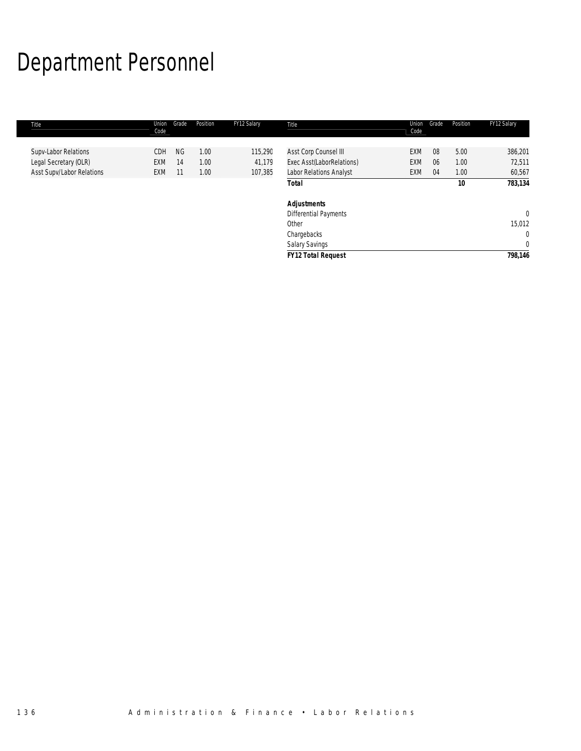# Department Personnel

| Title                     | Union<br>Code | Grade     | Position | FY12 Salary | Title                        | Union<br>Code | Grade | Position | FY12 Salary  |
|---------------------------|---------------|-----------|----------|-------------|------------------------------|---------------|-------|----------|--------------|
|                           |               |           |          |             |                              |               |       |          |              |
| Supv-Labor Relations      | <b>CDH</b>    | <b>NG</b> | 1.00     | 115,290     | Asst Corp Counsel III        | EXM           | 08    | 5.00     | 386,201      |
| Legal Secretary (OLR)     | EXM           | 14        | 1.00     | 41,179      | Exec Asst(LaborRelations)    | EXM           | 06    | 1.00     | 72,511       |
| Asst Supv/Labor Relations | EXM           | $-11$     | 1.00     | 107,385     | Labor Relations Analyst      | <b>EXM</b>    | 04    | 1.00     | 60,567       |
|                           |               |           |          |             | Total                        |               |       | 10       | 783,134      |
|                           |               |           |          |             | <b>Adjustments</b>           |               |       |          |              |
|                           |               |           |          |             | <b>Differential Payments</b> |               |       |          | $\mathbf{0}$ |
|                           |               |           |          |             | Other                        |               |       |          | 15,012       |
|                           |               |           |          |             | Chargebacks                  |               |       |          | $\mathbf 0$  |
|                           |               |           |          |             | <b>Salary Savings</b>        |               |       |          | $\mathbf 0$  |
|                           |               |           |          |             | <b>FY12 Total Request</b>    |               |       |          | 798,146      |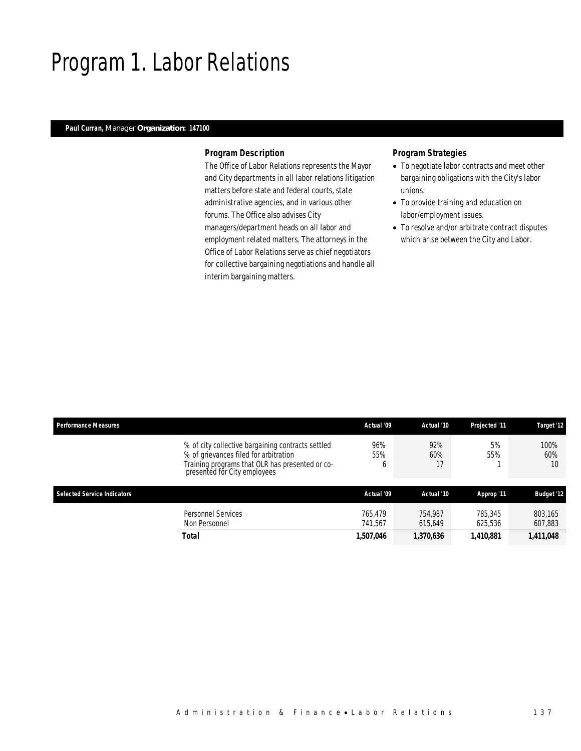### Program 1. Labor Relations

### *Paul Curran, Manager Organization: 147100*

#### *Program Description*

The Office of Labor Relations represents the Mayor and City departments in all labor relations litigation matters before state and federal courts, state administrative agencies, and in various other forums. The Office also advises City managers/department heads on all labor and employment related matters. The attorneys in the Office of Labor Relations serve as chief negotiators for collective bargaining negotiations and handle all interim bargaining matters.

- To negotiate labor contracts and meet other bargaining obligations with the City's labor unions.
- To provide training and education on labor/employment issues.
- To resolve and/or arbitrate contract disputes which arise between the City and Labor.

| <b>Performance Measures</b>                                                                                                                                                   | Actual '09         | Actual '10         | <b>Projected '11</b> | Target '12         |
|-------------------------------------------------------------------------------------------------------------------------------------------------------------------------------|--------------------|--------------------|----------------------|--------------------|
| % of city collective bargaining contracts settled<br>% of grievances filed for arbitration<br>Training programs that OLR has presented or co-<br>presented for City employees | 96%<br>55%<br>b    | 92%<br>60%<br>17   | 5%<br>55%            | 100%<br>60%<br>10  |
| <b>Selected Service Indicators</b>                                                                                                                                            | Actual '09         | Actual '10         | Approp '11           | <b>Budget '12</b>  |
| Personnel Services<br>Non Personnel                                                                                                                                           | 765.479<br>741.567 | 754.987<br>615.649 | 785,345<br>625.536   | 803.165<br>607,883 |
| Total                                                                                                                                                                         | 1,507,046          | 1,370,636          | 1,410,881            | 1,411,048          |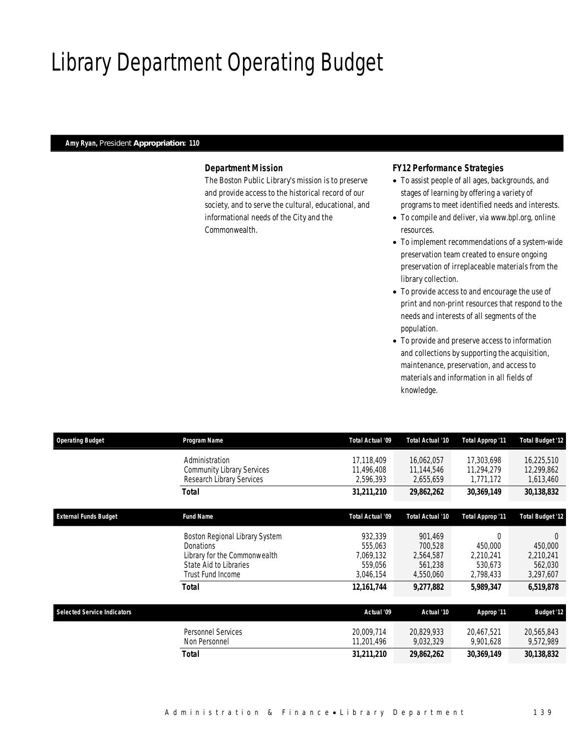# Library Department Operating Budget

### *Amy Ryan, President Appropriation: 110*

### *Department Mission*

The Boston Public Library's mission is to preserve and provide access to the historical record of our society, and to serve the cultural, educational, and informational needs of the City and the Commonwealth.

### *FY12 Performance Strategies*

- To assist people of all ages, backgrounds, and stages of learning by offering a variety of programs to meet identified needs and interests.
- To compile and deliver, via www.bpl.org, online resources.
- To implement recommendations of a system-wide preservation team created to ensure ongoing preservation of irreplaceable materials from the library collection.
- To provide access to and encourage the use of print and non-print resources that respond to the needs and interests of all segments of the population.
- To provide and preserve access to information and collections by supporting the acquisition, maintenance, preservation, and access to materials and information in all fields of knowledge.

| <b>Operating Budget</b>            | Program Name                                                                                                                      | Total Actual '09                                        | Total Actual '10                                        | Total Approp '11                                         | Total Budget '12                                         |
|------------------------------------|-----------------------------------------------------------------------------------------------------------------------------------|---------------------------------------------------------|---------------------------------------------------------|----------------------------------------------------------|----------------------------------------------------------|
|                                    | Administration<br><b>Community Library Services</b><br>Research Library Services                                                  | 17,118,409<br>11.496.408<br>2,596,393                   | 16,062,057<br>11,144,546<br>2,655,659                   | 17,303,698<br>11,294,279<br>1,771,172                    | 16,225,510<br>12,299,862<br>1,613,460                    |
|                                    | Total                                                                                                                             | 31,211,210                                              | 29,862,262                                              | 30,369,149                                               | 30,138,832                                               |
| <b>External Funds Budget</b>       | <b>Fund Name</b>                                                                                                                  | Total Actual '09                                        | Total Actual '10                                        | Total Approp '11                                         | <b>Total Budget '12</b>                                  |
|                                    | Boston Regional Library System<br><b>Donations</b><br>Library for the Commonwealth<br>State Aid to Libraries<br>Trust Fund Income | 932,339<br>555,063<br>7,069,132<br>559.056<br>3,046,154 | 901,469<br>700,528<br>2,564,587<br>561,238<br>4,550,060 | $\Omega$<br>450,000<br>2,210,241<br>530,673<br>2,798,433 | $\Omega$<br>450,000<br>2,210,241<br>562,030<br>3,297,607 |
|                                    | Total                                                                                                                             | 12, 161, 744                                            | 9,277,882                                               | 5,989,347                                                | 6,519,878                                                |
| <b>Selected Service Indicators</b> |                                                                                                                                   | Actual '09                                              | Actual '10                                              | Approp '11                                               | <b>Budget '12</b>                                        |
|                                    | Personnel Services<br>Non Personnel                                                                                               | 20,009,714<br>11,201,496                                | 20,829,933<br>9,032,329                                 | 20,467,521<br>9,901,628                                  | 20,565,843<br>9,572,989                                  |
|                                    | Total                                                                                                                             | 31,211,210                                              | 29,862,262                                              | 30,369,149                                               | 30,138,832                                               |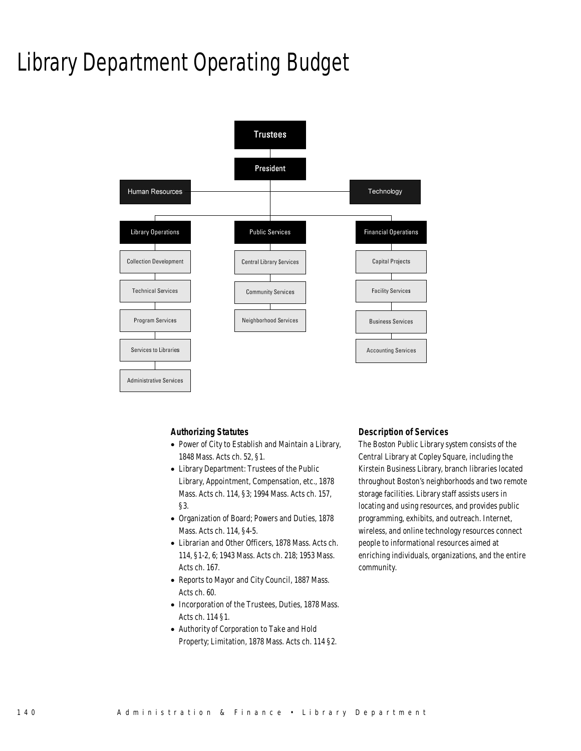# Library Department Operating Budget



### *Authorizing Statutes*

- Power of City to Establish and Maintain a Library, 1848 Mass. Acts ch. 52, §1.
- Library Department: Trustees of the Public Library, Appointment, Compensation, etc., 1878 Mass. Acts ch. 114, §3; 1994 Mass. Acts ch. 157, §3.
- Organization of Board; Powers and Duties, 1878 Mass. Acts ch. 114, §4-5.
- Librarian and Other Officers, 1878 Mass. Acts ch. 114, §1-2, 6; 1943 Mass. Acts ch. 218; 1953 Mass. Acts ch. 167.
- Reports to Mayor and City Council, 1887 Mass. Acts ch. 60.
- Incorporation of the Trustees, Duties, 1878 Mass. Acts ch. 114 §1.
- Authority of Corporation to Take and Hold Property; Limitation, 1878 Mass. Acts ch. 114 §2.

### *Description of Services*

The Boston Public Library system consists of the Central Library at Copley Square, including the Kirstein Business Library, branch libraries located throughout Boston's neighborhoods and two remote storage facilities. Library staff assists users in locating and using resources, and provides public programming, exhibits, and outreach. Internet, wireless, and online technology resources connect people to informational resources aimed at enriching individuals, organizations, and the entire community.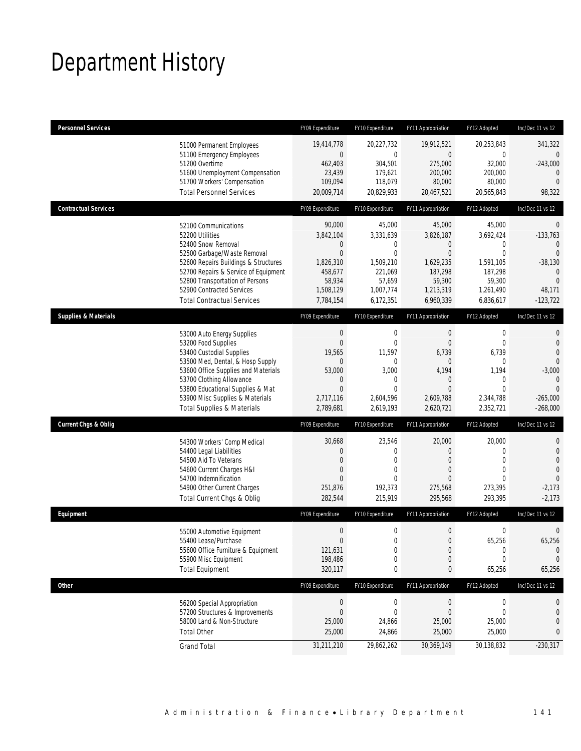# Department History

| <b>Personnel Services</b>                                                                                                                                                                                                                                                                            | FY09 Expenditure                                                                                              | FY10 Expenditure                                                                                                | FY11 Appropriation                                                                                                | FY12 Adopted                                                                                                    | Inc/Dec 11 vs 12                                                                                           |
|------------------------------------------------------------------------------------------------------------------------------------------------------------------------------------------------------------------------------------------------------------------------------------------------------|---------------------------------------------------------------------------------------------------------------|-----------------------------------------------------------------------------------------------------------------|-------------------------------------------------------------------------------------------------------------------|-----------------------------------------------------------------------------------------------------------------|------------------------------------------------------------------------------------------------------------|
| 51000 Permanent Employees<br>51100 Emergency Employees<br>51200 Overtime<br>51600 Unemployment Compensation<br>51700 Workers' Compensation<br><b>Total Personnel Services</b>                                                                                                                        | 19,414,778<br>$\mathbf 0$<br>462,403<br>23,439<br>109,094<br>20,009,714                                       | 20,227,732<br>$\overline{0}$<br>304,501<br>179,621<br>118,079<br>20,829,933                                     | 19,912,521<br>$\overline{0}$<br>275,000<br>200,000<br>80,000<br>20,467,521                                        | 20,253,843<br>0<br>32,000<br>200,000<br>80,000<br>20,565,843                                                    | 341,322<br>0<br>$-243,000$<br>$\mathbf{0}$<br>$\mathbf{0}$<br>98,322                                       |
| <b>Contractual Services</b>                                                                                                                                                                                                                                                                          | FY09 Expenditure                                                                                              | FY10 Expenditure                                                                                                | FY11 Appropriation                                                                                                | FY12 Adopted                                                                                                    | Inc/Dec 11 vs 12                                                                                           |
| 52100 Communications<br>52200 Utilities<br>52400 Snow Removal<br>52500 Garbage/Waste Removal<br>52600 Repairs Buildings & Structures<br>52700 Repairs & Service of Equipment<br>52800 Transportation of Persons<br>52900 Contracted Services<br><b>Total Contractual Services</b>                    | 90,000<br>3,842,104<br>$\mathbf 0$<br>$\mathbf 0$<br>1,826,310<br>458,677<br>58,934<br>1,508,129<br>7,784,154 | 45,000<br>3,331,639<br>0<br>$\overline{0}$<br>1,509,210<br>221,069<br>57,659<br>1,007,774<br>6,172,351          | 45,000<br>3,826,187<br>$\theta$<br>$\overline{0}$<br>1,629,235<br>187,298<br>59,300<br>1,213,319<br>6,960,339     | 45,000<br>3,692,424<br>$\mathbf{0}$<br>$\mathbf{0}$<br>1,591,105<br>187,298<br>59,300<br>1,261,490<br>6,836,617 | $\overline{0}$<br>$-133,763$<br>0<br>$\Omega$<br>$-38,130$<br>$\theta$<br>$\theta$<br>48,171<br>$-123,722$ |
| <b>Supplies &amp; Materials</b>                                                                                                                                                                                                                                                                      | FY09 Expenditure                                                                                              | FY10 Expenditure                                                                                                | FY11 Appropriation                                                                                                | FY12 Adopted                                                                                                    | Inc/Dec 11 vs 12                                                                                           |
| 53000 Auto Energy Supplies<br>53200 Food Supplies<br>53400 Custodial Supplies<br>53500 Med, Dental, & Hosp Supply<br>53600 Office Supplies and Materials<br>53700 Clothing Allowance<br>53800 Educational Supplies & Mat<br>53900 Misc Supplies & Materials<br><b>Total Supplies &amp; Materials</b> | $\boldsymbol{0}$<br>$\overline{0}$<br>19,565<br>0<br>53,000<br>0<br>$\mathbf{0}$<br>2,717,116<br>2,789,681    | $\mathbf 0$<br>$\mathbf{0}$<br>11,597<br>0<br>3,000<br>$\mathbf{0}$<br>$\overline{0}$<br>2,604,596<br>2,619,193 | $\mathbf 0$<br>$\theta$<br>6,739<br>$\mathbf{0}$<br>4,194<br>$\theta$<br>$\overline{0}$<br>2,609,788<br>2,620,721 | $\boldsymbol{0}$<br>$\mathbf 0$<br>6,739<br>0<br>1,194<br>$\mathbf{0}$<br>$\mathbf 0$<br>2,344,788<br>2,352,721 | 0<br>0<br>0<br>$\Omega$<br>$-3,000$<br>$\Omega$<br>$\Omega$<br>$-265,000$<br>$-268,000$                    |
| <b>Current Chgs &amp; Oblig</b>                                                                                                                                                                                                                                                                      | FY09 Expenditure                                                                                              | FY10 Expenditure                                                                                                | FY11 Appropriation                                                                                                | FY12 Adopted                                                                                                    | Inc/Dec 11 vs 12                                                                                           |
| 54300 Workers' Comp Medical<br>54400 Legal Liabilities<br>54500 Aid To Veterans<br>54600 Current Charges H&I<br>54700 Indemnification<br>54900 Other Current Charges<br>Total Current Chgs & Oblig                                                                                                   | 30,668<br>0<br>$\mathbf{0}$<br>$\mathbf 0$<br>$\mathbf{0}$<br>251,876<br>282,544                              | 23,546<br>0<br>$\overline{0}$<br>0<br>$\Omega$<br>192,373<br>215,919                                            | 20,000<br>$\theta$<br>$\overline{0}$<br>$\theta$<br>$\Omega$<br>275,568<br>295,568                                | 20,000<br>$\mathbf{0}$<br>$\overline{0}$<br>$\mathbf 0$<br>$\theta$<br>273,395<br>293,395                       | 0<br>$\mathbf 0$<br>$\overline{0}$<br>$\Omega$<br>$\theta$<br>$-2,173$<br>$-2,173$                         |
| Equipment                                                                                                                                                                                                                                                                                            | FY09 Expenditure                                                                                              | FY10 Expenditure                                                                                                | FY11 Appropriation                                                                                                | FY12 Adopted                                                                                                    | Inc/Dec 11 vs 12                                                                                           |
| 55000 Automotive Equipment<br>55400 Lease/Purchase<br>55600 Office Furniture & Equipment<br>55900 Misc Equipment<br><b>Total Equipment</b>                                                                                                                                                           | $\boldsymbol{0}$<br>$\overline{0}$<br>121,631<br>198,486<br>320,117                                           | $\mathbf 0$<br>0<br>$\boldsymbol{0}$<br>0<br>0                                                                  | $\boldsymbol{0}$<br>$\overline{0}$<br>$\theta$<br>$\theta$<br>0                                                   | $\boldsymbol{0}$<br>65,256<br>$\boldsymbol{0}$<br>0<br>65,256                                                   | 0<br>65,256<br>$\theta$<br>0<br>65,256                                                                     |
| <b>Other</b>                                                                                                                                                                                                                                                                                         | FY09 Expenditure                                                                                              | FY10 Expenditure                                                                                                | FY11 Appropriation                                                                                                | FY12 Adopted                                                                                                    | Inc/Dec 11 vs 12                                                                                           |
| 56200 Special Appropriation<br>57200 Structures & Improvements<br>58000 Land & Non-Structure<br><b>Total Other</b>                                                                                                                                                                                   | $\boldsymbol{0}$<br>$\mathbf 0$<br>25,000<br>25,000                                                           | $\boldsymbol{0}$<br>$\mathbf{0}$<br>24,866<br>24,866                                                            | $\boldsymbol{0}$<br>$\theta$<br>25,000<br>25,000                                                                  | 0<br>0<br>25,000<br>25,000                                                                                      | 0<br>0<br>0<br>0                                                                                           |
| <b>Grand Total</b>                                                                                                                                                                                                                                                                                   | 31,211,210                                                                                                    | 29,862,262                                                                                                      | 30,369,149                                                                                                        | 30,138,832                                                                                                      | $-230,317$                                                                                                 |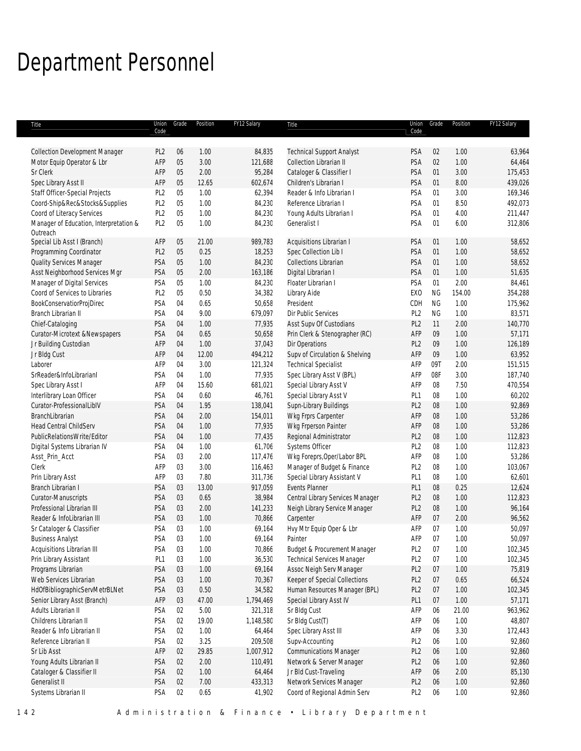# Department Personnel

| Title                                  | Union<br>Code   | Grade  | Position | FY12 Salary | Title                             | Union<br>Code   | Grade     | Position | FY12 Salary |
|----------------------------------------|-----------------|--------|----------|-------------|-----------------------------------|-----------------|-----------|----------|-------------|
|                                        |                 |        |          |             |                                   |                 |           |          |             |
| <b>Collection Development Manager</b>  | PL <sub>2</sub> | 06     | 1.00     | 84,835      | <b>Technical Support Analyst</b>  | PSA             | 02        | 1.00     | 63,964      |
| Motor Equip Operator & Lbr             | AFP             | 05     | 3.00     | 121,688     | Collection Librarian II           | PSA             | 02        | 1.00     | 64,464      |
| Sr Clerk                               | AFP             | 05     | 2.00     | 95,284      | Cataloger & Classifier I          | PSA             | 01        | 3.00     | 175,453     |
| Spec Library Asst II                   | AFP             | 05     | 12.65    | 602,674     | Children's Librarian I            | PSA             | 01        | 8.00     | 439,026     |
| Staff Officer-Special Projects         | PL <sub>2</sub> | 05     | 1.00     | 62,394      | Reader & Info Librarian I         | PSA             | 01        | 3.00     | 169,346     |
| Coord-Ship&Rec&Stocks&Supplies         | PL <sub>2</sub> | 05     | 1.00     | 84,230      | Reference Librarian I             | <b>PSA</b>      | 01        | 8.50     | 492,073     |
| Coord of Literacy Services             | PL <sub>2</sub> | 05     | 1.00     | 84,230      | Young Adults Librarian I          | PSA             | 01        | 4.00     | 211,447     |
| Manager of Education, Interpretation & | PL <sub>2</sub> | 05     | 1.00     | 84,230      | Generalist I                      | PSA             | 01        | 6.00     | 312,806     |
| Outreach                               |                 |        |          |             |                                   |                 |           |          |             |
| Special Lib Asst I (Branch)            | AFP             | 05     | 21.00    | 989,783     | Acquisitions Librarian I          | PSA             | 01        | 1.00     | 58,652      |
| Programming Coordinator                | PL <sub>2</sub> | 05     | 0.25     | 18,253      | Spec Collection Lib I             | PSA             | 01        | 1.00     | 58,652      |
| Quality Services Manager               | PSA             | 05     | 1.00     | 84,230      | <b>Collections Librarian</b>      | PSA             | 01        | 1.00     | 58,652      |
| Asst Neighborhood Services Mgr         | PSA             | 05     | 2.00     | 163,186     | Digital Librarian I               | PSA             | 01        | 1.00     | 51,635      |
| Manager of Digital Services            | PSA             | 05     | 1.00     | 84,230      | Floater Librarian I               | PSA             | 01        | 2.00     | 84,461      |
| Coord of Services to Libraries         | PL <sub>2</sub> | 05     | 0.50     | 34,382      | Library Aide                      | EX <sub>0</sub> | <b>NG</b> | 154.00   | 354,288     |
| BookConservatiorProjDirec              | PSA             | 04     | 0.65     | 50,658      | President                         | CDH             | <b>NG</b> | 1.00     | 175,962     |
| Branch Librarian II                    | PSA             | 04     | 9.00     | 679,097     | Dir Public Services               | PL <sub>2</sub> | <b>NG</b> | 1.00     | 83,571      |
| Chief-Cataloging                       | PSA             | 04     | 1.00     | 77,935      | Asst Supv Of Custodians           | PL <sub>2</sub> | 11        | 2.00     | 140,770     |
| Curator-Microtext &Newspapers          | PSA             | 04     | 0.65     | 50,658      | Prin Clerk & Stenographer (RC)    | AFP             | 09        | 1.00     | 57,171      |
| Jr Building Custodian                  | AFP             | 04     | 1.00     | 37,043      | Dir Operations                    | PL <sub>2</sub> | 09        | 1.00     | 126,189     |
| Jr Bldg Cust                           | AFP             | 04     | 12.00    | 494,212     | Supv of Circulation & Shelving    | AFP             | 09        | 1.00     | 63,952      |
| Laborer                                | AFP             | 04     | 3.00     | 121,324     | <b>Technical Specialist</b>       | AFP             | 09T       | 2.00     | 151,515     |
| SrReader&InfoLibrarianI                | PSA             | 04     | 1.00     | 77,935      | Spec Library Asst V (BPL)         | AFP             | 08F       | 3.00     | 187,740     |
| Spec Library Asst I                    | AFP             | 04     | 15.60    | 681,021     | Special Library Asst V            | AFP             | 08        | 7.50     | 470,554     |
| Interlibrary Loan Officer              | PSA             | 04     | 0.60     | 46,761      | Special Library Asst V            | PL <sub>1</sub> | 08        | 1.00     | 60,202      |
| Curator-ProfessionalLiblV              | PSA             | 04     | 1.95     | 138,041     | Supn-Library Buildings            | PL <sub>2</sub> | 08        | 1.00     | 92,869      |
| BranchLibrarian                        | PSA             | 04     | 2.00     | 154,011     | Wkg Frprs Carpenter               | AFP             | 08        | 1.00     | 53,286      |
| <b>Head Central ChildServ</b>          | PSA             | 04     | 1.00     | 77,935      | Wkg Frperson Painter              | AFP             | 08        | 1.00     | 53,286      |
| PublicRelationsWrite/Editor            | PSA             | 04     | 1.00     | 77,435      | Regional Administrator            | PL <sub>2</sub> | 08        | 1.00     | 112,823     |
| Digital Systems Librarian IV           | PSA             | 04     | 1.00     | 61,706      | Systems Officer                   | PL <sub>2</sub> | 08        | 1.00     | 112,823     |
| Asst_Prin_Acct                         | PSA             | 03     | 2.00     | 117,476     | Wkg Foreprs, Oper/Labor BPL       | AFP             | 08        | 1.00     | 53,286      |
| Clerk                                  | AFP             | 03     | 3.00     | 116,463     | Manager of Budget & Finance       | PL <sub>2</sub> | 08        | 1.00     | 103,067     |
| Prin Library Asst                      | AFP             | 03     | 7.80     | 311,736     | Special Library Assistant V       | PL <sub>1</sub> | 08        | 1.00     | 62,601      |
| Branch Librarian I                     | PSA             | 03     | 13.00    | 917,059     | <b>Events Planner</b>             | PL <sub>1</sub> | 08        | 0.25     | 12,624      |
| Curator-Manuscripts                    | PSA             | 03     | 0.65     | 38,984      | Central Library Services Manager  | PL <sub>2</sub> | 08        | 1.00     | 112,823     |
| Professional Librarian III             | PSA             | 03     | 2.00     | 141,233     | Neigh Library Service Manager     | PL <sub>2</sub> | 08        | 1.00     | 96,164      |
| Reader & InfoLibrarian III             | PSA             | 03     | 1.00     | 70,866      | Carpenter                         | AFP             | 07        | 2.00     | 96,562      |
| Sr Cataloger & Classifier              | PSA             | 03     | 1.00     | 69,164      | Hvy Mtr Equip Oper & Lbr          | AFP             | 07        | 1.00     | 50,097      |
| <b>Business Analyst</b>                | PSA             | 03     | 1.00     | 69,164      | Painter                           | AFP             | 07        | 1.00     | 50,097      |
| Acquisitions Librarian III             | PSA             | 03     | $1.00\,$ | 70,866      | Budget & Procurement Manager      | PL <sub>2</sub> | 07        | 1.00     | 102,345     |
| Prin Library Assistant                 | PL <sub>1</sub> | 03     | 1.00     | 36,530      | <b>Technical Services Manager</b> | PL <sub>2</sub> | 07        | 1.00     | 102,345     |
| Programs Librarian                     | PSA             | 03     | 1.00     | 69,164      | Assoc Neigh Serv Manager          | PL <sub>2</sub> | 07        | 1.00     | 75,819      |
| Web Services Librarian                 | <b>PSA</b>      | 03     | 1.00     | 70,367      | Keeper of Special Collections     | PL <sub>2</sub> | 07        | 0.65     | 66,524      |
| HdOfBibliographicServMetrBLNet         | <b>PSA</b>      | 03     | 0.50     | 34,582      | Human Resources Manager (BPL)     | PL <sub>2</sub> | 07        | 1.00     | 102,345     |
| Senior Library Asst (Branch)           | AFP             | 03     | 47.00    | 1,794,469   | Special Library Asst IV           | PL <sub>1</sub> | 07        | 1.00     | 57,171      |
| Adults Librarian II                    | PSA             | 02     | 5.00     | 321,318     | Sr Bldg Cust                      | AFP             | 06        | 21.00    | 963,962     |
| Childrens Librarian II                 | PSA             | 02     | 19.00    | 1,148,580   | Sr Bldg Cust(T)                   | AFP             | 06        | 1.00     | 48,807      |
| Reader & Info Librarian II             | PSA             | 02     | 1.00     | 64,464      | Spec Library Asst III             | AFP             | 06        | 3.30     | 172,443     |
| Reference Librarian II                 | PSA             | 02     | $3.25$   | 209,508     | Supv-Accounting                   | PL <sub>2</sub> | 06        | 1.00     | 92,860      |
| Sr Lib Asst                            | AFP             | $02\,$ | 29.85    | 1,007,912   | <b>Communications Manager</b>     | PL <sub>2</sub> | 06        | 1.00     | 92,860      |
| Young Adults Librarian II              | PSA             | $02\,$ | 2.00     | 110,491     | Network & Server Manager          | PL <sub>2</sub> | 06        | 1.00     | 92,860      |
| Cataloger & Classifier II              | <b>PSA</b>      | 02     | 1.00     | 64,464      | Jr Bld Cust-Traveling             | AFP             | 06        | 2.00     | 85,130      |
| Generalist II                          | PSA             | 02     | 7.00     | 433,313     | Network Services Manager          | PL <sub>2</sub> | 06        | 1.00     | 92,860      |
| Systems Librarian II                   | PSA             | 02     | 0.65     | 41,902      | Coord of Regional Admin Serv      | PL <sub>2</sub> | 06        | 1.00     | 92,860      |

142 Administration & Finance • Library Department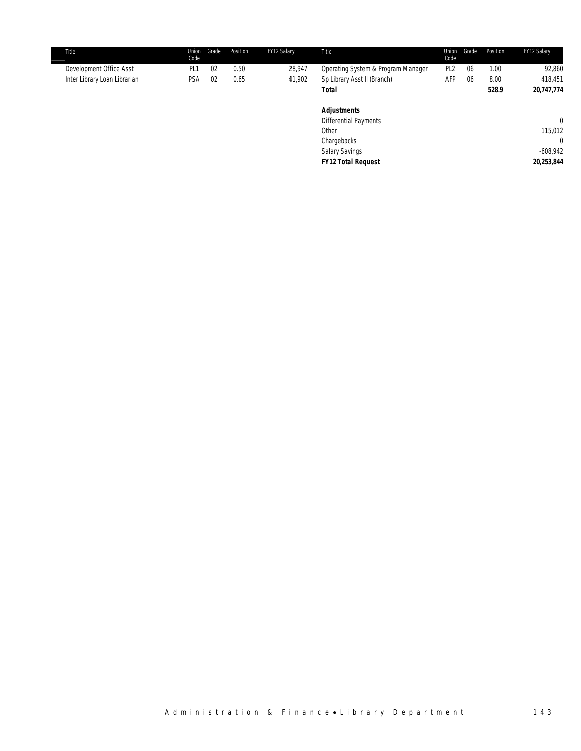| <b>Title</b>                 | Union<br>Code | Grade | Position | FY12 Salary | <b>Title</b>                       | Code            | Union Grade | Position | FY12 Salary |
|------------------------------|---------------|-------|----------|-------------|------------------------------------|-----------------|-------------|----------|-------------|
| Development Office Asst      |               | 02    | 0.50     | 28.947      | Operating System & Program Manager | PI <sub>2</sub> | 06          | 1.00     | 92,860      |
| Inter Library Loan Librarian | PSA           | 02    | 0.65     | 41.902      | Sp Library Asst II (Branch)        | AFP             | 06          | 8.00     | 418.451     |
|                              |               |       |          |             | <b>Total</b>                       |                 |             | 528.9    | 20,747,774  |
|                              |               |       |          |             |                                    |                 |             |          |             |

| 115,012<br>$\overline{0}$<br>$-608,942$ |
|-----------------------------------------|
|                                         |
|                                         |
|                                         |
| $\overline{0}$                          |
|                                         |
|                                         |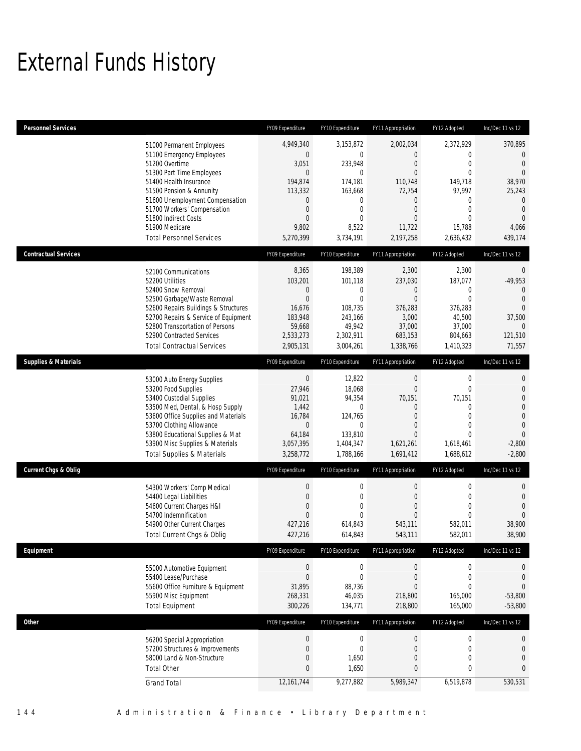# External Funds History

| <b>Personnel Services</b>       |                                                                                                                                                                                                                                                                                                            | FY09 Expenditure                                                                                                                                 | FY10 Expenditure                                                                                                                                   | FY11 Appropriation                                                                                                                                      | FY12 Adopted                                                                                                               | Inc/Dec 11 vs 12                                                                                                        |
|---------------------------------|------------------------------------------------------------------------------------------------------------------------------------------------------------------------------------------------------------------------------------------------------------------------------------------------------------|--------------------------------------------------------------------------------------------------------------------------------------------------|----------------------------------------------------------------------------------------------------------------------------------------------------|---------------------------------------------------------------------------------------------------------------------------------------------------------|----------------------------------------------------------------------------------------------------------------------------|-------------------------------------------------------------------------------------------------------------------------|
|                                 | 51000 Permanent Employees<br>51100 Emergency Employees<br>51200 Overtime<br>51300 Part Time Employees<br>51400 Health Insurance<br>51500 Pension & Annunity<br>51600 Unemployment Compensation<br>51700 Workers' Compensation<br>51800 Indirect Costs<br>51900 Medicare<br><b>Total Personnel Services</b> | 4,949,340<br>$\mathbf 0$<br>3,051<br>$\mathbf{0}$<br>194,874<br>113,332<br>$\mathbf 0$<br>$\boldsymbol{0}$<br>$\mathbf{0}$<br>9,802<br>5,270,399 | 3,153,872<br>$\mathbf 0$<br>233,948<br>$\mathbf{0}$<br>174,181<br>163,668<br>$\boldsymbol{0}$<br>$\mathbf 0$<br>$\mathbf{0}$<br>8,522<br>3,734,191 | 2,002,034<br>$\mathbf{0}$<br>$\mathbf{0}$<br>$\mathbf{0}$<br>110,748<br>72,754<br>$\overline{0}$<br>$\mathbf{0}$<br>$\mathbf{0}$<br>11,722<br>2,197,258 | 2,372,929<br>0<br>$\mathbf 0$<br>$\mathbf{0}$<br>149,718<br>97,997<br>0<br>$\mathbf{0}$<br>$\Omega$<br>15,788<br>2,636,432 | 370,895<br>0<br>$\theta$<br>$\mathbf{0}$<br>38,970<br>25,243<br>$\mathbf 0$<br>$\theta$<br>$\Omega$<br>4,066<br>439,174 |
| <b>Contractual Services</b>     |                                                                                                                                                                                                                                                                                                            | FY09 Expenditure                                                                                                                                 | FY10 Expenditure                                                                                                                                   | FY11 Appropriation                                                                                                                                      | FY12 Adopted                                                                                                               | Inc/Dec 11 vs 12                                                                                                        |
|                                 | 52100 Communications<br>52200 Utilities<br>52400 Snow Removal<br>52500 Garbage/Waste Removal<br>52600 Repairs Buildings & Structures<br>52700 Repairs & Service of Equipment<br>52800 Transportation of Persons<br>52900 Contracted Services<br><b>Total Contractual Services</b>                          | 8,365<br>103,201<br>$\boldsymbol{0}$<br>$\overline{0}$<br>16,676<br>183,948<br>59,668<br>2,533,273<br>2,905,131                                  | 198,389<br>101,118<br>$\mathbf 0$<br>$\overline{0}$<br>108,735<br>243,166<br>49,942<br>2,302,911<br>3,004,261                                      | 2,300<br>237,030<br>$\mathbf 0$<br>$\mathbf{0}$<br>376,283<br>3,000<br>37,000<br>683,153<br>1,338,766                                                   | 2,300<br>187,077<br>0<br>$\mathbf 0$<br>376,283<br>40,500<br>37,000<br>804,663<br>1,410,323                                | $\mathbf 0$<br>$-49,953$<br>$\Omega$<br>$\overline{0}$<br>$\theta$<br>37,500<br>$\Omega$<br>121,510<br>71,557           |
| <b>Supplies &amp; Materials</b> |                                                                                                                                                                                                                                                                                                            | FY09 Expenditure                                                                                                                                 | FY10 Expenditure                                                                                                                                   | FY11 Appropriation                                                                                                                                      | FY12 Adopted                                                                                                               | Inc/Dec 11 vs 12                                                                                                        |
|                                 | 53000 Auto Energy Supplies<br>53200 Food Supplies<br>53400 Custodial Supplies<br>53500 Med, Dental, & Hosp Supply<br>53600 Office Supplies and Materials<br>53700 Clothing Allowance<br>53800 Educational Supplies & Mat<br>53900 Misc Supplies & Materials<br><b>Total Supplies &amp; Materials</b>       | $\boldsymbol{0}$<br>27,946<br>91,021<br>1,442<br>16,784<br>$\boldsymbol{0}$<br>64,184<br>3,057,395<br>3,258,772                                  | 12,822<br>18,068<br>94,354<br>0<br>124,765<br>$\mathbf 0$<br>133,810<br>1,404,347<br>1,788,166                                                     | $\boldsymbol{0}$<br>$\mathbf{0}$<br>70,151<br>$\mathbf 0$<br>$\theta$<br>$\theta$<br>$\mathbf{0}$<br>1,621,261<br>1,691,412                             | $\boldsymbol{0}$<br>$\mathbf{0}$<br>70,151<br>0<br>$\mathbf{0}$<br>$\mathbf{0}$<br>$\Omega$<br>1,618,461<br>1,688,612      | 0<br>$\mathbf 0$<br>0<br>0<br>$\mathbf 0$<br>$\mathbf{0}$<br>$\overline{0}$<br>$-2,800$<br>$-2,800$                     |
| Current Chgs & Oblig            |                                                                                                                                                                                                                                                                                                            | FY09 Expenditure                                                                                                                                 | FY10 Expenditure                                                                                                                                   | FY11 Appropriation                                                                                                                                      | FY12 Adopted                                                                                                               | Inc/Dec 11 vs 12                                                                                                        |
|                                 | 54300 Workers' Comp Medical<br>54400 Legal Liabilities<br>54600 Current Charges H&I<br>54700 Indemnification<br>54900 Other Current Charges<br>Total Current Chgs & Oblig                                                                                                                                  | $\boldsymbol{0}$<br>$\boldsymbol{0}$<br>$\mathbf{0}$<br>$\overline{0}$<br>427,216<br>427,216                                                     | 0<br>$\mathbf 0$<br>$\mathbf{0}$<br>$\mathbf{0}$<br>614,843<br>614,843                                                                             | $\boldsymbol{0}$<br>$\mathbf{0}$<br>$\mathbf{0}$<br>$\mathbf{0}$<br>543,111<br>543,111                                                                  | $\boldsymbol{0}$<br>$\mathbf{0}$<br>$\mathbf{0}$<br>$\mathbf{0}$<br>582,011<br>582,011                                     | 0<br>$\mathbf 0$<br>$\overline{0}$<br>$\Omega$<br>38,900<br>38,900                                                      |
| Equipment                       |                                                                                                                                                                                                                                                                                                            | FY09 Expenditure                                                                                                                                 | FY10 Expenditure                                                                                                                                   | FY11 Appropriation                                                                                                                                      | FY12 Adopted                                                                                                               | Inc/Dec 11 vs 12                                                                                                        |
|                                 | 55000 Automotive Equipment<br>55400 Lease/Purchase<br>55600 Office Furniture & Equipment<br>55900 Misc Equipment<br><b>Total Equipment</b>                                                                                                                                                                 | $\boldsymbol{0}$<br>$\boldsymbol{0}$<br>31,895<br>268,331<br>300,226                                                                             | $\mathbf 0$<br>$\boldsymbol{0}$<br>88,736<br>46,035<br>134,771                                                                                     | $\boldsymbol{0}$<br>$\mathbf 0$<br>$\mathbf{0}$<br>218,800<br>218,800                                                                                   | 0<br>$\boldsymbol{0}$<br>0<br>165,000<br>165,000                                                                           | 0<br>$\mathbf 0$<br>0<br>$-53,800$<br>$-53,800$                                                                         |
| <b>Other</b>                    |                                                                                                                                                                                                                                                                                                            | FY09 Expenditure                                                                                                                                 | FY10 Expenditure                                                                                                                                   | FY11 Appropriation                                                                                                                                      | FY12 Adopted                                                                                                               | Inc/Dec 11 vs 12                                                                                                        |
|                                 | 56200 Special Appropriation<br>57200 Structures & Improvements<br>58000 Land & Non-Structure<br><b>Total Other</b>                                                                                                                                                                                         | $\boldsymbol{0}$<br>$\boldsymbol{0}$<br>$\boldsymbol{0}$<br>$\bf{0}$                                                                             | $\mathbf 0$<br>$\mathbf 0$<br>1,650<br>1,650                                                                                                       | $\boldsymbol{0}$<br>$\mathbf 0$<br>$\mathbf 0$<br>0                                                                                                     | $\boldsymbol{0}$<br>$\boldsymbol{0}$<br>0<br>$\bf{0}$                                                                      | 0<br>0<br>$\overline{0}$<br>0                                                                                           |
|                                 | <b>Grand Total</b>                                                                                                                                                                                                                                                                                         | 12,161,744                                                                                                                                       | 9,277,882                                                                                                                                          | 5,989,347                                                                                                                                               | 6,519,878                                                                                                                  | 530,531                                                                                                                 |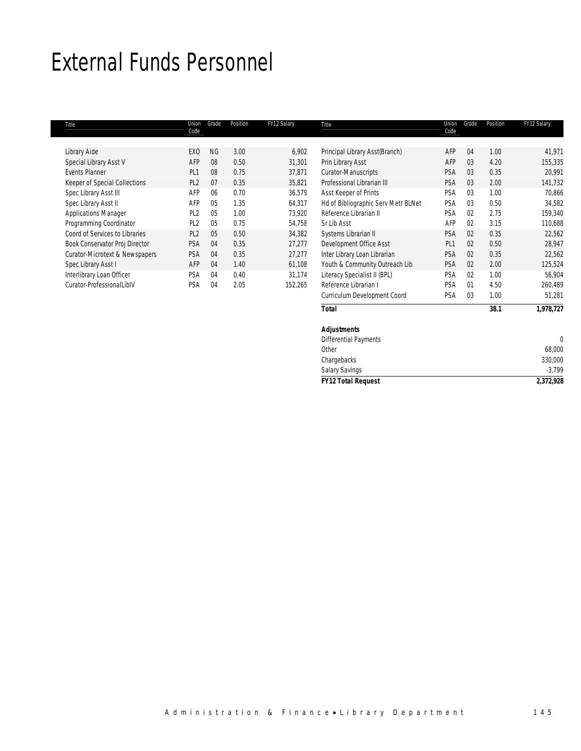### External Funds Personnel

| Title                          | Union<br>Code   | Grade     | Position | FY12 Salary | Title                               | Union<br>Code   | Grade          | Position | FY12 Salary |
|--------------------------------|-----------------|-----------|----------|-------------|-------------------------------------|-----------------|----------------|----------|-------------|
|                                |                 |           |          |             |                                     |                 |                |          |             |
| Library Aide                   | EX <sub>0</sub> | <b>NG</b> | 3.00     | 6,902       | Principal Library Asst(Branch)      | AFP             | 04             | 1.00     | 41,971      |
| Special Library Asst V         | AFP             | 08        | 0.50     | 31,301      | Prin Library Asst                   | AFP             | 03             | 4.20     | 155,335     |
| <b>Events Planner</b>          | PI <sub>1</sub> | 08        | 0.75     | 37,871      | Curator-Manuscripts                 | <b>PSA</b>      | 03             | 0.35     | 20,991      |
| Keeper of Special Collections  | PL <sub>2</sub> | 07        | 0.35     | 35,821      | Professional Librarian III          | <b>PSA</b>      | 03             | 2.00     | 141,732     |
| Spec Library Asst III          | AFP             | 06        | 0.70     | 36,579      | Asst Keeper of Prints               | <b>PSA</b>      | 03             | 1.00     | 70,866      |
| Spec Library Asst II           | AFP             | 05        | 1.35     | 64,317      | Hd of Bibliographic Serv Metr BLNet | PSA             | 0 <sub>3</sub> | 0.50     | 34,582      |
| <b>Applications Manager</b>    | PL <sub>2</sub> | 05        | 1.00     | 73.920      | Reference Librarian II              | PSA             | 02             | 2.75     | 159,340     |
| Programming Coordinator        | PL <sub>2</sub> | 05        | 0.75     | 54,758      | Sr Lib Asst                         | AFP             | 02             | 3.15     | 110,688     |
| Coord of Services to Libraries | PL <sub>2</sub> | 05        | 0.50     | 34,382      | Systems Librarian II                | <b>PSA</b>      | 02             | 0.35     | 22,562      |
| Book Conservator Proj Director | <b>PSA</b>      | 04        | 0.35     | 27,277      | Development Office Asst             | PL <sub>1</sub> | 0 <sup>2</sup> | 0.50     | 28,947      |
| Curator-Microtext & Newspapers | <b>PSA</b>      | 04        | 0.35     | 27,277      | Inter Library Loan Librarian        | <b>PSA</b>      | 0 <sup>2</sup> | 0.35     | 22,562      |
| Spec Library Asst I            | AFP             | 04        | 1.40     | 61,108      | Youth & Community Outreach Lib      | PSA             | 0 <sup>2</sup> | 2.00     | 125,524     |
| Interlibrary Loan Officer      | <b>PSA</b>      | 04        | 0.40     | 31.174      | Literacy Specialist II (BPL)        | <b>PSA</b>      | 02             | 1.00     | 56,904      |
| Curator-ProfessionalLiblV      | PSA             | 04        | 2.05     | 152,265     | Reference Librarian I               | <b>PSA</b>      | 01             | 4.50     | 260,489     |
|                                |                 |           |          |             | Curriculum Development Coord        | PSA             | 03             | 1.00     | 51,281      |

*Total 38.1 1,978,727*

| <b>FY12 Total Request</b>    | 2,372,928             |
|------------------------------|-----------------------|
|                              | $-3,799$              |
| Chargebacks                  | 330,000               |
| Other                        | 68,000                |
| <b>Differential Payments</b> | $\mathbf{0}$          |
| <b>Adjustments</b>           |                       |
|                              | <b>Salary Savings</b> |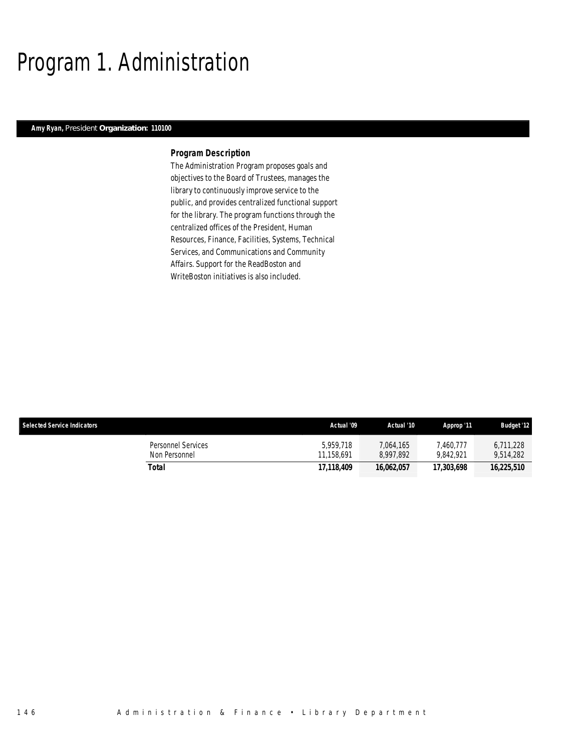# Program 1. Administration

### *Amy Ryan, President Organization: 110100*

#### *Program Description*

The Administration Program proposes goals and objectives to the Board of Trustees, manages the library to continuously improve service to the public, and provides centralized functional support for the library. The program functions through the centralized offices of the President, Human Resources, Finance, Facilities, Systems, Technical Services, and Communications and Community Affairs. Support for the ReadBoston and WriteBoston initiatives is also included.

| <b>Selected Service Indicators</b>         | Actual '09              | Actual '10             | Approp '11             | <b>Budget '12</b>      |
|--------------------------------------------|-------------------------|------------------------|------------------------|------------------------|
| <b>Personnel Services</b><br>Non Personnel | 5.959.718<br>11.158.691 | 7.064.165<br>8.997.892 | 1,460.777<br>9.842.921 | 6.711.228<br>9.514.282 |
| Total                                      | 17.118.409              | 16.062.057             | 17,303,698             | 16,225,510             |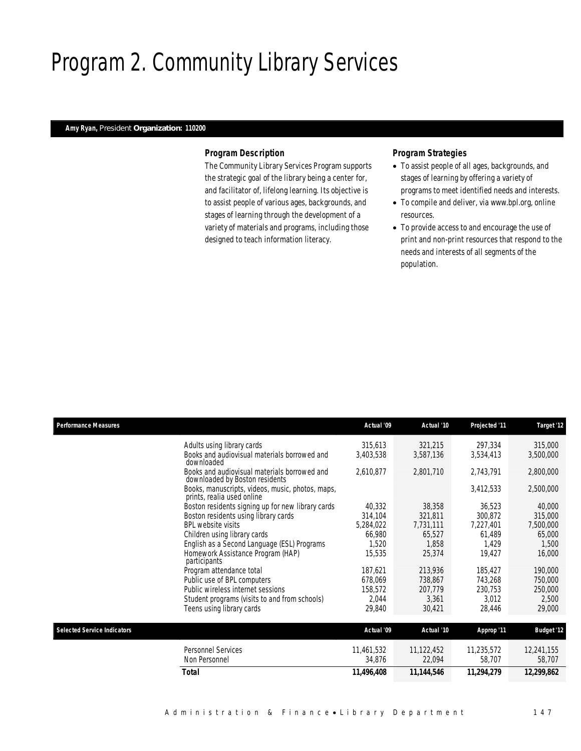# Program 2. Community Library Services

### *Amy Ryan, President Organization: 110200*

### *Program Description*

The Community Library Services Program supports the strategic goal of the library being a center for, and facilitator of, lifelong learning. Its objective is to assist people of various ages, backgrounds, and stages of learning through the development of a variety of materials and programs, including those designed to teach information literacy.

- To assist people of all ages, backgrounds, and stages of learning by offering a variety of programs to meet identified needs and interests.
- To compile and deliver, via www.bpl.org, online resources.
- To provide access to and encourage the use of print and non-print resources that respond to the needs and interests of all segments of the population.

| <b>Performance Measures</b>        |                                                                                | Actual '09 | Actual '10 | Projected '11 | Target '12        |
|------------------------------------|--------------------------------------------------------------------------------|------------|------------|---------------|-------------------|
|                                    | Adults using library cards                                                     | 315,613    | 321,215    | 297,334       | 315,000           |
|                                    | Books and audiovisual materials borrowed and<br>downloaded                     | 3,403,538  | 3,587,136  | 3,534,413     | 3,500,000         |
|                                    | Books and audiovisual materials borrowed and<br>downloaded by Boston residents | 2,610,877  | 2,801,710  | 2,743,791     | 2,800,000         |
|                                    | Books, manuscripts, videos, music, photos, maps,<br>prints, realia used online |            |            | 3,412,533     | 2,500,000         |
|                                    | Boston residents signing up for new library cards                              | 40,332     | 38,358     | 36,523        | 40,000            |
|                                    | Boston residents using library cards                                           | 314,104    | 321,811    | 300,872       | 315,000           |
|                                    | <b>BPL website visits</b>                                                      | 5,284,022  | 7,731,111  | 7,227,401     | 7,500,000         |
|                                    | Children using library cards                                                   | 66,980     | 65,527     | 61,489        | 65,000            |
|                                    | English as a Second Language (ESL) Programs                                    | 1,520      | 1,858      | 1,429         | 1,500             |
|                                    | Homework Assistance Program (HAP)<br>participants                              | 15,535     | 25,374     | 19,427        | 16,000            |
|                                    | Program attendance total                                                       | 187,621    | 213,936    | 185,427       | 190,000           |
|                                    | Public use of BPL computers                                                    | 678,069    | 738,867    | 743,268       | 750,000           |
|                                    | Public wireless internet sessions                                              | 158,572    | 207,779    | 230,753       | 250,000           |
|                                    | Student programs (visits to and from schools)                                  | 2,044      | 3,361      | 3,012         | 2,500             |
|                                    | Teens using library cards                                                      | 29,840     | 30,421     | 28,446        | 29,000            |
| <b>Selected Service Indicators</b> |                                                                                | Actual '09 | Actual '10 | Approp '11    | <b>Budget '12</b> |
|                                    | Personnel Services                                                             | 11,461,532 | 11,122,452 | 11,235,572    | 12,241,155        |
|                                    | Non Personnel                                                                  | 34,876     | 22,094     | 58,707        | 58,707            |
|                                    | <b>Total</b>                                                                   | 11,496,408 | 11,144,546 | 11,294,279    | 12,299,862        |
|                                    |                                                                                |            |            |               |                   |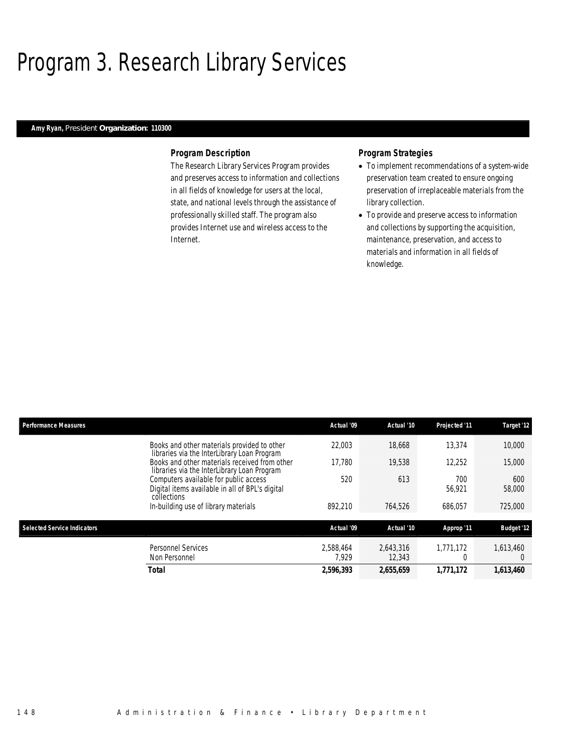# Program 3. Research Library Services

### *Amy Ryan, President Organization: 110300*

#### *Program Description*

The Research Library Services Program provides and preserves access to information and collections in all fields of knowledge for users at the local, state, and national levels through the assistance of professionally skilled staff. The program also provides Internet use and wireless access to the Internet.

- To implement recommendations of a system-wide preservation team created to ensure ongoing preservation of irreplaceable materials from the library collection.
- To provide and preserve access to information and collections by supporting the acquisition, maintenance, preservation, and access to materials and information in all fields of knowledge.

| <b>Performance Measures</b>        |                                                                                                         | Actual '09         | Actual '10          | Projected '11 | Target '12            |
|------------------------------------|---------------------------------------------------------------------------------------------------------|--------------------|---------------------|---------------|-----------------------|
|                                    | Books and other materials provided to other<br>libraries via the InterLibrary Loan Program              | 22,003             | 18,668              | 13,374        | 10,000                |
|                                    | Books and other materials received from other<br>libraries via the InterLibrary Loan Program            | 17.780             | 19,538              | 12.252        | 15,000                |
|                                    | Computers available for public access<br>Digital items available in all of BPL's digital<br>collections | 520                | 613                 | 700<br>56.921 | 600<br>58,000         |
|                                    | In-building use of library materials                                                                    | 892.210            | 764.526             | 686.057       | 725,000               |
| <b>Selected Service Indicators</b> |                                                                                                         | Actual '09         | Actual '10          | Approp '11    | <b>Budget '12</b>     |
|                                    | <b>Personnel Services</b><br>Non Personnel                                                              | 2.588.464<br>7.929 | 2.643.316<br>12,343 | 1.771.172     | 1,613,460<br>$\Omega$ |
|                                    | <b>Total</b>                                                                                            | 2,596,393          | 2,655,659           | 1.771.172     | 1,613,460             |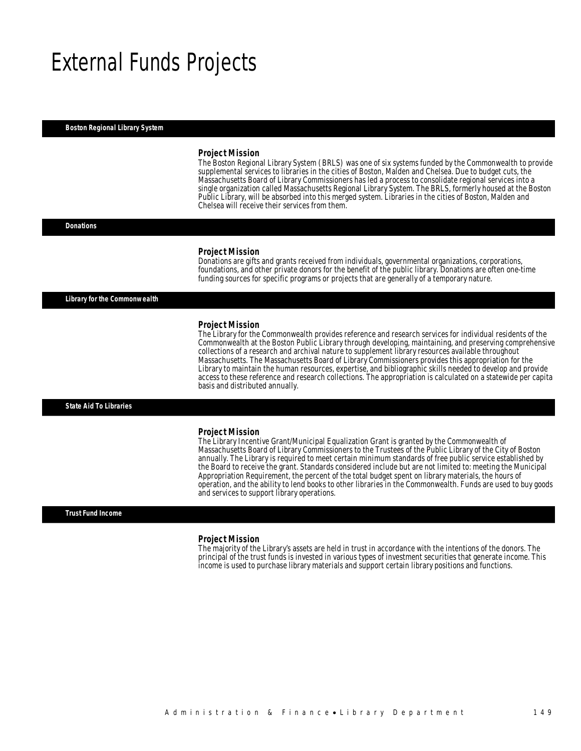### External Funds Projects

#### *Boston Regional Library System*

#### *Project Mission*

The Boston Regional Library System (BRLS) was one of six systems funded by the Commonwealth to provide supplemental services to libraries in the cities of Boston, Malden and Chelsea. Due to budget cuts, the Massachusetts Board of Library Commissioners has led a process to consolidate regional services into a single organization called Massachusetts Regional Library System. The BRLS, formerly housed at the Boston Public Library, will be absorbed into this merged system. Libraries in the cities of Boston, Malden and Chelsea will receive their services from them.

#### *Donations*

#### *Project Mission*

Donations are gifts and grants received from individuals, governmental organizations, corporations, foundations, and other private donors for the benefit of the public library. Donations are often one-time funding sources for specific programs or projects that are generally of a temporary nature.

*Library for the Commonwealth* 

#### *Project Mission*

The Library for the Commonwealth provides reference and research services for individual residents of the Commonwealth at the Boston Public Library through developing, maintaining, and preserving comprehensive collections of a research and archival nature to supplement library resources available throughout Massachusetts. The Massachusetts Board of Library Commissioners provides this appropriation for the Library to maintain the human resources, expertise, and bibliographic skills needed to develop and provide access to these reference and research collections. The appropriation is calculated on a statewide per capita basis and distributed annually.

#### *State Aid To Libraries*

#### *Project Mission*

The Library Incentive Grant/Municipal Equalization Grant is granted by the Commonwealth of Massachusetts Board of Library Commissioners to the Trustees of the Public Library of the City of Boston annually. The Library is required to meet certain minimum standards of free public service established by the Board to receive the grant. Standards considered include but are not limited to: meeting the Municipal Appropriation Requirement, the percent of the total budget spent on library materials, the hours of operation, and the ability to lend books to other libraries in the Commonwealth. Funds are used to buy goods and services to support library operations.

#### *Trust Fund Income*

#### *Project Mission*

The majority of the Library's assets are held in trust in accordance with the intentions of the donors. The principal of the trust funds is invested in various types of investment securities that generate income. This income is used to purchase library materials and support certain library positions and functions.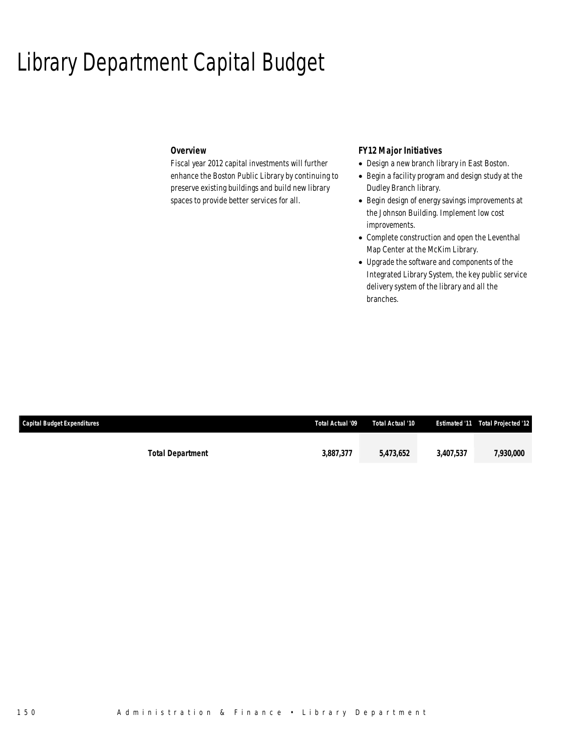### Library Department Capital Budget

### *Overview*

Fiscal year 2012 capital investments will further enhance the Boston Public Library by continuing to preserve existing buildings and build new library spaces to provide better services for all.

### *FY12 Major Initiatives*

- Design a new branch library in East Boston.
- Begin a facility program and design study at the Dudley Branch library.
- Begin design of energy savings improvements at the Johnson Building. Implement low cost improvements.
- Complete construction and open the Leventhal Map Center at the McKim Library.
- Upgrade the software and components of the Integrated Library System, the key public service delivery system of the library and all the branches.

| <b>Capital Budget Expenditures</b> |                         | Total Actual '09 | Total Actual '10 |           | <b>Estimated '11 Total Projected '12'</b> |
|------------------------------------|-------------------------|------------------|------------------|-----------|-------------------------------------------|
|                                    |                         |                  |                  |           |                                           |
|                                    | <b>Total Department</b> | 3,887,377        | 5,473,652        | 3.407.537 | 7,930,000                                 |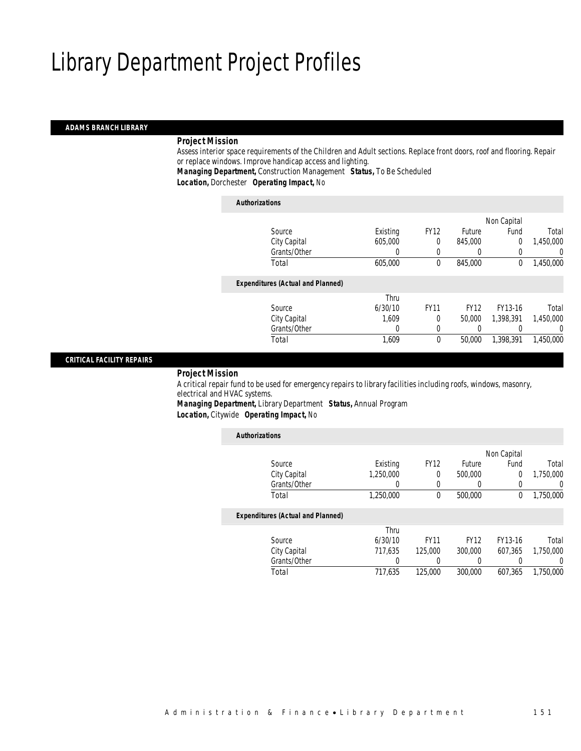### *ADAMS BRANCH LIBRARY*

### *Project Mission*

Assess interior space requirements of the Children and Adult sections. Replace front doors, roof and flooring. Repair or replace windows. Improve handicap access and lighting.

*Managing Department,* Construction Management *Status,* To Be Scheduled

*Location,* Dorchester *Operating Impact,* No

### *Authorizations*

|           | Non Capital |             |             |          |                                          |
|-----------|-------------|-------------|-------------|----------|------------------------------------------|
| Total     | Fund        | Future      | <b>FY12</b> | Existing | Source                                   |
| 1,450,000 | 0           | 845,000     | 0           | 605,000  | City Capital                             |
| 0         | 0           | 0           | 0           | 0        | Grants/Other                             |
| 1,450,000 | 0           | 845,000     | 0           | 605,000  | Total                                    |
|           |             |             |             |          | <b>Expenditures (Actual and Planned)</b> |
|           |             |             |             | Thru     |                                          |
| Total     | FY13-16     | <b>FY12</b> | <b>FY11</b> | 6/30/10  | Source                                   |
| 1,450,000 | 1.398.391   | 50,000      | 0           | 1.609    | City Capital                             |
| 0         | 0           | 0           | 0           | 0        | Grants/Other                             |
| 1.450.000 | 1,398,391   | 50,000      | 0           | 1,609    | Total                                    |
|           |             |             |             |          |                                          |

### *CRITICAL FACILITY REPAIRS*

#### *Project Mission*

A critical repair fund to be used for emergency repairs to library facilities including roofs, windows, masonry, electrical and HVAC systems. *Managing Department,* Library Department *Status,* Annual Program

*Location,* Citywide *Operating Impact,* No

| <b>Authorizations</b> |                                          |           |             |                  |              |           |
|-----------------------|------------------------------------------|-----------|-------------|------------------|--------------|-----------|
|                       |                                          |           |             |                  | Non Capital  |           |
|                       | Source                                   | Existing  | <b>FY12</b> | Future           | Fund         | Total     |
|                       | City Capital                             | 1.250.000 | 0           | 500,000          | 0            | 1,750,000 |
|                       | Grants/Other                             | 0         | 0           |                  |              | U         |
|                       | Total                                    | 1,250,000 | $\theta$    | 500,000          | $\mathbf{0}$ | 1,750,000 |
|                       | <b>Expenditures (Actual and Planned)</b> |           |             |                  |              |           |
|                       |                                          | Thru      |             |                  |              |           |
|                       | Source                                   | 6/30/10   | <b>FY11</b> | <b>FY12</b>      | FY13-16      | Total     |
|                       | City Capital                             | 717.635   | 125,000     | 300,000          | 607.365      | 1.750.000 |
|                       | Grants/Other                             | 0         |             | $\left( \right)$ |              | 0         |
|                       | Total                                    | 717.635   | 125,000     | 300,000          | 607.365      | 1.750.000 |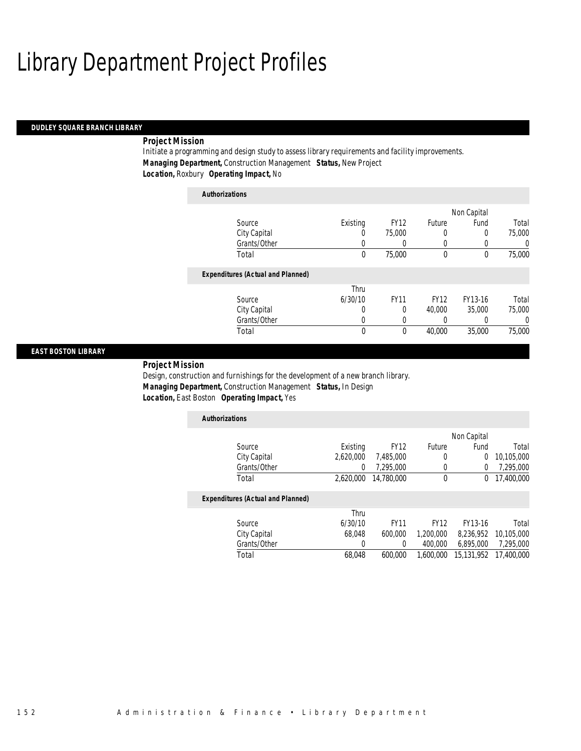#### *DUDLEY SQUARE BRANCH LIBRARY*

### *Project Mission*

*Authorizations*

Initiate a programming and design study to assess library requirements and facility improvements. *Managing Department,* Construction Management *Status,* New Project *Location,* Roxbury *Operating Impact,* No

| Authorizations                           |          |             |              |             |        |
|------------------------------------------|----------|-------------|--------------|-------------|--------|
|                                          |          |             |              | Non Capital |        |
| Source                                   | Existing | <b>FY12</b> | Future       | Fund        | Total  |
| City Capital                             | $\left($ | 75,000      | 0            | 0           | 75,000 |
| Grants/Other                             | 0        |             | 0            |             | 0      |
| Total                                    | 0        | 75,000      | $\mathbf{0}$ | 0           | 75,000 |
| <b>Expenditures (Actual and Planned)</b> |          |             |              |             |        |
|                                          | Thru     |             |              |             |        |
| Source                                   | 6/30/10  | <b>FY11</b> | <b>FY12</b>  | FY13-16     | Total  |
| City Capital                             | 0        | 0           | 40,000       | 35,000      | 75,000 |
| Grants/Other                             | 0        | 0           | 0            |             | 0      |
| Total                                    | 0        | 0           | 40,000       | 35,000      | 75,000 |

### *EAST BOSTON LIBRARY*

*Project Mission* 

Design, construction and furnishings for the development of a new branch library. *Managing Department,* Construction Management *Status,* In Design *Location,* East Boston *Operating Impact,* Yes

| <b>Authorizations</b>                    |           |             |             |                |            |
|------------------------------------------|-----------|-------------|-------------|----------------|------------|
|                                          |           |             |             | Non Capital    |            |
| Source                                   | Existing  | <b>FY12</b> | Future      | Fund           | Total      |
| City Capital                             | 2,620,000 | 7,485,000   | 0           | $\overline{0}$ | 10,105,000 |
| Grants/Other                             | 0         | 7.295.000   | 0           | 0              | 7,295,000  |
| Total                                    | 2,620,000 | 14,780,000  | 0           | 0              | 17,400,000 |
| <b>Expenditures (Actual and Planned)</b> |           |             |             |                |            |
|                                          | Thru      |             |             |                |            |
| Source                                   | 6/30/10   | <b>FY11</b> | <b>FY12</b> | FY13-16        | Total      |
| City Capital                             | 68,048    | 600,000     | 1,200,000   | 8,236,952      | 10,105,000 |
| Grants/Other                             |           | 0           | 400,000     | 6,895,000      | 7,295,000  |

Total 68,048 600,000 1,600,000 15,131,952 17,400,000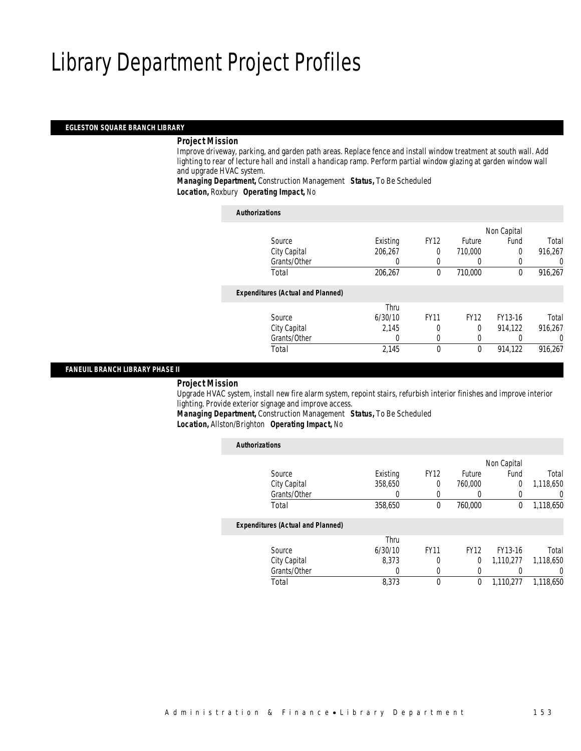### *EGLESTON SQUARE BRANCH LIBRARY*

### *Project Mission*

Improve driveway, parking, and garden path areas. Replace fence and install window treatment at south wall. Add lighting to rear of lecture hall and install a handicap ramp. Perform partial window glazing at garden window wall and upgrade HVAC system.

*Managing Department,* Construction Management *Status,* To Be Scheduled *Location,* Roxbury *Operating Impact,* No

| <b>Authorizations</b>                    |          |             |                  |              |         |
|------------------------------------------|----------|-------------|------------------|--------------|---------|
|                                          |          |             |                  | Non Capital  |         |
| Source                                   | Existing | <b>FY12</b> | <b>Future</b>    | Fund         | Total   |
| City Capital                             | 206,267  | 0           | 710,000          | $\Omega$     | 916,267 |
| Grants/Other                             | 0        | 0           | $\left( \right)$ |              | U       |
| Total                                    | 206,267  | $\theta$    | 710,000          | $\mathbf{0}$ | 916,267 |
| <b>Expenditures (Actual and Planned)</b> |          |             |                  |              |         |
|                                          | Thru     |             |                  |              |         |
| Source                                   | 6/30/10  | <b>FY11</b> | <b>FY12</b>      | FY13-16      | Total   |
| City Capital                             | 2.145    | 0           | $\theta$         | 914,122      | 916.267 |
| Grants/Other                             | 0        | 0           | 0                |              | 0       |
| Total                                    | 2,145    | $\theta$    | $\mathbf{0}$     | 914,122      | 916.267 |

*FANEUIL BRANCH LIBRARY PHASE II* 

### *Project Mission*

Upgrade HVAC system, install new fire alarm system, repoint stairs, refurbish interior finishes and improve interior lighting. Provide exterior signage and improve access.

*Managing Department,* Construction Management *Status,* To Be Scheduled *Location,* Allston/Brighton *Operating Impact,* No

| <b>Authorizations</b>                    |          |             |             |             |           |
|------------------------------------------|----------|-------------|-------------|-------------|-----------|
|                                          |          |             |             | Non Capital |           |
| Source                                   | Existing | <b>FY12</b> | Future      | Fund        | Total     |
| City Capital                             | 358,650  | 0           | 760,000     | 0           | 1,118,650 |
| Grants/Other                             | 0        |             | 0           | 0           | 0         |
| Total                                    | 358,650  | 0           | 760,000     | 0           | 1,118,650 |
| <b>Expenditures (Actual and Planned)</b> |          |             |             |             |           |
|                                          | Thru     |             |             |             |           |
| Source                                   | 6/30/10  | <b>FY11</b> | <b>FY12</b> | FY13-16     | Total     |
| City Capital                             | 8.373    | 0           | 0           | 1,110,277   | 1.118.650 |
| Grants/Other                             | 0        | 0           | 0           | 0           | 0         |
| Total                                    | 8,373    |             | 0           | 1.110.277   | 1,118,650 |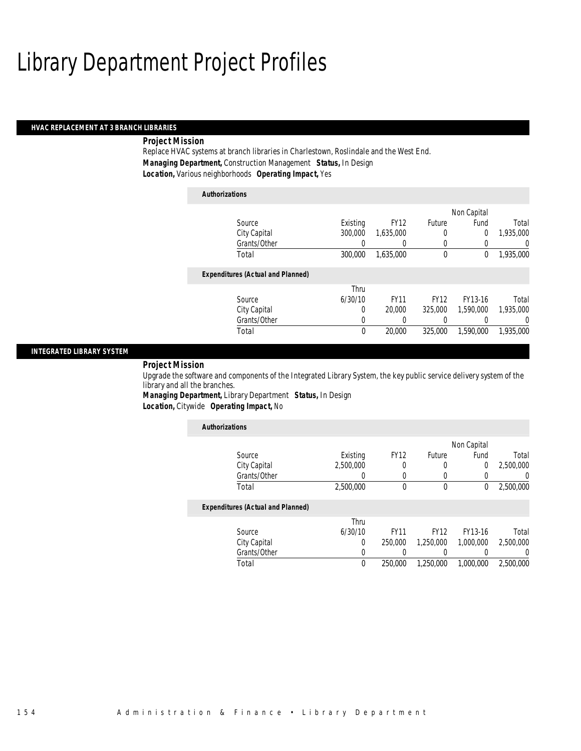### *HVAC REPLACEMENT AT 3 BRANCH LIBRARIES*

### *Project Mission*

Replace HVAC systems at branch libraries in Charlestown, Roslindale and the West End. *Managing Department,* Construction Management *Status,* In Design *Location,* Various neighborhoods *Operating Impact,* Yes

| <b>Authorizations</b>                    |          |             |             |             |           |
|------------------------------------------|----------|-------------|-------------|-------------|-----------|
|                                          |          |             |             | Non Capital |           |
| Source                                   | Existing | <b>FY12</b> | Future      | Fund        | Total     |
| City Capital                             | 300,000  | 1,635,000   | 0           | 0           | 1,935,000 |
| Grants/Other                             | 0        |             | 0           |             | 0         |
| Total                                    | 300,000  | 1.635.000   | $\mathbf 0$ | 0           | 1,935,000 |
| <b>Expenditures (Actual and Planned)</b> |          |             |             |             |           |
|                                          | Thru     |             |             |             |           |
| Source                                   | 6/30/10  | <b>FY11</b> | <b>FY12</b> | FY13-16     | Total     |
| City Capital                             | 0        | 20,000      | 325,000     | 1.590.000   | 1.935,000 |
| Grants/Other                             | 0        | 0           | 0           |             | 0         |
| Total                                    | $\theta$ | 20,000      | 325,000     | 1.590.000   | 1.935.000 |

### *INTEGRATED LIBRARY SYSTEM*

### *Project Mission*

Upgrade the software and components of the Integrated Library System, the key public service delivery system of the library and all the branches.

*Managing Department,* Library Department *Status,* In Design *Location,* Citywide *Operating Impact,* No

| <b>Authorizations</b>                    |           |             |             |             |           |
|------------------------------------------|-----------|-------------|-------------|-------------|-----------|
|                                          |           |             |             | Non Capital |           |
| Source                                   | Existing  | <b>FY12</b> | Future      | Fund        | Total     |
| City Capital                             | 2.500.000 | 0           |             | 0           | 2,500,000 |
| Grants/Other                             | 0         | 0           |             | 0           | 0         |
| Total                                    | 2,500,000 | $\theta$    | $\theta$    | 0           | 2,500,000 |
| <b>Expenditures (Actual and Planned)</b> |           |             |             |             |           |
|                                          | Thru      |             |             |             |           |
| Source                                   | 6/30/10   | <b>FY11</b> | <b>FY12</b> | FY13-16     | Total     |
| City Capital                             | 0         | 250,000     | 1,250,000   | 1,000,000   | 2,500,000 |
| Grants/Other                             | 0         | 0           |             |             | $\left($  |
| Total                                    | 0         | 250,000     | 1,250,000   | 1.000.000   | 2,500,000 |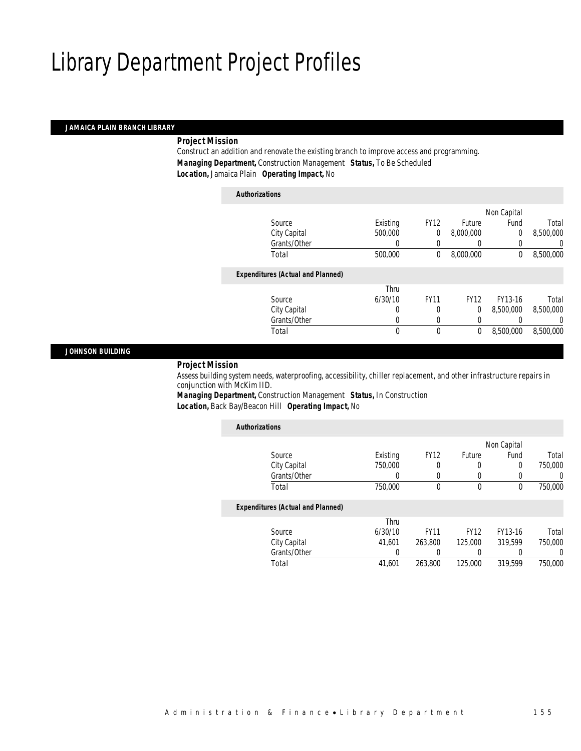### *JAMAICA PLAIN BRANCH LIBRARY*

### *Project Mission*

Construct an addition and renovate the existing branch to improve access and programming. *Managing Department,* Construction Management *Status,* To Be Scheduled *Location,* Jamaica Plain *Operating Impact,* No

|                                          |          |             |             | Non Capital |           |
|------------------------------------------|----------|-------------|-------------|-------------|-----------|
| Source                                   | Existing | <b>FY12</b> | Future      | Fund        | Total     |
| City Capital                             | 500,000  | 0           | 8,000,000   | $\theta$    | 8,500,000 |
| Grants/Other                             | $\left($ | 0           | 0           | 0           |           |
| Total                                    | 500,000  | 0           | 8,000,000   | $\mathbf 0$ | 8,500,000 |
| <b>Expenditures (Actual and Planned)</b> |          |             |             |             |           |
|                                          | Thru     |             |             |             |           |
| Source                                   | 6/30/10  | <b>FY11</b> | <b>FY12</b> | FY13-16     | Total     |
| City Capital                             | 0        | 0           | 0           | 8.500.000   | 8,500,000 |
| Grants/Other                             | 0        | 0           | 0           | 0           |           |
|                                          |          |             |             |             |           |

### *JOHNSON BUILDING*

### *Project Mission*

Assess building system needs, waterproofing, accessibility, chiller replacement, and other infrastructure repairs in conjunction with McKim IID.

*Managing Department,* Construction Management *Status,* In Construction *Location,* Back Bay/Beacon Hill *Operating Impact,* No

| <b>Authorizations</b>                    |          |             |             |             |         |
|------------------------------------------|----------|-------------|-------------|-------------|---------|
|                                          |          |             |             | Non Capital |         |
| Source                                   | Existing | <b>FY12</b> | Future      | Fund        | Total   |
| City Capital                             | 750,000  | 0           | 0           | $\Omega$    | 750,000 |
| Grants/Other                             | 0        | 0           | 0           | 0           | 0       |
| Total                                    | 750,000  | 0           | 0           | 0           | 750,000 |
| <b>Expenditures (Actual and Planned)</b> |          |             |             |             |         |
|                                          | Thru     |             |             |             |         |
| Source                                   | 6/30/10  | <b>FY11</b> | <b>FY12</b> | FY13-16     | Total   |
| City Capital                             | 41.601   | 263,800     | 125,000     | 319.599     | 750,000 |
| Grants/Other                             | 0        |             | 0           | 0           | 0       |
| Total                                    | 41.601   | 263,800     | 125,000     | 319,599     | 750,000 |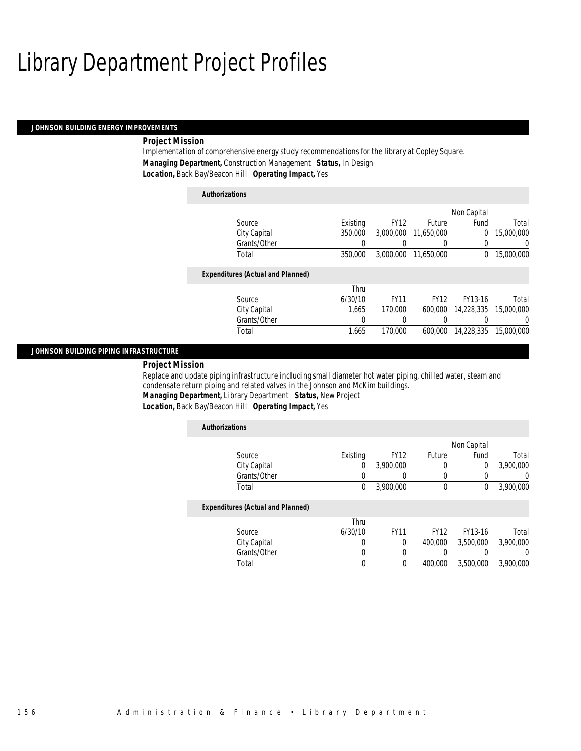#### *JOHNSON BUILDING ENERGY IMPROVEMENTS*

### *Project Mission*

Implementation of comprehensive energy study recommendations for the library at Copley Square. *Managing Department,* Construction Management *Status,* In Design *Location,* Back Bay/Beacon Hill *Operating Impact,* Yes

### *Authorizations* Source **Existing** FY12 Future Non Capital Fund Total City Capital 350,000 3,000,000 11,650,000 0 15,000,000 Grants/Other 0 0 0 0 0 0 Total 350,000 3,000,000 11,650,000 0 15,000,000 *Expenditures (Actual and Planned)* Source Thru 6/30/10 FY11 FY12 FY13-16 Total City Capital 1,665 170,000 600,000 14,228,335 15,000,000 Grants/Other 0 0 0 0 0 0 Total 1,665 170,000 600,000 14,228,335 15,000,000

### *JOHNSON BUILDING PIPING INFRASTRUCTURE*

### *Project Mission*

Replace and update piping infrastructure including small diameter hot water piping, chilled water, steam and condensate return piping and related valves in the Johnson and McKim buildings. *Managing Department,* Library Department *Status,* New Project

*Location,* Back Bay/Beacon Hill *Operating Impact,* Yes

| <b>Authorizations</b>                    |          |                  |               |             |                |
|------------------------------------------|----------|------------------|---------------|-------------|----------------|
|                                          |          |                  |               | Non Capital |                |
| Source                                   | Existing | <b>FY12</b>      | <b>Future</b> | Fund        | Total          |
| City Capital                             | 0        | 3,900,000        | 0             | $\Omega$    | 3,900,000      |
| Grants/Other                             | 0        | $\left( \right)$ | 0             | 0           | $\overline{0}$ |
| Total                                    | 0        | 3,900,000        | $\mathbf 0$   | $\mathbf 0$ | 3,900,000      |
| <b>Expenditures (Actual and Planned)</b> |          |                  |               |             |                |
|                                          | Thru     |                  |               |             |                |
| Source                                   | 6/30/10  | <b>FY11</b>      | <b>FY12</b>   | FY13-16     | Total          |
| City Capital                             | 0        | $\Omega$         | 400,000       | 3,500,000   | 3,900,000      |
| Grants/Other                             | 0        | 0                | 0             |             | $\Omega$       |
| Total                                    | 0        | $\theta$         | 400.000       | 3,500,000   | 3,900,000      |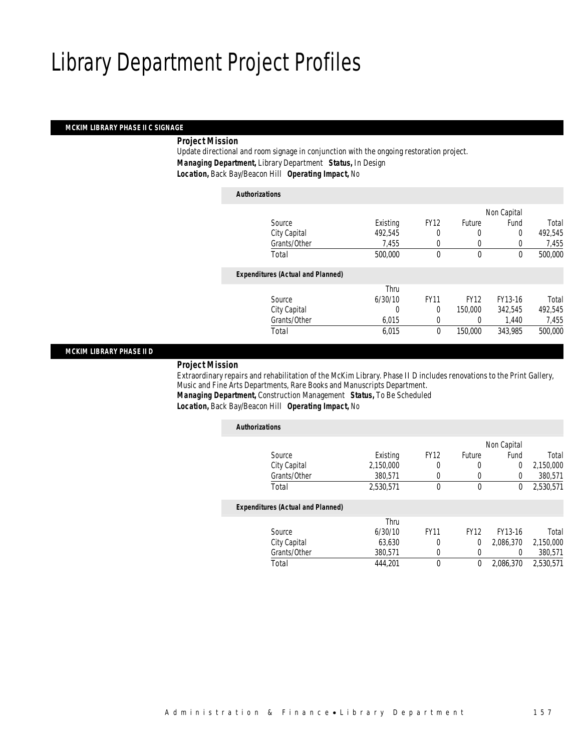### *MCKIM LIBRARY PHASE II C SIGNAGE*

### *Project Mission*

Update directional and room signage in conjunction with the ongoing restoration project. *Managing Department,* Library Department *Status,* In Design *Location,* Back Bay/Beacon Hill *Operating Impact,* No

| <b>Authorizations</b>                    |          |             |             |             |         |
|------------------------------------------|----------|-------------|-------------|-------------|---------|
|                                          |          |             |             | Non Capital |         |
| Source                                   | Existing | <b>FY12</b> | Future      | Fund        | Total   |
| City Capital                             | 492.545  | 0           | 0           | $\Omega$    | 492.545 |
| Grants/Other                             | 7,455    | $\theta$    | 0           | 0           | 7,455   |
| Total                                    | 500,000  | $\theta$    | $\theta$    | $\theta$    | 500,000 |
| <b>Expenditures (Actual and Planned)</b> |          |             |             |             |         |
|                                          | Thru     |             |             |             |         |
| Source                                   | 6/30/10  | <b>FY11</b> | <b>FY12</b> | FY13-16     | Total   |
| City Capital                             | 0        | $\theta$    | 150,000     | 342.545     | 492,545 |
| Grants/Other                             | 6,015    | $\Omega$    | 0           | 1,440       | 7,455   |
| Total                                    | 6,015    | 0           | 150,000     | 343,985     | 500,000 |
|                                          |          |             |             |             |         |

### *MCKIM LIBRARY PHASE II D*

### *Project Mission*

Extraordinary repairs and rehabilitation of the McKim Library. Phase II D includes renovations to the Print Gallery, Music and Fine Arts Departments, Rare Books and Manuscripts Department.

*Managing Department,* Construction Management *Status,* To Be Scheduled

| Location, Back Bay/Beacon Hill Operating Impact, No |  |
|-----------------------------------------------------|--|
|-----------------------------------------------------|--|

| <b>Authorizations</b>                    |           |             |             |                |           |
|------------------------------------------|-----------|-------------|-------------|----------------|-----------|
|                                          |           |             |             | Non Capital    |           |
| Source                                   | Existing  | <b>FY12</b> | Future      | Fund           | Total     |
| City Capital                             | 2,150,000 | 0           | 0           | $\overline{0}$ | 2,150,000 |
| Grants/Other                             | 380.571   | 0           | 0           | $\Omega$       | 380,571   |
| Total                                    | 2,530,571 | 0           | $\mathbf 0$ | 0              | 2,530,571 |
| <b>Expenditures (Actual and Planned)</b> |           |             |             |                |           |
|                                          | Thru      |             |             |                |           |
| Source                                   | 6/30/10   | <b>FY11</b> | <b>FY12</b> | FY13-16        | Total     |
| City Capital                             | 63,630    | 0           | 0           | 2.086.370      | 2,150,000 |
| Grants/Other                             | 380,571   | $\Omega$    | 0           | $\Omega$       | 380,571   |
| Total                                    | 444.201   | $\theta$    | 0           | 2.086.370      | 2,530,571 |
|                                          |           |             |             |                |           |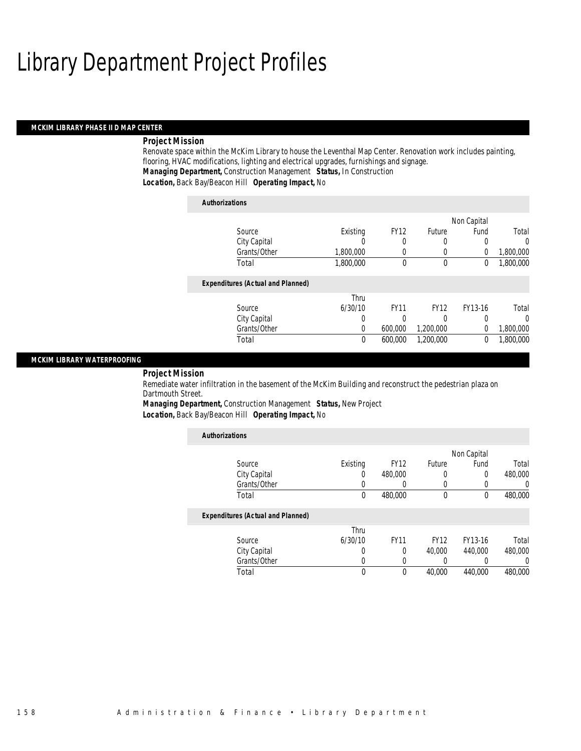#### *MCKIM LIBRARY PHASE II D MAP CENTER*

### *Project Mission*

Renovate space within the McKim Library to house the Leventhal Map Center. Renovation work includes painting, flooring, HVAC modifications, lighting and electrical upgrades, furnishings and signage. *Managing Department,* Construction Management *Status,* In Construction *Location,* Back Bay/Beacon Hill *Operating Impact,* No

| <b>Authorizations</b>                    |           |             |             |             |           |
|------------------------------------------|-----------|-------------|-------------|-------------|-----------|
|                                          |           |             |             | Non Capital |           |
| Source                                   | Existing  | <b>FY12</b> | Future      | Fund        | Total     |
| City Capital                             | U         | 0           | 0           | 0           | $\Omega$  |
| Grants/Other                             | 1,800,000 | 0           | 0           | 0           | 1,800,000 |
| Total                                    | 1,800,000 | $\Omega$    | $\mathbf 0$ | $\mathbf 0$ | 1,800,000 |
| <b>Expenditures (Actual and Planned)</b> |           |             |             |             |           |
|                                          | Thru      |             |             |             |           |
| Source                                   | 6/30/10   | <b>FY11</b> | <b>FY12</b> | FY13-16     | Total     |
| City Capital                             | 0         | 0           | 0           | 0           | $\Omega$  |
| Grants/Other                             | 0         | 600,000     | 1,200,000   | $\Omega$    | 1,800,000 |
| Total                                    | 0         | 600,000     | 1.200.000   | 0           | 1,800,000 |

### *MCKIM LIBRARY WATERPROOFING*

### *Project Mission*

Remediate water infiltration in the basement of the McKim Building and reconstruct the pedestrian plaza on Dartmouth Street.

*Managing Department,* Construction Management *Status,* New Project

*Location,* Back Bay/Beacon Hill *Operating Impact,* No

| <b>Authorizations</b>                    |          |             |               |              |                  |
|------------------------------------------|----------|-------------|---------------|--------------|------------------|
|                                          |          |             |               | Non Capital  |                  |
| Source                                   | Existing | <b>FY12</b> | <b>Future</b> | Fund         | Total            |
| City Capital                             | O        | 480,000     | 0             | 0            | 480,000          |
| Grants/Other                             | U        |             | $\mathbf 0$   | 0            | $\left( \right)$ |
| Total                                    | $\theta$ | 480,000     | $\theta$      | $\mathbf{0}$ | 480,000          |
| <b>Expenditures (Actual and Planned)</b> |          |             |               |              |                  |
|                                          | Thru     |             |               |              |                  |
| Source                                   | 6/30/10  | <b>FY11</b> | <b>FY12</b>   | FY13-16      | Total            |
| City Capital                             | 0        | $\Omega$    | 40,000        | 440,000      | 480,000          |
| Grants/Other                             | O        | 0           |               |              | 0                |
| Total                                    | 0        | 0           | 40,000        | 440.000      | 480,000          |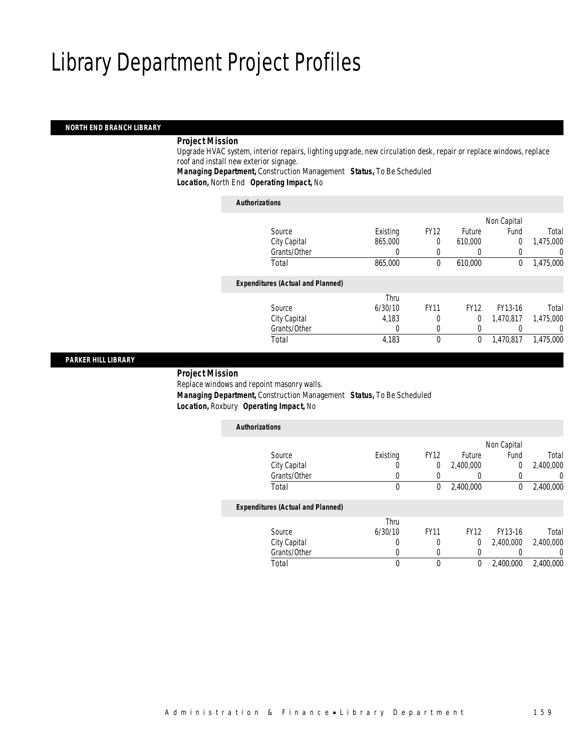### *NORTH END BRANCH LIBRARY*

### *Project Mission*

Upgrade HVAC system, interior repairs, lighting upgrade, new circulation desk, repair or replace windows, replace roof and install new exterior signage.

*Managing Department,* Construction Management *Status,* To Be Scheduled *Location,* North End *Operating Impact,* No

| <b>Authorizations</b>                    |          |             |             |                |           |
|------------------------------------------|----------|-------------|-------------|----------------|-----------|
|                                          |          |             |             | Non Capital    |           |
| Source                                   | Existing | <b>FY12</b> | Future      | Fund           | Total     |
| City Capital                             | 865,000  | $\theta$    | 610,000     | $\overline{0}$ | 1,475,000 |
| Grants/Other                             | 0        | 0           | $\left($    | 0              | 0         |
| Total                                    | 865,000  | $\theta$    | 610,000     | $\mathbf 0$    | 1,475,000 |
| <b>Expenditures (Actual and Planned)</b> |          |             |             |                |           |
|                                          | Thru     |             |             |                |           |
| Source                                   | 6/30/10  | <b>FY11</b> | <b>FY12</b> | FY13-16        | Total     |
| City Capital                             | 4.183    | 0           | $\Omega$    | 1.470.817      | 1,475,000 |
| Grants/Other                             | $\theta$ | $\Omega$    | 0           |                | 0         |
| Total                                    | 4,183    | $\theta$    | 0           | 1.470.817      | 1,475,000 |
|                                          |          |             |             |                |           |

### *PARKER HILL LIBRARY*

### *Project Mission*

Replace windows and repoint masonry walls. *Managing Department,* Construction Management *Status,* To Be Scheduled *Location,* Roxbury *Operating Impact,* No

| Total     |
|-----------|
| 2,400,000 |
| 0         |
| 2,400,000 |
|           |
|           |
| Total     |
| 2,400,000 |
|           |
| 0         |
|           |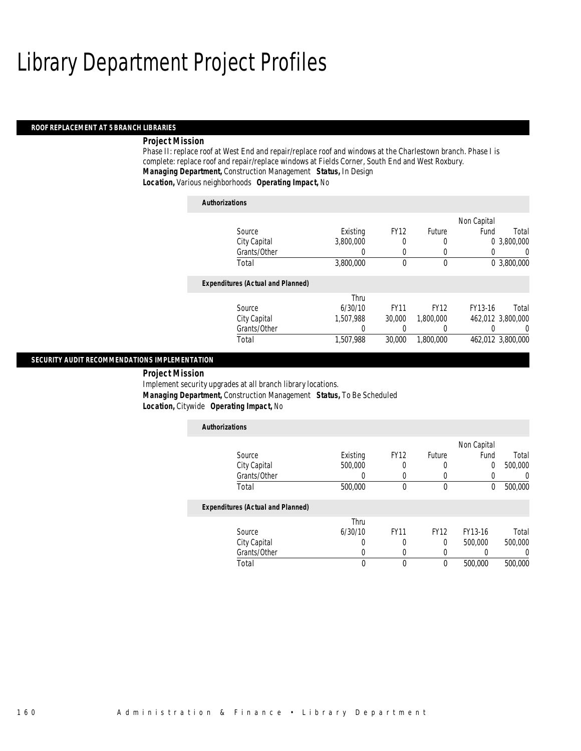#### *ROOF REPLACEMENT AT 5 BRANCH LIBRARIES*

### *Project Mission*

Phase II: replace roof at West End and repair/replace roof and windows at the Charlestown branch. Phase I is complete: replace roof and repair/replace windows at Fields Corner, South End and West Roxbury. *Managing Department,* Construction Management *Status,* In Design *Location,* Various neighborhoods *Operating Impact,* No

| <b>Authorizations</b> |                                          |           |             |                  |             |                   |
|-----------------------|------------------------------------------|-----------|-------------|------------------|-------------|-------------------|
|                       |                                          |           |             |                  | Non Capital |                   |
|                       | Source                                   | Existing  | <b>FY12</b> | Future           | Fund        | Total             |
|                       | City Capital                             | 3,800,000 | 0           | 0                | 0           | 3,800,000         |
|                       | Grants/Other                             | 0         | 0           | 0                | 0           | 0                 |
| Total                 |                                          | 3,800,000 | 0           | $\boldsymbol{0}$ |             | 0 3,800,000       |
|                       | <b>Expenditures (Actual and Planned)</b> |           |             |                  |             |                   |
|                       |                                          | Thru      |             |                  |             |                   |
|                       | Source                                   | 6/30/10   | <b>FY11</b> | <b>FY12</b>      | FY13-16     | Total             |
|                       | City Capital                             | 1.507.988 | 30,000      | 1.800.000        |             | 462,012 3,800,000 |
|                       | Grants/Other                             | 0         | 0           | 0                |             | 0                 |
| Total                 |                                          | 1,507,988 | 30,000      | 1.800.000        |             | 462,012 3,800,000 |

### *SECURITY AUDIT RECOMMENDATIONS IMPLEMENTATION*

 *Project Mission* Implement security upgrades at all branch library locations. *Managing Department,* Construction Management *Status,* To Be Scheduled *Location,* Citywide *Operating Impact,* No

| <b>Authorizations</b>                    |          |             |             |             |         |
|------------------------------------------|----------|-------------|-------------|-------------|---------|
|                                          |          |             |             | Non Capital |         |
| Source                                   | Existing | <b>FY12</b> | Future      | Fund        | Total   |
| City Capital                             | 500,000  | 0           | 0           | 0           | 500,000 |
| Grants/Other                             | 0        | 0           |             |             | 0       |
| Total                                    | 500,000  | $\theta$    | $\mathbf 0$ | 0           | 500,000 |
| <b>Expenditures (Actual and Planned)</b> |          |             |             |             |         |
|                                          | Thru     |             |             |             |         |
| Source                                   | 6/30/10  | <b>FY11</b> | <b>FY12</b> | FY13-16     | Total   |
| City Capital                             | 0        | 0           | 0           | 500,000     | 500,000 |
| Grants/Other                             | 0        | 0           |             |             | 0       |
| Total                                    | 0        | $\theta$    | $\theta$    | 500,000     | 500,000 |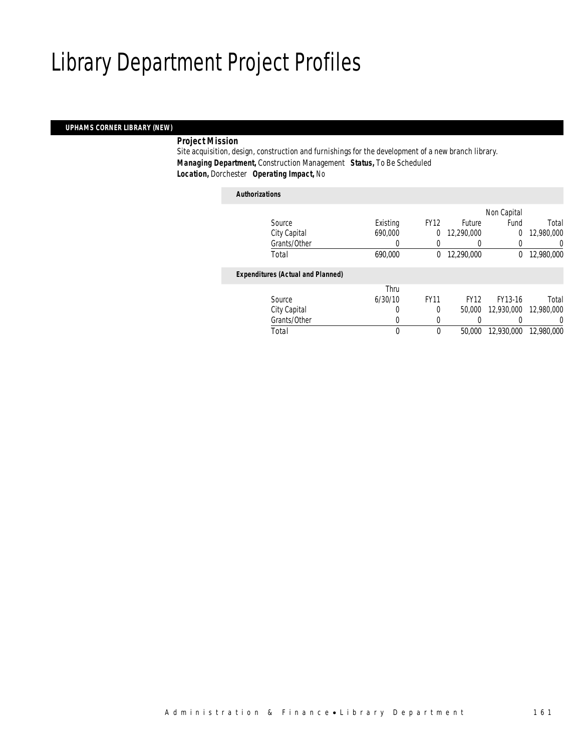### *UPHAMS CORNER LIBRARY (NEW)*

### *Project Mission*

Site acquisition, design, construction and furnishings for the development of a new branch library. *Managing Department,* Construction Management *Status,* To Be Scheduled *Location,* Dorchester *Operating Impact,* No

### *Authorizations*

|                                          |          |              |             | Non Capital |            |
|------------------------------------------|----------|--------------|-------------|-------------|------------|
| Source                                   | Existing | <b>FY12</b>  | Future      | Fund        | Total      |
| City Capital                             | 690,000  | $\theta$     | 12,290,000  | 0           | 12,980,000 |
| Grants/Other                             |          |              |             |             | 0          |
| Total                                    | 690,000  | $\mathbf{0}$ | 12,290,000  | $\Omega$    | 12,980,000 |
|                                          |          |              |             |             |            |
| <b>Expenditures (Actual and Planned)</b> |          |              |             |             |            |
|                                          | Thru     |              |             |             |            |
| Source                                   | 6/30/10  | <b>FY11</b>  | <b>FY12</b> | FY13-16     | Total      |
| City Capital                             | 0        | 0            | 50,000      | 12,930,000  | 12,980,000 |
| Grants/Other                             | 0        | 0            |             |             | 0          |
| Total                                    | 0        | $\theta$     | 50,000      | 12,930,000  | 12,980,000 |
|                                          |          |              |             |             |            |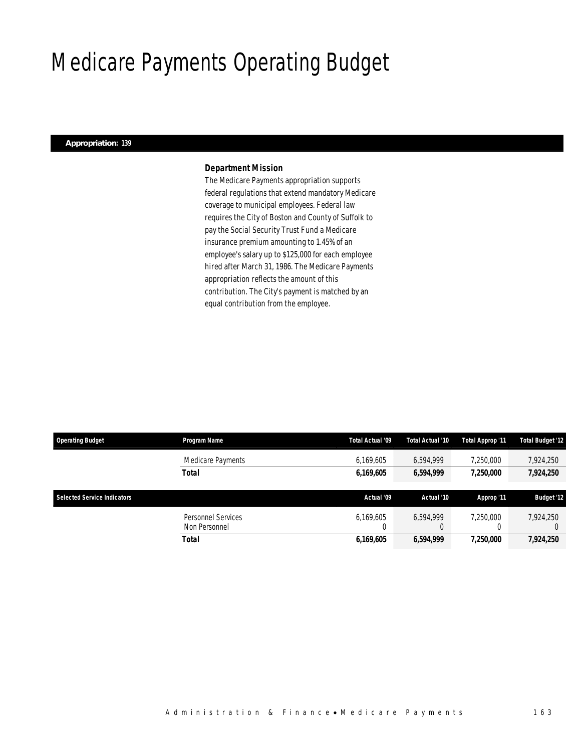### Medicare Payments Operating Budget

#### *Appropriation: 139*

### *Department Mission*

The Medicare Payments appropriation supports federal regulations that extend mandatory Medicare coverage to municipal employees. Federal law requires the City of Boston and County of Suffolk to pay the Social Security Trust Fund a Medicare insurance premium amounting to 1.45% of an employee's salary up to \$125,000 for each employee hired after March 31, 1986. The Medicare Payments appropriation reflects the amount of this contribution. The City's payment is matched by an equal contribution from the employee.

| <b>Operating Budget</b>            | Program Name                        | Total Actual '09 | Total Actual '10 | Total Approp '11 | <b>Total Budget '12</b> |
|------------------------------------|-------------------------------------|------------------|------------------|------------------|-------------------------|
|                                    | Medicare Payments                   | 6,169,605        | 6,594,999        | 7,250,000        | 7,924,250               |
|                                    | <b>Total</b>                        | 6,169,605        | 6,594,999        | 7,250,000        | 7,924,250               |
| <b>Selected Service Indicators</b> |                                     | Actual '09       | Actual '10       | Approp '11       | <b>Budget '12</b>       |
|                                    | Personnel Services<br>Non Personnel | 6,169,605        | 6.594.999        | 7.250.000        | 7.924.250               |
|                                    | <b>Total</b>                        | 6,169,605        | 6,594,999        | 7,250,000        | 7,924,250               |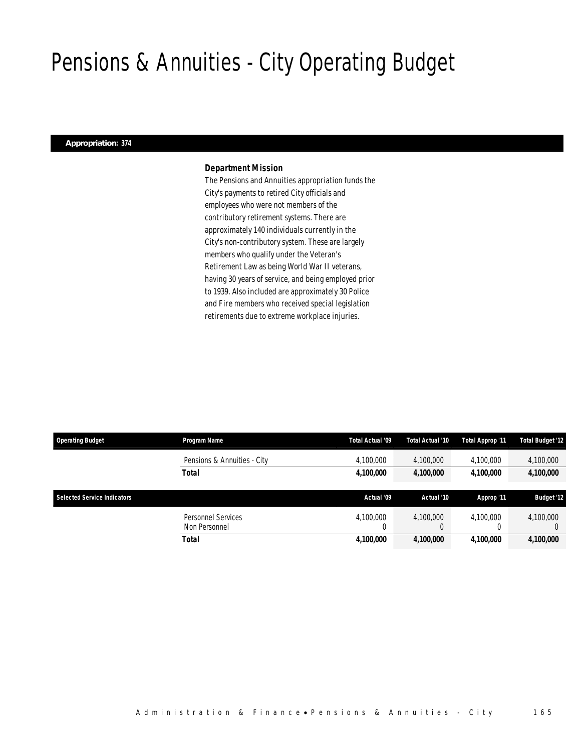# Pensions & Annuities - City Operating Budget

### *Appropriation: 374*

### *Department Mission*

The Pensions and Annuities appropriation funds the City's payments to retired City officials and employees who were not members of the contributory retirement systems. There are approximately 140 individuals currently in the City's non-contributory system. These are largely members who qualify under the Veteran's Retirement Law as being World War II veterans, having 30 years of service, and being employed prior to 1939. Also included are approximately 30 Police and Fire members who received special legislation retirements due to extreme workplace injuries.

| <b>Operating Budget</b>            | Program Name                               | Total Actual '09 | Total Actual '10 | Total Approp '11 | <b>Total Budget '12</b> |
|------------------------------------|--------------------------------------------|------------------|------------------|------------------|-------------------------|
|                                    | Pensions & Annuities - City                | 4,100,000        | 4,100,000        | 4,100,000        | 4,100,000               |
|                                    | Total                                      | 4,100,000        | 4,100,000        | 4.100.000        | 4,100,000               |
| <b>Selected Service Indicators</b> |                                            | Actual '09       | Actual '10       | Approp '11       | <b>Budget '12</b>       |
|                                    | <b>Personnel Services</b><br>Non Personnel | 4,100,000<br>0   | 4.100.000        | 4.100.000        | 4,100,000               |
|                                    |                                            |                  |                  |                  |                         |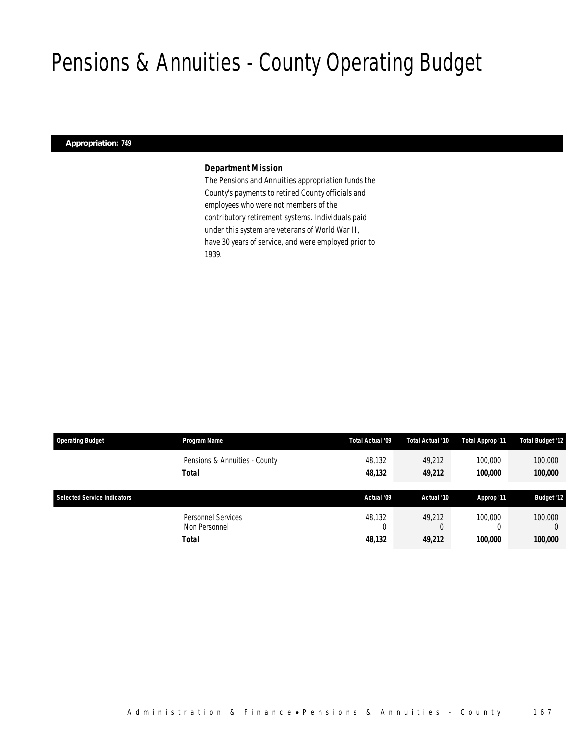### Pensions & Annuities - County Operating Budget

### *Appropriation: 749*

### *Department Mission*

The Pensions and Annuities appropriation funds the County's payments to retired County officials and employees who were not members of the contributory retirement systems. Individuals paid under this system are veterans of World War II, have 30 years of service, and were employed prior to 1939.

| <b>Operating Budget</b>     | Program Name                        | Total Actual '09 | Total Actual '10 | Total Approp '11 | <b>Total Budget '12</b> |
|-----------------------------|-------------------------------------|------------------|------------------|------------------|-------------------------|
|                             | Pensions & Annuities - County       | 48,132           | 49.212           | 100,000          | 100,000                 |
|                             | Total                               | 48,132           | 49,212           | 100,000          | 100,000                 |
|                             |                                     |                  |                  |                  |                         |
| Selected Service Indicators |                                     | Actual '09       | Actual '10       | Approp '11       | <b>Budget '12</b>       |
|                             | Personnel Services<br>Non Personnel | 48.132           | 49.212           | 100,000          | 100,000                 |
|                             | Total                               | 48,132           | 49,212           | 100.000          | 100,000                 |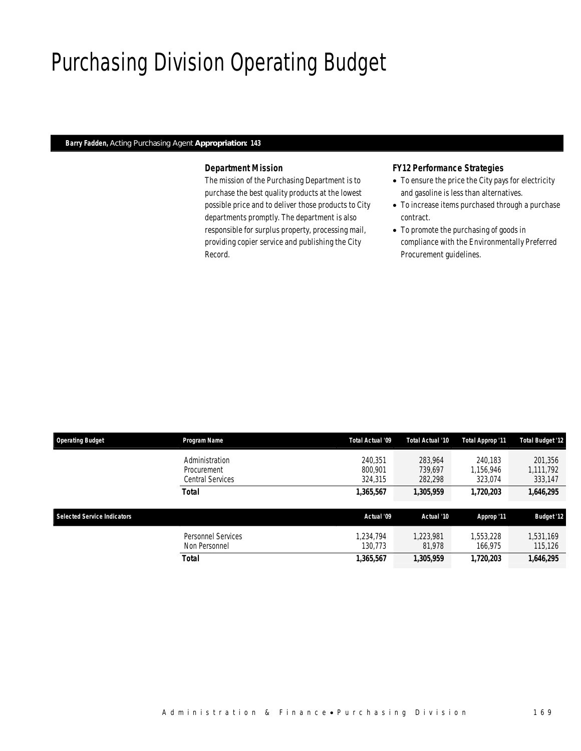# Purchasing Division Operating Budget

### *Barry Fadden, Acting Purchasing Agent Appropriation: 143*

### *Department Mission*

The mission of the Purchasing Department is to purchase the best quality products at the lowest possible price and to deliver those products to City departments promptly. The department is also responsible for surplus property, processing mail, providing copier service and publishing the City Record.

### *FY12 Performance Strategies*

- To ensure the price the City pays for electricity and gasoline is less than alternatives.
- To increase items purchased through a purchase contract.
- To promote the purchasing of goods in compliance with the Environmentally Preferred Procurement guidelines.

| <b>Operating Budget</b>            | Program Name                                             | Total Actual '09              | Total Actual '10              | Total Approp '11                | <b>Total Budget '12</b>         |
|------------------------------------|----------------------------------------------------------|-------------------------------|-------------------------------|---------------------------------|---------------------------------|
|                                    | Administration<br>Procurement<br><b>Central Services</b> | 240.351<br>800.901<br>324.315 | 283.964<br>739.697<br>282,298 | 240.183<br>1,156,946<br>323,074 | 201,356<br>1.111.792<br>333,147 |
|                                    | <b>Total</b>                                             | 1,365,567                     | 1,305,959                     | 1,720,203                       | 1,646,295                       |
| <b>Selected Service Indicators</b> |                                                          | Actual '09                    | Actual '10                    | Approp '11                      | <b>Budget '12</b>               |
|                                    | <b>Personnel Services</b><br>Non Personnel               | 1.234.794<br>130.773          | 1.223.981<br>81,978           | 1,553,228<br>166.975            | 1,531,169<br>115,126            |
|                                    | <b>Total</b>                                             | 1,365,567                     | 1,305,959                     | 1,720,203                       | 1,646,295                       |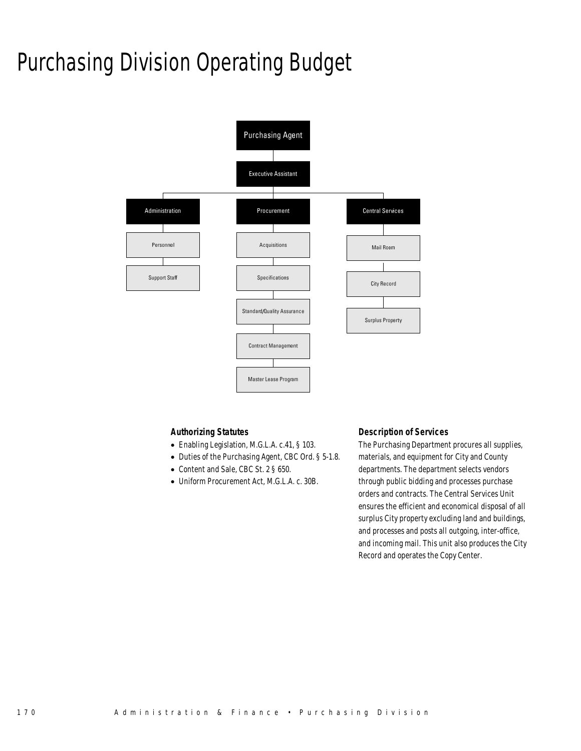# Purchasing Division Operating Budget



### *Authorizing Statutes*

- Enabling Legislation, M.G.L.A. c.41, § 103.
- Duties of the Purchasing Agent, CBC Ord. § 5-1.8.
- Content and Sale, CBC St. 2 § 650.
- Uniform Procurement Act, M.G.L.A. c. 30B.

### *Description of Services*

The Purchasing Department procures all supplies, materials, and equipment for City and County departments. The department selects vendors through public bidding and processes purchase orders and contracts. The Central Services Unit ensures the efficient and economical disposal of all surplus City property excluding land and buildings, and processes and posts all outgoing, inter-office, and incoming mail. This unit also produces the City Record and operates the Copy Center.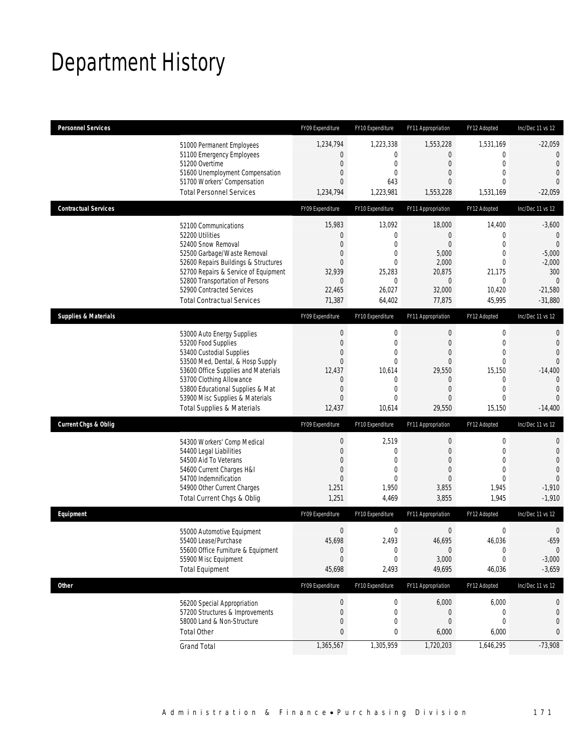# Department History

| <b>Personnel Services</b>       |                                                                         | FY09 Expenditure                | FY10 Expenditure              | FY11 Appropriation       | FY12 Adopted                   | Inc/Dec 11 vs 12           |
|---------------------------------|-------------------------------------------------------------------------|---------------------------------|-------------------------------|--------------------------|--------------------------------|----------------------------|
|                                 | 51000 Permanent Employees                                               | 1,234,794                       | 1,223,338                     | 1,553,228                | 1,531,169                      | $-22,059$                  |
|                                 | 51100 Emergency Employees                                               | $\mathbf 0$                     | 0                             | $\mathbf{0}$             | 0                              | 0                          |
|                                 | 51200 Overtime<br>51600 Unemployment Compensation                       | $\boldsymbol{0}$<br>$\mathbf 0$ | 0<br>0                        | $\mathbf{0}$<br>$\theta$ | $\mathbf{0}$<br>$\overline{0}$ | $\theta$<br>$\overline{0}$ |
|                                 | 51700 Workers' Compensation                                             | $\mathbf{0}$                    | 643                           | 0                        | $\theta$                       | $\Omega$                   |
|                                 | <b>Total Personnel Services</b>                                         | 1,234,794                       | 1,223,981                     | 1,553,228                | 1,531,169                      | $-22,059$                  |
| <b>Contractual Services</b>     |                                                                         | FY09 Expenditure                | FY10 Expenditure              | FY11 Appropriation       | FY12 Adopted                   | Inc/Dec 11 vs 12           |
|                                 | 52100 Communications                                                    | 15,983                          | 13,092                        | 18,000                   | 14,400                         | $-3,600$                   |
|                                 | 52200 Utilities                                                         | $\mathbf 0$                     | $\mathbf 0$                   | $\theta$                 | $\mathbf{0}$                   | $\mathbf{0}$               |
|                                 | 52400 Snow Removal                                                      | $\mathbf{0}$<br>$\mathbf 0$     | $\overline{0}$<br>$\mathbf 0$ | $\overline{0}$<br>5,000  | $\overline{0}$<br>$\mathbf{0}$ | $\theta$<br>$-5,000$       |
|                                 | 52500 Garbage/Waste Removal<br>52600 Repairs Buildings & Structures     | $\mathbf{0}$                    | $\mathbf{0}$                  | 2,000                    | 0                              | $-2,000$                   |
|                                 | 52700 Repairs & Service of Equipment                                    | 32,939                          | 25,283                        | 20,875                   | 21,175                         | 300                        |
|                                 | 52800 Transportation of Persons                                         | $\mathbf{0}$                    | 0                             | $\mathbf 0$              | 0                              | $\theta$                   |
|                                 | 52900 Contracted Services                                               | 22,465                          | 26,027                        | 32,000                   | 10,420                         | $-21,580$                  |
|                                 | <b>Total Contractual Services</b>                                       | 71,387                          | 64,402                        | 77,875                   | 45,995                         | $-31,880$                  |
| <b>Supplies &amp; Materials</b> |                                                                         | FY09 Expenditure                | FY10 Expenditure              | FY11 Appropriation       | FY12 Adopted                   | Inc/Dec 11 vs 12           |
|                                 | 53000 Auto Energy Supplies                                              | $\boldsymbol{0}$                | $\mathbf 0$                   | $\mathbf 0$              | $\boldsymbol{0}$               | 0                          |
|                                 | 53200 Food Supplies                                                     | $\boldsymbol{0}$                | $\mathbf 0$                   | $\theta$                 | $\overline{0}$                 | 0                          |
|                                 | 53400 Custodial Supplies                                                | $\mathbf{0}$                    | 0                             | $\theta$                 | $\mathbf 0$                    | $\Omega$                   |
|                                 | 53500 Med, Dental, & Hosp Supply<br>53600 Office Supplies and Materials | $\mathbf{0}$<br>12,437          | $\mathbf 0$<br>10,614         | $\mathbf{0}$<br>29,550   | $\mathbf 0$<br>15,150          | $\Omega$<br>$-14,400$      |
|                                 | 53700 Clothing Allowance                                                | $\mathbf 0$                     | $\mathbf 0$                   | $\mathbf 0$              | $\mathbf 0$                    | $\mathbf{0}$               |
|                                 | 53800 Educational Supplies & Mat                                        | $\mathbf 0$                     | $\mathbf{0}$                  | $\theta$                 | $\mathbf{0}$                   | $\overline{0}$             |
|                                 | 53900 Misc Supplies & Materials                                         | $\mathbf{0}$                    | 0                             | 0                        | $\overline{0}$                 | $\Omega$                   |
|                                 | <b>Total Supplies &amp; Materials</b>                                   | 12,437                          | 10,614                        | 29,550                   | 15,150                         | $-14,400$                  |
| <b>Current Chgs &amp; Oblig</b> |                                                                         | FY09 Expenditure                | FY10 Expenditure              | FY11 Appropriation       | FY12 Adopted                   | Inc/Dec 11 vs 12           |
|                                 | 54300 Workers' Comp Medical                                             | $\boldsymbol{0}$                | 2,519                         | $\mathbf{0}$             | $\boldsymbol{0}$               | 0                          |
|                                 | 54400 Legal Liabilities                                                 | $\mathbf 0$                     | $\mathbf 0$                   | $\theta$                 | $\mathbf{0}$                   | $\mathbf 0$                |
|                                 | 54500 Aid To Veterans                                                   | $\mathbf{0}$                    | 0                             | $\theta$                 | $\overline{0}$                 | $\overline{0}$             |
|                                 | 54600 Current Charges H&I                                               | $\boldsymbol{0}$                | $\mathbf{0}$                  | $\theta$                 | $\mathbf{0}$                   | $\overline{0}$             |
|                                 | 54700 Indemnification<br>54900 Other Current Charges                    | $\mathbf{0}$<br>1,251           | $\Omega$<br>1,950             | $\theta$<br>3,855        | $\mathbf{0}$<br>1,945          | 0<br>$-1,910$              |
|                                 | Total Current Chgs & Oblig                                              | 1,251                           | 4,469                         | 3,855                    | 1,945                          | $-1,910$                   |
| Equipment                       |                                                                         | FY09 Expenditure                | FY10 Expenditure              | FY11 Appropriation       | FY12 Adopted                   | Inc/Dec 11 vs 12           |
|                                 | 55000 Automotive Equipment                                              | $\boldsymbol{0}$                | 0                             | $\boldsymbol{0}$         | 0                              | 0                          |
|                                 | 55400 Lease/Purchase                                                    | 45,698                          | 2,493                         | 46,695                   | 46,036                         | $-659$                     |
|                                 | 55600 Office Furniture & Equipment                                      | $\bf{0}$                        | 0                             | $\mathbf 0$              | $\boldsymbol{0}$               | $\mathbf 0$                |
|                                 | 55900 Misc Equipment                                                    | $\boldsymbol{0}$                | $\boldsymbol{0}$              | 3,000                    | 0                              | $-3,000$                   |
|                                 | <b>Total Equipment</b>                                                  | 45,698                          | 2,493                         | 49,695                   | 46,036                         | $-3,659$                   |
| Other                           |                                                                         | FY09 Expenditure                | FY10 Expenditure              | FY11 Appropriation       | FY12 Adopted                   | Inc/Dec 11 vs 12           |
|                                 | 56200 Special Appropriation                                             | $\boldsymbol{0}$                | 0                             | 6,000                    | 6,000                          | 0                          |
|                                 | 57200 Structures & Improvements                                         | $\boldsymbol{0}$                | 0                             | $\mathbf 0$              | $\mathbf 0$                    | $\mathbf 0$                |
|                                 | 58000 Land & Non-Structure                                              | $\mathbf 0$                     | 0                             | $\theta$                 | 0                              | 0                          |
|                                 | <b>Total Other</b>                                                      | 0                               | 0                             | 6,000                    | 6,000                          | 0                          |
|                                 | <b>Grand Total</b>                                                      | 1,365,567                       | 1,305,959                     | 1,720,203                | 1,646,295                      | $-73,908$                  |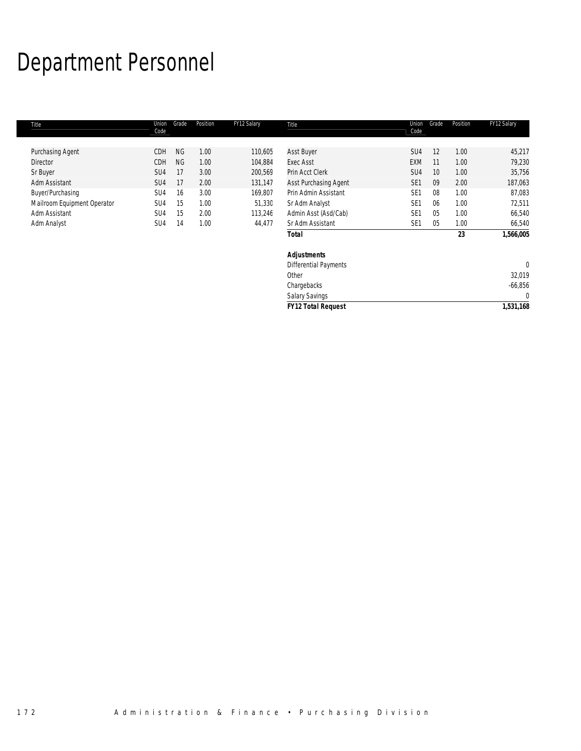# Department Personnel

| Title                       | Union<br>Code   | Grade     | Position | FY12 Salary | Title                     | Union<br>Code   | Grade | Position | FY12 Salary  |
|-----------------------------|-----------------|-----------|----------|-------------|---------------------------|-----------------|-------|----------|--------------|
| Purchasing Agent            | <b>CDH</b>      | <b>NG</b> | 1.00     | 110,605     | <b>Asst Buyer</b>         | SU4             | 12    | 1.00     | 45,217       |
| <b>Director</b>             | CDH             | <b>NG</b> | 1.00     | 104,884     | <b>Exec Asst</b>          | <b>EXM</b>      | 11    | 1.00     | 79,230       |
| Sr Buyer                    | SU <sub>4</sub> | 17        | 3.00     | 200,569     | Prin Acct Clerk           | SU4             | 10    | 1.00     | 35,756       |
| Adm Assistant               | SU <sub>4</sub> | 17        | 2.00     | 131,147     | Asst Purchasing Agent     | SE <sub>1</sub> | 09    | 2.00     | 187,063      |
| Buyer/Purchasing            | SU4             | 16        | 3.00     | 169,807     | Prin Admin Assistant      | SE <sub>1</sub> | 08    | 1.00     | 87,083       |
| Mailroom Equipment Operator | SU4             | 15        | 1.00     | 51,330      | Sr Adm Analyst            | SE <sub>1</sub> | 06    | 1.00     | 72,511       |
| Adm Assistant               | SU4             | 15        | 2.00     | 113,246     | Admin Asst (Asd/Cab)      | SE <sub>1</sub> | 05    | 1.00     | 66,540       |
| Adm Analyst                 | SU4             | 14        | 1.00     | 44,477      | Sr Adm Assistant          | SE <sub>1</sub> | 05    | 1.00     | 66,540       |
|                             |                 |           |          |             | <b>Total</b>              |                 |       | 23       | 1,566,005    |
|                             |                 |           |          |             | <b>Adjustments</b>        |                 |       |          |              |
|                             |                 |           |          |             | Differential Payments     |                 |       |          | $\mathbf{0}$ |
|                             |                 |           |          |             | Other                     |                 |       |          | 32,019       |
|                             |                 |           |          |             | Chargebacks               |                 |       |          | $-66,856$    |
|                             |                 |           |          |             | Salary Savings            |                 |       |          | $\mathbf{0}$ |
|                             |                 |           |          |             | <b>FY12 Total Request</b> |                 |       |          | 1,531,168    |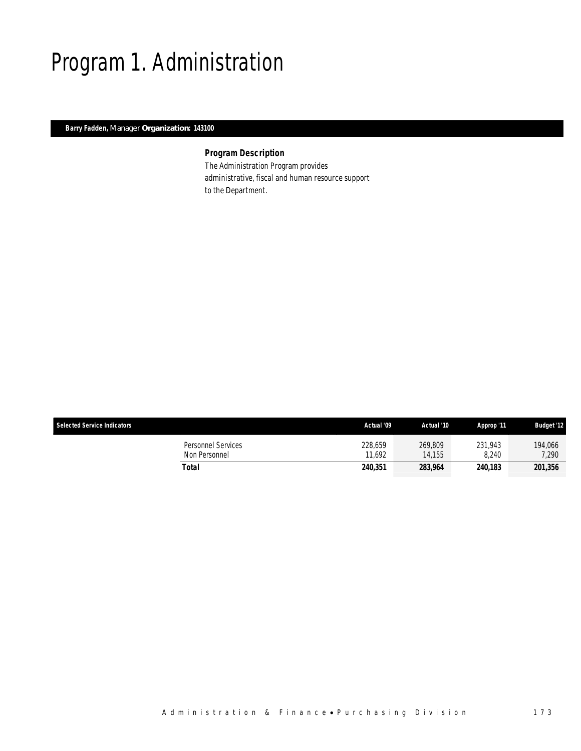# Program 1. Administration

*Barry Fadden, Manager Organization: 143100* 

### *Program Description*

The Administration Program provides administrative, fiscal and human resource support to the Department.

| <b>Selected Service Indicators</b>  | Actual '09        | Actual '10        | Approp '11       | <b>Budget '12</b> |
|-------------------------------------|-------------------|-------------------|------------------|-------------------|
| Personnel Services<br>Non Personnel | 228,659<br>11.692 | 269,809<br>14.155 | 231.943<br>8.240 | 194,066<br>7.290  |
| Total                               | 240,351           | 283,964           | 240.183          | 201,356           |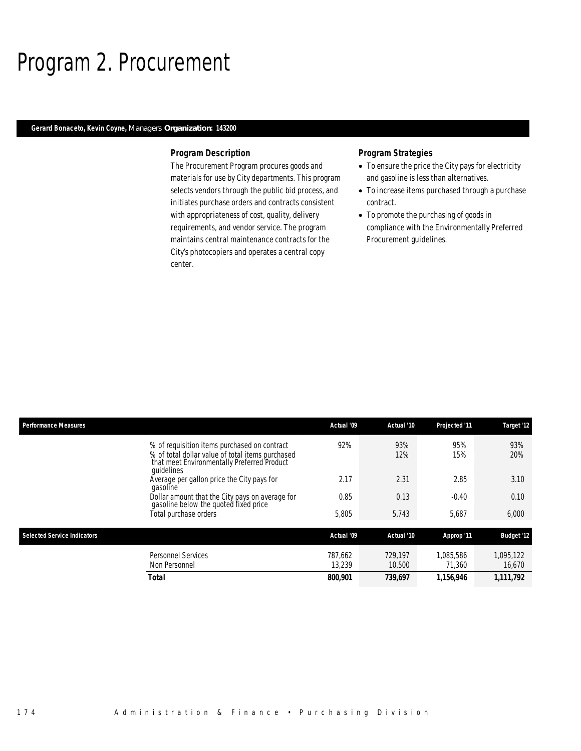### Program 2. Procurement

### *Gerard Bonaceto, Kevin Coyne, Managers Organization: 143200*

### *Program Description*

The Procurement Program procures goods and materials for use by City departments. This program selects vendors through the public bid process, and initiates purchase orders and contracts consistent with appropriateness of cost, quality, delivery requirements, and vendor service. The program maintains central maintenance contracts for the City's photocopiers and operates a central copy center.

### *Program Strategies*

- To ensure the price the City pays for electricity and gasoline is less than alternatives.
- To increase items purchased through a purchase contract.
- To promote the purchasing of goods in compliance with the Environmentally Preferred Procurement guidelines.

| <b>Performance Measures</b>        |                                                                                                                                                               | Actual '09        | Actual '10        | Projected '11       | Target '12          |
|------------------------------------|---------------------------------------------------------------------------------------------------------------------------------------------------------------|-------------------|-------------------|---------------------|---------------------|
|                                    | % of requisition items purchased on contract<br>% of total dollar value of total items purchased<br>that meet Environmentally Preferred Product<br>quidelines | 92%               | 93%<br>12%        | 95%<br>15%          | 93%<br>20%          |
|                                    | Average per gallon price the City pays for<br>gasoline                                                                                                        | 2.17              | 2.31              | 2.85                | 3.10                |
|                                    | Dollar amount that the City pays on average for<br>gasoline below the quoted fixed price                                                                      | 0.85              | 0.13              | $-0.40$             | 0.10                |
|                                    | Total purchase orders                                                                                                                                         | 5,805             | 5,743             | 5.687               | 6,000               |
| <b>Selected Service Indicators</b> |                                                                                                                                                               | Actual '09        | Actual '10        | Approp '11          | <b>Budget '12</b>   |
|                                    | <b>Personnel Services</b><br>Non Personnel                                                                                                                    | 787.662<br>13.239 | 729.197<br>10,500 | 1.085.586<br>71,360 | 1,095,122<br>16,670 |
|                                    | Total                                                                                                                                                         | 800,901           | 739,697           | 1,156,946           | 1,111,792           |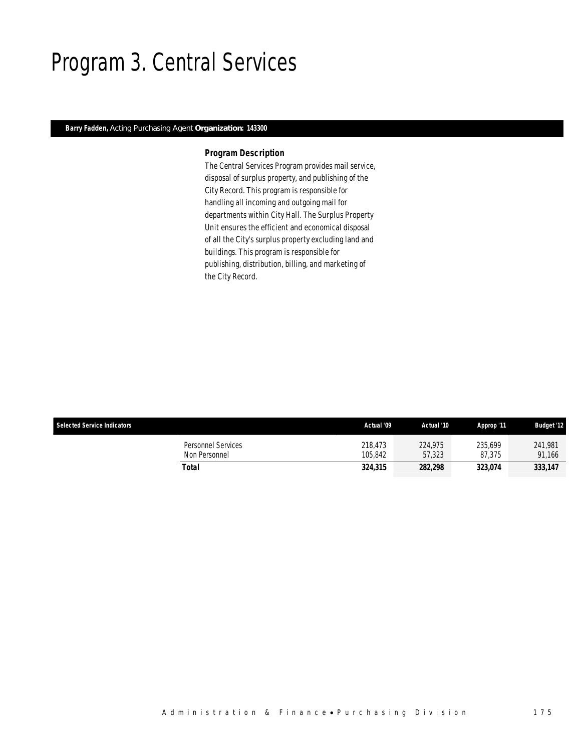### Program 3. Central Services

### *Barry Fadden, Acting Purchasing Agent Organization: 143300*

### *Program Description*

The Central Services Program provides mail service, disposal of surplus property, and publishing of the City Record. This program is responsible for handling all incoming and outgoing mail for departments within City Hall. The Surplus Property Unit ensures the efficient and economical disposal of all the City's surplus property excluding land and buildings. This program is responsible for publishing, distribution, billing, and marketing of the City Record.

| <b>Selected Service Indicators</b>  | Actual '09         | Actual '10        | Approp '11        | <b>Budget '12</b> |
|-------------------------------------|--------------------|-------------------|-------------------|-------------------|
| Personnel Services<br>Non Personnel | 218.473<br>105.842 | 224.975<br>57,323 | 235.699<br>87.375 | 241,981<br>91.166 |
| Total                               | 324,315            | 282,298           | 323.074           | 333,147           |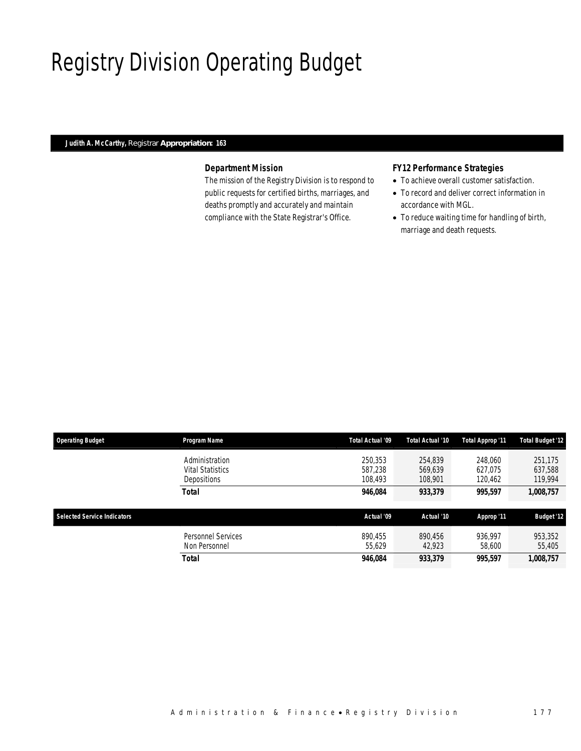# Registry Division Operating Budget

### *Judith A. McCarthy, Registrar Appropriation: 163*

### *Department Mission*

The mission of the Registry Division is to respond to public requests for certified births, marriages, and deaths promptly and accurately and maintain compliance with the State Registrar's Office.

### *FY12 Performance Strategies*

- To achieve overall customer satisfaction.
- To record and deliver correct information in accordance with MGL.
- To reduce waiting time for handling of birth, marriage and death requests.

| <b>Operating Budget</b>            | Program Name                                                    | Total Actual '09              | Total Actual '10              | Total Approp '11              | <b>Total Budget '12</b>       |
|------------------------------------|-----------------------------------------------------------------|-------------------------------|-------------------------------|-------------------------------|-------------------------------|
|                                    | Administration<br><b>Vital Statistics</b><br><b>Depositions</b> | 250,353<br>587.238<br>108,493 | 254.839<br>569.639<br>108,901 | 248,060<br>627.075<br>120,462 | 251,175<br>637,588<br>119,994 |
|                                    | <b>Total</b>                                                    | 946.084                       | 933,379                       | 995.597                       | 1,008,757                     |
| <b>Selected Service Indicators</b> |                                                                 | Actual '09                    | Actual '10                    | Approp '11                    | <b>Budget '12</b>             |
|                                    | <b>Personnel Services</b><br>Non Personnel                      | 890.455<br>55,629             | 890,456<br>42,923             | 936,997<br>58,600             | 953,352<br>55,405             |
|                                    | Total                                                           | 946,084                       | 933,379                       | 995.597                       | 1,008,757                     |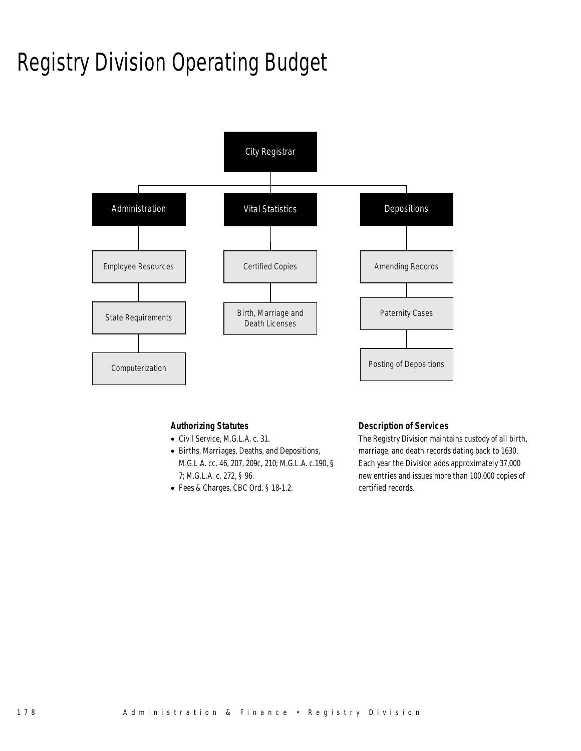# Registry Division Operating Budget



### *Authorizing Statutes*

- Civil Service, M.G.L.A. c. 31.
- Births, Marriages, Deaths, and Depositions, M.G.L.A. cc. 46, 207, 209c, 210; M.G.L.A. c.190, § 7; M.G.L.A. c. 272, § 96.
- Fees & Charges, CBC Ord. § 18-1.2.

### *Description of Services*

The Registry Division maintains custody of all birth, marriage, and death records dating back to 1630. Each year the Division adds approximately 37,000 new entries and issues more than 100,000 copies of certified records.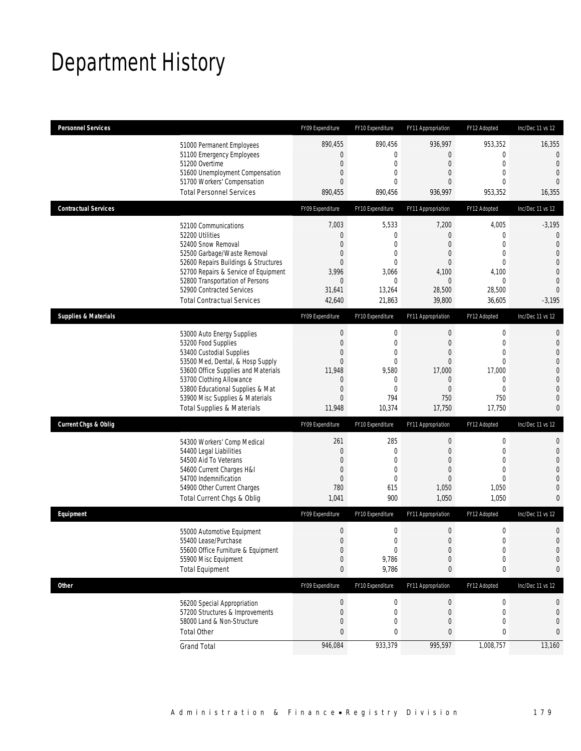# Department History

| <b>Personnel Services</b>       |                                                                                                                                                                                                                                                                                                      | FY09 Expenditure                                                                                                                           | FY10 Expenditure                                                                                                | FY11 Appropriation                                                                                                      | FY12 Adopted                                                                                                     | Inc/Dec 11 vs 12                                                                                                                |
|---------------------------------|------------------------------------------------------------------------------------------------------------------------------------------------------------------------------------------------------------------------------------------------------------------------------------------------------|--------------------------------------------------------------------------------------------------------------------------------------------|-----------------------------------------------------------------------------------------------------------------|-------------------------------------------------------------------------------------------------------------------------|------------------------------------------------------------------------------------------------------------------|---------------------------------------------------------------------------------------------------------------------------------|
|                                 | 51000 Permanent Employees<br>51100 Emergency Employees<br>51200 Overtime<br>51600 Unemployment Compensation<br>51700 Workers' Compensation<br><b>Total Personnel Services</b>                                                                                                                        | 890,455<br>$\boldsymbol{0}$<br>$\mathbf 0$<br>$\boldsymbol{0}$<br>$\mathbf{0}$<br>890,455                                                  | 890,456<br>$\mathbf{0}$<br>$\mathbf 0$<br>$\mathbf{0}$<br>$\Omega$<br>890,456                                   | 936,997<br>0<br>$\mathbf 0$<br>$\mathbf{0}$<br>$\theta$<br>936,997                                                      | 953,352<br>$\boldsymbol{0}$<br>$\mathbf 0$<br>$\overline{0}$<br>$\Omega$<br>953,352                              | 16,355<br>0<br>$\theta$<br>$\theta$<br>$\Omega$<br>16,355                                                                       |
| <b>Contractual Services</b>     |                                                                                                                                                                                                                                                                                                      | FY09 Expenditure                                                                                                                           | FY10 Expenditure                                                                                                | FY11 Appropriation                                                                                                      | FY12 Adopted                                                                                                     | Inc/Dec 11 vs 12                                                                                                                |
|                                 | 52100 Communications<br>52200 Utilities<br>52400 Snow Removal<br>52500 Garbage/Waste Removal<br>52600 Repairs Buildings & Structures<br>52700 Repairs & Service of Equipment<br>52800 Transportation of Persons<br>52900 Contracted Services<br><b>Total Contractual Services</b>                    | 7,003<br>$\boldsymbol{0}$<br>$\mathbf{0}$<br>0<br>$\mathbf{0}$<br>3,996<br>$\mathbf 0$<br>31,641<br>42,640                                 | 5,533<br>$\mathbf 0$<br>$\mathbf 0$<br>$\mathbf 0$<br>$\mathbf{0}$<br>3,066<br>$\mathbf{0}$<br>13,264<br>21,863 | 7,200<br>$\mathbf{0}$<br>$\theta$<br>$\theta$<br>$\mathbf{0}$<br>4,100<br>$\boldsymbol{0}$<br>28,500<br>39,800          | 4,005<br>$\boldsymbol{0}$<br>$\mathbf{0}$<br>$\mathbf 0$<br>$\overline{0}$<br>4,100<br>0<br>28,500<br>36,605     | $-3,195$<br>$\mathbf 0$<br>$\overline{0}$<br>$\overline{0}$<br>0<br>$\overline{0}$<br>$\mathbf 0$<br>$\overline{0}$<br>$-3,195$ |
| <b>Supplies &amp; Materials</b> |                                                                                                                                                                                                                                                                                                      | FY09 Expenditure                                                                                                                           | FY10 Expenditure                                                                                                | FY11 Appropriation                                                                                                      | FY12 Adopted                                                                                                     | Inc/Dec 11 vs 12                                                                                                                |
|                                 | 53000 Auto Energy Supplies<br>53200 Food Supplies<br>53400 Custodial Supplies<br>53500 Med, Dental, & Hosp Supply<br>53600 Office Supplies and Materials<br>53700 Clothing Allowance<br>53800 Educational Supplies & Mat<br>53900 Misc Supplies & Materials<br><b>Total Supplies &amp; Materials</b> | $\boldsymbol{0}$<br>$\boldsymbol{0}$<br>$\mathbf 0$<br>$\mathbf{0}$<br>11,948<br>$\mathbf 0$<br>$\boldsymbol{0}$<br>$\mathbf{0}$<br>11,948 | 0<br>$\mathbf 0$<br>$\mathbf 0$<br>$\mathbf{0}$<br>9,580<br>$\mathbf 0$<br>$\mathbf{0}$<br>794<br>10,374        | $\boldsymbol{0}$<br>$\mathbf{0}$<br>$\mathbf{0}$<br>$\mathbf{0}$<br>17,000<br>$\theta$<br>$\mathbf{0}$<br>750<br>17,750 | 0<br>$\mathbf 0$<br>$\overline{0}$<br>$\overline{0}$<br>17,000<br>$\mathbf 0$<br>$\overline{0}$<br>750<br>17,750 | 0<br>$\mathbf 0$<br>$\overline{0}$<br>0<br>0<br>0<br>0<br>0<br>0                                                                |
| <b>Current Chgs &amp; Oblig</b> |                                                                                                                                                                                                                                                                                                      | FY09 Expenditure                                                                                                                           | FY10 Expenditure                                                                                                | FY11 Appropriation                                                                                                      | FY12 Adopted                                                                                                     | Inc/Dec 11 vs 12                                                                                                                |
|                                 | 54300 Workers' Comp Medical<br>54400 Legal Liabilities<br>54500 Aid To Veterans<br>54600 Current Charges H&I<br>54700 Indemnification<br>54900 Other Current Charges<br>Total Current Chgs & Oblig                                                                                                   | 261<br>$\boldsymbol{0}$<br>$\boldsymbol{0}$<br>$\mathbf{0}$<br>$\boldsymbol{0}$<br>780<br>1,041                                            | 285<br>$\mathbf 0$<br>$\mathbf{0}$<br>$\mathbf{0}$<br>$\mathbf 0$<br>615<br>900                                 | $\boldsymbol{0}$<br>$\mathbf 0$<br>$\mathbf{0}$<br>$\theta$<br>$\overline{0}$<br>1,050<br>1,050                         | $\boldsymbol{0}$<br>$\mathbf{0}$<br>$\overline{0}$<br>$\mathbf{0}$<br>$\Omega$<br>1,050<br>1,050                 | 0<br>$\mathbf 0$<br>$\overline{0}$<br>0<br>0<br>0<br>0                                                                          |
| Equipment                       |                                                                                                                                                                                                                                                                                                      | FY09 Expenditure                                                                                                                           | FY10 Expenditure                                                                                                | FY11 Appropriation                                                                                                      | FY12 Adopted                                                                                                     | Inc/Dec 11 vs 12                                                                                                                |
|                                 | 55000 Automotive Equipment<br>55400 Lease/Purchase<br>55600 Office Furniture & Equipment<br>55900 Misc Equipment<br><b>Total Equipment</b>                                                                                                                                                           | $\boldsymbol{0}$<br>$\Omega$<br>$\boldsymbol{0}$<br>$\boldsymbol{0}$<br>$\pmb{0}$                                                          | $\mathbf 0$<br>$\Omega$<br>$\boldsymbol{0}$<br>9,786<br>9,786                                                   | $\boldsymbol{0}$<br>$\Omega$<br>$\theta$<br>$\mathbf 0$<br>0                                                            | $\boldsymbol{0}$<br>$\Omega$<br>$\boldsymbol{0}$<br>$\boldsymbol{0}$<br>$\pmb{0}$                                | 0<br>0<br>0<br>0<br>0                                                                                                           |
| <b>Other</b>                    |                                                                                                                                                                                                                                                                                                      | FY09 Expenditure                                                                                                                           | FY10 Expenditure                                                                                                | FY11 Appropriation                                                                                                      | FY12 Adopted                                                                                                     | Inc/Dec 11 vs 12                                                                                                                |
|                                 | 56200 Special Appropriation<br>57200 Structures & Improvements<br>58000 Land & Non-Structure<br><b>Total Other</b>                                                                                                                                                                                   | $\boldsymbol{0}$<br>$\boldsymbol{0}$<br>$\boldsymbol{0}$<br>$\pmb{0}$                                                                      | $\boldsymbol{0}$<br>$\mathbf 0$<br>0<br>$\bf{0}$                                                                | $\theta$<br>$\mathbf 0$<br>$\mathbf 0$<br>0                                                                             | 0<br>$\boldsymbol{0}$<br>$\mathbf 0$<br>0                                                                        | 0<br>0<br>0<br>0                                                                                                                |
|                                 | <b>Grand Total</b>                                                                                                                                                                                                                                                                                   | 946,084                                                                                                                                    | 933,379                                                                                                         | 995,597                                                                                                                 | 1,008,757                                                                                                        | 13,160                                                                                                                          |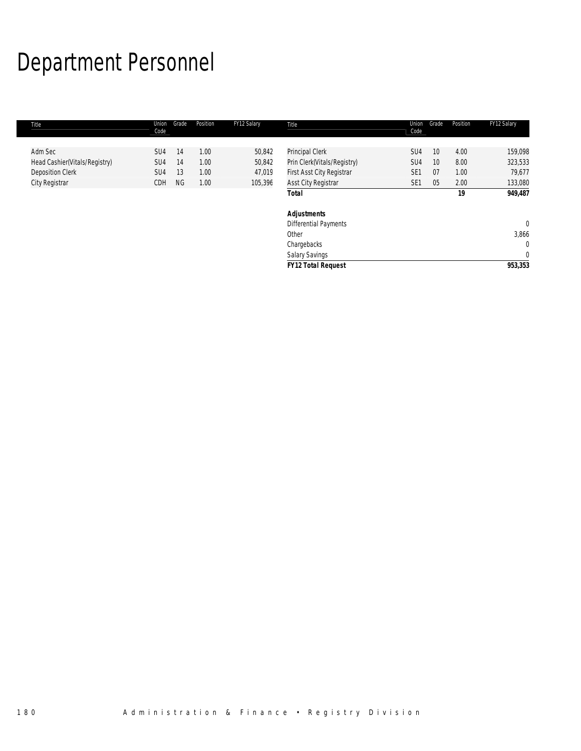# Department Personnel

| Title                         | Union<br>Code   | Grade     | Position | FY12 Salary | Title                        | Union<br>Code   | Grade | Position | FY12 Salary  |
|-------------------------------|-----------------|-----------|----------|-------------|------------------------------|-----------------|-------|----------|--------------|
|                               |                 |           |          |             |                              |                 |       |          |              |
| Adm Sec                       | SU <sub>4</sub> | 14        | 1.00     | 50,842      | Principal Clerk              | SU <sub>4</sub> | 10    | 4.00     | 159,098      |
| Head Cashier(Vitals/Registry) | SU4             | 14        | 1.00     | 50,842      | Prin Clerk(Vitals/Registry)  | SU4             | 10    | 8.00     | 323,533      |
| <b>Deposition Clerk</b>       | SU4             | 13        | 1.00     | 47,019      | First Asst City Registrar    | SE <sub>1</sub> | 07    | 1.00     | 79,677       |
| City Registrar                | CDH             | <b>NG</b> | 1.00     | 105,396     | <b>Asst City Registrar</b>   | SE <sub>1</sub> | 05    | 2.00     | 133,080      |
|                               |                 |           |          |             | <b>Total</b>                 |                 |       | 19       | 949,487      |
|                               |                 |           |          |             | <b>Adjustments</b>           |                 |       |          |              |
|                               |                 |           |          |             | <b>Differential Payments</b> |                 |       |          | $\mathbf{0}$ |
|                               |                 |           |          |             | Other                        |                 |       |          | 3,866        |
|                               |                 |           |          |             | Chargebacks                  |                 |       |          | $\Omega$     |
|                               |                 |           |          |             | Salary Savings               |                 |       |          | $\mathbf 0$  |
|                               |                 |           |          |             | <b>FY12 Total Request</b>    |                 |       |          | 953,353      |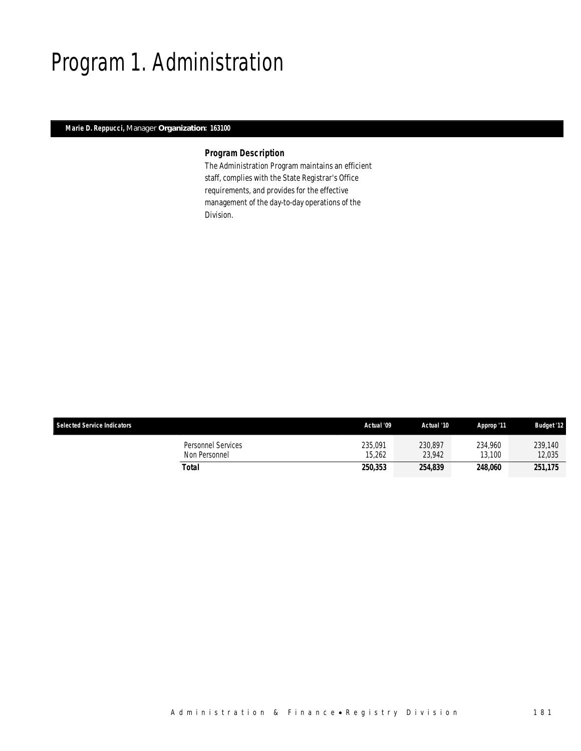### Program 1. Administration

### *Marie D. Reppucci, Manager Organization: 163100*

I

### *Program Description*

The Administration Program maintains an efficient staff, complies with the State Registrar's Office requirements, and provides for the effective management of the day-to-day operations of the Division.

| <b>Selected Service Indicators</b>  | Actual '09        | Actual '10        | Approp '11        | <b>Budget '12</b> |
|-------------------------------------|-------------------|-------------------|-------------------|-------------------|
| Personnel Services<br>Non Personnel | 235,091<br>15.262 | 230.897<br>23.942 | 234.960<br>13,100 | 239,140<br>12,035 |
| Total                               | 250,353           | 254.839           | 248.060           | 251,175           |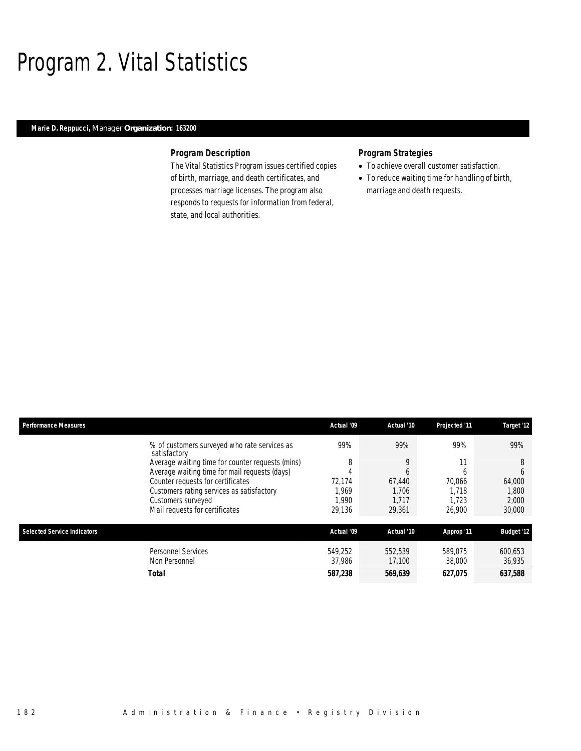### Program 2. Vital Statistics

### *Marie D. Reppucci, Manager Organization: 163200*

### *Program Description*

The Vital Statistics Program issues certified copies of birth, marriage, and death certificates, and processes marriage licenses. The program also responds to requests for information from federal, state, and local authorities.

### *Program Strategies*

- To achieve overall customer satisfaction.
- To reduce waiting time for handling of birth, marriage and death requests.

| <b>Performance Measures</b>        |                                                              | Actual '09 | Actual '10   | Projected '11 | Target '12        |
|------------------------------------|--------------------------------------------------------------|------------|--------------|---------------|-------------------|
|                                    | % of customers surveyed who rate services as<br>satisfactory | 99%        | 99%          | 99%           | 99%               |
|                                    | Average waiting time for counter requests (mins)             | 8          | 9            | 11            | 8                 |
|                                    | Average waiting time for mail requests (days)                |            | <sub>6</sub> | h             | 6                 |
|                                    | Counter requests for certificates                            | 72.174     | 67.440       | 70.066        | 64.000            |
|                                    | Customers rating services as satisfactory                    | .969       | 1.706        | 1.718         | 1,800             |
|                                    | Customers surveyed                                           | .990       | 1.717        | 1.723         | 2,000             |
|                                    | Mail requests for certificates                               | 29.136     | 29.361       | 26,900        | 30,000            |
| <b>Selected Service Indicators</b> |                                                              | Actual '09 | Actual '10   | Approp '11    | <b>Budget '12</b> |
|                                    | <b>Personnel Services</b>                                    | 549.252    | 552,539      | 589.075       | 600,653           |
|                                    | Non Personnel                                                | 37,986     | 17,100       | 38,000        | 36,935            |
|                                    | <b>Total</b>                                                 | 587,238    | 569,639      | 627.075       | 637,588           |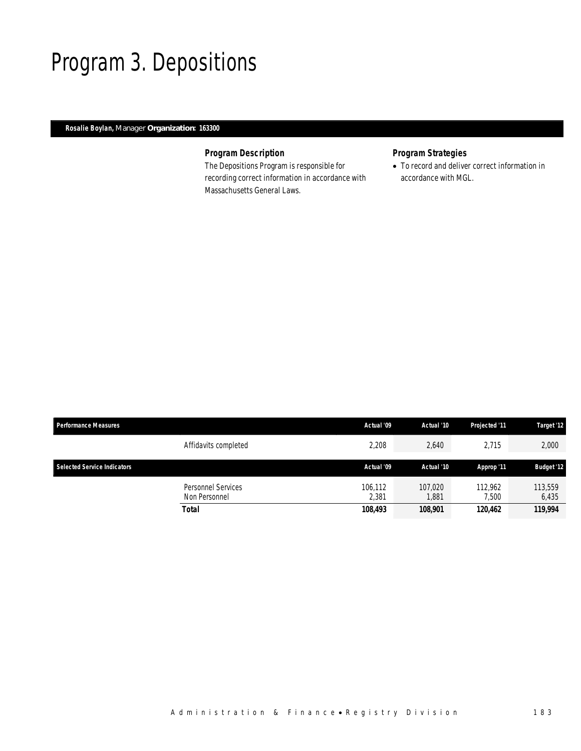### Program 3. Depositions

### *Rosalie Boylan, Manager Organization: 163300*

### *Program Description*

The Depositions Program is responsible for recording correct information in accordance with Massachusetts General Laws.

### *Program Strategies*

• To record and deliver correct information in accordance with MGL.

| <b>Performance Measures</b>        |                                            | Actual '09       | Actual '10       | Projected '11    | Target '12        |
|------------------------------------|--------------------------------------------|------------------|------------------|------------------|-------------------|
|                                    | Affidavits completed                       | 2,208            | 2,640            | 2,715            | 2,000             |
| <b>Selected Service Indicators</b> |                                            | Actual '09       | Actual '10       | Approp '11       | <b>Budget '12</b> |
|                                    | <b>Personnel Services</b><br>Non Personnel | 106,112<br>2.381 | 107,020<br>1.881 | 112.962<br>7.500 | 113,559<br>6,435  |
|                                    | Total                                      | 108,493          | 108.901          | 120,462          | 119,994           |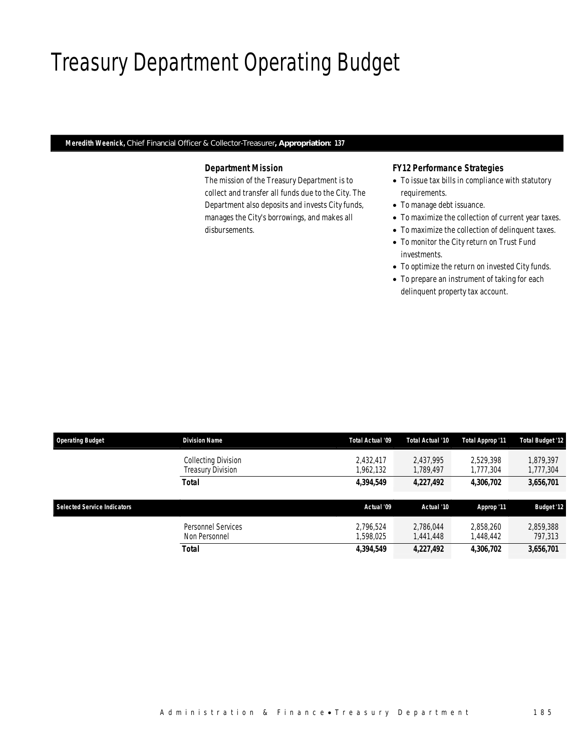# Treasury Department Operating Budget

*Meredith Weenick, Chief Financial Officer & Collector-Treasurer, Appropriation: 137* 

## *Department Mission*

The mission of the Treasury Department is to collect and transfer all funds due to the City. The Department also deposits and invests City funds, manages the City's borrowings, and makes all disbursements.

## *FY12 Performance Strategies*

- To issue tax bills in compliance with statutory requirements.
- To manage debt issuance.
- To maximize the collection of current year taxes.
- To maximize the collection of delinquent taxes.
- To monitor the City return on Trust Fund investments.
- To optimize the return on invested City funds.
- To prepare an instrument of taking for each delinquent property tax account.

| <b>Operating Budget</b>            | <b>Division Name</b>                            | Total Actual '09       | Total Actual '10       | Total Approp '11       | <b>Total Budget '12</b> |
|------------------------------------|-------------------------------------------------|------------------------|------------------------|------------------------|-------------------------|
|                                    | Collecting Division<br><b>Treasury Division</b> | 2.432.417<br>.962,132  | 2.437.995<br>1,789,497 | 2.529.398<br>1,777,304 | 1.879.397<br>1,777,304  |
|                                    | Total                                           | 4,394,549              | 4,227,492              | 4,306,702              | 3,656,701               |
|                                    |                                                 |                        |                        |                        |                         |
|                                    |                                                 |                        |                        |                        |                         |
| <b>Selected Service Indicators</b> |                                                 | Actual '09             | Actual '10             | Approp '11             | <b>Budget '12</b>       |
|                                    | Personnel Services<br>Non Personnel             | 2.796.524<br>1,598,025 | 2.786.044<br>1,441,448 | 2.858.260<br>1,448,442 | 2,859,388<br>797,313    |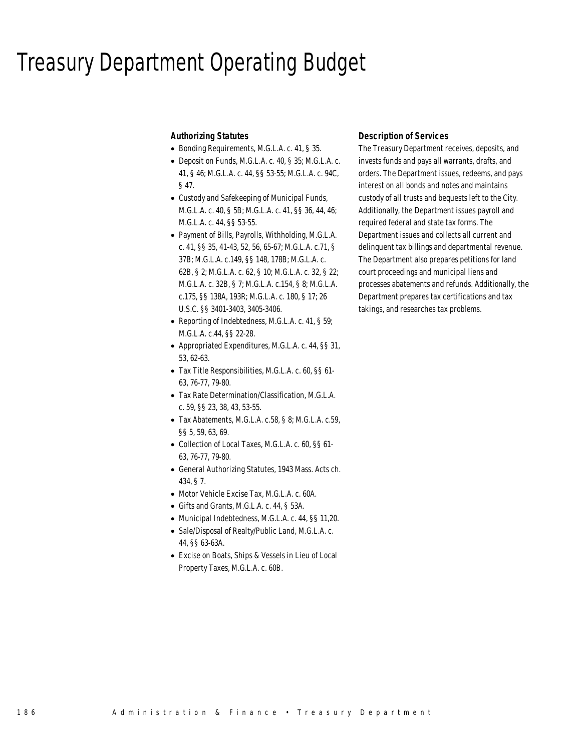## Treasury Department Operating Budget

### *Authorizing Statutes*

- Bonding Requirements, M.G.L.A. c. 41, § 35.
- Deposit on Funds, M.G.L.A. c. 40, § 35; M.G.L.A. c. 41, § 46; M.G.L.A. c. 44, §§ 53-55; M.G.L.A. c. 94C, § 47.
- Custody and Safekeeping of Municipal Funds, M.G.L.A. c. 40, § 5B; M.G.L.A. c. 41, §§ 36, 44, 46; M.G.L.A. c. 44, §§ 53-55.
- Payment of Bills, Payrolls, Withholding, M.G.L.A. c. 41, §§ 35, 41-43, 52, 56, 65-67; M.G.L.A. c.71, § 37B; M.G.L.A. c.149, §§ 148, 178B; M.G.L.A. c. 62B, § 2; M.G.L.A. c. 62, § 10; M.G.L.A. c. 32, § 22; M.G.L.A. c. 32B, § 7; M.G.L.A. c.154, § 8; M.G.L.A. c.175, §§ 138A, 193R; M.G.L.A. c. 180, § 17; 26 U.S.C. §§ 3401-3403, 3405-3406.
- Reporting of Indebtedness, M.G.L.A. c. 41, § 59; M.G.L.A. c.44, §§ 22-28.
- Appropriated Expenditures, M.G.L.A. c. 44, §§ 31, 53, 62-63.
- Tax Title Responsibilities, M.G.L.A. c. 60, §§ 61- 63, 76-77, 79-80.
- Tax Rate Determination/Classification, M.G.L.A. c. 59, §§ 23, 38, 43, 53-55.
- Tax Abatements, M.G.L.A. c.58, § 8; M.G.L.A. c.59, §§ 5, 59, 63, 69.
- Collection of Local Taxes, M.G.L.A. c. 60, §§ 61- 63, 76-77, 79-80.
- General Authorizing Statutes, 1943 Mass. Acts ch. 434, § 7.
- Motor Vehicle Excise Tax, M.G.L.A. c. 60A.
- Gifts and Grants, M.G.L.A. c. 44, § 53A.
- Municipal Indebtedness, M.G.L.A. c. 44, §§ 11,20.
- Sale/Disposal of Realty/Public Land, M.G.L.A. c. 44, §§ 63-63A.
- Excise on Boats, Ships & Vessels in Lieu of Local Property Taxes, M.G.L.A. c. 60B.

## *Description of Services*

The Treasury Department receives, deposits, and invests funds and pays all warrants, drafts, and orders. The Department issues, redeems, and pays interest on all bonds and notes and maintains custody of all trusts and bequests left to the City. Additionally, the Department issues payroll and required federal and state tax forms. The Department issues and collects all current and delinquent tax billings and departmental revenue. The Department also prepares petitions for land court proceedings and municipal liens and processes abatements and refunds. Additionally, the Department prepares tax certifications and tax takings, and researches tax problems.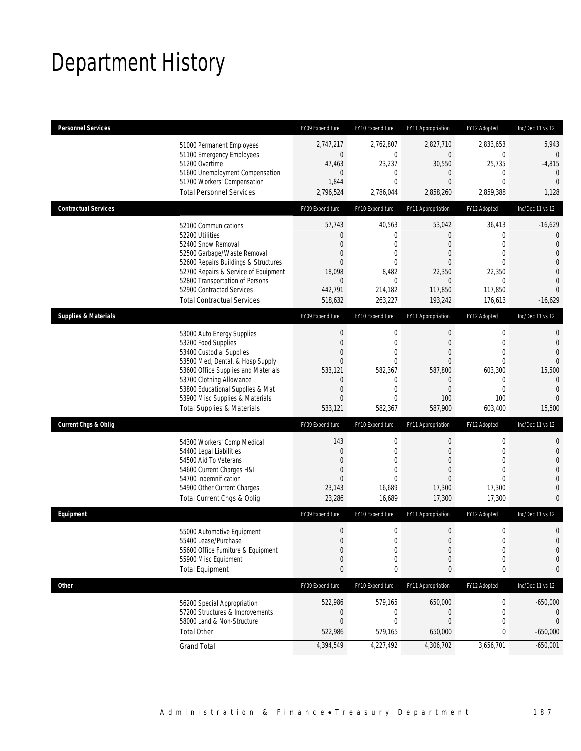# Department History

| <b>Personnel Services</b>       |                                                                     | FY09 Expenditure                     | FY10 Expenditure             | <b>FY11 Appropriation</b> | FY12 Adopted                     | Inc/Dec 11 vs 12                 |
|---------------------------------|---------------------------------------------------------------------|--------------------------------------|------------------------------|---------------------------|----------------------------------|----------------------------------|
|                                 | 51000 Permanent Employees                                           | 2,747,217                            | 2,762,807                    | 2,827,710                 | 2,833,653                        | 5,943                            |
|                                 | 51100 Emergency Employees<br>51200 Overtime                         | $\boldsymbol{0}$                     | $\mathbf 0$                  | $\mathbf 0$               | $\boldsymbol{0}$<br>25,735       | 0                                |
|                                 | 51600 Unemployment Compensation                                     | 47,463<br>$\overline{0}$             | 23,237<br>$\mathbf 0$        | 30,550<br>$\theta$        | 0                                | $-4,815$<br>$\theta$             |
|                                 | 51700 Workers' Compensation                                         | 1,844                                | $\mathbf 0$                  | $\overline{0}$            | $\mathbf{0}$                     | $\theta$                         |
|                                 | <b>Total Personnel Services</b>                                     | 2,796,524                            | 2,786,044                    | 2,858,260                 | 2,859,388                        | 1,128                            |
| <b>Contractual Services</b>     |                                                                     | FY09 Expenditure                     | FY10 Expenditure             | FY11 Appropriation        | FY12 Adopted                     | Inc/Dec 11 vs 12                 |
|                                 | 52100 Communications                                                | 57,743                               | 40,563                       | 53,042                    | 36,413                           | $-16,629$                        |
|                                 | 52200 Utilities                                                     | $\mathbf 0$                          | 0                            | $\theta$                  | $\mathbf 0$                      | 0                                |
|                                 | 52400 Snow Removal<br>52500 Garbage/Waste Removal                   | $\overline{0}$<br>$\mathbf 0$        | $\mathbf 0$<br>$\mathbf 0$   | $\theta$<br>$\theta$      | $\Omega$<br>$\mathbf{0}$         | $\overline{0}$<br>$\overline{0}$ |
|                                 | 52600 Repairs Buildings & Structures                                | $\overline{0}$                       | $\mathbf 0$                  | $\theta$                  | $\theta$                         | 0                                |
|                                 | 52700 Repairs & Service of Equipment                                | 18,098                               | 8,482                        | 22,350                    | 22,350                           | $\overline{0}$                   |
|                                 | 52800 Transportation of Persons                                     | $\mathbf 0$                          | $\mathbf{0}$                 | $\mathbf{0}$              | 0                                | $\overline{0}$<br>$\Omega$       |
|                                 | 52900 Contracted Services<br><b>Total Contractual Services</b>      | 442,791<br>518,632                   | 214,182<br>263,227           | 117,850<br>193,242        | 117,850<br>176,613               | $-16,629$                        |
| <b>Supplies &amp; Materials</b> |                                                                     | FY09 Expenditure                     | FY10 Expenditure             | FY11 Appropriation        | FY12 Adopted                     | Inc/Dec 11 vs 12                 |
|                                 |                                                                     |                                      |                              |                           |                                  |                                  |
|                                 | 53000 Auto Energy Supplies<br>53200 Food Supplies                   | $\boldsymbol{0}$<br>$\boldsymbol{0}$ | $\mathbf 0$<br>$\mathbf{0}$  | $\mathbf 0$<br>$\theta$   | $\boldsymbol{0}$<br>$\mathbf{0}$ | 0<br>0                           |
|                                 | 53400 Custodial Supplies                                            | $\overline{0}$                       | $\mathbf 0$                  | $\theta$                  | $\mathbf{0}$                     | $\Omega$                         |
|                                 | 53500 Med, Dental, & Hosp Supply                                    | $\mathbf{0}$                         | $\mathbf{0}$                 | $\overline{0}$            | $\mathbf{0}$                     | $\Omega$                         |
|                                 | 53600 Office Supplies and Materials                                 | 533,121                              | 582,367                      | 587,800                   | 603,300                          | 15,500                           |
|                                 | 53700 Clothing Allowance                                            | $\mathbf 0$                          | 0                            | $\theta$                  | 0                                | 0                                |
|                                 | 53800 Educational Supplies & Mat<br>53900 Misc Supplies & Materials | $\boldsymbol{0}$<br>$\overline{0}$   | $\mathbf{0}$<br>$\mathbf{0}$ | $\overline{0}$<br>100     | $\mathbf{0}$<br>100              | $\overline{0}$<br>$\Omega$       |
|                                 | <b>Total Supplies &amp; Materials</b>                               | 533,121                              | 582,367                      | 587,900                   | 603,400                          | 15,500                           |
| <b>Current Chgs &amp; Oblig</b> |                                                                     | FY09 Expenditure                     | FY10 Expenditure             | FY11 Appropriation        | FY12 Adopted                     | Inc/Dec 11 vs 12                 |
|                                 | 54300 Workers' Comp Medical                                         | 143                                  | $\mathbf 0$                  | $\boldsymbol{0}$          | $\boldsymbol{0}$                 | 0                                |
|                                 | 54400 Legal Liabilities                                             | $\mathbf 0$                          | $\mathbf 0$                  | $\mathbf 0$               | $\mathbf{0}$                     | $\mathbf 0$                      |
|                                 | 54500 Aid To Veterans                                               | $\overline{0}$                       | $\mathbf 0$                  | $\theta$                  | $\mathbf{0}$                     | 0                                |
|                                 | 54600 Current Charges H&I                                           | $\boldsymbol{0}$                     | $\mathbf{0}$                 | $\overline{0}$            | $\mathbf{0}$                     | 0                                |
|                                 | 54700 Indemnification<br>54900 Other Current Charges                | $\overline{0}$<br>23,143             | $\Omega$<br>16,689           | 0<br>17,300               | $\Omega$<br>17,300               | 0<br>0                           |
|                                 | Total Current Chgs & Oblig                                          | 23,286                               | 16,689                       | 17,300                    | 17,300                           | 0                                |
| Equipment                       |                                                                     | FY09 Expenditure                     | FY10 Expenditure             | FY11 Appropriation        | FY12 Adopted                     | Inc/Dec 11 vs 12                 |
|                                 |                                                                     | $\boldsymbol{0}$                     | $\mathbf 0$                  | $\boldsymbol{0}$          | $\boldsymbol{0}$                 | 0                                |
|                                 | 55000 Automotive Equipment<br>55400 Lease/Purchase                  | $\mathbf{0}$                         | 0                            | $\overline{0}$            | $\overline{0}$                   | $\overline{0}$                   |
|                                 | 55600 Office Furniture & Equipment                                  | $\boldsymbol{0}$                     | 0                            | $\theta$                  | 0                                | $\mathbf 0$                      |
|                                 | 55900 Misc Equipment                                                | $\boldsymbol{0}$                     | $\mathbf 0$                  | $\mathbf 0$               | $\mathbf 0$                      | 0                                |
|                                 | <b>Total Equipment</b>                                              | $\pmb{0}$                            | 0                            | $\pmb{0}$                 | 0                                | 0                                |
| <b>Other</b>                    |                                                                     | FY09 Expenditure                     | FY10 Expenditure             | FY11 Appropriation        | FY12 Adopted                     | Inc/Dec 11 vs 12                 |
|                                 | 56200 Special Appropriation                                         | 522,986                              | 579,165                      | 650,000                   | 0                                | $-650,000$                       |
|                                 | 57200 Structures & Improvements                                     | $\boldsymbol{0}$                     | 0                            | $\theta$                  | 0                                | $\mathbf 0$                      |
|                                 | 58000 Land & Non-Structure                                          | $\boldsymbol{0}$                     | $\mathbf 0$                  | $\mathbf 0$               | 0                                | $\mathbf 0$                      |
|                                 | <b>Total Other</b>                                                  | 522,986                              | 579,165                      | 650,000                   | 0                                | $-650,000$                       |
|                                 | <b>Grand Total</b>                                                  | 4,394,549                            | 4,227,492                    | 4,306,702                 | 3,656,701                        | $-650,001$                       |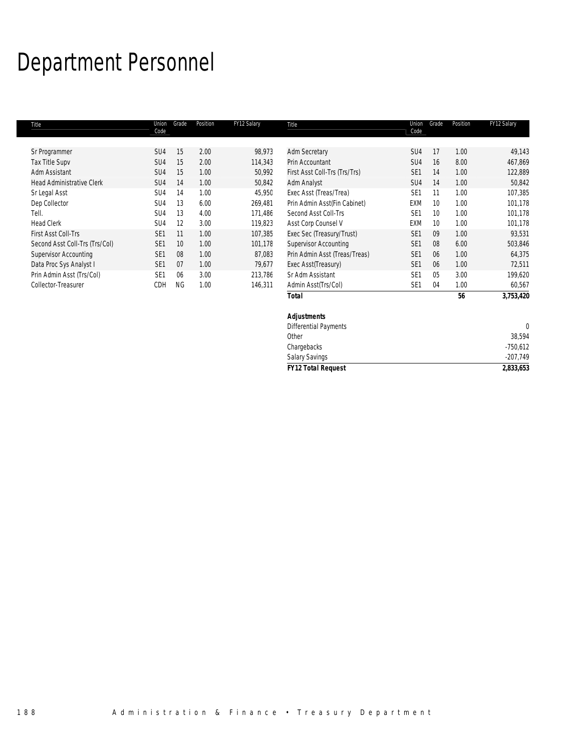# Department Personnel

| Title                            | Union<br>Code   | Grade     | Position | FY12 Salary | Title                         | Union<br>Code   | Grade   | Position | FY12 Salary |
|----------------------------------|-----------------|-----------|----------|-------------|-------------------------------|-----------------|---------|----------|-------------|
| Sr Programmer                    | SU <sub>4</sub> | 15        | 2.00     | 98,973      | <b>Adm Secretary</b>          | SU4             | 17      | 1.00     | 49,143      |
| <b>Tax Title Supv</b>            | SU <sub>4</sub> | 15        | 2.00     | 114,343     | Prin Accountant               | SU4             | 16      | 8.00     | 467,869     |
| Adm Assistant                    | SU <sub>4</sub> | 15        | 1.00     | 50,992      | First Asst Coll-Trs (Trs/Trs) | SE <sub>1</sub> | 14      | 1.00     | 122,889     |
| <b>Head Administrative Clerk</b> | SU <sub>4</sub> | 14        | 1.00     | 50,842      | Adm Analyst                   | SU <sub>4</sub> | 14      | 1.00     | 50,842      |
| Sr Legal Asst                    | SU <sub>4</sub> | 14        | 1.00     | 45,950      | Exec Asst (Treas/Trea)        | SE <sub>1</sub> | 11      | 1.00     | 107,385     |
| Dep Collector                    | SU <sub>4</sub> | 13        | 6.00     | 269,481     | Prin Admin Asst(Fin Cabinet)  | <b>EXM</b>      | 10      | 1.00     | 101,178     |
| Tell.                            | SU <sub>4</sub> | 13        | 4.00     | 171.486     | Second Asst Coll-Trs          | SE <sub>1</sub> | 10      | 1.00     | 101,178     |
| <b>Head Clerk</b>                | SU <sub>4</sub> | 12        | 3.00     | 119,823     | Asst Corp Counsel V           | <b>EXM</b>      | $10 \,$ | 1.00     | 101,178     |
| <b>First Asst Coll-Trs</b>       | SE <sub>1</sub> | 11        | 1.00     | 107,385     | Exec Sec (Treasury/Trust)     | SE <sub>1</sub> | 09      | 1.00     | 93,531      |
| Second Asst Coll-Trs (Trs/Col)   | SE <sub>1</sub> | 10        | 1.00     | 101,178     | <b>Supervisor Accounting</b>  | SE <sub>1</sub> | 08      | 6.00     | 503,846     |
| <b>Supervisor Accounting</b>     | SE <sub>1</sub> | 08        | 1.00     | 87.083      | Prin Admin Asst (Treas/Treas) | SE <sub>1</sub> | 06      | 1.00     | 64,375      |
| Data Proc Sys Analyst I          | SE <sub>1</sub> | 07        | 1.00     | 79.677      | Exec Asst(Treasury)           | SE <sub>1</sub> | 06      | 1.00     | 72,511      |
| Prin Admin Asst (Trs/Col)        | SE <sub>1</sub> | 06        | 3.00     | 213,786     | Sr Adm Assistant              | SE <sub>1</sub> | 05      | 3.00     | 199,620     |
| Collector-Treasurer              | CDH             | <b>NG</b> | 1.00     | 146,311     | Admin Asst(Trs/Col)           | SE <sub>1</sub> | 04      | 1.00     | 60,567      |
|                                  |                 |           |          |             | <b>Total</b>                  |                 |         | 56       | 3,753,420   |

| <b>Total</b>                 | 56 | 3,753,420  |
|------------------------------|----|------------|
| <b>Adjustments</b>           |    |            |
| <b>Differential Payments</b> |    |            |
| Other                        |    | 38,594     |
| Chargebacks                  |    | $-750,612$ |
| Salary Savings               |    | $-207,749$ |
| <b>FY12 Total Request</b>    |    | 2,833,653  |
|                              |    |            |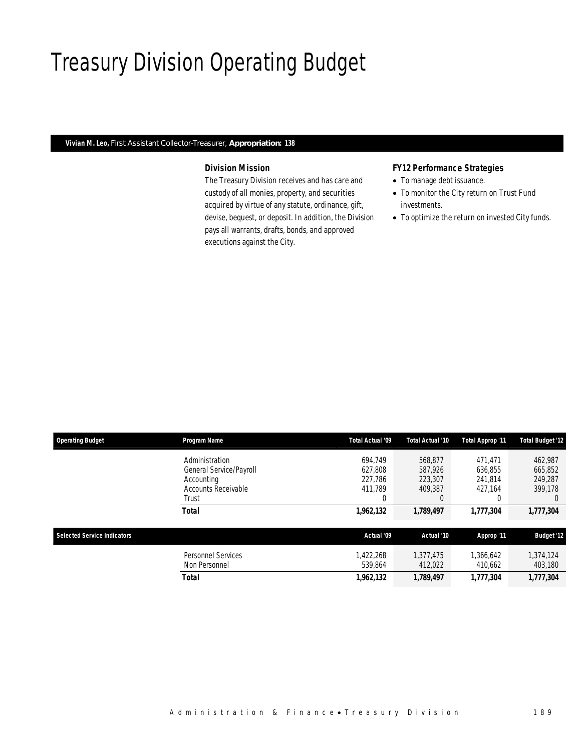## Treasury Division Operating Budget

### *Vivian M. Leo, First Assistant Collector-Treasurer, Appropriation: 138*

## *Division Mission*

The Treasury Division receives and has care and custody of all monies, property, and securities acquired by virtue of any statute, ordinance, gift, devise, bequest, or deposit. In addition, the Division pays all warrants, drafts, bonds, and approved executions against the City.

## *FY12 Performance Strategies*

- To manage debt issuance.
- To monitor the City return on Trust Fund investments.
- To optimize the return on invested City funds.

| <b>Operating Budget</b>            | <b>Program Name</b>                        | Total Actual '09     | Total Actual '10     | <b>Total Approp '11</b> | <b>Total Budget '12</b> |
|------------------------------------|--------------------------------------------|----------------------|----------------------|-------------------------|-------------------------|
|                                    | Administration                             | 694.749              | 568.877              | 471.471                 | 462,987                 |
|                                    | General Service/Payroll                    | 627.808              | 587.926              | 636.855                 | 665,852                 |
|                                    | Accounting                                 | 227.786              | 223,307              | 241.814                 | 249.287                 |
|                                    | Accounts Receivable                        | 411.789              | 409.387              | 427.164                 | 399.178                 |
|                                    | Trust                                      | 0                    | $\left($             |                         | $\left( \right)$        |
| <b>Selected Service Indicators</b> | <b>Total</b>                               | 1,962,132            | 1,789,497            | 1.777.304               | 1,777,304               |
|                                    |                                            | Actual '09           | Actual '10           | Approp '11              | <b>Budget '12</b>       |
|                                    | <b>Personnel Services</b><br>Non Personnel | 1.422.268<br>539.864 | 1.377.475<br>412,022 | 1.366.642<br>410,662    | 1,374,124<br>403,180    |
|                                    | <b>Total</b>                               | 1,962,132            | 1,789,497            | 1.777.304               | 1.777.304               |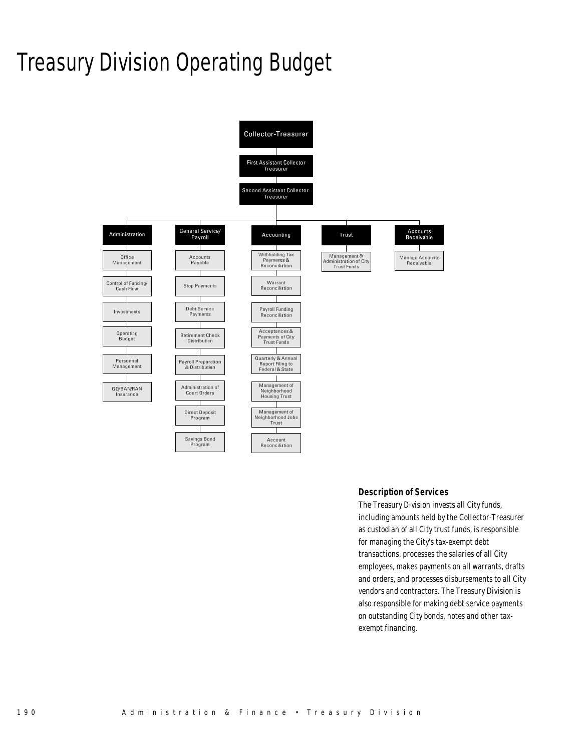# Treasury Division Operating Budget



#### *Description of Services*

The Treasury Division invests all City funds, including amounts held by the Collector-Treasurer as custodian of all City trust funds, is responsible for managing the City's tax-exempt debt transactions, processes the salaries of all City employees, makes payments on all warrants, drafts and orders, and processes disbursements to all City vendors and contractors. The Treasury Division is also responsible for making debt service payments on outstanding City bonds, notes and other taxexempt financing.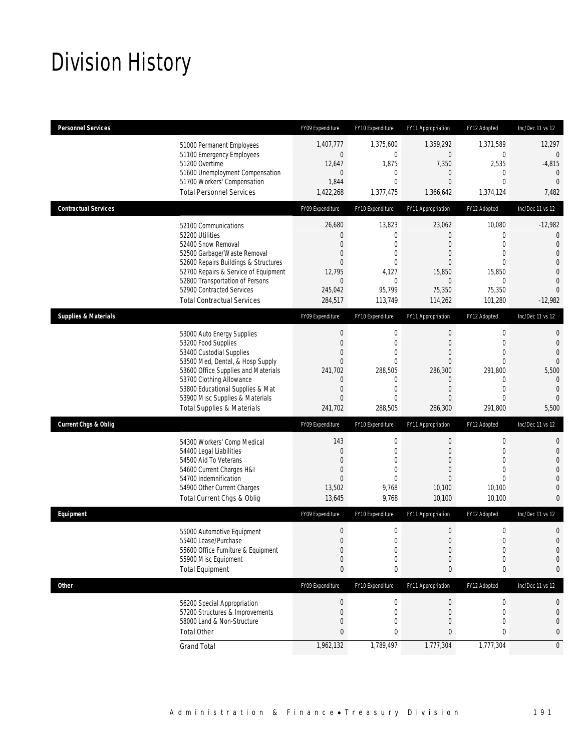# Division History

| <b>Personnel Services</b>       |                                                                                                                                                                                                                                                                                                      | FY09 Expenditure                                                                                                                                  | FY10 Expenditure                                                                                           | FY11 Appropriation                                                                                                           | FY12 Adopted                                                                                                               | Inc/Dec 11 vs 12                                                                                               |
|---------------------------------|------------------------------------------------------------------------------------------------------------------------------------------------------------------------------------------------------------------------------------------------------------------------------------------------------|---------------------------------------------------------------------------------------------------------------------------------------------------|------------------------------------------------------------------------------------------------------------|------------------------------------------------------------------------------------------------------------------------------|----------------------------------------------------------------------------------------------------------------------------|----------------------------------------------------------------------------------------------------------------|
|                                 | 51000 Permanent Employees<br>51100 Emergency Employees<br>51200 Overtime<br>51600 Unemployment Compensation<br>51700 Workers' Compensation<br><b>Total Personnel Services</b>                                                                                                                        | 1,407,777<br>$\boldsymbol{0}$<br>12,647<br>$\mathbf{0}$<br>1,844<br>1,422,268                                                                     | 1,375,600<br>$\mathbf 0$<br>1,875<br>$\mathbf 0$<br>0<br>1,377,475                                         | 1,359,292<br>$\overline{0}$<br>7,350<br>$\mathbf{0}$<br>$\mathbf{0}$<br>1,366,642                                            | 1,371,589<br>$\boldsymbol{0}$<br>2,535<br>$\mathbf{0}$<br>$\overline{0}$<br>1,374,124                                      | 12,297<br>$\overline{0}$<br>$-4,815$<br>$\theta$<br>$\theta$<br>7,482                                          |
| <b>Contractual Services</b>     |                                                                                                                                                                                                                                                                                                      | FY09 Expenditure                                                                                                                                  | FY10 Expenditure                                                                                           | FY11 Appropriation                                                                                                           | FY12 Adopted                                                                                                               | Inc/Dec 11 vs 12                                                                                               |
|                                 | 52100 Communications<br>52200 Utilities<br>52400 Snow Removal<br>52500 Garbage/Waste Removal<br>52600 Repairs Buildings & Structures<br>52700 Repairs & Service of Equipment<br>52800 Transportation of Persons<br>52900 Contracted Services<br><b>Total Contractual Services</b>                    | 26,680<br>$\mathbf 0$<br>$\mathbf{0}$<br>0<br>$\mathbf{0}$<br>12,795<br>$\mathbf 0$<br>245,042<br>284,517                                         | 13,823<br>0<br>0<br>0<br>$\mathbf{0}$<br>4,127<br>0<br>95,799<br>113,749                                   | 23,062<br>0<br>$\theta$<br>0<br>0<br>15,850<br>$\mathbf{0}$<br>75,350<br>114,262                                             | 10,080<br>0<br>$\overline{0}$<br>$\overline{0}$<br>$\theta$<br>15,850<br>0<br>75,350<br>101,280                            | $-12,982$<br>0<br>$\theta$<br>$\overline{0}$<br>0<br>$\overline{0}$<br>$\overline{0}$<br>$\Omega$<br>$-12,982$ |
| <b>Supplies &amp; Materials</b> |                                                                                                                                                                                                                                                                                                      | FY09 Expenditure                                                                                                                                  | FY10 Expenditure                                                                                           | FY11 Appropriation                                                                                                           | FY12 Adopted                                                                                                               | Inc/Dec 11 vs 12                                                                                               |
|                                 | 53000 Auto Energy Supplies<br>53200 Food Supplies<br>53400 Custodial Supplies<br>53500 Med, Dental, & Hosp Supply<br>53600 Office Supplies and Materials<br>53700 Clothing Allowance<br>53800 Educational Supplies & Mat<br>53900 Misc Supplies & Materials<br><b>Total Supplies &amp; Materials</b> | $\boldsymbol{0}$<br>$\boldsymbol{0}$<br>$\mathbf{0}$<br>$\boldsymbol{0}$<br>241,702<br>$\mathbf 0$<br>$\boldsymbol{0}$<br>$\mathbf{0}$<br>241,702 | $\mathbf 0$<br>$\mathbf 0$<br>$\mathbf{0}$<br>$\mathbf{0}$<br>288,505<br>0<br>$\mathbf{0}$<br>0<br>288,505 | $\mathbf{0}$<br>$\mathbf{0}$<br>$\theta$<br>$\mathbf{0}$<br>286,300<br>$\overline{0}$<br>$\mathbf{0}$<br>$\theta$<br>286,300 | $\boldsymbol{0}$<br>$\mathbf{0}$<br>$\mathbf{0}$<br>$\mathbf{0}$<br>291.800<br>0<br>$\mathbf{0}$<br>$\mathbf 0$<br>291,800 | 0<br>0<br>$\overline{0}$<br>$\Omega$<br>5,500<br>$\mathbf{0}$<br>$\theta$<br>$\Omega$<br>5,500                 |
| <b>Current Chgs &amp; Oblig</b> |                                                                                                                                                                                                                                                                                                      | FY09 Expenditure                                                                                                                                  | FY10 Expenditure                                                                                           | FY11 Appropriation                                                                                                           | FY12 Adopted                                                                                                               | Inc/Dec 11 vs 12                                                                                               |
|                                 | 54300 Workers' Comp Medical<br>54400 Legal Liabilities<br>54500 Aid To Veterans<br>54600 Current Charges H&I<br>54700 Indemnification<br>54900 Other Current Charges<br>Total Current Chgs & Oblig                                                                                                   | 143<br>$\boldsymbol{0}$<br>0<br>$\boldsymbol{0}$<br>$\mathbf{0}$<br>13,502<br>13,645                                                              | $\boldsymbol{0}$<br>$\mathbf 0$<br>0<br>$\overline{0}$<br>0<br>9,768<br>9,768                              | $\boldsymbol{0}$<br>$\mathbf{0}$<br>0<br>$\overline{0}$<br>0<br>10,100<br>10,100                                             | $\boldsymbol{0}$<br>$\mathbf{0}$<br>$\overline{0}$<br>$\overline{0}$<br>$\theta$<br>10,100<br>10,100                       | 0<br>$\mathbf 0$<br>0<br>0<br>0<br>$\overline{0}$<br>0                                                         |
| Equipment                       |                                                                                                                                                                                                                                                                                                      | FY09 Expenditure                                                                                                                                  | FY10 Expenditure                                                                                           | FY11 Appropriation                                                                                                           | FY12 Adopted                                                                                                               | Inc/Dec 11 vs 12                                                                                               |
|                                 | 55000 Automotive Equipment<br>55400 Lease/Purchase<br>55600 Office Furniture & Equipment<br>55900 Misc Equipment<br><b>Total Equipment</b>                                                                                                                                                           | $\boldsymbol{0}$<br>$\mathbf{0}$<br>$\boldsymbol{0}$<br>$\boldsymbol{0}$<br>$\pmb{0}$                                                             | $\boldsymbol{0}$<br>0<br>0<br>0<br>0                                                                       | $\boldsymbol{0}$<br>$\overline{0}$<br>$\mathbf 0$<br>$\mathbf{0}$<br>0                                                       | $\boldsymbol{0}$<br>$\mathbf 0$<br>$\boldsymbol{0}$<br>$\boldsymbol{0}$<br>0                                               | 0<br>$\overline{0}$<br>$\mathbf 0$<br>0<br>0                                                                   |
| <b>Other</b>                    |                                                                                                                                                                                                                                                                                                      | FY09 Expenditure                                                                                                                                  | FY10 Expenditure                                                                                           | FY11 Appropriation                                                                                                           | FY12 Adopted                                                                                                               | Inc/Dec 11 vs 12                                                                                               |
|                                 | 56200 Special Appropriation<br>57200 Structures & Improvements<br>58000 Land & Non-Structure<br><b>Total Other</b>                                                                                                                                                                                   | $\boldsymbol{0}$<br>$\boldsymbol{0}$<br>$\boldsymbol{0}$<br>$\bf{0}$                                                                              | 0<br>0<br>0<br>0                                                                                           | $\theta$<br>$\mathbf 0$<br>0<br>0                                                                                            | 0<br>$\mathbf 0$<br>$\mathbf{0}$<br>0                                                                                      | 0<br>0<br>0<br>0                                                                                               |
|                                 | <b>Grand Total</b>                                                                                                                                                                                                                                                                                   | 1,962,132                                                                                                                                         | 1,789,497                                                                                                  | 1,777,304                                                                                                                    | 1,777,304                                                                                                                  | $\overline{0}$                                                                                                 |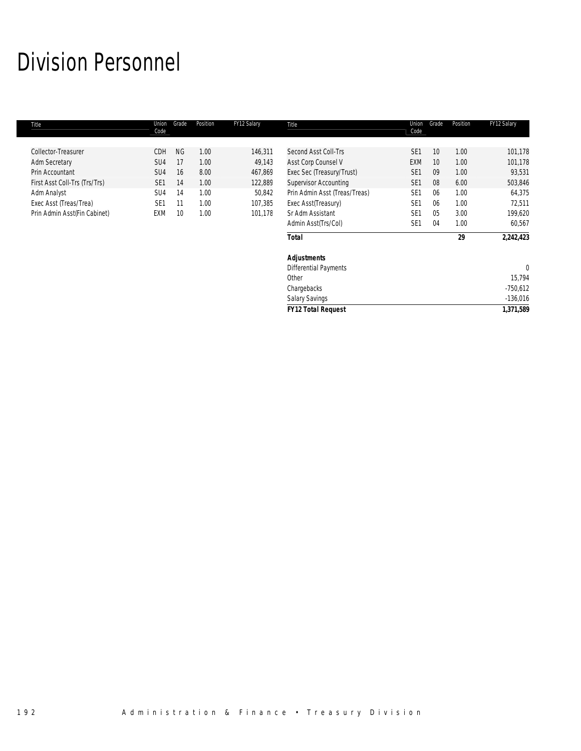# Division Personnel

| Title                         | Union<br>Code   | Grade     | Position | FY12 Salary | Title                         | Union<br>Code   | Grade | Position | FY12 Salary  |
|-------------------------------|-----------------|-----------|----------|-------------|-------------------------------|-----------------|-------|----------|--------------|
| Collector-Treasurer           | CDH             | <b>NG</b> | 1.00     | 146,311     | Second Asst Coll-Trs          | SE <sub>1</sub> | 10    | 1.00     | 101,178      |
| <b>Adm Secretary</b>          | SU4             | 17        | 1.00     | 49,143      | Asst Corp Counsel V           | EXM             | 10    | 1.00     | 101,178      |
| Prin Accountant               | SU4             | 16        | 8.00     | 467,869     | Exec Sec (Treasury/Trust)     | SE <sub>1</sub> | 09    | 1.00     | 93,531       |
| First Asst Coll-Trs (Trs/Trs) | SE <sub>1</sub> | 14        | 1.00     | 122,889     | <b>Supervisor Accounting</b>  | SE <sub>1</sub> | 08    | 6.00     | 503,846      |
| Adm Analyst                   | SU4             | 14        | 1.00     | 50,842      | Prin Admin Asst (Treas/Treas) | SE <sub>1</sub> | 06    | 1.00     | 64,375       |
| Exec Asst (Treas/Trea)        | SE <sub>1</sub> | 11        | 1.00     | 107,385     | Exec Asst(Treasury)           | SE <sub>1</sub> | 06    | 1.00     | 72,511       |
| Prin Admin Asst(Fin Cabinet)  | <b>EXM</b>      | 10        | 1.00     | 101,178     | Sr Adm Assistant              | SE <sub>1</sub> | 05    | 3.00     | 199,620      |
|                               |                 |           |          |             | Admin Asst(Trs/Col)           | SE <sub>1</sub> | 04    | 1.00     | 60,567       |
|                               |                 |           |          |             | <b>Total</b>                  |                 |       | 29       | 2,242,423    |
|                               |                 |           |          |             | <b>Adjustments</b>            |                 |       |          |              |
|                               |                 |           |          |             | <b>Differential Payments</b>  |                 |       |          | $\mathbf{0}$ |
|                               |                 |           |          |             | Other                         |                 |       |          | 15,794       |
|                               |                 |           |          |             | Chargebacks                   |                 |       |          | $-750,612$   |
|                               |                 |           |          |             | <b>Salary Savings</b>         |                 |       |          | $-136,016$   |
|                               |                 |           |          |             | <b>FY12 Total Request</b>     |                 |       |          | 1,371,589    |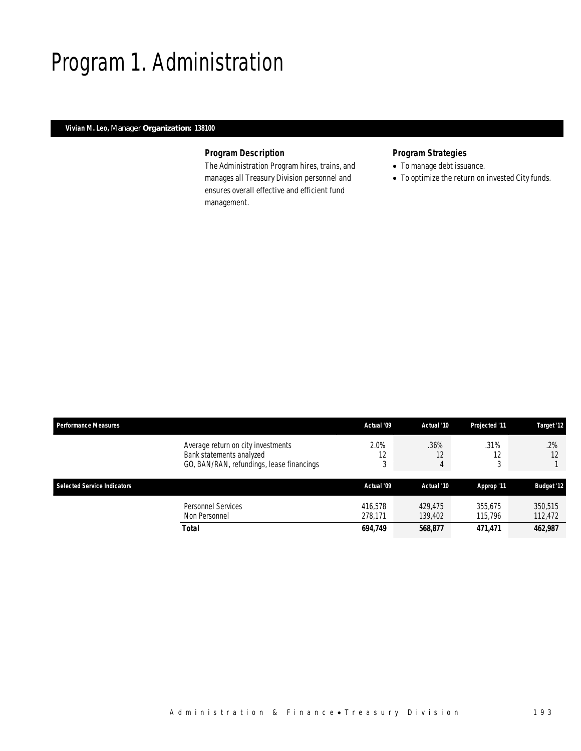# Program 1. Administration

## *Vivian M. Leo, Manager Organization: 138100*

## *Program Description*

The Administration Program hires, trains, and manages all Treasury Division personnel and ensures overall effective and efficient fund management.

## *Program Strategies*

- To manage debt issuance.
- To optimize the return on invested City funds.

| <b>Performance Measures</b>        |                                                                                                             | Actual '09         | Actual '10         | Projected '11      | Target '12         |
|------------------------------------|-------------------------------------------------------------------------------------------------------------|--------------------|--------------------|--------------------|--------------------|
|                                    | Average return on city investments<br>Bank statements analyzed<br>GO, BAN/RAN, refundings, lease financings | 2.0%<br>12<br>3    | .36%<br>12<br>4    | .31%<br>آب ا       | $.2\%$<br>12       |
| <b>Selected Service Indicators</b> |                                                                                                             | Actual '09         | Actual '10         | Approp '11         | <b>Budget '12</b>  |
|                                    | Personnel Services<br>Non Personnel                                                                         | 416,578<br>278.171 | 429,475<br>139,402 | 355.675<br>115,796 | 350,515<br>112,472 |
|                                    | Total                                                                                                       | 694,749            | 568,877            | 471,471            | 462,987            |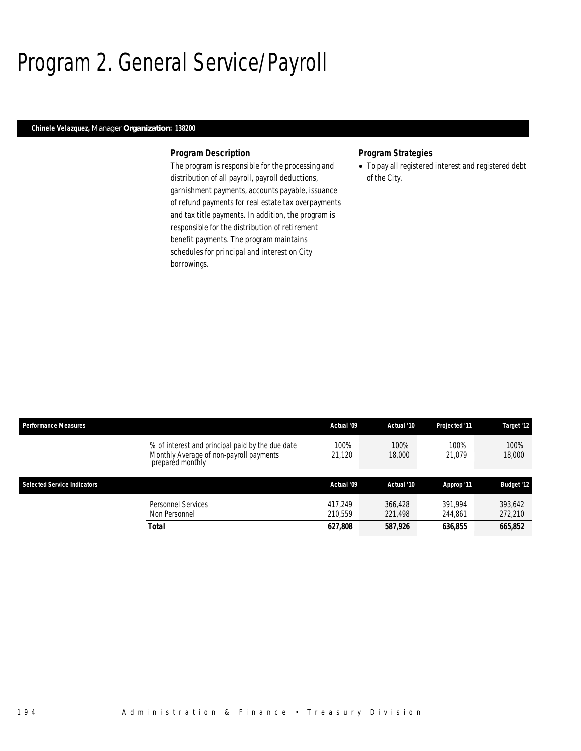# Program 2. General Service/Payroll

## *Chinele Velazquez, Manager Organization: 138200*

#### *Program Description*

The program is responsible for the processing and distribution of all payroll, payroll deductions, garnishment payments, accounts payable, issuance of refund payments for real estate tax overpayments and tax title payments. In addition, the program is responsible for the distribution of retirement benefit payments. The program maintains schedules for principal and interest on City borrowings.

### *Program Strategies*

• To pay all registered interest and registered debt of the City.

| <b>Performance Measures</b>        |                                                                                                                 | Actual '09         | Actual '10         | Projected '11      | Target '12         |
|------------------------------------|-----------------------------------------------------------------------------------------------------------------|--------------------|--------------------|--------------------|--------------------|
|                                    | % of interest and principal paid by the due date<br>Monthly Average of non-payroll payments<br>prepared monthly | 100%<br>21.120     | 100%<br>18,000     | 100%<br>21.079     | 100%<br>18,000     |
| <b>Selected Service Indicators</b> |                                                                                                                 | Actual '09         | Actual '10         | Approp '11         | <b>Budget '12</b>  |
|                                    | Personnel Services<br>Non Personnel                                                                             | 417.249<br>210.559 | 366,428<br>221,498 | 391.994<br>244.861 | 393,642<br>272,210 |
|                                    | <b>Total</b>                                                                                                    | 627,808            | 587,926            | 636.855            | 665,852            |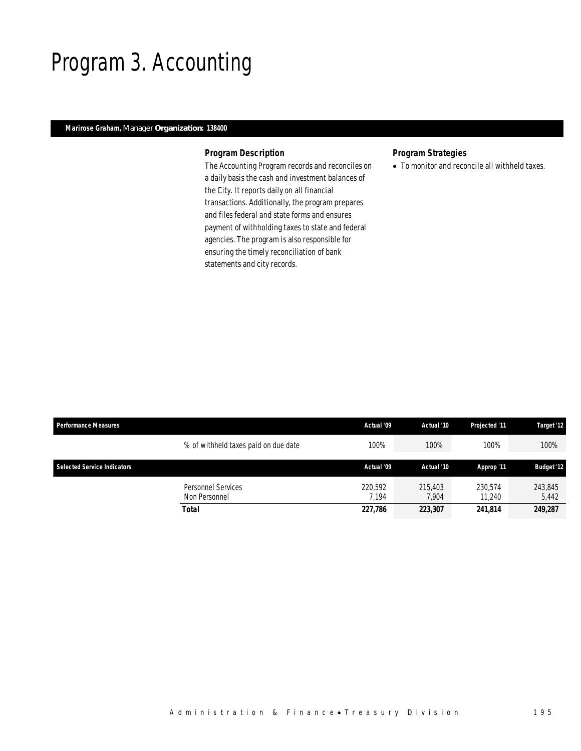## Program 3. Accounting

## *Marirose Graham, Manager Organization: 138400*

### *Program Description*

The Accounting Program records and reconciles on a daily basis the cash and investment balances of the City. It reports daily on all financial transactions. Additionally, the program prepares and files federal and state forms and ensures payment of withholding taxes to state and federal agencies. The program is also responsible for ensuring the timely reconciliation of bank statements and city records.

## *Program Strategies*

• To monitor and reconcile all withheld taxes.

| <b>Performance Measures</b> |                                            | Actual '09       | Actual '10       | Projected '11     | Target '12        |
|-----------------------------|--------------------------------------------|------------------|------------------|-------------------|-------------------|
|                             | % of withheld taxes paid on due date       | 100%             | 100%             | 100%              | 100%              |
| Selected Service Indicators |                                            | Actual '09       | Actual '10       | Approp '11        | <b>Budget '12</b> |
|                             | <b>Personnel Services</b><br>Non Personnel | 220.592<br>7.194 | 215,403<br>7.904 | 230.574<br>11.240 | 243,845<br>5,442  |
|                             | Total                                      | 227,786          | 223,307          | 241,814           | 249,287           |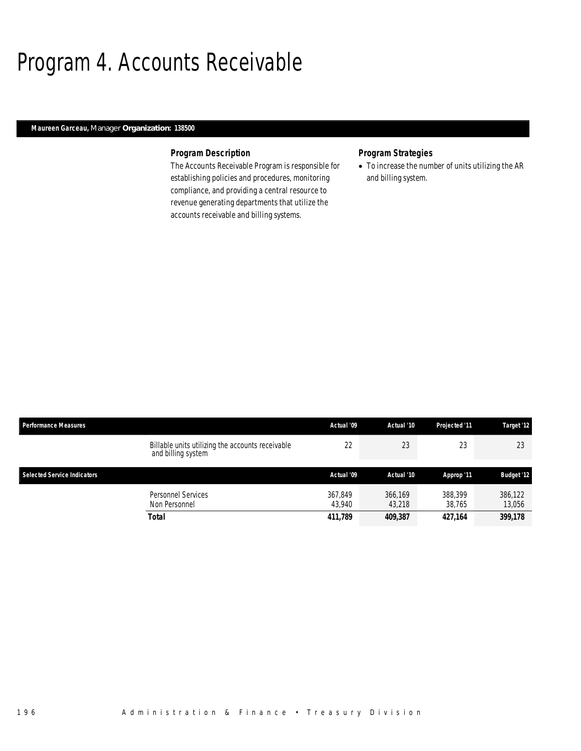## Program 4. Accounts Receivable

## *Maureen Garceau, Manager Organization: 138500*

## *Program Description*

The Accounts Receivable Program is responsible for establishing policies and procedures, monitoring compliance, and providing a central resource to revenue generating departments that utilize the accounts receivable and billing systems.

### *Program Strategies*

• To increase the number of units utilizing the AR and billing system.

| Performance Measures                                                   | Actual '09        | Actual '10        | Projected '11     | Target '12        |
|------------------------------------------------------------------------|-------------------|-------------------|-------------------|-------------------|
| Billable units utilizing the accounts receivable<br>and billing system | 22                | 23                | 23                | 23                |
| <b>Selected Service Indicators</b>                                     | Actual '09        | Actual '10        | Approp '11        | <b>Budget '12</b> |
| Personnel Services<br>Non Personnel                                    | 367.849<br>43.940 | 366.169<br>43,218 | 388,399<br>38.765 | 386,122<br>13,056 |
| Total                                                                  | 411,789           | 409,387           | 427,164           | 399,178           |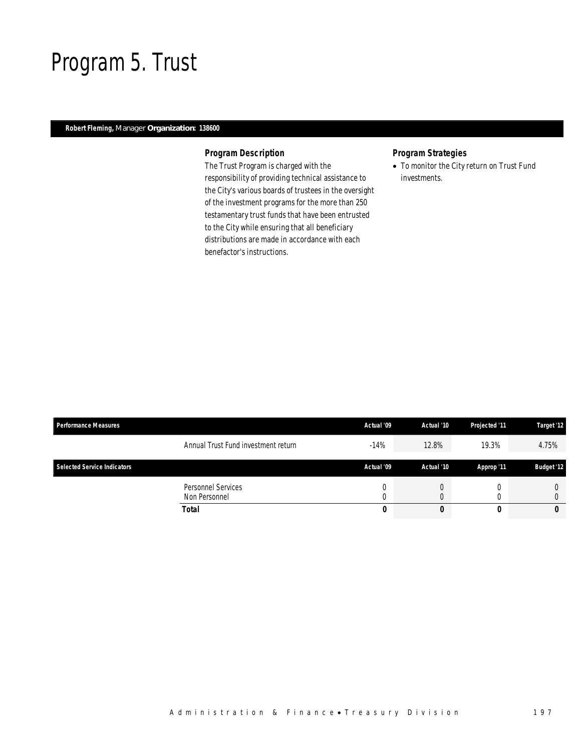## Program 5. Trust

## *Robert Fleming, Manager Organization: 138600*

## *Program Description*

The Trust Program is charged with the responsibility of providing technical assistance to the City's various boards of trustees in the oversight of the investment programs for the more than 250 testamentary trust funds that have been entrusted to the City while ensuring that all beneficiary distributions are made in accordance with each benefactor's instructions.

## *Program Strategies*

• To monitor the City return on Trust Fund investments.

| <b>Performance Measures</b>        |                                     | Actual '09 | Actual '10 | Projected '11 | Target '12        |
|------------------------------------|-------------------------------------|------------|------------|---------------|-------------------|
|                                    | Annual Trust Fund investment return | $-14%$     | 12.8%      | 19.3%         | 4.75%             |
| <b>Selected Service Indicators</b> |                                     | Actual '09 | Actual '10 | Approp '11    | <b>Budget '12</b> |
|                                    | Personnel Services<br>Non Personnel |            |            |               |                   |
|                                    | <b>Total</b>                        | 0          |            |               | 0                 |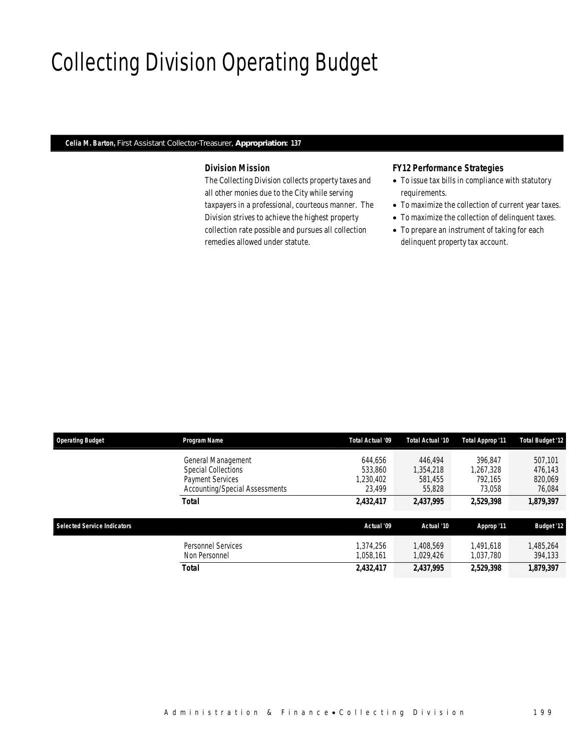# Collecting Division Operating Budget

## *Celia M. Barton, First Assistant Collector-Treasurer, Appropriation: 137*

## *Division Mission*

The Collecting Division collects property taxes and all other monies due to the City while serving taxpayers in a professional, courteous manner. The Division strives to achieve the highest property collection rate possible and pursues all collection remedies allowed under statute.

### *FY12 Performance Strategies*

- To issue tax bills in compliance with statutory requirements.
- To maximize the collection of current year taxes.
- To maximize the collection of delinquent taxes.
- To prepare an instrument of taking for each delinquent property tax account.

| <b>Operating Budget</b>            | Program Name                                              | Total Actual '09       | Total Actual '10       | Total Approp '11       | <b>Total Budget '12</b> |
|------------------------------------|-----------------------------------------------------------|------------------------|------------------------|------------------------|-------------------------|
|                                    | General Management<br><b>Special Collections</b>          | 644.656<br>533.860     | 446,494<br>1.354.218   | 396.847<br>1.267.328   | 507,101<br>476.143      |
|                                    | <b>Payment Services</b><br>Accounting/Special Assessments | 1.230.402<br>23.499    | 581,455<br>55,828      | 792.165<br>73.058      | 820,069<br>76,084       |
|                                    | <b>Total</b>                                              | 2,432,417              | 2,437,995              | 2.529.398              | 1,879,397               |
| <b>Selected Service Indicators</b> |                                                           | Actual '09             | Actual '10             | Approp '11             | <b>Budget '12</b>       |
|                                    | <b>Personnel Services</b><br>Non Personnel                | 1.374.256<br>1.058.161 | 1.408.569<br>1,029,426 | 1.491.618<br>1.037.780 | 1,485,264<br>394,133    |
|                                    | Total                                                     | 2,432,417              | 2,437,995              | 2,529,398              | 1,879,397               |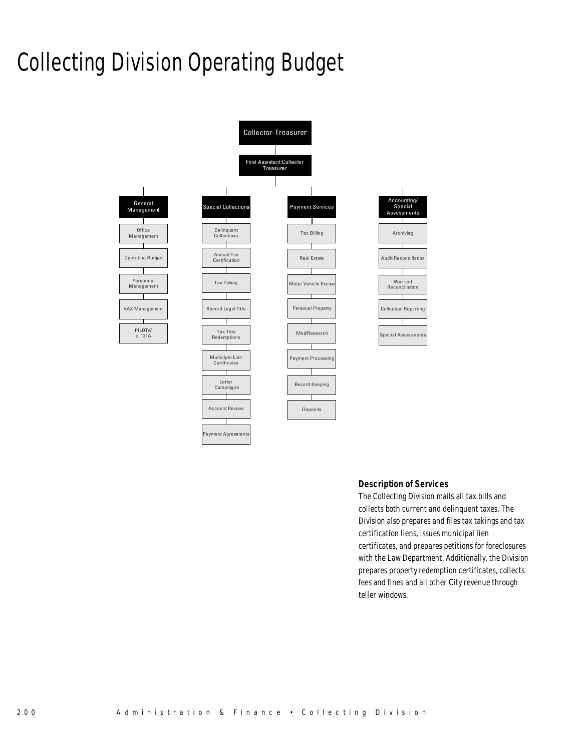# Collecting Division Operating Budget



#### *Description of Services*

The Collecting Division mails all tax bills and collects both current and delinquent taxes. The Division also prepares and files tax takings and tax certification liens, issues municipal lien certificates, and prepares petitions for foreclosures with the Law Department. Additionally, the Division prepares property redemption certificates, collects fees and fines and all other City revenue through teller windows.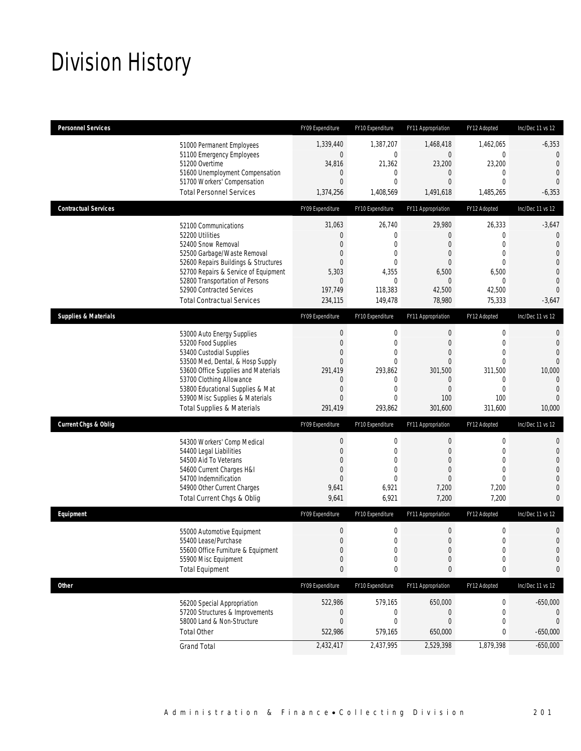# Division History

| <b>Personnel Services</b>       |                                                                         | FY09 Expenditure                 | FY10 Expenditure            | FY11 Appropriation               | FY12 Adopted                 | Inc/Dec 11 vs 12                 |
|---------------------------------|-------------------------------------------------------------------------|----------------------------------|-----------------------------|----------------------------------|------------------------------|----------------------------------|
|                                 | 51000 Permanent Employees                                               | 1,339,440                        | 1,387,207                   | 1,468,418                        | 1,462,065                    | $-6,353$                         |
|                                 | 51100 Emergency Employees                                               | $\overline{0}$                   | $\mathbf 0$                 | $\mathbf 0$                      | $\mathbf 0$                  | $\overline{0}$                   |
|                                 | 51200 Overtime<br>51600 Unemployment Compensation                       | 34,816<br>$\theta$               | 21,362<br>0                 | 23,200<br>0                      | 23,200<br>0                  | $\mathbf{0}$<br>$\mathbf{0}$     |
|                                 | 51700 Workers' Compensation                                             | $\overline{0}$                   | $\mathbf 0$                 | 0                                | $\mathbf{0}$                 | $\overline{0}$                   |
|                                 | <b>Total Personnel Services</b>                                         | 1,374,256                        | 1,408,569                   | 1,491,618                        | 1,485,265                    | $-6,353$                         |
| <b>Contractual Services</b>     |                                                                         | FY09 Expenditure                 | FY10 Expenditure            | FY11 Appropriation               | FY12 Adopted                 | Inc/Dec 11 vs 12                 |
|                                 | 52100 Communications                                                    | 31,063                           | 26,740                      | 29,980                           | 26,333                       | $-3,647$                         |
|                                 | 52200 Utilities                                                         | $\mathbf 0$                      | $\mathbf 0$                 | $\overline{0}$                   | $\mathbf{0}$                 | $\mathbf 0$                      |
|                                 | 52400 Snow Removal                                                      | $\overline{0}$                   | $\mathbf 0$                 | 0                                | $\mathbf{0}$                 | $\overline{0}$                   |
|                                 | 52500 Garbage/Waste Removal<br>52600 Repairs Buildings & Structures     | 0<br>$\overline{0}$              | $\mathbf 0$<br>$\mathbf{0}$ | $\mathbf{0}$<br>$\overline{0}$   | $\mathbf{0}$<br>$\mathbf{0}$ | $\overline{0}$<br>$\overline{0}$ |
|                                 | 52700 Repairs & Service of Equipment                                    | 5,303                            | 4,355                       | 6,500                            | 6,500                        | $\overline{0}$                   |
|                                 | 52800 Transportation of Persons                                         | $\theta$                         | $\mathbf 0$                 | $\theta$                         | 0                            | $\mathbf 0$                      |
|                                 | 52900 Contracted Services                                               | 197,749                          | 118,383                     | 42,500                           | 42,500                       | $\Omega$                         |
|                                 | <b>Total Contractual Services</b>                                       | 234,115                          | 149,478                     | 78,980                           | 75,333                       | $-3,647$                         |
| <b>Supplies &amp; Materials</b> |                                                                         | FY09 Expenditure                 | FY10 Expenditure            | FY11 Appropriation               | FY12 Adopted                 | Inc/Dec 11 vs 12                 |
|                                 | 53000 Auto Energy Supplies                                              | $\boldsymbol{0}$                 | $\mathbf 0$                 | $\boldsymbol{0}$                 | $\mathbf 0$                  | $\mathbf{0}$                     |
|                                 | 53200 Food Supplies                                                     | $\boldsymbol{0}$                 | $\mathbf 0$                 | $\boldsymbol{0}$                 | $\mathbf 0$                  | $\mathbf{0}$                     |
|                                 | 53400 Custodial Supplies                                                | $\boldsymbol{0}$                 | 0                           | 0                                | $\mathbf{0}$                 | $\overline{0}$                   |
|                                 | 53500 Med, Dental, & Hosp Supply<br>53600 Office Supplies and Materials | $\overline{0}$<br>291,419        | $\overline{0}$<br>293,862   | $\overline{0}$<br>301.500        | $\mathbf{0}$<br>311,500      | $\Omega$<br>10,000               |
|                                 | 53700 Clothing Allowance                                                | $\theta$                         | 0                           | $\mathbf 0$                      | $\mathbf 0$                  | $\overline{0}$                   |
|                                 | 53800 Educational Supplies & Mat                                        | $\mathbf 0$                      | $\mathbf 0$                 | $\boldsymbol{0}$                 | $\mathbf 0$                  | $\overline{0}$                   |
|                                 | 53900 Misc Supplies & Materials                                         | $\overline{0}$                   | $\mathbf 0$                 | 100                              | 100                          | $\Omega$                         |
|                                 | <b>Total Supplies &amp; Materials</b>                                   | 291,419                          | 293,862                     | 301,600                          | 311,600                      | 10,000                           |
| <b>Current Chgs &amp; Oblig</b> |                                                                         | FY09 Expenditure                 | FY10 Expenditure            | FY11 Appropriation               | FY12 Adopted                 | Inc/Dec 11 vs 12                 |
|                                 | 54300 Workers' Comp Medical                                             | $\boldsymbol{0}$                 | $\mathbf 0$                 | $\boldsymbol{0}$                 | $\boldsymbol{0}$             | $\mathbf{0}$                     |
|                                 | 54400 Legal Liabilities                                                 | $\mathbf 0$                      | 0                           | $\overline{0}$                   | $\mathbf 0$                  | $\mathbf 0$                      |
|                                 | 54500 Aid To Veterans                                                   | $\overline{0}$                   | $\mathbf{0}$                | $\overline{0}$                   | $\mathbf{0}$                 | $\overline{0}$                   |
|                                 | 54600 Current Charges H&I<br>54700 Indemnification                      | $\overline{0}$<br>$\overline{0}$ | $\mathbf{0}$<br>$\Omega$    | $\overline{0}$<br>$\overline{0}$ | $\mathbf{0}$<br>$\mathbf{0}$ | $\overline{0}$<br>$\overline{0}$ |
|                                 | 54900 Other Current Charges                                             | 9,641                            | 6,921                       | 7,200                            | 7,200                        | $\overline{0}$                   |
|                                 | Total Current Chgs & Oblig                                              | 9,641                            | 6,921                       | 7,200                            | 7,200                        | $\mathbf{0}$                     |
| Equipment                       |                                                                         | FY09 Expenditure                 | FY10 Expenditure            | FY11 Appropriation               | FY12 Adopted                 | Inc/Dec 11 vs 12                 |
|                                 | 55000 Automotive Equipment                                              | $\mathbf 0$                      | $\mathbf 0$                 | $\boldsymbol{0}$                 | $\boldsymbol{0}$             | $\mathbf 0$                      |
|                                 | 55400 Lease/Purchase                                                    | $\boldsymbol{0}$                 | $\theta$                    | $\mathbf 0$                      | $\boldsymbol{0}$             | $\Omega$                         |
|                                 | 55600 Office Furniture & Equipment                                      | $\boldsymbol{0}$                 | 0                           | $\boldsymbol{0}$                 | $\boldsymbol{0}$             | $\mathbf 0$                      |
|                                 | 55900 Misc Equipment                                                    | $\boldsymbol{0}$                 | 0                           | $\mathbf 0$                      | $\mathbf 0$                  | 0                                |
|                                 | <b>Total Equipment</b>                                                  | $\pmb{0}$                        | $\pmb{0}$                   | 0                                | $\pmb{0}$                    | 0                                |
| <b>Other</b>                    |                                                                         | FY09 Expenditure                 | FY10 Expenditure            | FY11 Appropriation               | FY12 Adopted                 | Inc/Dec 11 vs 12                 |
|                                 | 56200 Special Appropriation                                             | 522,986                          | 579,165                     | 650,000                          | 0                            | $-650,000$                       |
|                                 | 57200 Structures & Improvements                                         | $\boldsymbol{0}$                 | 0                           | $\boldsymbol{0}$                 | 0                            | 0                                |
|                                 | 58000 Land & Non-Structure                                              | $\boldsymbol{0}$                 | $\mathbf 0$                 | $\boldsymbol{0}$                 | $\mathbf 0$                  | $\theta$                         |
|                                 | <b>Total Other</b>                                                      | 522,986                          | 579,165                     | 650,000                          | 0                            | $-650,000$                       |
|                                 | <b>Grand Total</b>                                                      | 2,432,417                        | 2,437,995                   | 2,529,398                        | 1,879,398                    | $-650,000$                       |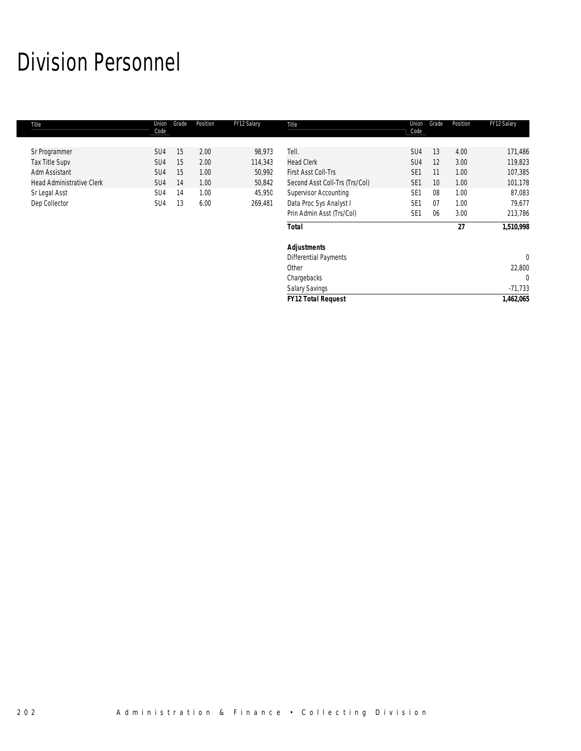# Division Personnel

| Title                            | Union<br>Code   | Grade | Position | FY12 Salary | Title                          | Union<br>Code   | Grade           | Position | FY12 Salary |
|----------------------------------|-----------------|-------|----------|-------------|--------------------------------|-----------------|-----------------|----------|-------------|
|                                  |                 |       |          |             |                                |                 |                 |          |             |
| Sr Programmer                    | SU4             | 15    | 2.00     | 98,973      | Tell.                          | SU4             | 13              | 4.00     | 171,486     |
| <b>Tax Title Supv</b>            | SU <sub>4</sub> | 15    | 2.00     | 114,343     | <b>Head Clerk</b>              | SU4             | 12              | 3.00     | 119,823     |
| Adm Assistant                    | SU <sub>4</sub> | 15    | 1.00     | 50,992      | <b>First Asst Coll-Trs</b>     | SE <sub>1</sub> | 11              | 1.00     | 107,385     |
| <b>Head Administrative Clerk</b> | SU <sub>4</sub> | 14    | 1.00     | 50,842      | Second Asst Coll-Trs (Trs/Col) | SE <sub>1</sub> | 10 <sup>°</sup> | 1.00     | 101,178     |
| Sr Legal Asst                    | SU4             | 14    | 1.00     | 45,950      | <b>Supervisor Accounting</b>   | SE <sub>1</sub> | 08              | 1.00     | 87,083      |
| Dep Collector                    | SU <sub>4</sub> | 13    | 6.00     | 269,481     | Data Proc Sys Analyst I        | SE <sub>1</sub> | 07              | 1.00     | 79,677      |
|                                  |                 |       |          |             | Prin Admin Asst (Trs/Col)      | SE <sub>1</sub> | 06              | 3.00     | 213,786     |
|                                  |                 |       |          |             | <b>Total</b>                   |                 |                 | 27       | 1,510,998   |
|                                  |                 |       |          |             | <b>Adjustments</b>             |                 |                 |          |             |
|                                  |                 |       |          |             | <b>Differential Payments</b>   |                 |                 |          | $\Omega$    |
|                                  |                 |       |          |             | Other                          |                 |                 |          | 22,800      |
|                                  |                 |       |          |             | Chargebacks                    |                 |                 |          | $\Omega$    |
|                                  |                 |       |          |             | <b>Salary Savings</b>          |                 |                 |          | $-71,733$   |
|                                  |                 |       |          |             | <b>FY12 Total Request</b>      |                 |                 |          | 1,462,065   |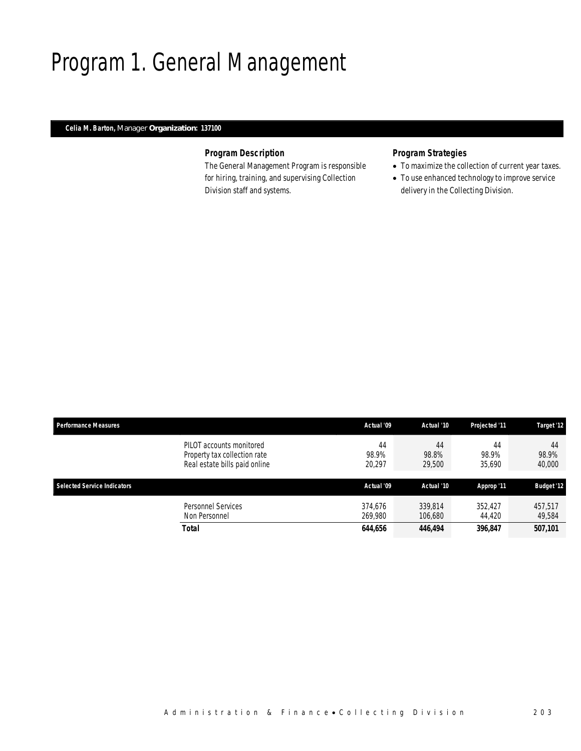# Program 1. General Management

## *Celia M. Barton, Manager Organization: 137100*

## *Program Description*

The General Management Program is responsible for hiring, training, and supervising Collection Division staff and systems.

## *Program Strategies*

- To maximize the collection of current year taxes.
- To use enhanced technology to improve service delivery in the Collecting Division.

| <b>Performance Measures</b>        |                                                                                           | Actual '09            | Actual '10            | Projected '11         | Target '12            |
|------------------------------------|-------------------------------------------------------------------------------------------|-----------------------|-----------------------|-----------------------|-----------------------|
|                                    | PILOT accounts monitored<br>Property tax collection rate<br>Real estate bills paid online | 44<br>98.9%<br>20,297 | 44<br>98.8%<br>29,500 | 44<br>98.9%<br>35.690 | 44<br>98.9%<br>40,000 |
| <b>Selected Service Indicators</b> |                                                                                           | Actual '09            | Actual '10            | Approp '11            | <b>Budget '12</b>     |
|                                    | Personnel Services<br>Non Personnel                                                       | 374.676<br>269.980    | 339.814<br>106.680    | 352.427<br>44,420     | 457.517<br>49.584     |
|                                    | <b>Total</b>                                                                              | 644,656               | 446,494               | 396,847               | 507,101               |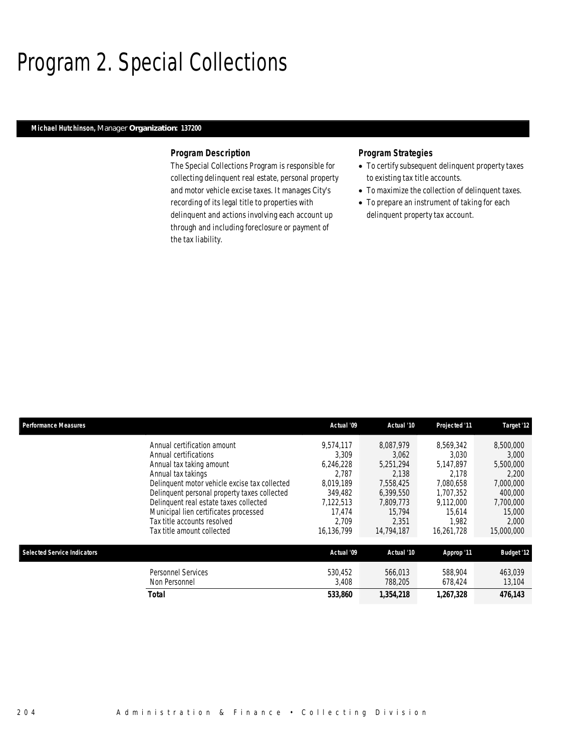## Program 2. Special Collections

## *Michael Hutchinson, Manager Organization: 137200*

#### *Program Description*

The Special Collections Program is responsible for collecting delinquent real estate, personal property and motor vehicle excise taxes. It manages City's recording of its legal title to properties with delinquent and actions involving each account up through and including foreclosure or payment of the tax liability.

### *Program Strategies*

- To certify subsequent delinquent property taxes to existing tax title accounts.
- To maximize the collection of delinquent taxes.
- To prepare an instrument of taking for each delinquent property tax account.

| <b>Performance Measures</b>        |                                                                                                                                                                                                                                                                                                                                                         | Actual '09                                                                                                     | Actual '10                                                                                                       | Projected '11                                                                                                    | Target '12                                                                                                     |
|------------------------------------|---------------------------------------------------------------------------------------------------------------------------------------------------------------------------------------------------------------------------------------------------------------------------------------------------------------------------------------------------------|----------------------------------------------------------------------------------------------------------------|------------------------------------------------------------------------------------------------------------------|------------------------------------------------------------------------------------------------------------------|----------------------------------------------------------------------------------------------------------------|
|                                    | Annual certification amount<br>Annual certifications<br>Annual tax taking amount<br>Annual tax takings<br>Delinquent motor vehicle excise tax collected<br>Delinquent personal property taxes collected<br>Delinquent real estate taxes collected<br>Municipal lien certificates processed<br>Tax title accounts resolved<br>Tax title amount collected | 9,574,117<br>3.309<br>6.246.228<br>2.787<br>8.019.189<br>349.482<br>7,122,513<br>17.474<br>2.709<br>16,136,799 | 8,087,979<br>3,062<br>5.251.294<br>2.138<br>7,558,425<br>6.399.550<br>7,809,773<br>15.794<br>2,351<br>14,794,187 | 8.569.342<br>3.030<br>5.147.897<br>2.178<br>7.080.658<br>1.707.352<br>9,112,000<br>15.614<br>1.982<br>16,261,728 | 8,500,000<br>3,000<br>5,500,000<br>2.200<br>7,000,000<br>400,000<br>7,700,000<br>15,000<br>2,000<br>15,000,000 |
| <b>Selected Service Indicators</b> |                                                                                                                                                                                                                                                                                                                                                         | Actual '09                                                                                                     | Actual '10                                                                                                       | Approp '11                                                                                                       | <b>Budget '12</b>                                                                                              |
|                                    | <b>Personnel Services</b><br>Non Personnel<br><b>Total</b>                                                                                                                                                                                                                                                                                              | 530.452<br>3,408<br>533,860                                                                                    | 566,013<br>788,205<br>1,354,218                                                                                  | 588,904<br>678,424<br>1,267,328                                                                                  | 463,039<br>13,104<br>476,143                                                                                   |
|                                    |                                                                                                                                                                                                                                                                                                                                                         |                                                                                                                |                                                                                                                  |                                                                                                                  |                                                                                                                |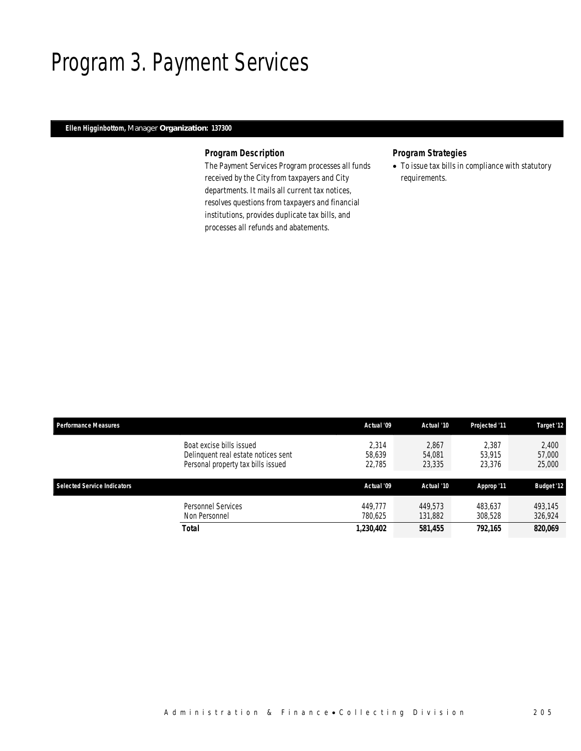## Program 3. Payment Services

## *Ellen Higginbottom, Manager Organization: 137300*

## *Program Description*

The Payment Services Program processes all funds received by the City from taxpayers and City departments. It mails all current tax notices, resolves questions from taxpayers and financial institutions, provides duplicate tax bills, and processes all refunds and abatements.

## *Program Strategies*

• To issue tax bills in compliance with statutory requirements.

| <b>Performance Measures</b>        |                                                                                                       | Actual '09                | Actual '10                | <b>Projected '11</b>      | Target '12                |
|------------------------------------|-------------------------------------------------------------------------------------------------------|---------------------------|---------------------------|---------------------------|---------------------------|
|                                    | Boat excise bills issued<br>Delinguent real estate notices sent<br>Personal property tax bills issued | 2.314<br>58,639<br>22.785 | 2.867<br>54.081<br>23,335 | 2.387<br>53.915<br>23,376 | 2,400<br>57,000<br>25,000 |
| <b>Selected Service Indicators</b> |                                                                                                       | Actual '09                | Actual '10                | Approp '11                | <b>Budget '12</b>         |
|                                    | Personnel Services<br>Non Personnel                                                                   | 449.777<br>780.625        | 449.573<br>131,882        | 483.637<br>308,528        | 493.145<br>326,924        |
|                                    | Total                                                                                                 | 1,230,402                 | 581,455                   | 792.165                   | 820,069                   |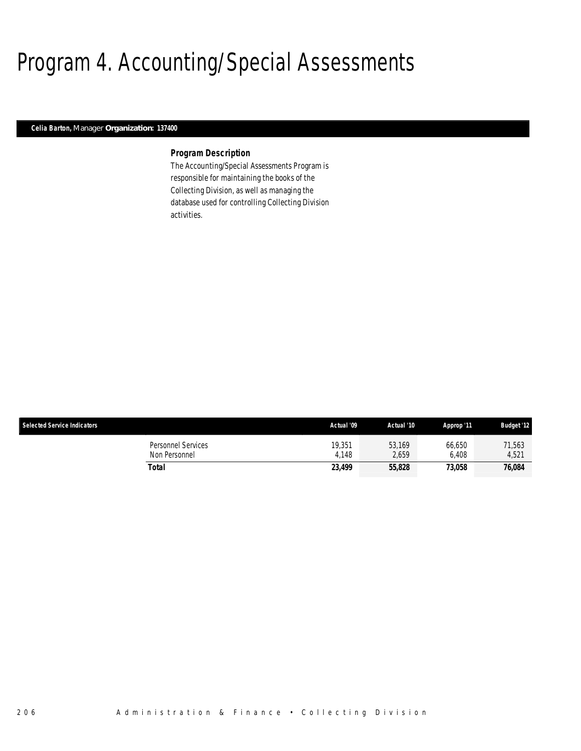# Program 4. Accounting/Special Assessments

### *Celia Barton, Manager Organization: 137400*

#### *Program Description*

The Accounting/Special Assessments Program is responsible for maintaining the books of the Collecting Division, as well as managing the database used for controlling Collecting Division activities.

| <b>Selected Service Indicators</b>  | Actual '09      | Actual '10      | Approp '11      | <b>Budget '12</b> |
|-------------------------------------|-----------------|-----------------|-----------------|-------------------|
| Personnel Services<br>Non Personnel | 19,351<br>4.148 | 53,169<br>2.659 | 66,650<br>6.408 | 71,563<br>4,521   |
| Total                               | 23,499          | 55,828          | 73.058          | 76,084            |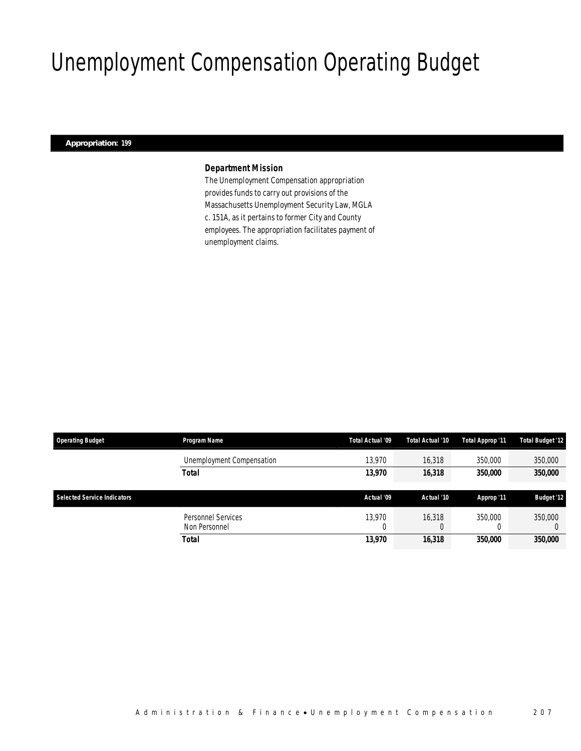# Unemployment Compensation Operating Budget

## *Appropriation: 199*

## *Department Mission*

The Unemployment Compensation appropriation provides funds to carry out provisions of the Massachusetts Unemployment Security Law, MGLA c. 151A, as it pertains to former City and County employees. The appropriation facilitates payment of unemployment claims.

| <b>Operating Budget</b>     | Program Name              | Total Actual '09 | Total Actual '10 | Total Approp '11 | <b>Total Budget '12</b> |
|-----------------------------|---------------------------|------------------|------------------|------------------|-------------------------|
|                             | Unemployment Compensation | 13.970           | 16,318           | 350,000          | 350,000                 |
|                             | Total                     | 13,970           | 16,318           | 350,000          | 350,000                 |
| Selected Service Indicators |                           | Actual '09       | Actual '10       |                  |                         |
|                             |                           |                  |                  | Approp '11       | <b>Budget '12</b>       |
|                             | Personnel Services        | 13.970           | 16,318           | 350,000          | 350,000                 |
|                             | Non Personnel             |                  |                  |                  |                         |
|                             | Total                     | 13,970           | 16,318           | 350,000          | 350,000                 |